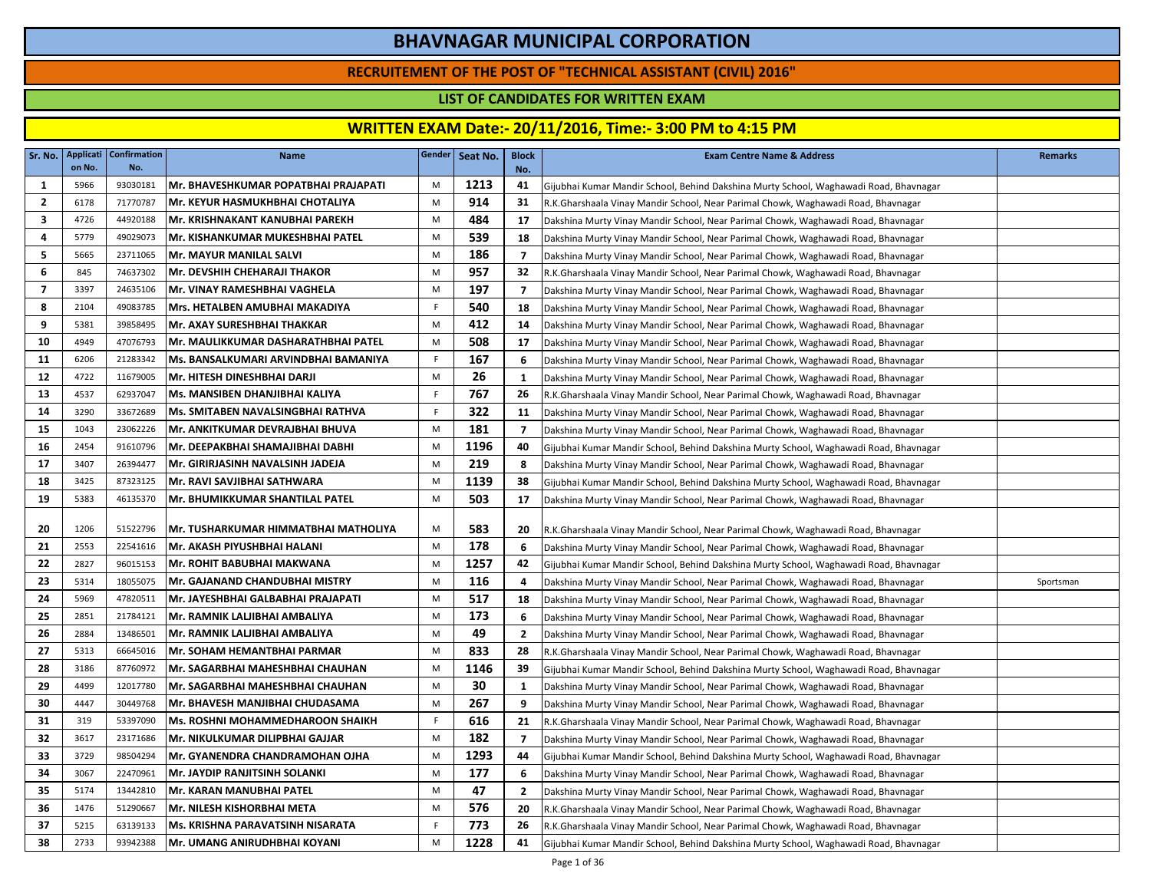### **RECRUITEMENT OF THE POST OF "TECHNICAL ASSISTANT (CIVIL) 2016"**

### **LIST OF CANDIDATES FOR WRITTEN EXAM**

| Sr. No.        | <b>Applicati</b><br>on No. | <b>Confirmation</b><br>No. | Name                                    |              | Gender Seat No. | <b>Block</b><br>No. | <b>Exam Centre Name &amp; Address</b>                                                 | <b>Remarks</b> |
|----------------|----------------------------|----------------------------|-----------------------------------------|--------------|-----------------|---------------------|---------------------------------------------------------------------------------------|----------------|
| 1              | 5966                       | 93030181                   | Mr. BHAVESHKUMAR POPATBHAI PRAJAPATI    | M            | 1213            | 41                  | Gijubhai Kumar Mandir School, Behind Dakshina Murty School, Waghawadi Road, Bhavnagar |                |
| $\overline{2}$ | 6178                       | 71770787                   | Mr. KEYUR HASMUKHBHAI CHOTALIYA         | M            | 914             | 31                  | R.K.Gharshaala Vinay Mandir School, Near Parimal Chowk, Waghawadi Road, Bhavnagar     |                |
| 3              | 4726                       | 44920188                   | Mr. KRISHNAKANT KANUBHAI PAREKH         | M            | 484             | 17                  | Dakshina Murty Vinay Mandir School, Near Parimal Chowk, Waghawadi Road, Bhavnagar     |                |
| 4              | 5779                       | 49029073                   | Mr. KISHANKUMAR MUKESHBHAI PATEL        | M            | 539             | 18                  | Dakshina Murty Vinay Mandir School, Near Parimal Chowk, Waghawadi Road, Bhavnagar     |                |
| 5              | 5665                       | 23711065                   | Mr. MAYUR MANILAL SALVI                 | M            | 186             | $\overline{7}$      | Dakshina Murty Vinay Mandir School, Near Parimal Chowk, Waghawadi Road, Bhavnagar     |                |
| 6              | 845                        | 74637302                   | Mr. DEVSHIH CHEHARAJI THAKOR            | M            | 957             | 32                  | R.K.Gharshaala Vinay Mandir School, Near Parimal Chowk, Waghawadi Road, Bhavnagar     |                |
| $\overline{7}$ | 3397                       | 24635106                   | Mr. VINAY RAMESHBHAI VAGHELA            | M            | 197             | $\overline{7}$      | Dakshina Murty Vinay Mandir School, Near Parimal Chowk, Waghawadi Road, Bhavnagar     |                |
| 8              | 2104                       | 49083785                   | Mrs. HETALBEN AMUBHAI MAKADIYA          | $\mathsf{F}$ | 540             | 18                  | Dakshina Murty Vinay Mandir School, Near Parimal Chowk, Waghawadi Road, Bhavnagar     |                |
| 9              | 5381                       | 39858495                   | Mr. AXAY SURESHBHAI THAKKAR             | M            | 412             | 14                  | Dakshina Murty Vinay Mandir School, Near Parimal Chowk, Waghawadi Road, Bhavnagar     |                |
| 10             | 4949                       | 47076793                   | Mr. MAULIKKUMAR DASHARATHBHAI PATEL     | M            | 508             | 17                  | Dakshina Murty Vinay Mandir School, Near Parimal Chowk, Waghawadi Road, Bhavnagar     |                |
| 11             | 6206                       | 21283342                   | Ms. BANSALKUMARI ARVINDBHAI BAMANIYA    | F.           | 167             | 6                   | Dakshina Murty Vinay Mandir School, Near Parimal Chowk, Waghawadi Road, Bhavnagar     |                |
| 12             | 4722                       | 11679005                   | Mr. HITESH DINESHBHAI DARJI             | M            | 26              | $\mathbf{1}$        | Dakshina Murty Vinay Mandir School, Near Parimal Chowk, Waghawadi Road, Bhavnagar     |                |
| 13             | 4537                       | 62937047                   | Ms. MANSIBEN DHANJIBHAI KALIYA          | $\mathsf F$  | 767             | 26                  | R.K.Gharshaala Vinay Mandir School, Near Parimal Chowk, Waghawadi Road, Bhavnagar     |                |
| 14             | 3290                       | 33672689                   | Ms. SMITABEN NAVALSINGBHAI RATHVA       | F.           | 322             | 11                  | Dakshina Murty Vinay Mandir School, Near Parimal Chowk, Waghawadi Road, Bhavnagar     |                |
| 15             | 1043                       | 23062226                   | Mr. ANKITKUMAR DEVRAJBHAI BHUVA         | M            | 181             | $\overline{7}$      | Dakshina Murty Vinay Mandir School, Near Parimal Chowk, Waghawadi Road, Bhavnagar     |                |
| 16             | 2454                       | 91610796                   | Mr. DEEPAKBHAI SHAMAJIBHAI DABHI        | M            | 1196            | 40                  | Gijubhai Kumar Mandir School, Behind Dakshina Murty School, Waghawadi Road, Bhavnagar |                |
| 17             | 3407                       | 26394477                   | Mr. GIRIRJASINH NAVALSINH JADEJA        | M            | 219             | 8                   | Dakshina Murty Vinay Mandir School, Near Parimal Chowk, Waghawadi Road, Bhavnagar     |                |
| 18             | 3425                       | 87323125                   | Mr. RAVI SAVJIBHAI SATHWARA             | M            | 1139            | 38                  | Gijubhai Kumar Mandir School, Behind Dakshina Murty School, Waghawadi Road, Bhavnagar |                |
| 19             | 5383                       | 46135370                   | Mr. BHUMIKKUMAR SHANTILAL PATEL         | M            | 503             | 17                  | Dakshina Murty Vinay Mandir School, Near Parimal Chowk, Waghawadi Road, Bhavnagar     |                |
| 20             | 1206                       | 51522796                   | Mr. TUSHARKUMAR HIMMATBHAI MATHOLIYA    | M            | 583             | 20                  | R.K.Gharshaala Vinay Mandir School, Near Parimal Chowk, Waghawadi Road, Bhavnagar     |                |
| 21             | 2553                       | 22541616                   | Mr. AKASH PIYUSHBHAI HALANI             | M            | 178             | 6                   | Dakshina Murty Vinay Mandir School, Near Parimal Chowk, Waghawadi Road, Bhavnagar     |                |
| 22             | 2827                       | 96015153                   | Mr. ROHIT BABUBHAI MAKWANA              | M            | 1257            | 42                  | Gijubhai Kumar Mandir School, Behind Dakshina Murty School, Waghawadi Road, Bhavnagar |                |
| 23             | 5314                       | 18055075                   | Mr. GAJANAND CHANDUBHAI MISTRY          | M            | 116             | 4                   | Dakshina Murty Vinay Mandir School, Near Parimal Chowk, Waghawadi Road, Bhavnagar     | Sportsman      |
| 24             | 5969                       | 47820511                   | Mr. JAYESHBHAI GALBABHAI PRAJAPATI      | M            | 517             | 18                  | Dakshina Murty Vinay Mandir School, Near Parimal Chowk, Waghawadi Road, Bhavnagar     |                |
| 25             | 2851                       | 21784121                   | Mr. RAMNIK LALJIBHAI AMBALIYA           | M            | 173             | 6                   | Dakshina Murty Vinay Mandir School, Near Parimal Chowk, Waghawadi Road, Bhavnagar     |                |
| 26             | 2884                       | 13486501                   | Mr. RAMNIK LALJIBHAI AMBALIYA           | M            | 49              | $\mathbf{2}$        | Dakshina Murty Vinay Mandir School, Near Parimal Chowk, Waghawadi Road, Bhavnagar     |                |
| 27             | 5313                       | 66645016                   | Mr. SOHAM HEMANTBHAI PARMAR             | M            | 833             | 28                  | R.K.Gharshaala Vinay Mandir School, Near Parimal Chowk, Waghawadi Road, Bhavnagar     |                |
| 28             | 3186                       | 87760972                   | Mr. SAGARBHAI MAHESHBHAI CHAUHAN        | M            | 1146            | 39                  | Gijubhai Kumar Mandir School, Behind Dakshina Murty School, Waghawadi Road, Bhavnagar |                |
| 29             | 4499                       | 12017780                   | Mr. SAGARBHAI MAHESHBHAI CHAUHAN        | M            | 30              | $\mathbf{1}$        | Dakshina Murty Vinay Mandir School, Near Parimal Chowk, Waghawadi Road, Bhavnagar     |                |
| 30             | 4447                       | 30449768                   | Mr. BHAVESH MANJIBHAI CHUDASAMA         | M            | 267             | 9                   | Dakshina Murty Vinay Mandir School, Near Parimal Chowk, Waghawadi Road, Bhavnagar     |                |
| 31             | 319                        | 53397090                   | <b>Ms. ROSHNI MOHAMMEDHAROON SHAIKH</b> | F.           | 616             | 21                  | R.K.Gharshaala Vinay Mandir School, Near Parimal Chowk, Waghawadi Road, Bhavnagar     |                |
| 32             | 3617                       | 23171686                   | Mr. NIKULKUMAR DILIPBHAI GAJJAR         | M            | 182             | $\overline{7}$      | Dakshina Murty Vinay Mandir School, Near Parimal Chowk, Waghawadi Road, Bhavnagar     |                |
| 33             | 3729                       | 98504294                   | Mr. GYANENDRA CHANDRAMOHAN OJHA         | M            | 1293            | 44                  | Gijubhai Kumar Mandir School, Behind Dakshina Murty School, Waghawadi Road, Bhavnagar |                |
| 34             | 3067                       | 22470961                   | Mr. JAYDIP RANJITSINH SOLANKI           | M            | 177             | 6                   | Dakshina Murty Vinay Mandir School, Near Parimal Chowk, Waghawadi Road, Bhavnagar     |                |
| 35             | 5174                       | 13442810                   | Mr. KARAN MANUBHAI PATEL                | M            | 47              | $\overline{2}$      | Dakshina Murty Vinay Mandir School, Near Parimal Chowk, Waghawadi Road, Bhavnagar     |                |
| 36             | 1476                       | 51290667                   | Mr. NILESH KISHORBHAI META              | M            | 576             | 20                  | R.K.Gharshaala Vinay Mandir School, Near Parimal Chowk, Waghawadi Road, Bhavnagar     |                |
| 37             | 5215                       | 63139133                   | Ms. KRISHNA PARAVATSINH NISARATA        | F            | 773             | 26                  | R.K.Gharshaala Vinay Mandir School, Near Parimal Chowk, Waghawadi Road, Bhavnagar     |                |
| 38             | 2733                       | 93942388                   | Mr. UMANG ANIRUDHBHAI KOYANI            | M            | 1228            | 41                  | Gijubhai Kumar Mandir School, Behind Dakshina Murty School, Waghawadi Road, Bhavnagar |                |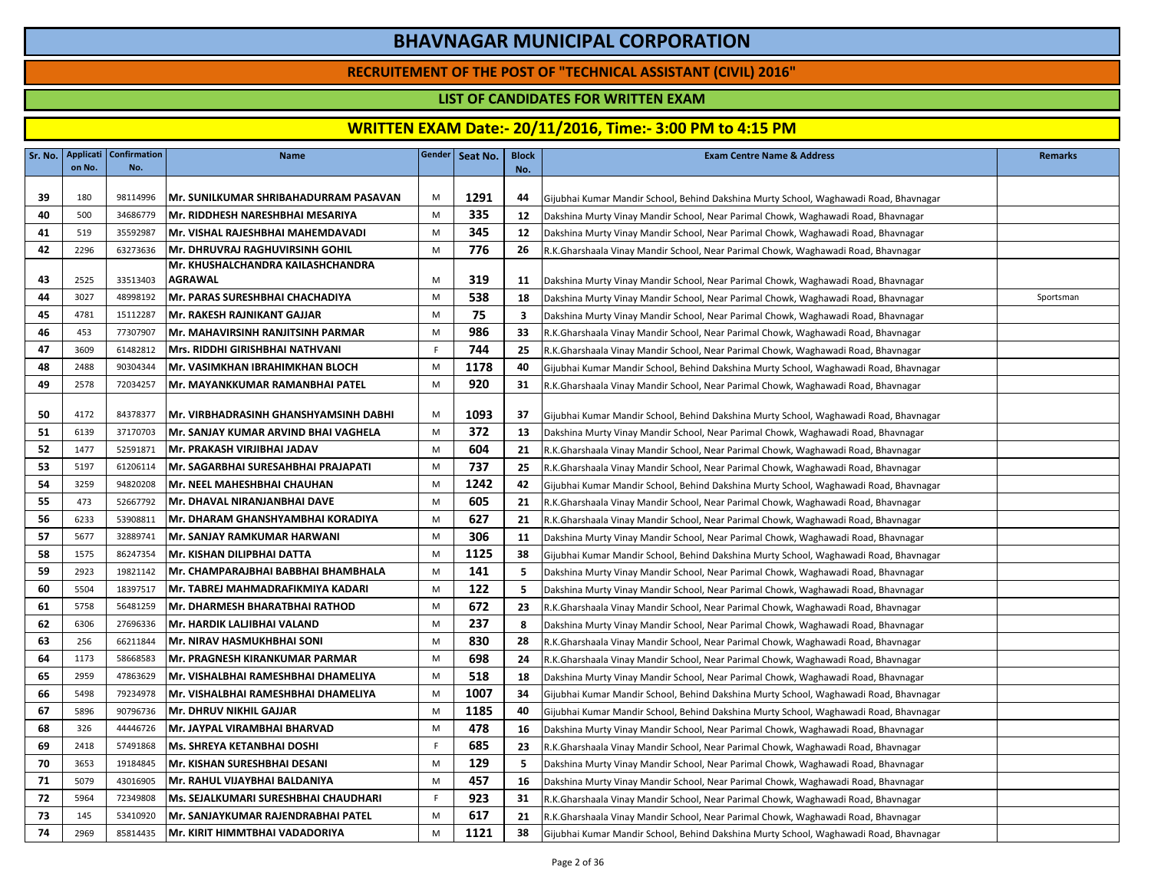### **RECRUITEMENT OF THE POST OF "TECHNICAL ASSISTANT (CIVIL) 2016"**

### **LIST OF CANDIDATES FOR WRITTEN EXAM**

| Sr. No. | Applicati<br>on No. | <b>Confirmation</b><br>No. | <b>Name</b>                            |    | Gender   Seat No. | <b>Block</b><br>No. | <b>Exam Centre Name &amp; Address</b>                                                 | <b>Remarks</b> |
|---------|---------------------|----------------------------|----------------------------------------|----|-------------------|---------------------|---------------------------------------------------------------------------------------|----------------|
|         |                     |                            |                                        |    |                   |                     |                                                                                       |                |
| 39      | 180                 | 98114996                   | Mr. SUNILKUMAR SHRIBAHADURRAM PASAVAN  | M  | 1291              | 44                  | Gijubhai Kumar Mandir School, Behind Dakshina Murty School, Waghawadi Road, Bhavnagar |                |
| 40      | 500                 | 34686779                   | Mr. RIDDHESH NARESHBHAI MESARIYA       | M  | 335               | 12                  | Dakshina Murty Vinay Mandir School, Near Parimal Chowk, Waghawadi Road, Bhavnagar     |                |
| 41      | 519                 | 35592987                   | Mr. VISHAL RAJESHBHAI MAHEMDAVADI      | M  | 345               | 12                  | Dakshina Murty Vinay Mandir School, Near Parimal Chowk, Waghawadi Road, Bhavnagar     |                |
| 42      | 2296                | 63273636                   | <b>Mr. DHRUVRAJ RAGHUVIRSINH GOHIL</b> | M  | 776               | 26                  | R.K.Gharshaala Vinay Mandir School, Near Parimal Chowk, Waghawadi Road, Bhavnagar     |                |
|         |                     |                            | Mr. KHUSHALCHANDRA KAILASHCHANDRA      |    |                   |                     |                                                                                       |                |
| 43      | 2525                | 33513403                   | <b>AGRAWAL</b>                         | M  | 319               | 11                  | Dakshina Murty Vinay Mandir School, Near Parimal Chowk, Waghawadi Road, Bhavnagar     |                |
| 44      | 3027                | 48998192                   | Mr. PARAS SURESHBHAI CHACHADIYA        | M  | 538               | 18                  | Dakshina Murty Vinay Mandir School, Near Parimal Chowk, Waghawadi Road, Bhavnagar     | Sportsman      |
| 45      | 4781                | 15112287                   | Mr. RAKESH RAJNIKANT GAJJAR            | M  | 75                | 3                   | Dakshina Murty Vinay Mandir School, Near Parimal Chowk, Waghawadi Road, Bhavnagar     |                |
| 46      | 453                 | 77307907                   | Mr. MAHAVIRSINH RANJITSINH PARMAR      | M  | 986               | 33                  | R.K.Gharshaala Vinay Mandir School, Near Parimal Chowk, Waghawadi Road, Bhavnagar     |                |
| 47      | 3609                | 61482812                   | Mrs. RIDDHI GIRISHBHAI NATHVANI        | F. | 744               | 25                  | R.K.Gharshaala Vinay Mandir School, Near Parimal Chowk, Waghawadi Road, Bhavnagar     |                |
| 48      | 2488                | 90304344                   | Mr. VASIMKHAN IBRAHIMKHAN BLOCH        | M  | 1178              | 40                  | Gijubhai Kumar Mandir School, Behind Dakshina Murty School, Waghawadi Road, Bhavnagar |                |
| 49      | 2578                | 72034257                   | Mr. MAYANKKUMAR RAMANBHAI PATEL        | M  | 920               | 31                  | R.K.Gharshaala Vinay Mandir School, Near Parimal Chowk, Waghawadi Road, Bhavnagar     |                |
| 50      | 4172                | 84378377                   | Mr. VIRBHADRASINH GHANSHYAMSINH DABHI  | M  | 1093              | 37                  | Gijubhai Kumar Mandir School, Behind Dakshina Murty School, Waghawadi Road, Bhavnagar |                |
| -51     | 6139                | 37170703                   | Mr. SANJAY KUMAR ARVIND BHAI VAGHELA   | M  | 372               | 13                  | Dakshina Murty Vinay Mandir School, Near Parimal Chowk, Waghawadi Road, Bhavnagar     |                |
| 52      | 1477                | 52591871                   | Mr. PRAKASH VIRJIBHAI JADAV            | M  | 604               | 21                  | R.K.Gharshaala Vinay Mandir School, Near Parimal Chowk, Waghawadi Road, Bhavnagar     |                |
| 53      | 5197                | 61206114                   | Mr. SAGARBHAI SURESAHBHAI PRAJAPATI    | M  | 737               | 25                  | R.K.Gharshaala Vinay Mandir School, Near Parimal Chowk, Waghawadi Road, Bhavnagar     |                |
| 54      | 3259                | 94820208                   | Mr. NEEL MAHESHBHAI CHAUHAN            | M  | 1242              | 42                  | Gijubhai Kumar Mandir School, Behind Dakshina Murty School, Waghawadi Road, Bhavnagar |                |
| 55      | 473                 | 52667792                   | Mr. DHAVAL NIRANJANBHAI DAVE           | M  | 605               | 21                  | R.K.Gharshaala Vinay Mandir School, Near Parimal Chowk, Waghawadi Road, Bhavnagar     |                |
| 56      | 6233                | 53908811                   | Mr. DHARAM GHANSHYAMBHAI KORADIYA      | M  | 627               | 21                  | R.K.Gharshaala Vinay Mandir School, Near Parimal Chowk, Waghawadi Road, Bhavnagar     |                |
| 57      | 5677                | 32889741                   | Mr. SANJAY RAMKUMAR HARWANI            | M  | 306               | 11                  | Dakshina Murty Vinay Mandir School, Near Parimal Chowk, Waghawadi Road, Bhavnagar     |                |
| 58      | 1575                | 86247354                   | Mr. KISHAN DILIPBHAI DATTA             | M  | 1125              | 38                  | Gijubhai Kumar Mandir School, Behind Dakshina Murty School, Waghawadi Road, Bhavnagar |                |
| 59      | 2923                | 19821142                   | IMr. CHAMPARAJBHAI BABBHAI BHAMBHALA   | M  | 141               | 5                   | Dakshina Murty Vinay Mandir School, Near Parimal Chowk, Waghawadi Road, Bhavnagar     |                |
| 60      | 5504                | 18397517                   | Mr. TABREJ MAHMADRAFIKMIYA KADARI      | M  | 122               | 5                   | Dakshina Murty Vinay Mandir School, Near Parimal Chowk, Waghawadi Road, Bhavnagar     |                |
| 61      | 5758                | 56481259                   | Mr. DHARMESH BHARATBHAI RATHOD         | M  | 672               | 23                  | R.K.Gharshaala Vinay Mandir School, Near Parimal Chowk, Waghawadi Road, Bhavnagar     |                |
| 62      | 6306                | 27696336                   | Mr. HARDIK LALJIBHAI VALAND            | M  | 237               | 8                   | Dakshina Murty Vinay Mandir School, Near Parimal Chowk, Waghawadi Road, Bhavnagar     |                |
| 63      | 256                 | 66211844                   | IMr. NIRAV HASMUKHBHAI SONI            | M  | 830               | 28                  | R.K.Gharshaala Vinay Mandir School, Near Parimal Chowk, Waghawadi Road, Bhavnagar     |                |
| 64      | 1173                | 58668583                   | Mr. PRAGNESH KIRANKUMAR PARMAR         | M  | 698               | 24                  | R.K.Gharshaala Vinay Mandir School, Near Parimal Chowk, Waghawadi Road, Bhavnagar     |                |
| 65      | 2959                | 47863629                   | Mr. VISHALBHAI RAMESHBHAI DHAMELIYA    | M  | 518               | 18                  | Dakshina Murty Vinay Mandir School, Near Parimal Chowk, Waghawadi Road, Bhavnagar     |                |
| 66      | 5498                | 79234978                   | Mr. VISHALBHAI RAMESHBHAI DHAMELIYA    | M  | 1007              | 34                  | Gijubhai Kumar Mandir School, Behind Dakshina Murty School, Waghawadi Road, Bhavnagar |                |
| 67      | 5896                | 90796736                   | Mr. DHRUV NIKHIL GAJJAR                | M  | 1185              | 40                  | Gijubhai Kumar Mandir School, Behind Dakshina Murty School, Waghawadi Road, Bhavnagar |                |
| 68      | 326                 | 44446726                   | Mr. JAYPAL VIRAMBHAI BHARVAD           | M  | 478               | 16                  | Dakshina Murty Vinay Mandir School, Near Parimal Chowk, Waghawadi Road, Bhavnagar     |                |
| 69      | 2418                | 57491868                   | Ms. SHREYA KETANBHAI DOSHI             | F. | 685               | 23                  | R.K.Gharshaala Vinay Mandir School, Near Parimal Chowk, Waghawadi Road, Bhavnagar     |                |
| 70      | 3653                | 19184845                   | Mr. KISHAN SURESHBHAI DESANI           | M  | 129               | 5                   | Dakshina Murty Vinay Mandir School, Near Parimal Chowk, Waghawadi Road, Bhavnagar     |                |
| 71      | 5079                | 43016905                   | Mr. RAHUL VIJAYBHAI BALDANIYA          | M  | 457               | 16                  | Dakshina Murty Vinay Mandir School, Near Parimal Chowk, Waghawadi Road, Bhavnagar     |                |
| 72      | 5964                | 72349808                   | Ms. SEJALKUMARI SURESHBHAI CHAUDHARI   | F. | 923               | 31                  | R.K.Gharshaala Vinay Mandir School, Near Parimal Chowk, Waghawadi Road, Bhavnagar     |                |
| 73      | 145                 | 53410920                   | Mr. SANJAYKUMAR RAJENDRABHAI PATEL     | M  | 617               | 21                  | R.K.Gharshaala Vinay Mandir School, Near Parimal Chowk, Waghawadi Road, Bhavnagar     |                |
| 74      | 2969                | 85814435                   | Mr. KIRIT HIMMTBHAI VADADORIYA         | M  | 1121              | 38                  | Gijubhai Kumar Mandir School, Behind Dakshina Murty School, Waghawadi Road, Bhavnagar |                |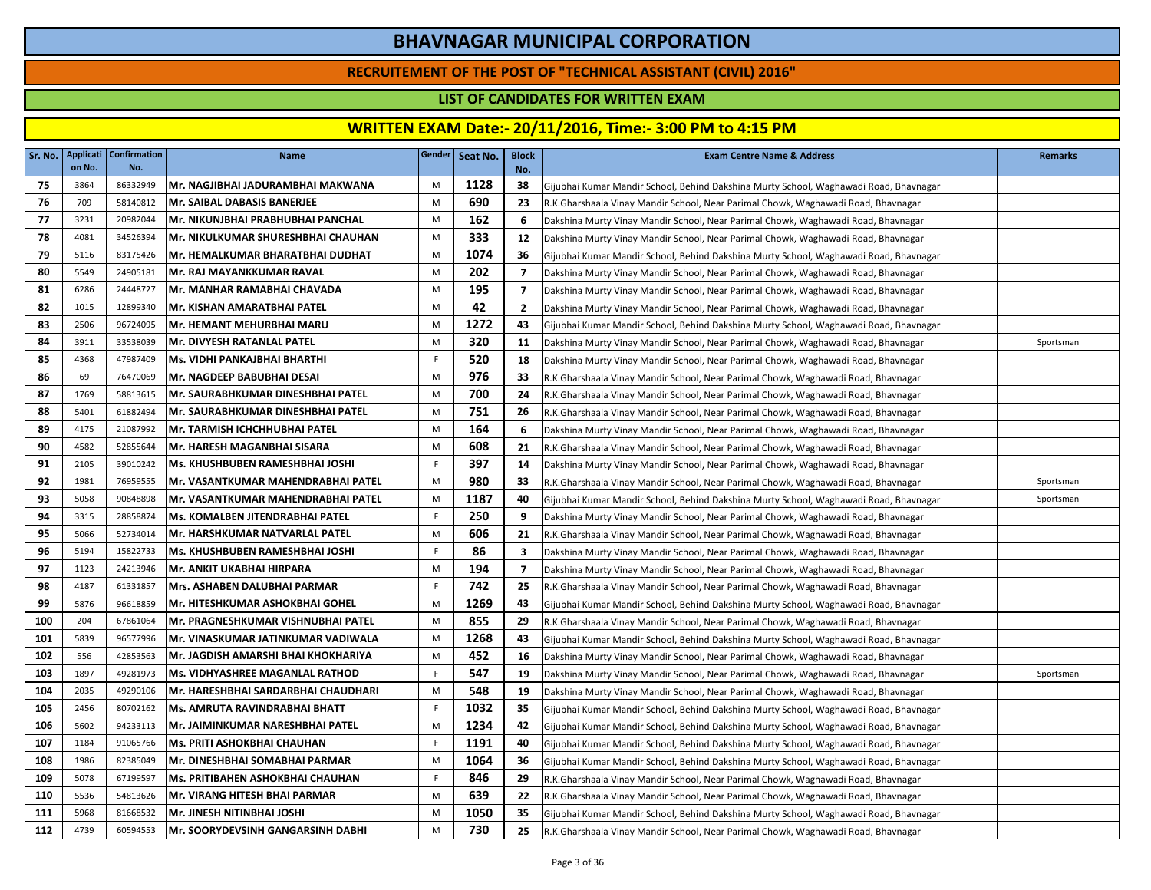### **RECRUITEMENT OF THE POST OF "TECHNICAL ASSISTANT (CIVIL) 2016"**

### **LIST OF CANDIDATES FOR WRITTEN EXAM**

| Sr. No. | Applicati<br>on No. | <b>Confirmation</b><br>No. | <b>Name</b>                             |    | Gender   Seat No. | <b>Block</b><br>No. | <b>Exam Centre Name &amp; Address</b>                                                 | <b>Remarks</b> |
|---------|---------------------|----------------------------|-----------------------------------------|----|-------------------|---------------------|---------------------------------------------------------------------------------------|----------------|
| 75      | 3864                | 86332949                   | Mr. NAGJIBHAI JADURAMBHAI MAKWANA       | M  | 1128              | 38                  | Gijubhai Kumar Mandir School, Behind Dakshina Murty School, Waghawadi Road, Bhavnagar |                |
| 76      | 709                 | 58140812                   | lMr. SAIBAL DABASIS BANERJEE            | M  | 690               | 23                  | R.K.Gharshaala Vinay Mandir School, Near Parimal Chowk, Waghawadi Road, Bhavnagar     |                |
| 77      | 3231                | 20982044                   | Mr. NIKUNJBHAI PRABHUBHAI PANCHAL       | M  | 162               | -6                  | Dakshina Murty Vinay Mandir School, Near Parimal Chowk, Waghawadi Road, Bhavnagar     |                |
| 78      | 4081                | 34526394                   | Mr. NIKULKUMAR SHURESHBHAI CHAUHAN      | M  | 333               | 12                  | Dakshina Murty Vinay Mandir School, Near Parimal Chowk, Waghawadi Road, Bhavnagar     |                |
| 79      | 5116                | 83175426                   | Mr. HEMALKUMAR BHARATBHAI DUDHAT        | M  | 1074              | 36                  | Gijubhai Kumar Mandir School, Behind Dakshina Murty School, Waghawadi Road, Bhavnagar |                |
| 80      | 5549                | 24905181                   | Mr. RAJ MAYANKKUMAR RAVAL               | M  | 202               | $\overline{7}$      | Dakshina Murty Vinay Mandir School, Near Parimal Chowk, Waghawadi Road, Bhavnagar     |                |
| 81      | 6286                | 24448727                   | Mr. MANHAR RAMABHAI CHAVADA             | M  | 195               | $\overline{7}$      | Dakshina Murty Vinay Mandir School, Near Parimal Chowk, Waghawadi Road, Bhavnagar     |                |
| 82      | 1015                | 12899340                   | Mr. KISHAN AMARATBHAI PATEL             | M  | 42                | $\overline{2}$      | Dakshina Murty Vinay Mandir School, Near Parimal Chowk, Waghawadi Road, Bhavnagar     |                |
| 83      | 2506                | 96724095                   | Mr. HEMANT MEHURBHAI MARU               | M  | 1272              | 43                  | Gijubhai Kumar Mandir School, Behind Dakshina Murty School, Waghawadi Road, Bhavnagar |                |
| 84      | 3911                | 33538039                   | Mr. DIVYESH RATANLAL PATEL              | M  | 320               | 11                  | Dakshina Murty Vinay Mandir School, Near Parimal Chowk, Waghawadi Road, Bhavnagar     | Sportsman      |
| 85      | 4368                | 47987409                   | Ms. VIDHI PANKAJBHAI BHARTHI            | F  | 520               | 18                  | Dakshina Murty Vinay Mandir School, Near Parimal Chowk, Waghawadi Road, Bhavnagar     |                |
| 86      | 69                  | 76470069                   | Mr. NAGDEEP BABUBHAI DESAI              | M  | 976               | 33                  | R.K.Gharshaala Vinay Mandir School, Near Parimal Chowk, Waghawadi Road, Bhavnagar     |                |
| 87      | 1769                | 58813615                   | Mr. SAURABHKUMAR DINESHBHAI PATEL       | M  | 700               | 24                  | R.K.Gharshaala Vinay Mandir School, Near Parimal Chowk, Waghawadi Road, Bhavnagar     |                |
| 88      | 5401                | 61882494                   | Mr. SAURABHKUMAR DINESHBHAI PATEL       | M  | 751               | 26                  | R.K.Gharshaala Vinay Mandir School, Near Parimal Chowk, Waghawadi Road, Bhavnagar     |                |
| 89      | 4175                | 21087992                   | Mr. TARMISH ICHCHHUBHAI PATEL           | M  | 164               | 6                   | Dakshina Murty Vinay Mandir School, Near Parimal Chowk, Waghawadi Road, Bhavnagar     |                |
| 90      | 4582                | 52855644                   | Mr. HARESH MAGANBHAI SISARA             | M  | 608               | 21                  | R.K.Gharshaala Vinay Mandir School, Near Parimal Chowk, Waghawadi Road, Bhavnagar     |                |
| 91      | 2105                | 39010242                   | Ms. KHUSHBUBEN RAMESHBHAI JOSHI         | F  | 397               | 14                  | Dakshina Murty Vinay Mandir School, Near Parimal Chowk, Waghawadi Road, Bhavnagar     |                |
| 92      | 1981                | 76959555                   | Mr. VASANTKUMAR MAHENDRABHAI PATEL      | M  | 980               | 33                  | R.K.Gharshaala Vinay Mandir School, Near Parimal Chowk, Waghawadi Road, Bhavnagar     | Sportsman      |
| 93      | 5058                | 90848898                   | Mr. VASANTKUMAR MAHENDRABHAI PATEL      | M  | 1187              | 40                  | Gijubhai Kumar Mandir School, Behind Dakshina Murty School, Waghawadi Road, Bhavnagar | Sportsman      |
| 94      | 3315                | 28858874                   | Ms. KOMALBEN JITENDRABHAI PATEL         | F. | 250               | 9                   | Dakshina Murty Vinay Mandir School, Near Parimal Chowk, Waghawadi Road, Bhavnagar     |                |
| 95      | 5066                | 52734014                   | Mr. HARSHKUMAR NATVARLAL PATEL          | M  | 606               | 21                  | R.K.Gharshaala Vinay Mandir School, Near Parimal Chowk, Waghawadi Road, Bhavnagar     |                |
| 96      | 5194                | 15822733                   | Ms. KHUSHBUBEN RAMESHBHAI JOSHI         | F  | 86                | 3                   | Dakshina Murty Vinay Mandir School, Near Parimal Chowk, Waghawadi Road, Bhavnagar     |                |
| 97      | 1123                | 24213946                   | IMr. ANKIT UKABHAI HIRPARA              | M  | 194               | 7                   | Dakshina Murty Vinay Mandir School, Near Parimal Chowk, Waghawadi Road, Bhavnagar     |                |
| 98      | 4187                | 61331857                   | Mrs. ASHABEN DALUBHAI PARMAR            | F  | 742               | 25                  | R.K.Gharshaala Vinay Mandir School, Near Parimal Chowk, Waghawadi Road, Bhavnagar     |                |
| 99      | 5876                | 96618859                   | Mr. HITESHKUMAR ASHOKBHAI GOHEL         | M  | 1269              | 43                  | Gijubhai Kumar Mandir School, Behind Dakshina Murty School, Waghawadi Road, Bhavnagar |                |
| 100     | 204                 | 67861064                   | Mr. PRAGNESHKUMAR VISHNUBHAI PATEL      | M  | 855               | 29                  | R.K.Gharshaala Vinay Mandir School, Near Parimal Chowk, Waghawadi Road, Bhavnagar     |                |
| 101     | 5839                | 96577996                   | Mr. VINASKUMAR JATINKUMAR VADIWALA      | M  | 1268              | 43                  | Gijubhai Kumar Mandir School, Behind Dakshina Murty School, Waghawadi Road, Bhavnagar |                |
| 102     | 556                 | 42853563                   | Mr. JAGDISH AMARSHI BHAI KHOKHARIYA     | M  | 452               | 16                  | Dakshina Murty Vinay Mandir School, Near Parimal Chowk, Waghawadi Road, Bhavnagar     |                |
| 103     | 1897                | 49281973                   | <b>Ms. VIDHYASHREE MAGANLAL RATHOD</b>  | F  | 547               | 19                  | Dakshina Murty Vinay Mandir School, Near Parimal Chowk, Waghawadi Road, Bhavnagar     | Sportsman      |
| 104     | 2035                | 49290106                   | Mr. HARESHBHAI SARDARBHAI CHAUDHARI     | M  | 548               | 19                  | Dakshina Murty Vinay Mandir School, Near Parimal Chowk, Waghawadi Road, Bhavnagar     |                |
| 105     | 2456                | 80702162                   | Ms. AMRUTA RAVINDRABHAI BHATT           | F  | 1032              | 35                  | Gijubhai Kumar Mandir School, Behind Dakshina Murty School, Waghawadi Road, Bhavnagar |                |
| 106     | 5602                | 94233113                   | Mr. JAIMINKUMAR NARESHBHAI PATEL        | M  | 1234              | 42                  | Gijubhai Kumar Mandir School, Behind Dakshina Murty School, Waghawadi Road, Bhavnagar |                |
| 107     | 1184                | 91065766                   | <b>Ms. PRITI ASHOKBHAI CHAUHAN</b>      | F  | 1191              | 40                  | Gijubhai Kumar Mandir School, Behind Dakshina Murty School, Waghawadi Road, Bhavnagar |                |
| 108     | 1986                | 82385049                   | Mr. DINESHBHAI SOMABHAI PARMAR          | M  | 1064              | 36                  | Gijubhai Kumar Mandir School, Behind Dakshina Murty School, Waghawadi Road, Bhavnagar |                |
| 109     | 5078                | 67199597                   | <b>Ms. PRITIBAHEN ASHOKBHAI CHAUHAN</b> | F  | 846               | 29                  | R.K.Gharshaala Vinay Mandir School, Near Parimal Chowk, Waghawadi Road, Bhavnagar     |                |
| 110     | 5536                | 54813626                   | Mr. VIRANG HITESH BHAI PARMAR           | M  | 639               | 22                  | R.K.Gharshaala Vinay Mandir School, Near Parimal Chowk, Waghawadi Road, Bhavnagar     |                |
| 111     | 5968                | 81668532                   | Mr. JINESH NITINBHAI JOSHI              | M  | 1050              | 35                  | Gijubhai Kumar Mandir School, Behind Dakshina Murty School, Waghawadi Road, Bhavnagar |                |
| 112     | 4739                | 60594553                   | Mr. SOORYDEVSINH GANGARSINH DABHI       | M  | 730               | 25                  | R.K.Gharshaala Vinay Mandir School, Near Parimal Chowk, Waghawadi Road, Bhavnagar     |                |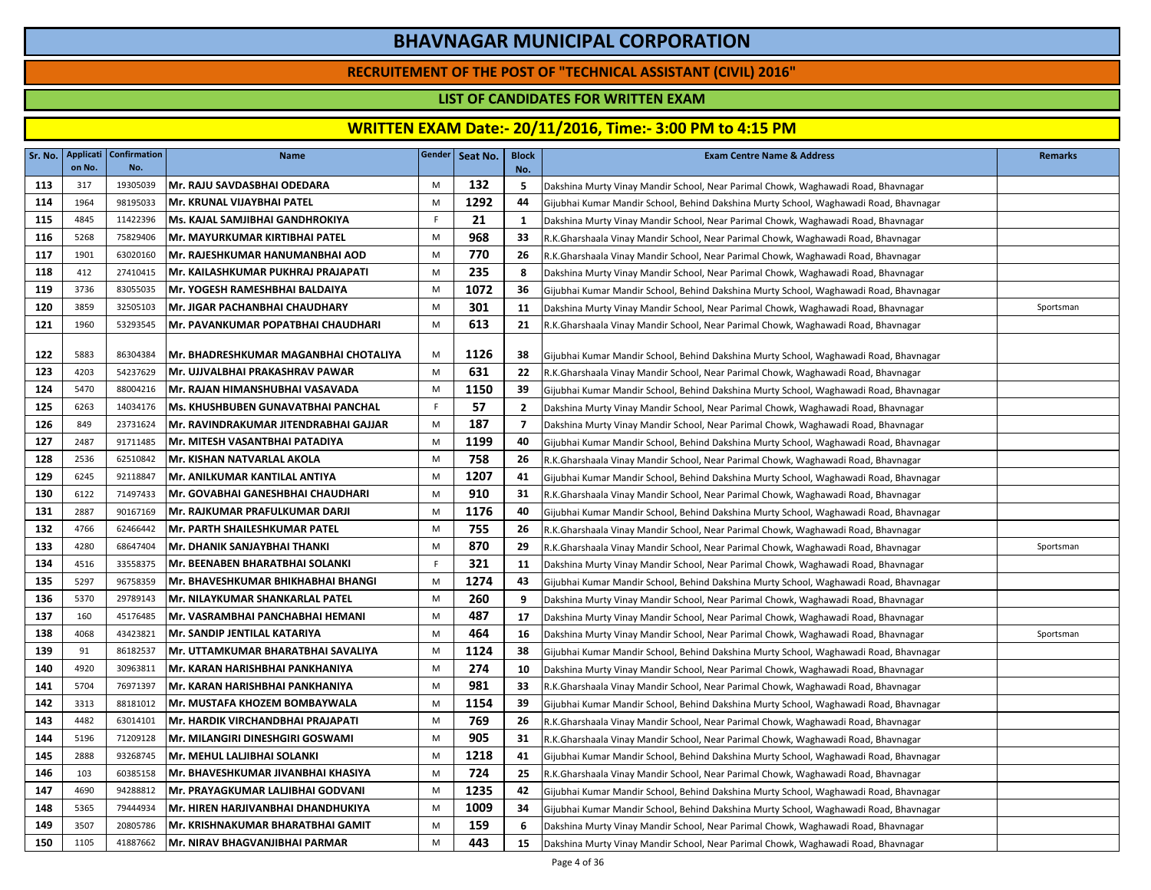### **RECRUITEMENT OF THE POST OF "TECHNICAL ASSISTANT (CIVIL) 2016"**

### **LIST OF CANDIDATES FOR WRITTEN EXAM**

| Sr. No. | Applicati<br>on No. | <b>Confirmation</b><br>No. | Name                                  |    | Gender Seat No. | <b>Block</b><br>No. | <b>Exam Centre Name &amp; Address</b>                                                 | <b>Remarks</b> |
|---------|---------------------|----------------------------|---------------------------------------|----|-----------------|---------------------|---------------------------------------------------------------------------------------|----------------|
| 113     | 317                 | 19305039                   | Mr. RAJU SAVDASBHAI ODEDARA           | M  | 132             | 5                   | Dakshina Murty Vinay Mandir School, Near Parimal Chowk, Waghawadi Road, Bhavnagar     |                |
| 114     | 1964                | 98195033                   | Mr. KRUNAL VIJAYBHAI PATEL            | M  | 1292            | 44                  | Gijubhai Kumar Mandir School, Behind Dakshina Murty School, Waghawadi Road, Bhavnagar |                |
| 115     | 4845                | 11422396                   | Ms. KAJAL SAMJIBHAI GANDHROKIYA       | F. | 21              | 1                   | Dakshina Murty Vinay Mandir School, Near Parimal Chowk, Waghawadi Road, Bhavnagar     |                |
| 116     | 5268                | 75829406                   | Mr. MAYURKUMAR KIRTIBHAI PATEL        | M  | 968             | 33                  | R.K.Gharshaala Vinay Mandir School, Near Parimal Chowk, Waghawadi Road, Bhavnagar     |                |
| 117     | 1901                | 63020160                   | Mr. RAJESHKUMAR HANUMANBHAI AOD       | M  | 770             | 26                  | R.K.Gharshaala Vinay Mandir School, Near Parimal Chowk, Waghawadi Road, Bhavnagar     |                |
| 118     | 412                 | 27410415                   | Mr. KAILASHKUMAR PUKHRAJ PRAJAPATI    | M  | 235             | 8                   | Dakshina Murty Vinay Mandir School, Near Parimal Chowk, Waghawadi Road, Bhavnagar     |                |
| 119     | 3736                | 83055035                   | Mr. YOGESH RAMESHBHAI BALDAIYA        | M  | 1072            | 36                  | Gijubhai Kumar Mandir School, Behind Dakshina Murty School, Waghawadi Road, Bhavnagar |                |
| 120     | 3859                | 32505103                   | Mr. JIGAR PACHANBHAI CHAUDHARY        | M  | 301             | 11                  | Dakshina Murty Vinay Mandir School, Near Parimal Chowk, Waghawadi Road, Bhavnagar     | Sportsman      |
| 121     | 1960                | 53293545                   | Mr. PAVANKUMAR POPATBHAI CHAUDHARI    | M  | 613             | 21                  | R.K.Gharshaala Vinay Mandir School, Near Parimal Chowk, Waghawadi Road, Bhavnagar     |                |
|         |                     |                            |                                       |    |                 |                     |                                                                                       |                |
| 122     | 5883                | 86304384                   | Mr. BHADRESHKUMAR MAGANBHAI CHOTALIYA | M  | 1126            | 38                  | Gijubhai Kumar Mandir School, Behind Dakshina Murty School, Waghawadi Road, Bhavnagar |                |
| 123     | 4203                | 54237629                   | Mr. UJJVALBHAI PRAKASHRAV PAWAR       | M  | 631             | 22                  | R.K.Gharshaala Vinay Mandir School, Near Parimal Chowk, Waghawadi Road, Bhavnagar     |                |
| 124     | 5470                | 88004216                   | Mr. RAJAN HIMANSHUBHAI VASAVADA       | M  | 1150            | 39                  | Gijubhai Kumar Mandir School, Behind Dakshina Murty School, Waghawadi Road, Bhavnagar |                |
| 125     | 6263                | 14034176                   | Ms. KHUSHBUBEN GUNAVATBHAI PANCHAL    | F  | 57              | $\overline{2}$      | Dakshina Murty Vinay Mandir School, Near Parimal Chowk, Waghawadi Road, Bhavnagar     |                |
| 126     | 849                 | 23731624                   | Mr. RAVINDRAKUMAR JITENDRABHAI GAJJAR | M  | 187             | $\overline{7}$      | Dakshina Murty Vinay Mandir School, Near Parimal Chowk, Waghawadi Road, Bhavnagar     |                |
| 127     | 2487                | 91711485                   | Mr. MITESH VASANTBHAI PATADIYA        | M  | 1199            | 40                  | Gijubhai Kumar Mandir School, Behind Dakshina Murty School, Waghawadi Road, Bhavnagar |                |
| 128     | 2536                | 62510842                   | Mr. KISHAN NATVARLAL AKOLA            | M  | 758             | 26                  | R.K.Gharshaala Vinay Mandir School, Near Parimal Chowk, Waghawadi Road, Bhavnagar     |                |
| 129     | 6245                | 92118847                   | Mr. ANILKUMAR KANTILAL ANTIYA         | M  | 1207            | 41                  | Gijubhai Kumar Mandir School, Behind Dakshina Murty School, Waghawadi Road, Bhavnagar |                |
| 130     | 6122                | 71497433                   | Mr. GOVABHAI GANESHBHAI CHAUDHARI     | M  | 910             | 31                  | R.K.Gharshaala Vinay Mandir School, Near Parimal Chowk, Waghawadi Road, Bhavnagar     |                |
| 131     | 2887                | 90167169                   | Mr. RAJKUMAR PRAFULKUMAR DARJI        | M  | 1176            | 40                  | Gijubhai Kumar Mandir School, Behind Dakshina Murty School, Waghawadi Road, Bhavnagar |                |
| 132     | 4766                | 62466442                   | Mr. PARTH SHAILESHKUMAR PATEL         | M  | 755             | 26                  | R.K.Gharshaala Vinay Mandir School, Near Parimal Chowk, Waghawadi Road, Bhavnagar     |                |
| 133     | 4280                | 68647404                   | Mr. DHANIK SANJAYBHAI THANKI          | M  | 870             | 29                  | R.K.Gharshaala Vinay Mandir School, Near Parimal Chowk, Waghawadi Road, Bhavnagar     | Sportsman      |
| 134     | 4516                | 33558375                   | Mr. BEENABEN BHARATBHAI SOLANKI       | F. | 321             | 11                  | Dakshina Murty Vinay Mandir School, Near Parimal Chowk, Waghawadi Road, Bhavnagar     |                |
| 135     | 5297                | 96758359                   | Mr. BHAVESHKUMAR BHIKHABHAI BHANGI    | M  | 1274            | 43                  | Gijubhai Kumar Mandir School, Behind Dakshina Murty School, Waghawadi Road, Bhavnagar |                |
| 136     | 5370                | 29789143                   | Mr. NILAYKUMAR SHANKARLAL PATEL       | M  | 260             | 9                   | Dakshina Murty Vinay Mandir School, Near Parimal Chowk, Waghawadi Road, Bhavnagar     |                |
| 137     | 160                 | 45176485                   | Mr. VASRAMBHAI PANCHABHAI HEMANI      | M  | 487             | 17                  | Dakshina Murty Vinay Mandir School, Near Parimal Chowk, Waghawadi Road, Bhavnagar     |                |
| 138     | 4068                | 43423821                   | Mr. SANDIP JENTILAL KATARIYA          | M  | 464             | 16                  | Dakshina Murty Vinay Mandir School, Near Parimal Chowk, Waghawadi Road, Bhavnagar     | Sportsman      |
| 139     | 91                  | 86182537                   | Mr. UTTAMKUMAR BHARATBHAI SAVALIYA    | M  | 1124            | 38                  | Gijubhai Kumar Mandir School, Behind Dakshina Murty School, Waghawadi Road, Bhavnagar |                |
| 140     | 4920                | 30963811                   | lMr. KARAN HARISHBHAI PANKHANIYA      | M  | 274             | 10                  | Dakshina Murty Vinay Mandir School, Near Parimal Chowk, Waghawadi Road, Bhavnagar     |                |
| 141     | 5704                | 76971397                   | Mr. KARAN HARISHBHAI PANKHANIYA       | M  | 981             | 33                  | R.K.Gharshaala Vinay Mandir School, Near Parimal Chowk, Waghawadi Road, Bhavnagar     |                |
| 142     | 3313                | 88181012                   | Mr. MUSTAFA KHOZEM BOMBAYWALA         | M  | 1154            | 39                  | Gijubhai Kumar Mandir School, Behind Dakshina Murty School, Waghawadi Road, Bhavnagar |                |
| 143     | 4482                | 63014101                   | Mr. HARDIK VIRCHANDBHAI PRAJAPATI     | M  | 769             | 26                  | R.K.Gharshaala Vinay Mandir School, Near Parimal Chowk, Waghawadi Road, Bhavnagar     |                |
| 144     | 5196                | 71209128                   | Mr. MILANGIRI DINESHGIRI GOSWAMI      | M  | 905             | 31                  | R.K.Gharshaala Vinay Mandir School, Near Parimal Chowk, Waghawadi Road, Bhavnagar     |                |
| 145     | 2888                | 93268745                   | Mr. MEHUL LALJIBHAI SOLANKI           | M  | 1218            | 41                  | Gijubhai Kumar Mandir School, Behind Dakshina Murty School, Waghawadi Road, Bhavnagar |                |
| 146     | 103                 | 60385158                   | Mr. BHAVESHKUMAR JIVANBHAI KHASIYA    | M  | 724             | 25                  | R.K.Gharshaala Vinay Mandir School, Near Parimal Chowk, Waghawadi Road, Bhavnagar     |                |
| 147     | 4690                | 94288812                   | Mr. PRAYAGKUMAR LALJIBHAI GODVANI     | M  | 1235            | 42                  | Gijubhai Kumar Mandir School, Behind Dakshina Murty School, Waghawadi Road, Bhavnagar |                |
| 148     | 5365                | 79444934                   | Mr. HIREN HARJIVANBHAI DHANDHUKIYA    | M  | 1009            | 34                  | Gijubhai Kumar Mandir School, Behind Dakshina Murty School, Waghawadi Road, Bhavnagar |                |
| 149     | 3507                | 20805786                   | Mr. KRISHNAKUMAR BHARATBHAI GAMIT     | M  | 159             | 6                   | Dakshina Murty Vinay Mandir School, Near Parimal Chowk, Waghawadi Road, Bhavnagar     |                |
| 150     | 1105                | 41887662                   | Mr. NIRAV BHAGVANJIBHAI PARMAR        | M  | 443             | 15                  | Dakshina Murty Vinay Mandir School, Near Parimal Chowk, Waghawadi Road, Bhavnagar     |                |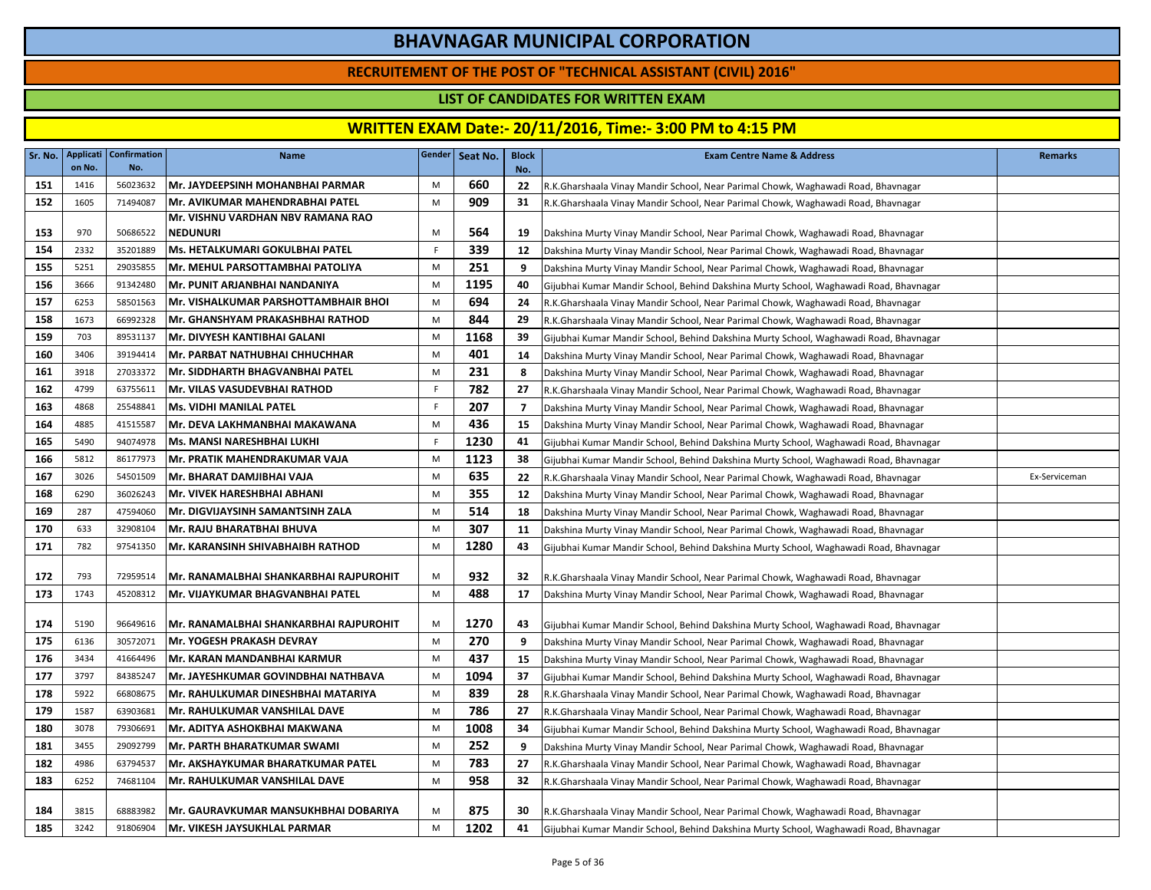### **RECRUITEMENT OF THE POST OF "TECHNICAL ASSISTANT (CIVIL) 2016"**

### **LIST OF CANDIDATES FOR WRITTEN EXAM**

| Sr. No. | <b>Applicati</b><br>on No. | <b>Confirmation</b><br>No. | <b>Name</b>                            |     | Gender Seat No. | <b>Block</b><br>No. | <b>Exam Centre Name &amp; Address</b>                                                 | <b>Remarks</b> |
|---------|----------------------------|----------------------------|----------------------------------------|-----|-----------------|---------------------|---------------------------------------------------------------------------------------|----------------|
| 151     | 1416                       | 56023632                   | Mr. JAYDEEPSINH MOHANBHAI PARMAR       | M   | 660             | 22                  | R.K.Gharshaala Vinay Mandir School, Near Parimal Chowk, Waghawadi Road, Bhavnagar     |                |
| 152     | 1605                       | 71494087                   | Mr. AVIKUMAR MAHENDRABHAI PATEL        | M   | 909             | 31                  | R.K.Gharshaala Vinay Mandir School, Near Parimal Chowk, Waghawadi Road, Bhavnagar     |                |
|         |                            |                            | Mr. VISHNU VARDHAN NBV RAMANA RAO      |     |                 |                     |                                                                                       |                |
| 153     | 970                        | 50686522                   | <b>NEDUNURI</b>                        | M   | 564             | 19                  | Dakshina Murty Vinay Mandir School, Near Parimal Chowk, Waghawadi Road, Bhavnagar     |                |
| 154     | 2332                       | 35201889                   | Ms. HETALKUMARI GOKULBHAI PATEL        | F   | 339             | 12                  | Dakshina Murty Vinay Mandir School, Near Parimal Chowk, Waghawadi Road, Bhavnagar     |                |
| 155     | 5251                       | 29035855                   | Mr. MEHUL PARSOTTAMBHAI PATOLIYA       | M   | 251             | 9                   | Dakshina Murty Vinay Mandir School, Near Parimal Chowk, Waghawadi Road, Bhavnagar     |                |
| 156     | 3666                       | 91342480                   | Mr. PUNIT ARJANBHAI NANDANIYA          | M   | 1195            | 40                  | Gijubhai Kumar Mandir School, Behind Dakshina Murty School, Waghawadi Road, Bhavnagar |                |
| 157     | 6253                       | 58501563                   | Mr. VISHALKUMAR PARSHOTTAMBHAIR BHOI   | M   | 694             | 24                  | R.K.Gharshaala Vinay Mandir School, Near Parimal Chowk, Waghawadi Road, Bhavnagar     |                |
| 158     | 1673                       | 66992328                   | Mr. GHANSHYAM PRAKASHBHAI RATHOD       | M   | 844             | 29                  | R.K.Gharshaala Vinay Mandir School, Near Parimal Chowk, Waghawadi Road, Bhavnagar     |                |
| 159     | 703                        | 89531137                   | Mr. DIVYESH KANTIBHAI GALANI           | M   | 1168            | 39                  | Gijubhai Kumar Mandir School, Behind Dakshina Murty School, Waghawadi Road, Bhavnagar |                |
| 160     | 3406                       | 39194414                   | Mr. PARBAT NATHUBHAI CHHUCHHAR         | M   | 401             | 14                  | Dakshina Murty Vinay Mandir School, Near Parimal Chowk, Waghawadi Road, Bhavnagar     |                |
| 161     | 3918                       | 27033372                   | Mr. SIDDHARTH BHAGVANBHAI PATEL        | M   | 231             | 8                   | Dakshina Murty Vinay Mandir School, Near Parimal Chowk, Waghawadi Road, Bhavnagar     |                |
| 162     | 4799                       | 63755611                   | Mr. VILAS VASUDEVBHAI RATHOD           | -F. | 782             | 27                  | R.K.Gharshaala Vinay Mandir School, Near Parimal Chowk, Waghawadi Road, Bhavnagar     |                |
| 163     | 4868                       | 25548841                   | <b>Ms. VIDHI MANILAL PATEL</b>         | F   | 207             | $\overline{7}$      | Dakshina Murty Vinay Mandir School, Near Parimal Chowk, Waghawadi Road, Bhavnagar     |                |
| 164     | 4885                       | 41515587                   | Mr. DEVA LAKHMANBHAI MAKAWANA          | M   | 436             | 15                  | Dakshina Murty Vinay Mandir School, Near Parimal Chowk, Waghawadi Road, Bhavnagar     |                |
| 165     | 5490                       | 94074978                   | Ms. MANSI NARESHBHAI LUKHI             | F   | 1230            | 41                  | Gijubhai Kumar Mandir School, Behind Dakshina Murty School, Waghawadi Road, Bhavnagar |                |
| 166     | 5812                       | 86177973                   | Mr. PRATIK MAHENDRAKUMAR VAJA          | M   | 1123            | 38                  | Gijubhai Kumar Mandir School, Behind Dakshina Murty School, Waghawadi Road, Bhavnagar |                |
| 167     | 3026                       | 54501509                   | Mr. BHARAT DAMJIBHAI VAJA              | M   | 635             | 22                  | R.K.Gharshaala Vinay Mandir School, Near Parimal Chowk, Waghawadi Road, Bhavnagar     | Ex-Serviceman  |
| 168     | 6290                       | 36026243                   | Mr. VIVEK HARESHBHAI ABHANI            | M   | 355             | 12                  | Dakshina Murty Vinay Mandir School, Near Parimal Chowk, Waghawadi Road, Bhavnagar     |                |
| 169     | 287                        | 47594060                   | Mr. DIGVIJAYSINH SAMANTSINH ZALA       | M   | 514             | 18                  | Dakshina Murty Vinay Mandir School, Near Parimal Chowk, Waghawadi Road, Bhavnagar     |                |
| 170     | 633                        | 32908104                   | Mr. RAJU BHARATBHAI BHUVA              | M   | 307             | 11                  | Dakshina Murty Vinay Mandir School, Near Parimal Chowk, Waghawadi Road, Bhavnagar     |                |
| 171     | 782                        | 97541350                   | Mr. KARANSINH SHIVABHAIBH RATHOD       | M   | 1280            | 43                  | Gijubhai Kumar Mandir School, Behind Dakshina Murty School, Waghawadi Road, Bhavnagar |                |
| 172     | 793                        | 72959514                   | Mr. RANAMALBHAI SHANKARBHAI RAJPUROHIT | M   | 932             | 32                  | R.K.Gharshaala Vinay Mandir School, Near Parimal Chowk, Waghawadi Road, Bhavnagar     |                |
| 173     | 1743                       | 45208312                   | Mr. VIJAYKUMAR BHAGVANBHAI PATEL       | M   | 488             | 17                  | Dakshina Murty Vinay Mandir School, Near Parimal Chowk, Waghawadi Road, Bhavnagar     |                |
| 174     | 5190                       | 96649616                   | Mr. RANAMALBHAI SHANKARBHAI RAJPUROHIT | M   | 1270            | 43                  | Gijubhai Kumar Mandir School, Behind Dakshina Murty School, Waghawadi Road, Bhavnagar |                |
| 175     | 6136                       | 30572071                   | <b>Mr. YOGESH PRAKASH DEVRAY</b>       | M   | 270             | 9                   | Dakshina Murty Vinay Mandir School, Near Parimal Chowk, Waghawadi Road, Bhavnagar     |                |
| 176     | 3434                       | 41664496                   | Mr. KARAN MANDANBHAI KARMUR            | M   | 437             | 15                  | Dakshina Murty Vinay Mandir School, Near Parimal Chowk, Waghawadi Road, Bhavnagar     |                |
| 177     | 3797                       | 84385247                   | Mr. JAYESHKUMAR GOVINDBHAI NATHBAVA    | M   | 1094            | 37                  | Gijubhai Kumar Mandir School, Behind Dakshina Murty School, Waghawadi Road, Bhavnagar |                |
| 178     | 5922                       | 66808675                   | Mr. RAHULKUMAR DINESHBHAI MATARIYA     | M   | 839             | 28                  | R.K.Gharshaala Vinay Mandir School, Near Parimal Chowk, Waghawadi Road, Bhavnagar     |                |
| 179     | 1587                       | 63903681                   | Mr. RAHULKUMAR VANSHILAL DAVE          | M   | 786             | 27                  | R.K.Gharshaala Vinay Mandir School, Near Parimal Chowk, Waghawadi Road, Bhavnagar     |                |
| 180     | 3078                       | 79306691                   | Mr. ADITYA ASHOKBHAI MAKWANA           | M   | 1008            | 34                  | Gijubhai Kumar Mandir School, Behind Dakshina Murty School, Waghawadi Road, Bhavnagar |                |
| 181     | 3455                       | 29092799                   | <b>Mr. PARTH BHARATKUMAR SWAMI</b>     | M   | 252             | 9                   | Dakshina Murty Vinay Mandir School, Near Parimal Chowk, Waghawadi Road, Bhavnagar     |                |
| 182     | 4986                       | 63794537                   | Mr. AKSHAYKUMAR BHARATKUMAR PATEL      | M   | 783             | 27                  | R.K.Gharshaala Vinay Mandir School, Near Parimal Chowk, Waghawadi Road, Bhavnagar     |                |
| 183     | 6252                       | 74681104                   | Mr. RAHULKUMAR VANSHILAL DAVE          | M   | 958             | 32                  | R.K.Gharshaala Vinay Mandir School, Near Parimal Chowk, Waghawadi Road, Bhavnagar     |                |
| 184     | 3815                       | 68883982                   | Mr. GAURAVKUMAR MANSUKHBHAI DOBARIYA   | M   | 875             | 30                  | R.K.Gharshaala Vinay Mandir School, Near Parimal Chowk, Waghawadi Road, Bhavnagar     |                |
| 185     | 3242                       | 91806904                   | Mr. VIKESH JAYSUKHLAL PARMAR           | M   | 1202            | 41                  | Gijubhai Kumar Mandir School, Behind Dakshina Murty School, Waghawadi Road, Bhavnagar |                |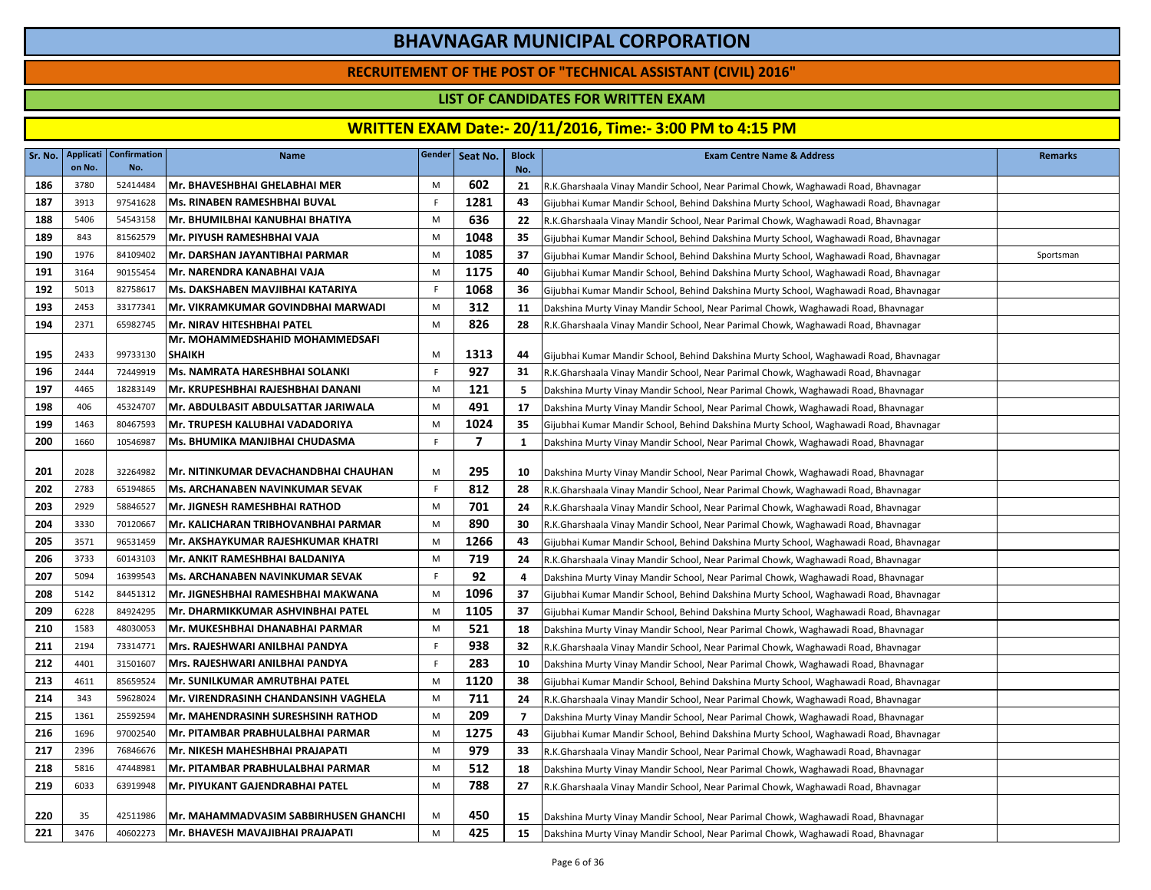### **RECRUITEMENT OF THE POST OF "TECHNICAL ASSISTANT (CIVIL) 2016"**

### **LIST OF CANDIDATES FOR WRITTEN EXAM**

|     | on No. | Sr. No.   Applicati   Confirmation  <br>No. | <b>Name</b>                               |    | Gender Seat No. | <b>Block</b><br>No. | <b>Exam Centre Name &amp; Address</b>                                                 | <b>Remarks</b> |
|-----|--------|---------------------------------------------|-------------------------------------------|----|-----------------|---------------------|---------------------------------------------------------------------------------------|----------------|
| 186 | 3780   | 52414484                                    | Mr. BHAVESHBHAI GHELABHAI MER             | M  | 602             | 21                  | R.K.Gharshaala Vinay Mandir School, Near Parimal Chowk, Waghawadi Road, Bhavnagar     |                |
| 187 | 3913   | 97541628                                    | Ms. RINABEN RAMESHBHAI BUVAL              | F. | 1281            | 43                  | Gijubhai Kumar Mandir School, Behind Dakshina Murty School, Waghawadi Road, Bhavnagar |                |
| 188 | 5406   | 54543158                                    | Mr. BHUMILBHAI KANUBHAI BHATIYA           | M  | 636             | 22                  | R.K.Gharshaala Vinay Mandir School, Near Parimal Chowk, Waghawadi Road, Bhavnagar     |                |
| 189 | 843    | 81562579                                    | Mr. PIYUSH RAMESHBHAI VAJA                | M  | 1048            | 35                  | Gijubhai Kumar Mandir School, Behind Dakshina Murty School, Waghawadi Road, Bhavnagar |                |
| 190 | 1976   | 84109402                                    | Mr. DARSHAN JAYANTIBHAI PARMAR            | M  | 1085            | 37                  | Gijubhai Kumar Mandir School, Behind Dakshina Murty School, Waghawadi Road, Bhavnagar | Sportsman      |
| 191 | 3164   | 90155454                                    | Mr. NARENDRA KANABHAI VAJA                | M  | 1175            | 40                  | Gijubhai Kumar Mandir School, Behind Dakshina Murty School, Waghawadi Road, Bhavnagar |                |
| 192 | 5013   | 82758617                                    | Ms. DAKSHABEN MAVJIBHAI KATARIYA          | F. | 1068            | 36                  | Gijubhai Kumar Mandir School, Behind Dakshina Murty School, Waghawadi Road, Bhavnagar |                |
| 193 | 2453   | 33177341                                    | Mr. VIKRAMKUMAR GOVINDBHAI MARWADI        | M  | 312             | 11                  | Dakshina Murty Vinay Mandir School, Near Parimal Chowk, Waghawadi Road, Bhavnagar     |                |
| 194 | 2371   | 65982745                                    | Mr. NIRAV HITESHBHAI PATEL                | M  | 826             | 28                  | R.K.Gharshaala Vinay Mandir School, Near Parimal Chowk, Waghawadi Road, Bhavnagar     |                |
|     |        |                                             | Mr. MOHAMMEDSHAHID MOHAMMEDSAFI           |    |                 |                     |                                                                                       |                |
| 195 | 2433   | 99733130                                    | <b>SHAIKH</b>                             | M  | 1313            | 44                  | Gijubhai Kumar Mandir School, Behind Dakshina Murty School, Waghawadi Road, Bhavnagar |                |
| 196 | 2444   | 72449919                                    | Ms. NAMRATA HARESHBHAI SOLANKI            | F. | 927             | 31                  | R.K.Gharshaala Vinay Mandir School, Near Parimal Chowk, Waghawadi Road, Bhavnagar     |                |
| 197 | 4465   | 18283149                                    | Mr. KRUPESHBHAI RAJESHBHAI DANANI         | M  | 121             | -5                  | Dakshina Murty Vinay Mandir School, Near Parimal Chowk, Waghawadi Road, Bhavnagar     |                |
| 198 | 406    | 45324707                                    | Mr. ABDULBASIT ABDULSATTAR JARIWALA       | M  | 491             | 17                  | Dakshina Murty Vinay Mandir School, Near Parimal Chowk, Waghawadi Road, Bhavnagar     |                |
| 199 | 1463   | 80467593                                    | Mr. TRUPESH KALUBHAI VADADORIYA           | M  | 1024            | 35                  | Gijubhai Kumar Mandir School, Behind Dakshina Murty School, Waghawadi Road, Bhavnagar |                |
| 200 | 1660   | 10546987                                    | <b>Ms. BHUMIKA MANJIBHAI CHUDASMA</b>     | F. | $\overline{7}$  | 1                   | Dakshina Murty Vinay Mandir School, Near Parimal Chowk, Waghawadi Road, Bhavnagar     |                |
| 201 | 2028   | 32264982                                    | Mr. NITINKUMAR DEVACHANDBHAI CHAUHAN      | M  | 295             | 10                  | Dakshina Murty Vinay Mandir School, Near Parimal Chowk, Waghawadi Road, Bhavnagar     |                |
| 202 | 2783   | 65194865                                    | lMs. ARCHANABEN NAVINKUMAR SEVAK          | F  | 812             | 28                  | R.K.Gharshaala Vinay Mandir School, Near Parimal Chowk, Waghawadi Road, Bhavnagar     |                |
| 203 | 2929   | 58846527                                    | Mr. JIGNESH RAMESHBHAI RATHOD             | M  | 701             | 24                  | R.K.Gharshaala Vinay Mandir School, Near Parimal Chowk, Waghawadi Road, Bhavnagar     |                |
| 204 | 3330   | 70120667                                    | lMr. KALICHARAN TRIBHOVANBHAI PARMAR      | M  | 890             | 30                  | R.K.Gharshaala Vinay Mandir School, Near Parimal Chowk, Waghawadi Road, Bhavnagar     |                |
| 205 | 3571   | 96531459                                    | Mr. AKSHAYKUMAR RAJESHKUMAR KHATRI        | M  | 1266            | 43                  | Gijubhai Kumar Mandir School, Behind Dakshina Murty School, Waghawadi Road, Bhavnagar |                |
| 206 | 3733   | 60143103                                    | Mr. ANKIT RAMESHBHAI BALDANIYA            | M  | 719             | 24                  | R.K.Gharshaala Vinay Mandir School, Near Parimal Chowk, Waghawadi Road, Bhavnagar     |                |
| 207 | 5094   | 16399543                                    | <b>Ms. ARCHANABEN NAVINKUMAR SEVAK</b>    | F. | 92              | 4                   | Dakshina Murty Vinay Mandir School, Near Parimal Chowk, Waghawadi Road, Bhavnagar     |                |
| 208 | 5142   | 84451312                                    | <b>Mr. JIGNESHBHAI RAMESHBHAI MAKWANA</b> | M  | 1096            | 37                  | Gijubhai Kumar Mandir School, Behind Dakshina Murty School, Waghawadi Road, Bhavnagar |                |
| 209 | 6228   | 84924295                                    | Mr. DHARMIKKUMAR ASHVINBHAI PATEL         | M  | 1105            | 37                  | Gijubhai Kumar Mandir School, Behind Dakshina Murty School, Waghawadi Road, Bhavnagar |                |
| 210 | 1583   | 48030053                                    | Mr. MUKESHBHAI DHANABHAI PARMAR           | M  | 521             | 18                  | Dakshina Murty Vinay Mandir School, Near Parimal Chowk, Waghawadi Road, Bhavnagar     |                |
| 211 | 2194   | 73314771                                    | Mrs. RAJESHWARI ANILBHAI PANDYA           | F. | 938             | 32                  | R.K.Gharshaala Vinay Mandir School, Near Parimal Chowk, Waghawadi Road, Bhavnagar     |                |
| 212 | 4401   | 31501607                                    | Mrs. RAJESHWARI ANILBHAI PANDYA           | F. | 283             | 10                  | Dakshina Murty Vinay Mandir School, Near Parimal Chowk, Waghawadi Road, Bhavnagar     |                |
| 213 | 4611   | 85659524                                    | Mr. SUNILKUMAR AMRUTBHAI PATEL            | M  | 1120            | 38                  | Gijubhai Kumar Mandir School, Behind Dakshina Murty School, Waghawadi Road, Bhavnagar |                |
| 214 | 343    | 59628024                                    | Mr. VIRENDRASINH CHANDANSINH VAGHELA      | M  | 711             | 24                  | R.K.Gharshaala Vinay Mandir School, Near Parimal Chowk, Waghawadi Road, Bhavnagar     |                |
| 215 | 1361   | 25592594                                    | Mr. MAHENDRASINH SURESHSINH RATHOD        | M  | 209             | $\overline{7}$      | Dakshina Murty Vinay Mandir School, Near Parimal Chowk, Waghawadi Road, Bhavnagar     |                |
| 216 | 1696   | 97002540                                    | Mr. PITAMBAR PRABHULALBHAI PARMAR         | M  | 1275            | 43                  | Gijubhai Kumar Mandir School, Behind Dakshina Murty School, Waghawadi Road, Bhavnagar |                |
| 217 | 2396   | 76846676                                    | lMr. NIKESH MAHESHBHAI PRAJAPATI          | M  | 979             | 33                  | R.K.Gharshaala Vinay Mandir School, Near Parimal Chowk, Waghawadi Road, Bhavnagar     |                |
| 218 | 5816   | 47448981                                    | Mr. PITAMBAR PRABHULALBHAI PARMAR         | M  | 512             | 18                  | Dakshina Murty Vinay Mandir School, Near Parimal Chowk, Waghawadi Road, Bhavnagar     |                |
| 219 | 6033   | 63919948                                    | Mr. PIYUKANT GAJENDRABHAI PATEL           | M  | 788             | 27                  | R.K.Gharshaala Vinay Mandir School, Near Parimal Chowk, Waghawadi Road, Bhavnagar     |                |
| 220 | 35     | 42511986                                    | Mr. MAHAMMADVASIM SABBIRHUSEN GHANCHI     | M  | 450             | 15                  | Dakshina Murty Vinay Mandir School, Near Parimal Chowk, Waghawadi Road, Bhavnagar     |                |
| 221 | 3476   | 40602273                                    | Mr. BHAVESH MAVAJIBHAI PRAJAPATI          | M  | 425             | 15                  | Dakshina Murty Vinay Mandir School, Near Parimal Chowk, Waghawadi Road, Bhavnagar     |                |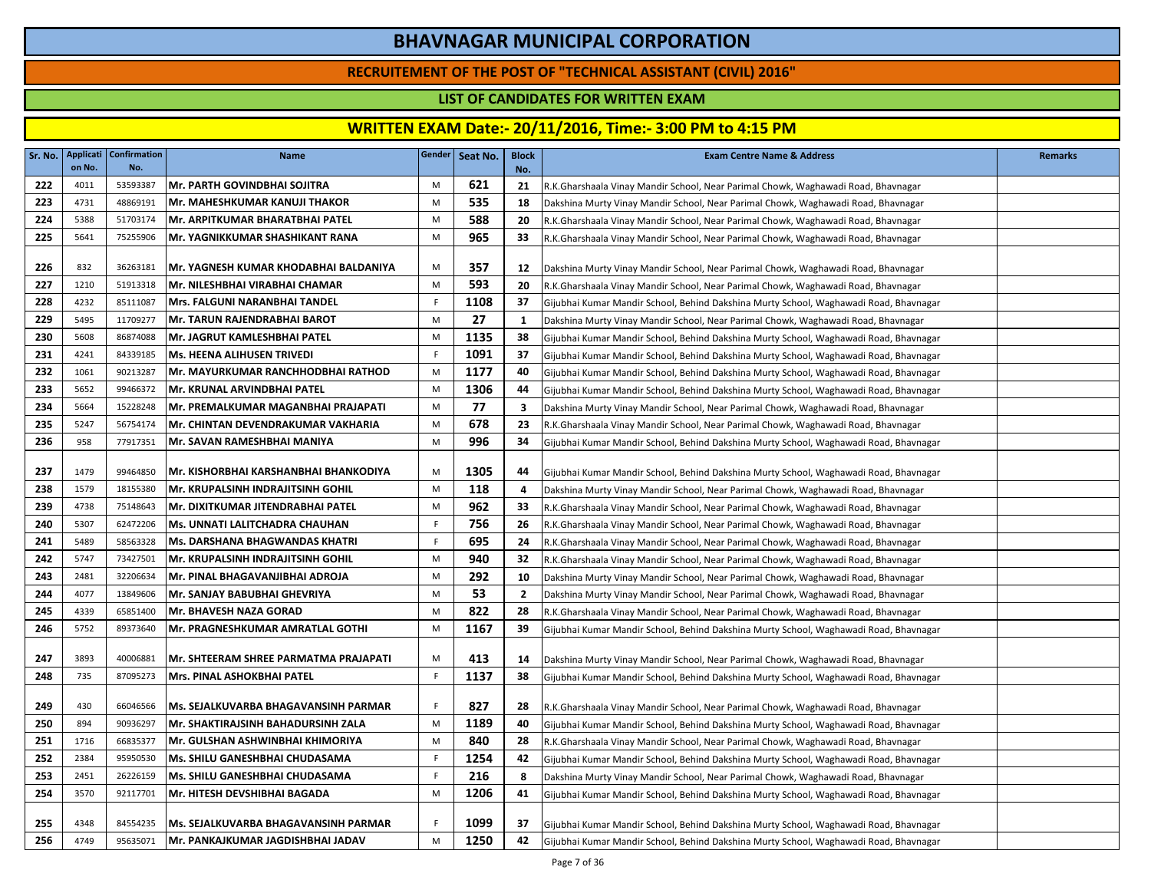### **RECRUITEMENT OF THE POST OF "TECHNICAL ASSISTANT (CIVIL) 2016"**

### **LIST OF CANDIDATES FOR WRITTEN EXAM**

| Sr. No. | on No. | Applicati   Confirmation<br>No. | <b>Name</b>                              |    | Gender   Seat No. | <b>Block</b><br>No. | <b>Exam Centre Name &amp; Address</b>                                                 | <b>Remarks</b> |
|---------|--------|---------------------------------|------------------------------------------|----|-------------------|---------------------|---------------------------------------------------------------------------------------|----------------|
| 222     | 4011   | 53593387                        | Mr. PARTH GOVINDBHAI SOJITRA             | M  | 621               | 21                  | R.K.Gharshaala Vinay Mandir School, Near Parimal Chowk, Waghawadi Road, Bhavnagar     |                |
| 223     | 4731   | 48869191                        | Mr. MAHESHKUMAR KANUJI THAKOR            | M  | 535               | 18                  | Dakshina Murty Vinay Mandir School, Near Parimal Chowk, Waghawadi Road, Bhavnagar     |                |
| 224     | 5388   | 51703174                        | Mr. ARPITKUMAR BHARATBHAI PATEL          | M  | 588               | 20                  | R.K.Gharshaala Vinay Mandir School, Near Parimal Chowk, Waghawadi Road, Bhavnagar     |                |
| 225     | 5641   | 75255906                        | Mr. YAGNIKKUMAR SHASHIKANT RANA          | M  | 965               | 33                  | R.K.Gharshaala Vinay Mandir School, Near Parimal Chowk, Waghawadi Road, Bhavnagar     |                |
|         |        |                                 |                                          |    |                   |                     |                                                                                       |                |
| 226     | 832    | 36263181                        | Mr. YAGNESH KUMAR KHODABHAI BALDANIYA    | M  | 357               | 12                  | Dakshina Murty Vinay Mandir School, Near Parimal Chowk, Waghawadi Road, Bhavnagar     |                |
| 227     | 1210   | 51913318                        | Mr. NILESHBHAI VIRABHAI CHAMAR           | M  | 593               | 20                  | R.K.Gharshaala Vinay Mandir School, Near Parimal Chowk, Waghawadi Road, Bhavnagar     |                |
| 228     | 4232   | 85111087                        | Mrs. FALGUNI NARANBHAI TANDEL            | F  | 1108              | 37                  | Gijubhai Kumar Mandir School, Behind Dakshina Murty School, Waghawadi Road, Bhavnagar |                |
| 229     | 5495   | 11709277                        | Mr. TARUN RAJENDRABHAI BAROT             | M  | 27                | 1                   | Dakshina Murty Vinay Mandir School, Near Parimal Chowk, Waghawadi Road, Bhavnagar     |                |
| 230     | 5608   | 86874088                        | Mr. JAGRUT KAMLESHBHAI PATEL             | M  | 1135              | 38                  | Gijubhai Kumar Mandir School, Behind Dakshina Murty School, Waghawadi Road, Bhavnagar |                |
| 231     | 4241   | 84339185                        | <b>Ms. HEENA ALIHUSEN TRIVEDI</b>        | F  | 1091              | 37                  | Gijubhai Kumar Mandir School, Behind Dakshina Murty School, Waghawadi Road, Bhavnagar |                |
| 232     | 1061   | 90213287                        | Mr. MAYURKUMAR RANCHHODBHAI RATHOD       | M  | 1177              | 40                  | Gijubhai Kumar Mandir School, Behind Dakshina Murty School, Waghawadi Road, Bhavnagar |                |
| 233     | 5652   | 99466372                        | Mr. KRUNAL ARVINDBHAI PATEL              | M  | 1306              | 44                  | Gijubhai Kumar Mandir School, Behind Dakshina Murty School, Waghawadi Road, Bhavnagar |                |
| 234     | 5664   | 15228248                        | Mr. PREMALKUMAR MAGANBHAI PRAJAPATI      | M  | 77                | $\mathbf{3}$        | Dakshina Murty Vinay Mandir School, Near Parimal Chowk, Waghawadi Road, Bhavnagar     |                |
| 235     | 5247   | 56754174                        | Mr. CHINTAN DEVENDRAKUMAR VAKHARIA       | M  | 678               | 23                  | R.K.Gharshaala Vinay Mandir School, Near Parimal Chowk, Waghawadi Road, Bhavnagar     |                |
| 236     | 958    | 77917351                        | Mr. SAVAN RAMESHBHAI MANIYA              | M  | 996               | 34                  | Gijubhai Kumar Mandir School, Behind Dakshina Murty School, Waghawadi Road, Bhavnagar |                |
|         |        |                                 |                                          |    |                   |                     |                                                                                       |                |
| 237     | 1479   | 99464850                        | Mr. KISHORBHAI KARSHANBHAI BHANKODIYA    | M  | 1305              | 44                  | Gijubhai Kumar Mandir School, Behind Dakshina Murty School, Waghawadi Road, Bhavnagar |                |
| 238     | 1579   | 18155380                        | <b>Mr. KRUPALSINH INDRAJITSINH GOHIL</b> | M  | 118               | 4                   | Dakshina Murty Vinay Mandir School, Near Parimal Chowk, Waghawadi Road, Bhavnagar     |                |
| 239     | 4738   | 75148643                        | Mr. DIXITKUMAR JITENDRABHAI PATEL        | M  | 962               | 33                  | R.K.Gharshaala Vinay Mandir School, Near Parimal Chowk, Waghawadi Road, Bhavnagar     |                |
| 240     | 5307   | 62472206                        | <b>Ms. UNNATI LALITCHADRA CHAUHAN</b>    | F. | 756               | 26                  | R.K.Gharshaala Vinay Mandir School, Near Parimal Chowk, Waghawadi Road, Bhavnagar     |                |
| 241     | 5489   | 58563328                        | <b>Ms. DARSHANA BHAGWANDAS KHATRI</b>    | F  | 695               | 24                  | R.K.Gharshaala Vinay Mandir School, Near Parimal Chowk, Waghawadi Road, Bhavnagar     |                |
| 242     | 5747   | 73427501                        | Mr. KRUPALSINH INDRAJITSINH GOHIL        | M  | 940               | 32                  | R.K.Gharshaala Vinay Mandir School, Near Parimal Chowk, Waghawadi Road, Bhavnagar     |                |
| 243     | 2481   | 32206634                        | Mr. PINAL BHAGAVANJIBHAI ADROJA          | M  | 292               | 10                  | Dakshina Murty Vinay Mandir School, Near Parimal Chowk, Waghawadi Road, Bhavnagar     |                |
| 244     | 4077   | 13849606                        | Mr. SANJAY BABUBHAI GHEVRIYA             | M  | 53                | $\overline{2}$      | Dakshina Murty Vinay Mandir School, Near Parimal Chowk, Waghawadi Road, Bhavnagar     |                |
| 245     | 4339   | 65851400                        | Mr. BHAVESH NAZA GORAD                   | M  | 822               | 28                  | R.K.Gharshaala Vinay Mandir School, Near Parimal Chowk, Waghawadi Road, Bhavnagar     |                |
| 246     | 5752   | 89373640                        | Mr. PRAGNESHKUMAR AMRATLAL GOTHI         | M  | 1167              | 39                  | Gijubhai Kumar Mandir School, Behind Dakshina Murty School, Waghawadi Road, Bhavnagar |                |
| 247     | 3893   | 40006881                        | Mr. SHTEERAM SHREE PARMATMA PRAJAPATI    | M  | 413               | 14                  | Dakshina Murty Vinay Mandir School, Near Parimal Chowk, Waghawadi Road, Bhavnagar     |                |
| 248     | 735    | 87095273                        | Mrs. PINAL ASHOKBHAI PATEL               | F  | 1137              | 38                  | Gijubhai Kumar Mandir School, Behind Dakshina Murty School, Waghawadi Road, Bhavnagar |                |
|         |        |                                 |                                          |    |                   |                     |                                                                                       |                |
| 249     | 430    | 66046566                        | Ms. SEJALKUVARBA BHAGAVANSINH PARMAR     | F. | 827               | 28                  | R.K.Gharshaala Vinay Mandir School, Near Parimal Chowk, Waghawadi Road, Bhavnagar     |                |
| 250     | 894    | 90936297                        | Mr. SHAKTIRAJSINH BAHADURSINH ZALA       | M  | 1189              | 40                  | Gijubhai Kumar Mandir School, Behind Dakshina Murty School, Waghawadi Road, Bhavnagar |                |
| 251     | 1716   | 66835377                        | Mr. GULSHAN ASHWINBHAI KHIMORIYA         | M  | 840               | 28                  | R.K.Gharshaala Vinay Mandir School, Near Parimal Chowk, Waghawadi Road, Bhavnagar     |                |
| 252     | 2384   | 95950530                        | Ms. SHILU GANESHBHAI CHUDASAMA           | F  | 1254              | 42                  | Gijubhai Kumar Mandir School, Behind Dakshina Murty School, Waghawadi Road, Bhavnagar |                |
| 253     | 2451   | 26226159                        | Ms. SHILU GANESHBHAI CHUDASAMA           | F. | 216               | 8                   | Dakshina Murty Vinay Mandir School, Near Parimal Chowk, Waghawadi Road, Bhavnagar     |                |
| 254     | 3570   | 92117701                        | Mr. HITESH DEVSHIBHAI BAGADA             | M  | 1206              | 41                  | Gijubhai Kumar Mandir School, Behind Dakshina Murty School, Waghawadi Road, Bhavnagar |                |
|         |        |                                 |                                          |    |                   |                     |                                                                                       |                |
| 255     | 4348   | 84554235                        | Ms. SEJALKUVARBA BHAGAVANSINH PARMAR     | F. | 1099              | 37                  | Gijubhai Kumar Mandir School, Behind Dakshina Murty School, Waghawadi Road, Bhavnagar |                |
| 256     | 4749   | 95635071                        | Mr. PANKAJKUMAR JAGDISHBHAI JADAV        | M  | 1250              | 42                  | Gijubhai Kumar Mandir School, Behind Dakshina Murty School, Waghawadi Road, Bhavnagar |                |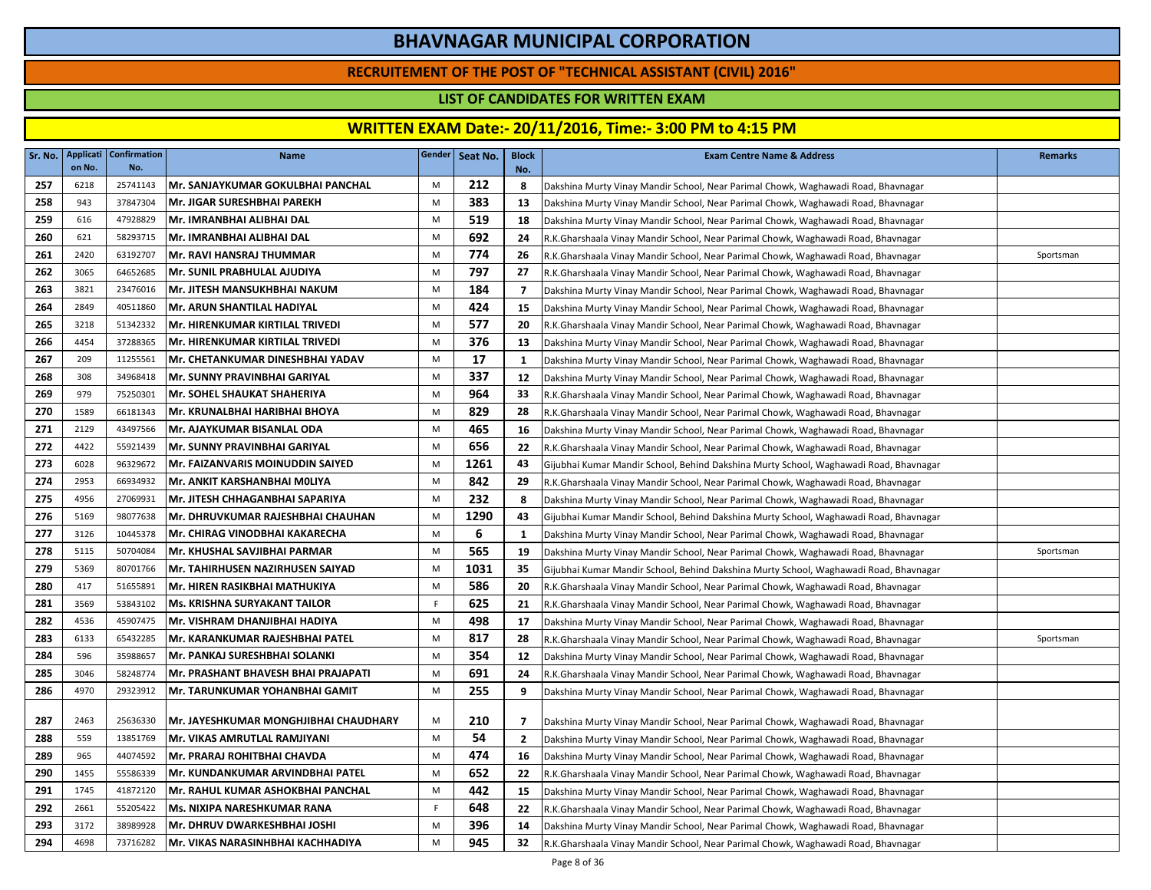### **RECRUITEMENT OF THE POST OF "TECHNICAL ASSISTANT (CIVIL) 2016"**

### **LIST OF CANDIDATES FOR WRITTEN EXAM**

| Sr. No. | on No. | Applicati   Confirmation<br>No. | <b>Name</b>                             |           | Gender   Seat No. | <b>Block</b><br>No. | <b>Exam Centre Name &amp; Address</b>                                                 | <b>Remarks</b> |
|---------|--------|---------------------------------|-----------------------------------------|-----------|-------------------|---------------------|---------------------------------------------------------------------------------------|----------------|
| 257     | 6218   | 25741143                        | Mr. SANJAYKUMAR GOKULBHAI PANCHAL       | M         | 212               | 8                   | Dakshina Murty Vinay Mandir School, Near Parimal Chowk, Waghawadi Road, Bhavnagar     |                |
| 258     | 943    | 37847304                        | Mr. JIGAR SURESHBHAI PAREKH             | M         | 383               | 13                  | Dakshina Murty Vinay Mandir School, Near Parimal Chowk, Waghawadi Road, Bhavnagar     |                |
| 259     | 616    | 47928829                        | Mr. IMRANBHAI ALIBHAI DAL               | M         | 519               | 18                  | Dakshina Murty Vinay Mandir School, Near Parimal Chowk, Waghawadi Road, Bhavnagar     |                |
| 260     | 621    | 58293715                        | Mr. IMRANBHAI ALIBHAI DAL               | M         | 692               | 24                  | R.K.Gharshaala Vinay Mandir School, Near Parimal Chowk, Waghawadi Road, Bhavnagar     |                |
| 261     | 2420   | 63192707                        | <b>Mr. RAVI HANSRAJ THUMMAR</b>         | M         | 774               | -26                 | R.K.Gharshaala Vinay Mandir School, Near Parimal Chowk, Waghawadi Road, Bhavnagar     | Sportsman      |
| 262     | 3065   | 64652685                        | Mr. SUNIL PRABHULAL AJUDIYA             | M         | 797               | 27                  | R.K.Gharshaala Vinay Mandir School, Near Parimal Chowk, Waghawadi Road, Bhavnagar     |                |
| 263     | 3821   | 23476016                        | Mr. JITESH MANSUKHBHAI NAKUM            | M         | 184               | $\overline{7}$      | Dakshina Murty Vinay Mandir School, Near Parimal Chowk, Waghawadi Road, Bhavnagar     |                |
| 264     | 2849   | 40511860                        | <b>Mr. ARUN SHANTILAL HADIYAL</b>       | M         | 424               | 15                  | Dakshina Murty Vinay Mandir School, Near Parimal Chowk, Waghawadi Road, Bhavnagar     |                |
| 265     | 3218   | 51342332                        | Mr. HIRENKUMAR KIRTILAL TRIVEDI         | M         | 577               | 20                  | R.K.Gharshaala Vinay Mandir School, Near Parimal Chowk, Waghawadi Road, Bhavnagar     |                |
| 266     | 4454   | 37288365                        | Mr. HIRENKUMAR KIRTILAL TRIVEDI         | M         | 376               | 13                  | Dakshina Murty Vinay Mandir School, Near Parimal Chowk, Waghawadi Road, Bhavnagar     |                |
| 267     | 209    | 11255561                        | Mr. CHETANKUMAR DINESHBHAI YADAV        | M         | 17                | 1                   | Dakshina Murty Vinay Mandir School, Near Parimal Chowk, Waghawadi Road, Bhavnagar     |                |
| 268     | 308    | 34968418                        | Mr. SUNNY PRAVINBHAI GARIYAL            | ${\sf M}$ | 337               | 12                  | Dakshina Murty Vinay Mandir School, Near Parimal Chowk, Waghawadi Road, Bhavnagar     |                |
| 269     | 979    | 75250301                        | Mr. SOHEL SHAUKAT SHAHERIYA             | M         | 964               | 33                  | R.K.Gharshaala Vinay Mandir School, Near Parimal Chowk, Waghawadi Road, Bhavnagar     |                |
| 270     | 1589   | 66181343                        | Mr. KRUNALBHAI HARIBHAI BHOYA           | M         | 829               | 28                  | R.K.Gharshaala Vinay Mandir School, Near Parimal Chowk, Waghawadi Road, Bhavnagar     |                |
| 271     | 2129   | 43497566                        | Mr. AJAYKUMAR BISANLAL ODA              | M         | 465               | 16                  | Dakshina Murty Vinay Mandir School, Near Parimal Chowk, Waghawadi Road, Bhavnagar     |                |
| 272     | 4422   | 55921439                        | Mr. SUNNY PRAVINBHAI GARIYAL            | M         | 656               | 22                  | R.K.Gharshaala Vinay Mandir School, Near Parimal Chowk, Waghawadi Road, Bhavnagar     |                |
| 273     | 6028   | 96329672                        | <b>Mr. FAIZANVARIS MOINUDDIN SAIYED</b> | M         | 1261              | 43                  | Gijubhai Kumar Mandir School, Behind Dakshina Murty School, Waghawadi Road, Bhavnagar |                |
| 274     | 2953   | 66934932                        | Mr. ANKIT KARSHANBHAI MOLIYA            | M         | 842               | 29                  | R.K.Gharshaala Vinay Mandir School, Near Parimal Chowk, Waghawadi Road, Bhavnagar     |                |
| 275     | 4956   | 27069931                        | lMr. JITESH CHHAGANBHAI SAPARIYA        | M         | 232               | 8                   | Dakshina Murty Vinay Mandir School, Near Parimal Chowk, Waghawadi Road, Bhavnagar     |                |
| 276     | 5169   | 98077638                        | Mr. DHRUVKUMAR RAJESHBHAI CHAUHAN       | M         | 1290              | 43                  | Gijubhai Kumar Mandir School, Behind Dakshina Murty School, Waghawadi Road, Bhavnagar |                |
| 277     | 3126   | 10445378                        | Mr. CHIRAG VINODBHAI KAKARECHA          | M         | 6                 | 1                   | Dakshina Murty Vinay Mandir School, Near Parimal Chowk, Waghawadi Road, Bhavnagar     |                |
| 278     | 5115   | 50704084                        | Mr. KHUSHAL SAVJIBHAI PARMAR            | M         | 565               | 19                  | Dakshina Murty Vinay Mandir School, Near Parimal Chowk, Waghawadi Road, Bhavnagar     | Sportsman      |
| 279     | 5369   | 80701766                        | Mr. TAHIRHUSEN NAZIRHUSEN SAIYAD        | M         | 1031              | 35                  | Gijubhai Kumar Mandir School, Behind Dakshina Murty School, Waghawadi Road, Bhavnagar |                |
| 280     | 417    | 51655891                        | Mr. HIREN RASIKBHAI MATHUKIYA           | ${\sf M}$ | 586               | 20                  | R.K.Gharshaala Vinay Mandir School, Near Parimal Chowk, Waghawadi Road, Bhavnagar     |                |
| 281     | 3569   | 53843102                        | <b>Ms. KRISHNA SURYAKANT TAILOR</b>     | F.        | 625               | 21                  | R.K.Gharshaala Vinay Mandir School, Near Parimal Chowk, Waghawadi Road, Bhavnagar     |                |
| 282     | 4536   | 45907475                        | Mr. VISHRAM DHANJIBHAI HADIYA           | M         | 498               | 17                  | Dakshina Murty Vinay Mandir School, Near Parimal Chowk, Waghawadi Road, Bhavnagar     |                |
| 283     | 6133   | 65432285                        | Mr. KARANKUMAR RAJESHBHAI PATEL         | M         | 817               | 28                  | R.K.Gharshaala Vinay Mandir School, Near Parimal Chowk, Waghawadi Road, Bhavnagar     | Sportsman      |
| 284     | 596    | 35988657                        | Mr. PANKAJ SURESHBHAI SOLANKI           | M         | 354               | 12                  | Dakshina Murty Vinay Mandir School, Near Parimal Chowk, Waghawadi Road, Bhavnagar     |                |
| 285     | 3046   | 58248774                        | Mr. PRASHANT BHAVESH BHAI PRAJAPATI     | M         | 691               | 24                  | R.K.Gharshaala Vinay Mandir School, Near Parimal Chowk, Waghawadi Road, Bhavnagar     |                |
| 286     | 4970   | 29323912                        | Mr. TARUNKUMAR YOHANBHAI GAMIT          | M         | 255               | 9                   | Dakshina Murty Vinay Mandir School, Near Parimal Chowk, Waghawadi Road, Bhavnagar     |                |
| 287     | 2463   | 25636330                        | Mr. JAYESHKUMAR MONGHJIBHAI CHAUDHARY   | M         | 210               | $\overline{7}$      | Dakshina Murty Vinay Mandir School, Near Parimal Chowk, Waghawadi Road, Bhavnagar     |                |
| 288     | 559    | 13851769                        | Mr. VIKAS AMRUTLAL RAMJIYANI            | M         | 54                | $\overline{2}$      | Dakshina Murty Vinay Mandir School, Near Parimal Chowk, Waghawadi Road, Bhavnagar     |                |
| 289     | 965    | 44074592                        | Mr. PRARAJ ROHITBHAI CHAVDA             | M         | 474               | 16                  | Dakshina Murty Vinay Mandir School, Near Parimal Chowk, Waghawadi Road, Bhavnagar     |                |
| 290     | 1455   | 55586339                        | Mr. KUNDANKUMAR ARVINDBHAI PATEL        | M         | 652               | 22                  | R.K.Gharshaala Vinay Mandir School, Near Parimal Chowk, Waghawadi Road, Bhavnagar     |                |
| 291     | 1745   | 41872120                        | Mr. RAHUL KUMAR ASHOKBHAI PANCHAL       | M         | 442               | 15                  | Dakshina Murty Vinay Mandir School, Near Parimal Chowk, Waghawadi Road, Bhavnagar     |                |
| 292     | 2661   | 55205422                        | Ms. NIXIPA NARESHKUMAR RANA             | F.        | 648               | 22                  | R.K.Gharshaala Vinay Mandir School, Near Parimal Chowk, Waghawadi Road, Bhavnagar     |                |
| 293     | 3172   | 38989928                        | Mr. DHRUV DWARKESHBHAI JOSHI            | M         | 396               | 14                  | Dakshina Murty Vinay Mandir School, Near Parimal Chowk, Waghawadi Road, Bhavnagar     |                |
| 294     | 4698   | 73716282                        | Mr. VIKAS NARASINHBHAI KACHHADIYA       | M         | 945               | 32                  | R.K.Gharshaala Vinay Mandir School, Near Parimal Chowk, Waghawadi Road, Bhavnagar     |                |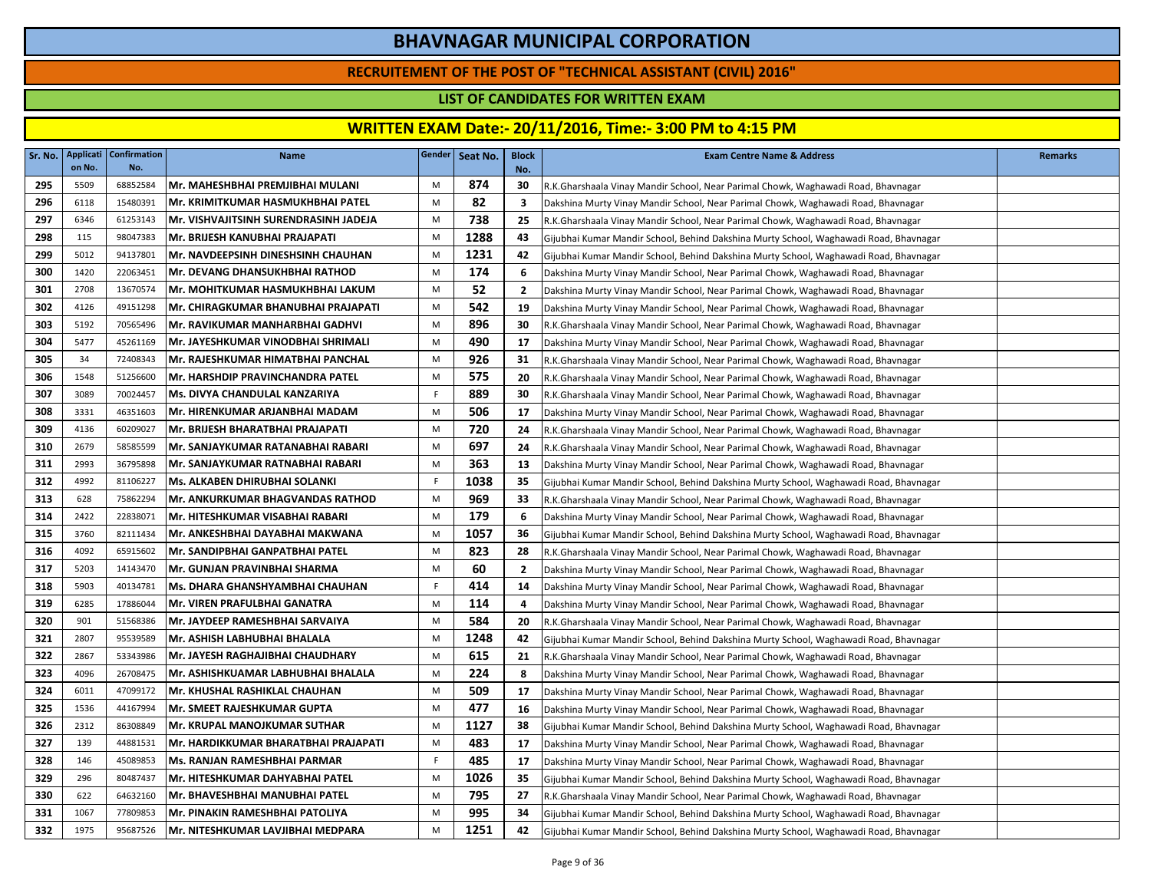### **RECRUITEMENT OF THE POST OF "TECHNICAL ASSISTANT (CIVIL) 2016"**

### **LIST OF CANDIDATES FOR WRITTEN EXAM**

| Sr. No. | Applicati<br>on No. | <b>Confirmation</b><br>No. | <b>Name</b>                               | Gender | Seat No. | <b>Block</b><br>No.     | <b>Exam Centre Name &amp; Address</b>                                                 | <b>Remarks</b> |
|---------|---------------------|----------------------------|-------------------------------------------|--------|----------|-------------------------|---------------------------------------------------------------------------------------|----------------|
| 295     | 5509                | 68852584                   | Mr. MAHESHBHAI PREMJIBHAI MULANI          | M      | 874      | 30                      | R.K.Gharshaala Vinay Mandir School, Near Parimal Chowk, Waghawadi Road, Bhavnagar     |                |
| 296     | 6118                | 15480391                   | IMr. KRIMITKUMAR HASMUKHBHAI PATEL        | M      | 82       | $\overline{\mathbf{3}}$ | Dakshina Murty Vinay Mandir School, Near Parimal Chowk, Waghawadi Road, Bhavnagar     |                |
| 297     | 6346                | 61253143                   | Mr. VISHVAJITSINH SURENDRASINH JADEJA     | M      | 738      | 25                      | R.K.Gharshaala Vinay Mandir School, Near Parimal Chowk, Waghawadi Road, Bhavnagar     |                |
| 298     | 115                 | 98047383                   | Mr. BRIJESH KANUBHAI PRAJAPATI            | M      | 1288     | 43                      | Gijubhai Kumar Mandir School, Behind Dakshina Murty School, Waghawadi Road, Bhavnagar |                |
| 299     | 5012                | 94137801                   | <b>Mr. NAVDEEPSINH DINESHSINH CHAUHAN</b> | M      | 1231     | 42                      | Gijubhai Kumar Mandir School, Behind Dakshina Murty School, Waghawadi Road, Bhavnagar |                |
| 300     | 1420                | 22063451                   | <b>Mr. DEVANG DHANSUKHBHAI RATHOD</b>     | M      | 174      | - 6                     | Dakshina Murty Vinay Mandir School, Near Parimal Chowk, Waghawadi Road, Bhavnagar     |                |
| 301     | 2708                | 13670574                   | Mr. MOHITKUMAR HASMUKHBHAI LAKUM          | M      | 52       | $\overline{2}$          | Dakshina Murty Vinay Mandir School, Near Parimal Chowk, Waghawadi Road, Bhavnagar     |                |
| 302     | 4126                | 49151298                   | Mr. CHIRAGKUMAR BHANUBHAI PRAJAPATI       | M      | 542      | 19                      | Dakshina Murty Vinay Mandir School, Near Parimal Chowk, Waghawadi Road, Bhavnagar     |                |
| 303     | 5192                | 70565496                   | Mr. RAVIKUMAR MANHARBHAI GADHVI           | M      | 896      | 30                      | R.K.Gharshaala Vinay Mandir School, Near Parimal Chowk, Waghawadi Road, Bhavnagar     |                |
| 304     | 5477                | 45261169                   | Mr. JAYESHKUMAR VINODBHAI SHRIMALI        | M      | 490      | 17                      | Dakshina Murty Vinay Mandir School, Near Parimal Chowk, Waghawadi Road, Bhavnagar     |                |
| 305     | 34                  | 72408343                   | Mr. RAJESHKUMAR HIMATBHAI PANCHAL         | M      | 926      | 31                      | R.K.Gharshaala Vinay Mandir School, Near Parimal Chowk, Waghawadi Road, Bhavnagar     |                |
| 306     | 1548                | 51256600                   | <b>Mr. HARSHDIP PRAVINCHANDRA PATEL</b>   | M      | 575      | 20                      | R.K.Gharshaala Vinay Mandir School, Near Parimal Chowk, Waghawadi Road, Bhavnagar     |                |
| 307     | 3089                | 70024457                   | Ms. DIVYA CHANDULAL KANZARIYA             | F.     | 889      | 30                      | R.K.Gharshaala Vinay Mandir School, Near Parimal Chowk, Waghawadi Road, Bhavnagar     |                |
| 308     | 3331                | 46351603                   | Mr. HIRENKUMAR ARJANBHAI MADAM            | M      | 506      | 17                      | Dakshina Murty Vinay Mandir School, Near Parimal Chowk, Waghawadi Road, Bhavnagar     |                |
| 309     | 4136                | 60209027                   | Mr. BRIJESH BHARATBHAI PRAJAPATI          | M      | 720      | 24                      | R.K.Gharshaala Vinay Mandir School, Near Parimal Chowk, Waghawadi Road, Bhavnagar     |                |
| 310     | 2679                | 58585599                   | Mr. SANJAYKUMAR RATANABHAI RABARI         | M      | 697      | 24                      | R.K.Gharshaala Vinay Mandir School, Near Parimal Chowk, Waghawadi Road, Bhavnagar     |                |
| 311     | 2993                | 36795898                   | Mr. SANJAYKUMAR RATNABHAI RABARI          | M      | 363      | 13                      | Dakshina Murty Vinay Mandir School, Near Parimal Chowk, Waghawadi Road, Bhavnagar     |                |
| 312     | 4992                | 81106227                   | Ms. ALKABEN DHIRUBHAI SOLANKI             | F.     | 1038     | 35                      | Gijubhai Kumar Mandir School, Behind Dakshina Murty School, Waghawadi Road, Bhavnagar |                |
| 313     | 628                 | 75862294                   | Mr. ANKURKUMAR BHAGVANDAS RATHOD          | M      | 969      | 33                      | R.K.Gharshaala Vinay Mandir School, Near Parimal Chowk, Waghawadi Road, Bhavnagar     |                |
| 314     | 2422                | 22838071                   | <b>Mr. HITESHKUMAR VISABHAI RABARI</b>    | M      | 179      | 6                       | Dakshina Murty Vinay Mandir School, Near Parimal Chowk, Waghawadi Road, Bhavnagar     |                |
| 315     | 3760                | 82111434                   | Mr. ANKESHBHAI DAYABHAI MAKWANA           | M      | 1057     | 36                      | Gijubhai Kumar Mandir School, Behind Dakshina Murty School, Waghawadi Road, Bhavnagar |                |
| 316     | 4092                | 65915602                   | Mr. SANDIPBHAI GANPATBHAI PATEL           | M      | 823      | 28                      | R.K.Gharshaala Vinay Mandir School, Near Parimal Chowk, Waghawadi Road, Bhavnagar     |                |
| 317     | 5203                | 14143470                   | Mr. GUNJAN PRAVINBHAI SHARMA              | М      | 60       | $\overline{2}$          | Dakshina Murty Vinay Mandir School, Near Parimal Chowk, Waghawadi Road, Bhavnagar     |                |
| 318     | 5903                | 40134781                   | Ms. DHARA GHANSHYAMBHAI CHAUHAN           | F.     | 414      | 14                      | Dakshina Murty Vinay Mandir School, Near Parimal Chowk, Waghawadi Road, Bhavnagar     |                |
| 319     | 6285                | 17886044                   | İMr. VIREN PRAFULBHAI GANATRA             | M      | 114      | 4                       | Dakshina Murty Vinay Mandir School, Near Parimal Chowk, Waghawadi Road, Bhavnagar     |                |
| 320     | 901                 | 51568386                   | Mr. JAYDEEP RAMESHBHAI SARVAIYA           | M      | 584      | 20                      | R.K.Gharshaala Vinay Mandir School, Near Parimal Chowk, Waghawadi Road, Bhavnagar     |                |
| 321     | 2807                | 95539589                   | Mr. ASHISH LABHUBHAI BHALALA              | M      | 1248     | 42                      | Gijubhai Kumar Mandir School, Behind Dakshina Murty School, Waghawadi Road, Bhavnagar |                |
| 322     | 2867                | 53343986                   | Mr. JAYESH RAGHAJIBHAI CHAUDHARY          | M      | 615      | 21                      | R.K.Gharshaala Vinay Mandir School, Near Parimal Chowk, Waghawadi Road, Bhavnagar     |                |
| 323     | 4096                | 26708475                   | lMr. ASHISHKUAMAR LABHUBHAI BHALALA       | M      | 224      | 8                       | Dakshina Murty Vinay Mandir School, Near Parimal Chowk, Waghawadi Road, Bhavnagar     |                |
| 324     | 6011                | 47099172                   | Mr. KHUSHAL RASHIKLAL CHAUHAN             | M      | 509      | 17                      | Dakshina Murty Vinay Mandir School, Near Parimal Chowk, Waghawadi Road, Bhavnagar     |                |
| 325     | 1536                | 44167994                   | Mr. SMEET RAJESHKUMAR GUPTA               | M      | 477      | 16                      | Dakshina Murty Vinay Mandir School, Near Parimal Chowk, Waghawadi Road, Bhavnagar     |                |
| 326     | 2312                | 86308849                   | Mr. KRUPAL MANOJKUMAR SUTHAR              | M      | 1127     | 38                      | Gijubhai Kumar Mandir School, Behind Dakshina Murty School, Waghawadi Road, Bhavnagar |                |
| 327     | 139                 | 44881531                   | lMr. HARDIKKUMAR BHARATBHAI PRAJAPATI     | M      | 483      | 17                      | Dakshina Murty Vinay Mandir School, Near Parimal Chowk, Waghawadi Road, Bhavnagar     |                |
| 328     | 146                 | 45089853                   | Ms. RANJAN RAMESHBHAI PARMAR              | F.     | 485      | 17                      | Dakshina Murty Vinay Mandir School, Near Parimal Chowk, Waghawadi Road, Bhavnagar     |                |
| 329     | 296                 | 80487437                   | <b>Mr. HITESHKUMAR DAHYABHAI PATEL</b>    | M      | 1026     | 35                      | Gijubhai Kumar Mandir School, Behind Dakshina Murty School, Waghawadi Road, Bhavnagar |                |
| 330     | 622                 | 64632160                   | Mr. BHAVESHBHAI MANUBHAI PATEL            | M      | 795      | 27                      | R.K.Gharshaala Vinay Mandir School, Near Parimal Chowk, Waghawadi Road, Bhavnagar     |                |
| 331     | 1067                | 77809853                   | <b>Mr. PINAKIN RAMESHBHAI PATOLIYA</b>    | M      | 995      | 34                      | Gijubhai Kumar Mandir School, Behind Dakshina Murty School, Waghawadi Road, Bhavnagar |                |
| 332     | 1975                | 95687526                   | Mr. NITESHKUMAR LAVJIBHAI MEDPARA         | M      | 1251     | 42                      | Gijubhai Kumar Mandir School, Behind Dakshina Murty School, Waghawadi Road, Bhavnagar |                |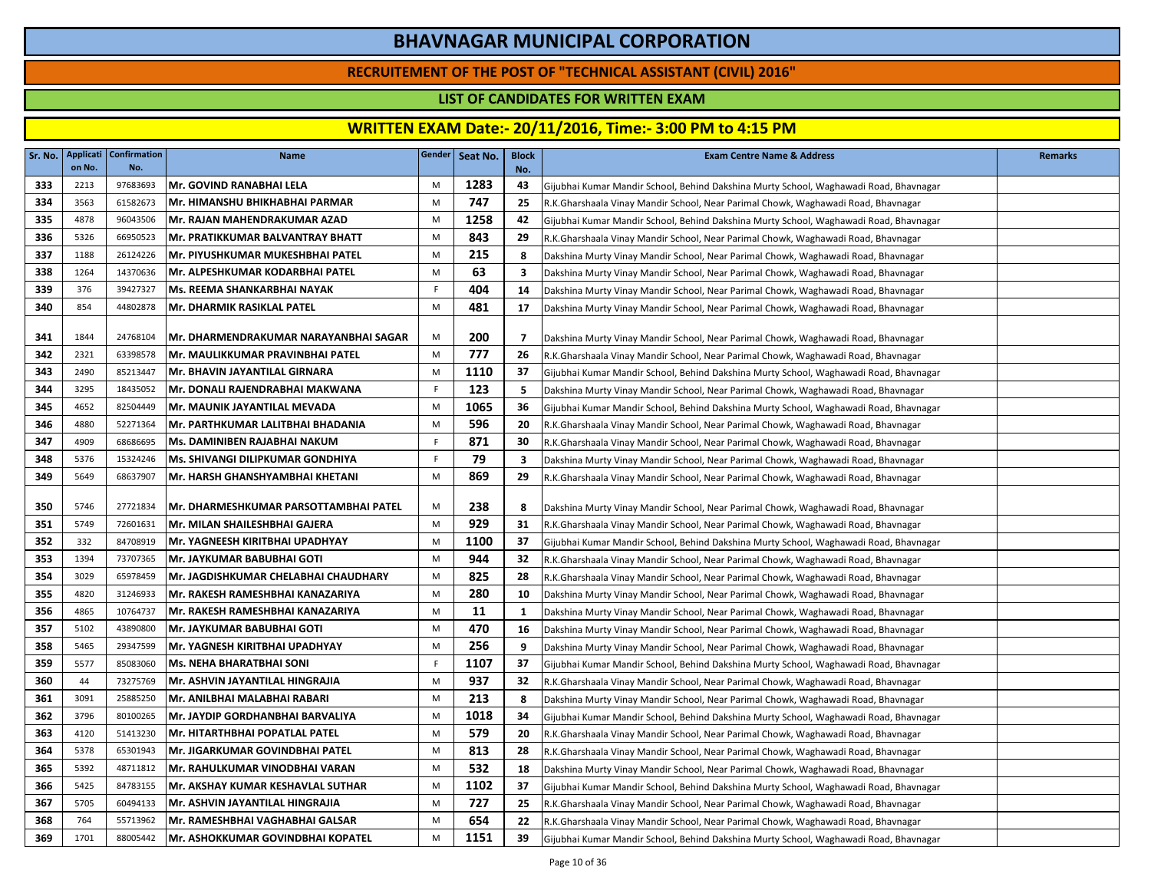### **RECRUITEMENT OF THE POST OF "TECHNICAL ASSISTANT (CIVIL) 2016"**

### **LIST OF CANDIDATES FOR WRITTEN EXAM**

|     | on No. | Sr. No.   Applicati   Confirmation<br>No. | <b>Name</b>                              |    | Gender Seat No. | <b>Block</b><br>No. | <b>Exam Centre Name &amp; Address</b>                                                 | <b>Remarks</b> |
|-----|--------|-------------------------------------------|------------------------------------------|----|-----------------|---------------------|---------------------------------------------------------------------------------------|----------------|
| 333 | 2213   | 97683693                                  | Mr. GOVIND RANABHAI LELA                 | M  | 1283            | 43                  | Gijubhai Kumar Mandir School, Behind Dakshina Murty School, Waghawadi Road, Bhavnagar |                |
| 334 | 3563   | 61582673                                  | Mr. HIMANSHU BHIKHABHAI PARMAR           | M  | 747             | 25                  | R.K.Gharshaala Vinay Mandir School, Near Parimal Chowk, Waghawadi Road, Bhavnagar     |                |
| 335 | 4878   | 96043506                                  | Mr. RAJAN MAHENDRAKUMAR AZAD             | M  | 1258            | 42                  | Gijubhai Kumar Mandir School, Behind Dakshina Murty School, Waghawadi Road, Bhavnagar |                |
| 336 | 5326   | 66950523                                  | Mr. PRATIKKUMAR BALVANTRAY BHATT         | M  | 843             | 29                  | R.K.Gharshaala Vinay Mandir School, Near Parimal Chowk, Waghawadi Road, Bhavnagar     |                |
| 337 | 1188   | 26124226                                  | Mr. PIYUSHKUMAR MUKESHBHAI PATEL         | M  | 215             | 8                   | Dakshina Murty Vinay Mandir School, Near Parimal Chowk, Waghawadi Road, Bhavnagar     |                |
| 338 | 1264   | 14370636                                  | Mr. ALPESHKUMAR KODARBHAI PATEL          | M  | 63              | 3                   | Dakshina Murty Vinay Mandir School, Near Parimal Chowk, Waghawadi Road, Bhavnagar     |                |
| 339 | 376    | 39427327                                  | Ms. REEMA SHANKARBHAI NAYAK              | F  | 404             | 14                  | Dakshina Murty Vinay Mandir School, Near Parimal Chowk, Waghawadi Road, Bhavnagar     |                |
| 340 | 854    | 44802878                                  | Mr. DHARMIK RASIKLAL PATEL               | M  | 481             | 17                  | Dakshina Murty Vinay Mandir School, Near Parimal Chowk, Waghawadi Road, Bhavnagar     |                |
|     |        |                                           |                                          |    |                 |                     |                                                                                       |                |
| 341 | 1844   | 24768104                                  | Mr. DHARMENDRAKUMAR NARAYANBHAI SAGAR    | M  | 200             | $\overline{7}$      | Dakshina Murty Vinay Mandir School, Near Parimal Chowk, Waghawadi Road, Bhavnagar     |                |
| 342 | 2321   | 63398578                                  | Mr. MAULIKKUMAR PRAVINBHAI PATEL         | M  | 777             | 26                  | R.K.Gharshaala Vinay Mandir School, Near Parimal Chowk, Waghawadi Road, Bhavnagar     |                |
| 343 | 2490   | 85213447                                  | Mr. BHAVIN JAYANTILAL GIRNARA            | M  | 1110            | 37                  | Gijubhai Kumar Mandir School, Behind Dakshina Murty School, Waghawadi Road, Bhavnagar |                |
| 344 | 3295   | 18435052                                  | Mr. DONALI RAJENDRABHAI MAKWANA          | F. | 123             | 5                   | Dakshina Murty Vinay Mandir School, Near Parimal Chowk, Waghawadi Road, Bhavnagar     |                |
| 345 | 4652   | 82504449                                  | Mr. MAUNIK JAYANTILAL MEVADA             | M  | 1065            | 36                  | Gijubhai Kumar Mandir School, Behind Dakshina Murty School, Waghawadi Road, Bhavnagar |                |
| 346 | 4880   | 52271364                                  | Mr. PARTHKUMAR LALITBHAI BHADANIA        | M  | 596             | 20                  | R.K.Gharshaala Vinay Mandir School, Near Parimal Chowk, Waghawadi Road, Bhavnagar     |                |
| 347 | 4909   | 68686695                                  | Ms. DAMINIBEN RAJABHAI NAKUM             | F  | 871             | 30                  | R.K.Gharshaala Vinay Mandir School, Near Parimal Chowk, Waghawadi Road, Bhavnagar     |                |
| 348 | 5376   | 15324246                                  | <b>Ms. SHIVANGI DILIPKUMAR GONDHIYA</b>  | F. | 79              | 3                   | Dakshina Murty Vinay Mandir School, Near Parimal Chowk, Waghawadi Road, Bhavnagar     |                |
| 349 | 5649   | 68637907                                  | Mr. HARSH GHANSHYAMBHAI KHETANI          | M  | 869             | 29                  | R.K.Gharshaala Vinay Mandir School, Near Parimal Chowk, Waghawadi Road, Bhavnagar     |                |
| 350 | 5746   | 27721834                                  | Mr. DHARMESHKUMAR PARSOTTAMBHAI PATEL    | M  | 238             | 8                   | Dakshina Murty Vinay Mandir School, Near Parimal Chowk, Waghawadi Road, Bhavnagar     |                |
| 351 | 5749   | 72601631                                  | Mr. MILAN SHAILESHBHAI GAJERA            | M  | 929             | 31                  | R.K.Gharshaala Vinay Mandir School, Near Parimal Chowk, Waghawadi Road, Bhavnagar     |                |
| 352 | 332    | 84708919                                  | Mr. YAGNEESH KIRITBHAI UPADHYAY          | M  | 1100            | 37                  | Gijubhai Kumar Mandir School, Behind Dakshina Murty School, Waghawadi Road, Bhavnagar |                |
| 353 | 1394   | 73707365                                  | <b>Mr. JAYKUMAR BABUBHAI GOTI</b>        | M  | 944             | 32                  | R.K.Gharshaala Vinay Mandir School, Near Parimal Chowk, Waghawadi Road, Bhavnagar     |                |
| 354 | 3029   | 65978459                                  | lMr. JAGDISHKUMAR CHELABHAI CHAUDHARY    | M  | 825             | 28                  | R.K.Gharshaala Vinay Mandir School, Near Parimal Chowk, Waghawadi Road, Bhavnagar     |                |
| 355 | 4820   | 31246933                                  | Mr. RAKESH RAMESHBHAI KANAZARIYA         | M  | 280             | 10                  | Dakshina Murty Vinay Mandir School, Near Parimal Chowk, Waghawadi Road, Bhavnagar     |                |
| 356 | 4865   | 10764737                                  | Mr. RAKESH RAMESHBHAI KANAZARIYA         | M  | 11              | 1                   | Dakshina Murty Vinay Mandir School, Near Parimal Chowk, Waghawadi Road, Bhavnagar     |                |
| 357 | 5102   | 43890800                                  | İMr. JAYKUMAR BABUBHAI GOTI              | M  | 470             | 16                  | Dakshina Murty Vinay Mandir School, Near Parimal Chowk, Waghawadi Road, Bhavnagar     |                |
| 358 | 5465   | 29347599                                  | Mr. YAGNESH KIRITBHAI UPADHYAY           | M  | 256             | 9                   | Dakshina Murty Vinay Mandir School, Near Parimal Chowk, Waghawadi Road, Bhavnagar     |                |
| 359 | 5577   | 85083060                                  | Ms. NEHA BHARATBHAI SONI                 | -F | 1107            | 37                  | Gijubhai Kumar Mandir School, Behind Dakshina Murty School, Waghawadi Road, Bhavnagar |                |
| 360 | 44     | 73275769                                  | Mr. ASHVIN JAYANTILAL HINGRAJIA          | M  | 937             | 32                  | R.K.Gharshaala Vinay Mandir School, Near Parimal Chowk, Waghawadi Road, Bhavnagar     |                |
| 361 | 3091   | 25885250                                  | lMr. ANILBHAI MALABHAI RABARI            | M  | 213             | 8                   | Dakshina Murty Vinay Mandir School, Near Parimal Chowk, Waghawadi Road, Bhavnagar     |                |
| 362 | 3796   | 80100265                                  | Mr. JAYDIP GORDHANBHAI BARVALIYA         | M  | 1018            | 34                  | Gijubhai Kumar Mandir School, Behind Dakshina Murty School, Waghawadi Road, Bhavnagar |                |
| 363 | 4120   | 51413230                                  | Mr. HITARTHBHAI POPATLAL PATEL           | M  | 579             | 20                  | R.K.Gharshaala Vinay Mandir School, Near Parimal Chowk, Waghawadi Road, Bhavnagar     |                |
| 364 | 5378   | 65301943                                  | Mr. JIGARKUMAR GOVINDBHAI PATEL          | M  | 813             | 28                  | R.K.Gharshaala Vinay Mandir School, Near Parimal Chowk, Waghawadi Road, Bhavnagar     |                |
| 365 | 5392   | 48711812                                  | <b>Mr. RAHULKUMAR VINODBHAI VARAN</b>    | M  | 532             | 18                  | Dakshina Murty Vinay Mandir School, Near Parimal Chowk, Waghawadi Road, Bhavnagar     |                |
| 366 | 5425   | 84783155                                  | <b>Mr. AKSHAY KUMAR KESHAVLAL SUTHAR</b> | M  | 1102            | 37                  | Gijubhai Kumar Mandir School, Behind Dakshina Murty School, Waghawadi Road, Bhavnagar |                |
| 367 | 5705   | 60494133                                  | Mr. ASHVIN JAYANTILAL HINGRAJIA          | M  | 727             | 25                  | R.K.Gharshaala Vinay Mandir School, Near Parimal Chowk, Waghawadi Road, Bhavnagar     |                |
| 368 | 764    | 55713962                                  | lMr. RAMESHBHAI VAGHABHAI GALSAR         | M  | 654             | 22                  | R.K.Gharshaala Vinay Mandir School, Near Parimal Chowk, Waghawadi Road, Bhavnagar     |                |
| 369 | 1701   | 88005442                                  | <b>Mr. ASHOKKUMAR GOVINDBHAI KOPATEL</b> | M  | 1151            | 39                  | Gijubhai Kumar Mandir School, Behind Dakshina Murty School, Waghawadi Road, Bhavnagar |                |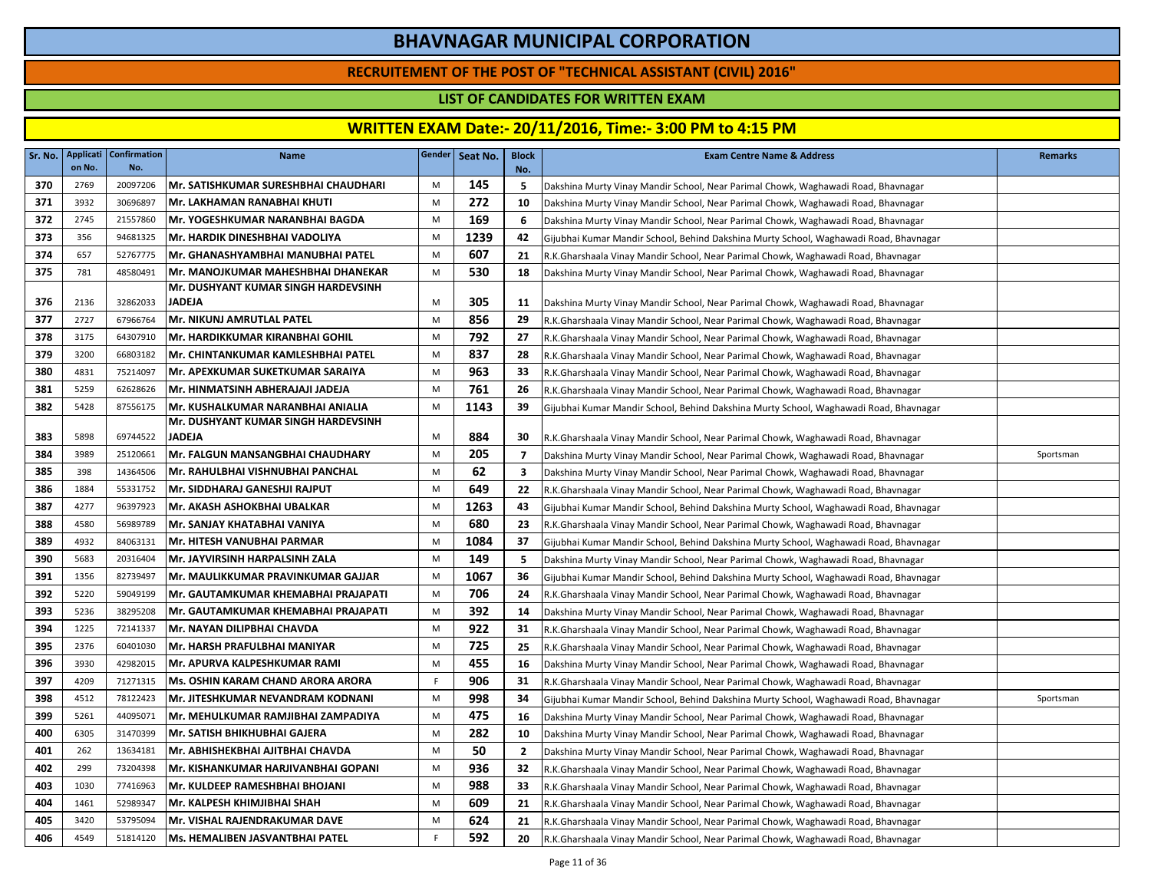### **RECRUITEMENT OF THE POST OF "TECHNICAL ASSISTANT (CIVIL) 2016"**

### **LIST OF CANDIDATES FOR WRITTEN EXAM**

| Sr. No. | Applicati<br>on No. | <b>Confirmation</b><br>No. | Name                                     |    | Gender   Seat No. | <b>Block</b><br>No.      | <b>Exam Centre Name &amp; Address</b>                                                 | <b>Remarks</b> |
|---------|---------------------|----------------------------|------------------------------------------|----|-------------------|--------------------------|---------------------------------------------------------------------------------------|----------------|
| 370     | 2769                | 20097206                   | Mr. SATISHKUMAR SURESHBHAI CHAUDHARI     | M  | 145               | 5                        | Dakshina Murty Vinay Mandir School, Near Parimal Chowk, Waghawadi Road, Bhavnagar     |                |
| 371     | 3932                | 30696897                   | Mr. LAKHAMAN RANABHAI KHUTI              | M  | 272               | 10                       | Dakshina Murty Vinay Mandir School, Near Parimal Chowk, Waghawadi Road, Bhavnagar     |                |
| 372     | 2745                | 21557860                   | Mr. YOGESHKUMAR NARANBHAI BAGDA          | M  | 169               | 6                        | Dakshina Murty Vinay Mandir School, Near Parimal Chowk, Waghawadi Road, Bhavnagar     |                |
| 373     | 356                 | 94681325                   | Mr. HARDIK DINESHBHAI VADOLIYA           | M  | 1239              | 42                       | Gijubhai Kumar Mandir School, Behind Dakshina Murty School, Waghawadi Road, Bhavnagar |                |
| 374     | 657                 | 52767775                   | Mr. GHANASHYAMBHAI MANUBHAI PATEL        | M  | 607               | 21                       | R.K.Gharshaala Vinay Mandir School, Near Parimal Chowk, Waghawadi Road, Bhavnagar     |                |
| 375     | 781                 | 48580491                   | Mr. MANOJKUMAR MAHESHBHAI DHANEKAR       | M  | 530               | 18                       | Dakshina Murty Vinay Mandir School, Near Parimal Chowk, Waghawadi Road, Bhavnagar     |                |
|         |                     |                            | Mr. DUSHYANT KUMAR SINGH HARDEVSINH      |    |                   |                          |                                                                                       |                |
| 376     | 2136                | 32862033                   | <b>JADEJA</b>                            | M  | 305               | 11                       | Dakshina Murty Vinay Mandir School, Near Parimal Chowk, Waghawadi Road, Bhavnagar     |                |
| 377     | 2727                | 67966764                   | Mr. NIKUNJ AMRUTLAL PATEL                | M  | 856               | 29                       | R.K.Gharshaala Vinay Mandir School, Near Parimal Chowk, Waghawadi Road, Bhavnagar     |                |
| 378     | 3175                | 64307910                   | Mr. HARDIKKUMAR KIRANBHAI GOHIL          | M  | 792               | 27                       | R.K.Gharshaala Vinay Mandir School, Near Parimal Chowk, Waghawadi Road, Bhavnagar     |                |
| 379     | 3200                | 66803182                   | Mr. CHINTANKUMAR KAMLESHBHAI PATEL       | M  | 837               | 28                       | R.K.Gharshaala Vinay Mandir School, Near Parimal Chowk, Waghawadi Road, Bhavnagar     |                |
| 380     | 4831                | 75214097                   | Mr. APEXKUMAR SUKETKUMAR SARAIYA         | M  | 963               | 33                       | R.K.Gharshaala Vinay Mandir School, Near Parimal Chowk, Waghawadi Road, Bhavnagar     |                |
| 381     | 5259                | 62628626                   | Mr. HINMATSINH ABHERAJAJI JADEJA         | M  | 761               | 26                       | R.K.Gharshaala Vinay Mandir School, Near Parimal Chowk, Waghawadi Road, Bhavnagar     |                |
| 382     | 5428                | 87556175                   | Mr. KUSHALKUMAR NARANBHAI ANIALIA        | M  | 1143              | 39                       | Gijubhai Kumar Mandir School, Behind Dakshina Murty School, Waghawadi Road, Bhavnagar |                |
|         |                     |                            | Mr. DUSHYANT KUMAR SINGH HARDEVSINH      |    |                   |                          |                                                                                       |                |
| 383     | 5898                | 69744522                   | <b>JADEJA</b>                            | M  | 884               | 30                       | R.K.Gharshaala Vinay Mandir School, Near Parimal Chowk, Waghawadi Road, Bhavnagar     |                |
| 384     | 3989                | 25120661                   | Mr. FALGUN MANSANGBHAI CHAUDHARY         | M  | 205               | $\overline{\phantom{a}}$ | Dakshina Murty Vinay Mandir School, Near Parimal Chowk, Waghawadi Road, Bhavnagar     | Sportsman      |
| 385     | 398                 | 14364506                   | Mr. RAHULBHAI VISHNUBHAI PANCHAL         | M  | 62                | $\overline{\mathbf{3}}$  | Dakshina Murty Vinay Mandir School, Near Parimal Chowk, Waghawadi Road, Bhavnagar     |                |
| 386     | 1884                | 55331752                   | Mr. SIDDHARAJ GANESHJI RAJPUT            | M  | 649               | 22                       | R.K.Gharshaala Vinay Mandir School, Near Parimal Chowk, Waghawadi Road, Bhavnagar     |                |
| 387     | 4277                | 96397923                   | Mr. AKASH ASHOKBHAI UBALKAR              | M  | 1263              | 43                       | Gijubhai Kumar Mandir School, Behind Dakshina Murty School, Waghawadi Road, Bhavnagar |                |
| 388     | 4580                | 56989789                   | Mr. SANJAY KHATABHAI VANIYA              | M  | 680               | 23                       | R.K.Gharshaala Vinay Mandir School, Near Parimal Chowk, Waghawadi Road, Bhavnagar     |                |
| 389     | 4932                | 84063131                   | Mr. HITESH VANUBHAI PARMAR               | M  | 1084              | 37                       | Gijubhai Kumar Mandir School, Behind Dakshina Murty School, Waghawadi Road, Bhavnagar |                |
| 390     | 5683                | 20316404                   | Mr. JAYVIRSINH HARPALSINH ZALA           | M  | 149               | 5                        | Dakshina Murty Vinay Mandir School, Near Parimal Chowk, Waghawadi Road, Bhavnagar     |                |
| 391     | 1356                | 82739497                   | Mr. MAULIKKUMAR PRAVINKUMAR GAJJAR       | M  | 1067              | 36                       | Gijubhai Kumar Mandir School, Behind Dakshina Murty School, Waghawadi Road, Bhavnagar |                |
| 392     | 5220                | 59049199                   | Mr. GAUTAMKUMAR KHEMABHAI PRAJAPATI      | M  | 706               | 24                       | R.K.Gharshaala Vinay Mandir School, Near Parimal Chowk, Waghawadi Road, Bhavnagar     |                |
| 393     | 5236                | 38295208                   | Mr. GAUTAMKUMAR KHEMABHAI PRAJAPATI      | M  | 392               | 14                       | Dakshina Murty Vinay Mandir School, Near Parimal Chowk, Waghawadi Road, Bhavnagar     |                |
| 394     | 1225                | 72141337                   | Mr. NAYAN DILIPBHAI CHAVDA               | M  | 922               | 31                       | R.K.Gharshaala Vinay Mandir School, Near Parimal Chowk, Waghawadi Road, Bhavnagar     |                |
| 395     | 2376                | 60401030                   | Mr. HARSH PRAFULBHAI MANIYAR             | M  | 725               | 25                       | R.K.Gharshaala Vinay Mandir School, Near Parimal Chowk, Waghawadi Road, Bhavnagar     |                |
| 396     | 3930                | 42982015                   | Mr. APURVA KALPESHKUMAR RAMI             | M  | 455               | 16                       | Dakshina Murty Vinay Mandir School, Near Parimal Chowk, Waghawadi Road, Bhavnagar     |                |
| 397     | 4209                | 71271315                   | <b>Ms. OSHIN KARAM CHAND ARORA ARORA</b> | F. | 906               | 31                       | R.K.Gharshaala Vinay Mandir School, Near Parimal Chowk, Waghawadi Road, Bhavnagar     |                |
| 398     | 4512                | 78122423                   | Mr. JITESHKUMAR NEVANDRAM KODNANI        | M  | 998               | 34                       | Gijubhai Kumar Mandir School, Behind Dakshina Murty School, Waghawadi Road, Bhavnagar | Sportsman      |
| 399     | 5261                | 44095071                   | Mr. MEHULKUMAR RAMJIBHAI ZAMPADIYA       | M  | 475               | 16                       | Dakshina Murty Vinay Mandir School, Near Parimal Chowk, Waghawadi Road, Bhavnagar     |                |
| 400     | 6305                | 31470399                   | Mr. SATISH BHIKHUBHAI GAJERA             | M  | 282               | 10                       | Dakshina Murty Vinay Mandir School, Near Parimal Chowk, Waghawadi Road, Bhavnagar     |                |
| 401     | 262                 | 13634181                   | Mr. ABHISHEKBHAI AJITBHAI CHAVDA         | M  | 50                | $\overline{2}$           | Dakshina Murty Vinay Mandir School, Near Parimal Chowk, Waghawadi Road, Bhavnagar     |                |
| 402     | 299                 | 73204398                   | Mr. KISHANKUMAR HARJIVANBHAI GOPANI      | M  | 936               | 32                       | R.K.Gharshaala Vinay Mandir School, Near Parimal Chowk, Waghawadi Road, Bhavnagar     |                |
| 403     | 1030                | 77416963                   | Mr. KULDEEP RAMESHBHAI BHOJANI           | M  | 988               | 33                       | R.K.Gharshaala Vinay Mandir School, Near Parimal Chowk, Waghawadi Road, Bhavnagar     |                |
| 404     | 1461                | 52989347                   | Mr. KALPESH KHIMJIBHAI SHAH              | M  | 609               | 21                       | R.K.Gharshaala Vinay Mandir School, Near Parimal Chowk, Waghawadi Road, Bhavnagar     |                |
| 405     | 3420                | 53795094                   | Mr. VISHAL RAJENDRAKUMAR DAVE            | M  | 624               | 21                       | R.K.Gharshaala Vinay Mandir School, Near Parimal Chowk, Waghawadi Road, Bhavnagar     |                |
| 406     | 4549                | 51814120                   | Ms. HEMALIBEN JASVANTBHAI PATEL          | F  | 592               | 20                       | R.K.Gharshaala Vinay Mandir School, Near Parimal Chowk, Waghawadi Road, Bhavnagar     |                |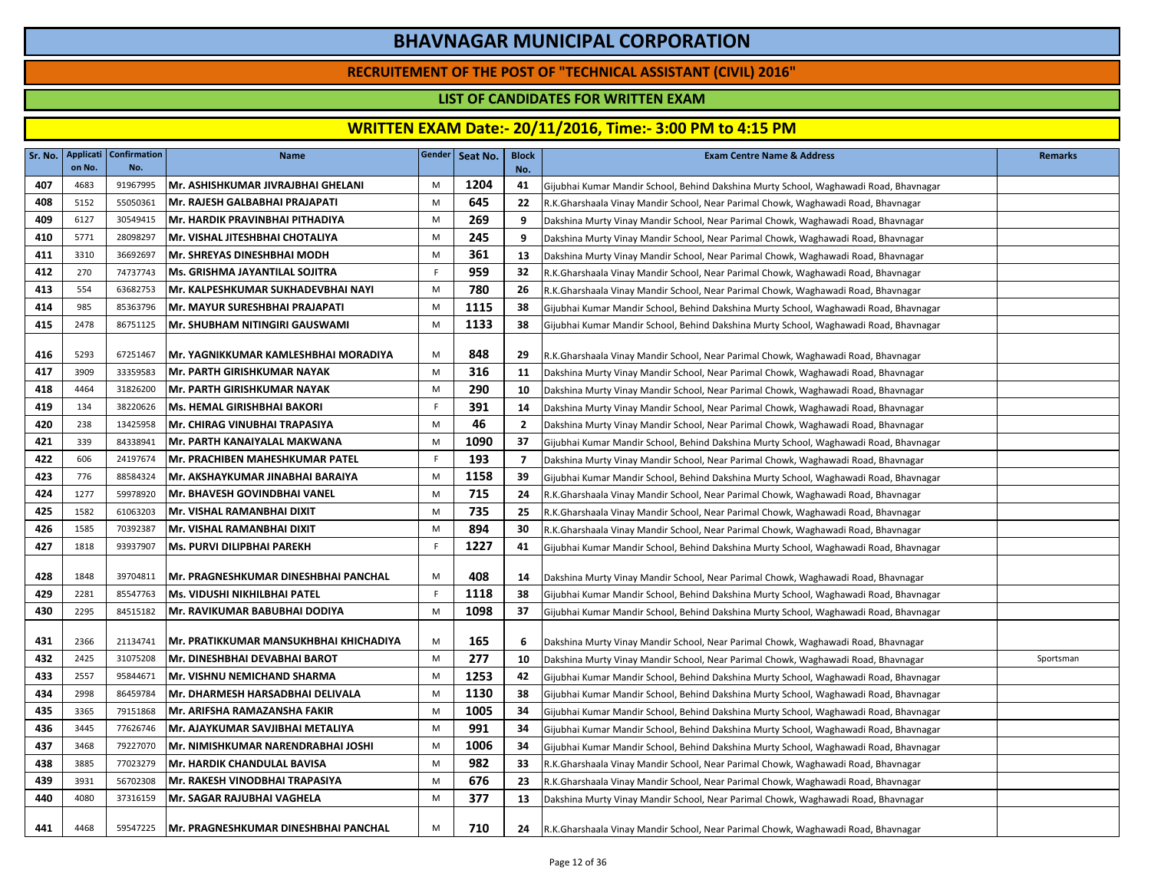### **RECRUITEMENT OF THE POST OF "TECHNICAL ASSISTANT (CIVIL) 2016"**

### **LIST OF CANDIDATES FOR WRITTEN EXAM**

| Sr. No. | on No. | Applicati Confirmation<br>No. | <b>Name</b>                                 |             | Gender Seat No. | <b>Block</b><br>No. | <b>Exam Centre Name &amp; Address</b>                                                 | <b>Remarks</b> |
|---------|--------|-------------------------------|---------------------------------------------|-------------|-----------------|---------------------|---------------------------------------------------------------------------------------|----------------|
| 407     | 4683   | 91967995                      | Mr. ASHISHKUMAR JIVRAJBHAI GHELANI          | M           | 1204            | 41                  | Gijubhai Kumar Mandir School, Behind Dakshina Murty School, Waghawadi Road, Bhavnagar |                |
| 408     | 5152   | 55050361                      | Mr. RAJESH GALBABHAI PRAJAPATI              | M           | 645             | 22                  | R.K.Gharshaala Vinay Mandir School, Near Parimal Chowk, Waghawadi Road, Bhavnagar     |                |
| 409     | 6127   | 30549415                      | Mr. HARDIK PRAVINBHAI PITHADIYA             | M           | 269             | 9                   | Dakshina Murty Vinay Mandir School, Near Parimal Chowk, Waghawadi Road, Bhavnagar     |                |
| 410     | 5771   | 28098297                      | Mr. VISHAL JITESHBHAI CHOTALIYA             | M           | 245             | 9                   | Dakshina Murty Vinay Mandir School, Near Parimal Chowk, Waghawadi Road, Bhavnagar     |                |
| 411     | 3310   | 36692697                      | <b>Mr. SHREYAS DINESHBHAI MODH</b>          | M           | 361             | 13                  | Dakshina Murty Vinay Mandir School, Near Parimal Chowk, Waghawadi Road, Bhavnagar     |                |
| 412     | 270    | 74737743                      | <b>Ms. GRISHMA JAYANTILAL SOJITRA</b>       | F.          | 959             | 32                  | R.K.Gharshaala Vinay Mandir School, Near Parimal Chowk, Waghawadi Road, Bhavnagar     |                |
| 413     | 554    | 63682753                      | Mr. KALPESHKUMAR SUKHADEVBHAI NAYI          | M           | 780             | 26                  | R.K.Gharshaala Vinay Mandir School, Near Parimal Chowk, Waghawadi Road, Bhavnagar     |                |
| 414     | 985    | 85363796                      | Mr. MAYUR SURESHBHAI PRAJAPATI              | M           | 1115            | 38                  | Gijubhai Kumar Mandir School, Behind Dakshina Murty School, Waghawadi Road, Bhavnagar |                |
| 415     | 2478   | 86751125                      | <b>Mr. SHUBHAM NITINGIRI GAUSWAMI</b>       | M           | 1133            | 38                  | Gijubhai Kumar Mandir School, Behind Dakshina Murty School, Waghawadi Road, Bhavnagar |                |
| 416     | 5293   | 67251467                      | Mr. YAGNIKKUMAR KAMLESHBHAI MORADIYA        | M           | 848             | 29                  | R.K.Gharshaala Vinay Mandir School, Near Parimal Chowk, Waghawadi Road, Bhavnagar     |                |
| 417     | 3909   | 33359583                      | <b>Mr. PARTH GIRISHKUMAR NAYAK</b>          | M           | 316             | 11                  | Dakshina Murty Vinay Mandir School, Near Parimal Chowk, Waghawadi Road, Bhavnagar     |                |
| 418     | 4464   | 31826200                      | <b>Mr. PARTH GIRISHKUMAR NAYAK</b>          | M           | 290             | 10                  | Dakshina Murty Vinay Mandir School, Near Parimal Chowk, Waghawadi Road, Bhavnagar     |                |
| 419     | 134    | 38220626                      | Ms. HEMAL GIRISHBHAI BAKORI                 | $\mathsf F$ | 391             | 14                  | Dakshina Murty Vinay Mandir School, Near Parimal Chowk, Waghawadi Road, Bhavnagar     |                |
| 420     | 238    | 13425958                      | Mr. CHIRAG VINUBHAI TRAPASIYA               | M           | 46              | $\overline{2}$      | Dakshina Murty Vinay Mandir School, Near Parimal Chowk, Waghawadi Road, Bhavnagar     |                |
| 421     | 339    | 84338941                      | Mr. PARTH KANAIYALAL MAKWANA                | M           | 1090            | 37                  | Gijubhai Kumar Mandir School, Behind Dakshina Murty School, Waghawadi Road, Bhavnagar |                |
| 422     | 606    | 24197674                      | Mr. PRACHIBEN MAHESHKUMAR PATEL             | F           | 193             | $\overline{7}$      | Dakshina Murty Vinay Mandir School, Near Parimal Chowk, Waghawadi Road, Bhavnagar     |                |
| 423     | 776    | 88584324                      | Mr. AKSHAYKUMAR JINABHAI BARAIYA            | M           | 1158            | 39                  | Gijubhai Kumar Mandir School, Behind Dakshina Murty School, Waghawadi Road, Bhavnagar |                |
| 424     | 1277   | 59978920                      | Mr. BHAVESH GOVINDBHAI VANEL                | M           | 715             | 24                  | R.K.Gharshaala Vinay Mandir School, Near Parimal Chowk, Waghawadi Road, Bhavnagar     |                |
| 425     | 1582   | 61063203                      | Mr. VISHAL RAMANBHAI DIXIT                  | M           | 735             | 25                  | R.K.Gharshaala Vinay Mandir School, Near Parimal Chowk, Waghawadi Road, Bhavnagar     |                |
| 426     | 1585   | 70392387                      | Mr. VISHAL RAMANBHAI DIXIT                  | M           | 894             | 30                  | R.K.Gharshaala Vinay Mandir School, Near Parimal Chowk, Waghawadi Road, Bhavnagar     |                |
| 427     | 1818   | 93937907                      | <b>Ms. PURVI DILIPBHAI PAREKH</b>           | F.          | 1227            | 41                  | Gijubhai Kumar Mandir School, Behind Dakshina Murty School, Waghawadi Road, Bhavnagar |                |
| 428     | 1848   | 39704811                      | IMr. PRAGNESHKUMAR DINESHBHAI PANCHAL       | M           | 408             | 14                  | Dakshina Murty Vinay Mandir School, Near Parimal Chowk, Waghawadi Road, Bhavnagar     |                |
| 429     | 2281   | 85547763                      | <b>Ms. VIDUSHI NIKHILBHAI PATEL</b>         | $\mathsf F$ | 1118            | 38                  | Gijubhai Kumar Mandir School, Behind Dakshina Murty School, Waghawadi Road, Bhavnagar |                |
| 430     | 2295   | 84515182                      | Mr. RAVIKUMAR BABUBHAI DODIYA               | M           | 1098            | 37                  | Gijubhai Kumar Mandir School, Behind Dakshina Murty School, Waghawadi Road, Bhavnagar |                |
| 431     | 2366   | 21134741                      | Mr. PRATIKKUMAR MANSUKHBHAI KHICHADIYA      | M           | 165             | -6                  | Dakshina Murty Vinay Mandir School, Near Parimal Chowk, Waghawadi Road, Bhavnagar     |                |
| 432     | 2425   | 31075208                      | Mr. DINESHBHAI DEVABHAI BAROT               | M           | 277             | 10                  | Dakshina Murty Vinay Mandir School, Near Parimal Chowk, Waghawadi Road, Bhavnagar     | Sportsman      |
| 433     | 2557   | 95844671                      | <b>Mr. VISHNU NEMICHAND SHARMA</b>          | M           | 1253            | 42                  | Gijubhai Kumar Mandir School, Behind Dakshina Murty School, Waghawadi Road, Bhavnagar |                |
| 434     | 2998   | 86459784                      | Mr. DHARMESH HARSADBHAI DELIVALA            | M           | 1130            | 38                  | Gijubhai Kumar Mandir School, Behind Dakshina Murty School, Waghawadi Road, Bhavnagar |                |
| 435     | 3365   | 79151868                      | Mr. ARIFSHA RAMAZANSHA FAKIR                | M           | 1005            | 34                  | Gijubhai Kumar Mandir School, Behind Dakshina Murty School, Waghawadi Road, Bhavnagar |                |
| 436     | 3445   | 77626746                      | IMr. AJAYKUMAR SAVJIBHAI METALIYA           | M           | 991             | 34                  | Gijubhai Kumar Mandir School, Behind Dakshina Murty School, Waghawadi Road, Bhavnagar |                |
| 437     | 3468   | 79227070                      | <b>Mr. NIMISHKUMAR NARENDRABHAI JOSHI</b>   | M           | 1006            | 34                  | Gijubhai Kumar Mandir School, Behind Dakshina Murty School, Waghawadi Road, Bhavnagar |                |
| 438     | 3885   | 77023279                      | Mr. HARDIK CHANDULAL BAVISA                 | M           | 982             | 33                  | R.K.Gharshaala Vinay Mandir School, Near Parimal Chowk, Waghawadi Road, Bhavnagar     |                |
| 439     | 3931   | 56702308                      | Mr. RAKESH VINODBHAI TRAPASIYA              | M           | 676             | 23                  | R.K.Gharshaala Vinay Mandir School, Near Parimal Chowk, Waghawadi Road, Bhavnagar     |                |
| 440     | 4080   | 37316159                      | Mr. SAGAR RAJUBHAI VAGHELA                  | M           | 377             | 13                  | Dakshina Murty Vinay Mandir School, Near Parimal Chowk, Waghawadi Road, Bhavnagar     |                |
| 441     | 4468   | 59547225                      | <b>Mr. PRAGNESHKUMAR DINESHBHAI PANCHAL</b> | M           | 710             | 24                  | R.K.Gharshaala Vinay Mandir School, Near Parimal Chowk, Waghawadi Road, Bhavnagar     |                |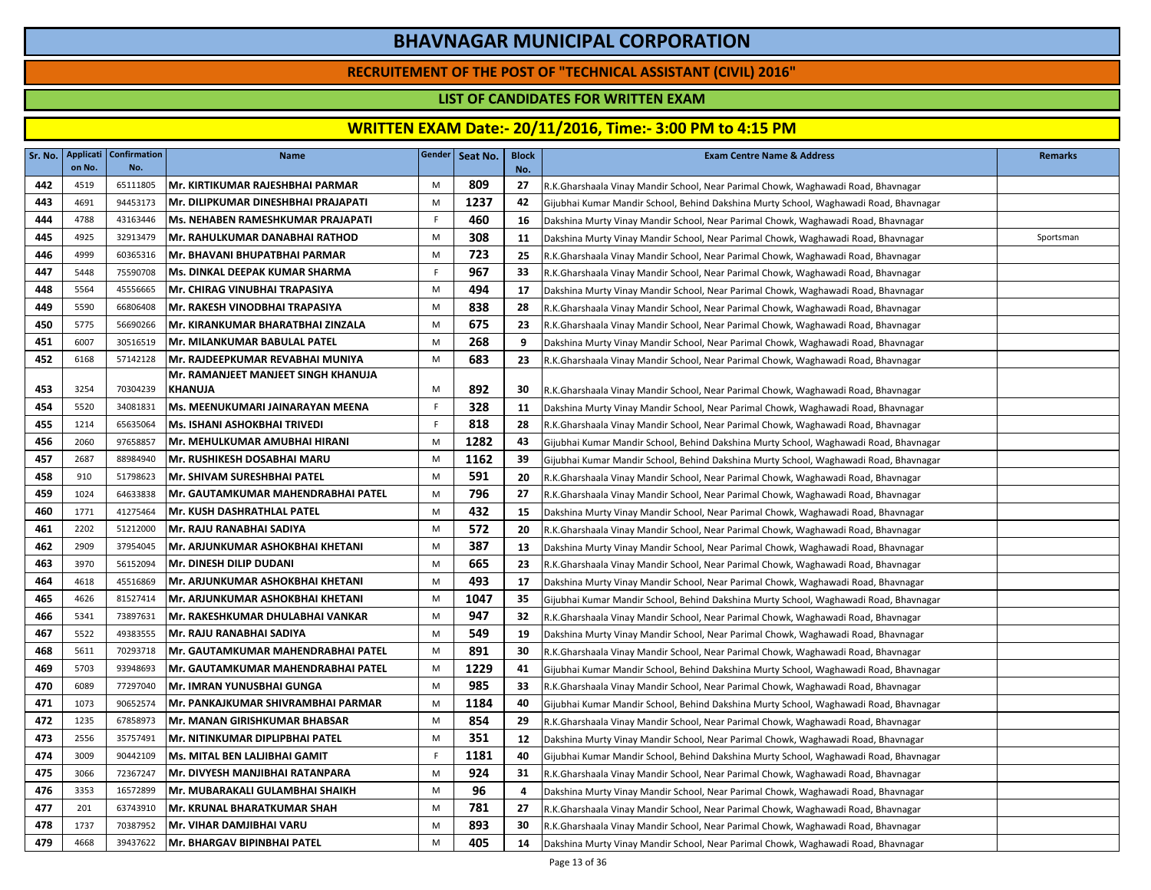### **RECRUITEMENT OF THE POST OF "TECHNICAL ASSISTANT (CIVIL) 2016"**

### **LIST OF CANDIDATES FOR WRITTEN EXAM**

| Sr. No. | Applicati<br>on No. | <b>Confirmation</b><br>No. | Name                                |    | Gender Seat No. | <b>Block</b><br>No. | <b>Exam Centre Name &amp; Address</b>                                                 | <b>Remarks</b> |
|---------|---------------------|----------------------------|-------------------------------------|----|-----------------|---------------------|---------------------------------------------------------------------------------------|----------------|
| 442     | 4519                | 65111805                   | Mr. KIRTIKUMAR RAJESHBHAI PARMAR    | M  | 809             | 27                  | R.K.Gharshaala Vinay Mandir School, Near Parimal Chowk, Waghawadi Road, Bhavnagar     |                |
| 443     | 4691                | 94453173                   | Mr. DILIPKUMAR DINESHBHAI PRAJAPATI | M  | 1237            | 42                  | Gijubhai Kumar Mandir School, Behind Dakshina Murty School, Waghawadi Road, Bhavnagar |                |
| 444     | 4788                | 43163446                   | Ms. NEHABEN RAMESHKUMAR PRAJAPATI   | -F | 460             | 16                  | Dakshina Murty Vinay Mandir School, Near Parimal Chowk, Waghawadi Road, Bhavnagar     |                |
| 445     | 4925                | 32913479                   | Mr. RAHULKUMAR DANABHAI RATHOD      | M  | 308             | 11                  | Dakshina Murty Vinay Mandir School, Near Parimal Chowk, Waghawadi Road, Bhavnagar     | Sportsman      |
| 446     | 4999                | 60365316                   | Mr. BHAVANI BHUPATBHAI PARMAR       | M  | 723             | 25                  | R.K.Gharshaala Vinay Mandir School, Near Parimal Chowk, Waghawadi Road, Bhavnagar     |                |
| 447     | 5448                | 75590708                   | Ms. DINKAL DEEPAK KUMAR SHARMA      | F. | 967             | 33                  | R.K.Gharshaala Vinay Mandir School, Near Parimal Chowk, Waghawadi Road, Bhavnagar     |                |
| 448     | 5564                | 45556665                   | Mr. CHIRAG VINUBHAI TRAPASIYA       | M  | 494             | 17                  | Dakshina Murty Vinay Mandir School, Near Parimal Chowk, Waghawadi Road, Bhavnagar     |                |
| 449     | 5590                | 66806408                   | Mr. RAKESH VINODBHAI TRAPASIYA      | M  | 838             | 28                  | R.K.Gharshaala Vinay Mandir School, Near Parimal Chowk, Waghawadi Road, Bhavnagar     |                |
| 450     | 5775                | 56690266                   | Mr. KIRANKUMAR BHARATBHAI ZINZALA   | M  | 675             | 23                  | R.K.Gharshaala Vinay Mandir School, Near Parimal Chowk, Waghawadi Road, Bhavnagar     |                |
| 451     | 6007                | 30516519                   | Mr. MILANKUMAR BABULAL PATEL        | M  | 268             | 9                   | Dakshina Murty Vinay Mandir School, Near Parimal Chowk, Waghawadi Road, Bhavnagar     |                |
| 452     | 6168                | 57142128                   | Mr. RAJDEEPKUMAR REVABHAI MUNIYA    | M  | 683             | 23                  | R.K.Gharshaala Vinay Mandir School, Near Parimal Chowk, Waghawadi Road, Bhavnagar     |                |
|         |                     |                            | Mr. RAMANJEET MANJEET SINGH KHANUJA |    |                 |                     |                                                                                       |                |
| 453     | 3254                | 70304239                   | <b>KHANUJA</b>                      | M  | 892             | 30                  | R.K.Gharshaala Vinay Mandir School, Near Parimal Chowk, Waghawadi Road, Bhavnagar     |                |
| 454     | 5520                | 34081831                   | Ms. MEENUKUMARI JAINARAYAN MEENA    | F  | 328             | 11                  | Dakshina Murty Vinay Mandir School, Near Parimal Chowk, Waghawadi Road, Bhavnagar     |                |
| 455     | 1214                | 65635064                   | <b>Ms. ISHANI ASHOKBHAI TRIVEDI</b> | F. | 818             | 28                  | R.K.Gharshaala Vinay Mandir School, Near Parimal Chowk, Waghawadi Road, Bhavnagar     |                |
| 456     | 2060                | 97658857                   | Mr. MEHULKUMAR AMUBHAI HIRANI       | M  | 1282            | 43                  | Gijubhai Kumar Mandir School, Behind Dakshina Murty School, Waghawadi Road, Bhavnagar |                |
| 457     | 2687                | 88984940                   | Mr. RUSHIKESH DOSABHAI MARU         | M  | 1162            | 39                  | Gijubhai Kumar Mandir School, Behind Dakshina Murty School, Waghawadi Road, Bhavnagar |                |
| 458     | 910                 | 51798623                   | Mr. SHIVAM SURESHBHAI PATEL         | M  | 591             | 20                  | R.K.Gharshaala Vinay Mandir School, Near Parimal Chowk, Waghawadi Road, Bhavnagar     |                |
| 459     | 1024                | 64633838                   | Mr. GAUTAMKUMAR MAHENDRABHAI PATEL  | M  | 796             | 27                  | R.K.Gharshaala Vinay Mandir School, Near Parimal Chowk, Waghawadi Road, Bhavnagar     |                |
| 460     | 1771                | 41275464                   | Mr. KUSH DASHRATHLAL PATEL          | M  | 432             | 15                  | Dakshina Murty Vinay Mandir School, Near Parimal Chowk, Waghawadi Road, Bhavnagar     |                |
| 461     | 2202                | 51212000                   | Mr. RAJU RANABHAI SADIYA            | M  | 572             | 20                  | R.K.Gharshaala Vinay Mandir School, Near Parimal Chowk, Waghawadi Road, Bhavnagar     |                |
| 462     | 2909                | 37954045                   | Mr. ARJUNKUMAR ASHOKBHAI KHETANI    | M  | 387             | 13                  | Dakshina Murty Vinay Mandir School, Near Parimal Chowk, Waghawadi Road, Bhavnagar     |                |
| 463     | 3970                | 56152094                   | <b>Mr. DINESH DILIP DUDANI</b>      | M  | 665             | 23                  | R.K.Gharshaala Vinay Mandir School, Near Parimal Chowk, Waghawadi Road, Bhavnagar     |                |
| 464     | 4618                | 45516869                   | Mr. ARJUNKUMAR ASHOKBHAI KHETANI    | M  | 493             | 17                  | Dakshina Murty Vinay Mandir School, Near Parimal Chowk, Waghawadi Road, Bhavnagar     |                |
| 465     | 4626                | 81527414                   | Mr. ARJUNKUMAR ASHOKBHAI KHETANI    | M  | 1047            | 35                  | Gijubhai Kumar Mandir School, Behind Dakshina Murty School, Waghawadi Road, Bhavnagar |                |
| 466     | 5341                | 73897631                   | Mr. RAKESHKUMAR DHULABHAI VANKAR    | M  | 947             | 32                  | R.K.Gharshaala Vinay Mandir School, Near Parimal Chowk, Waghawadi Road, Bhavnagar     |                |
| 467     | 5522                | 49383555                   | Mr. RAJU RANABHAI SADIYA            | M  | 549             | 19                  | Dakshina Murty Vinay Mandir School, Near Parimal Chowk, Waghawadi Road, Bhavnagar     |                |
| 468     | 5611                | 70293718                   | Mr. GAUTAMKUMAR MAHENDRABHAI PATEL  | M  | 891             | 30                  | R.K.Gharshaala Vinay Mandir School, Near Parimal Chowk, Waghawadi Road, Bhavnagar     |                |
| 469     | 5703                | 93948693                   | Mr. GAUTAMKUMAR MAHENDRABHAI PATEL  | M  | 1229            | 41                  | Gijubhai Kumar Mandir School, Behind Dakshina Murty School, Waghawadi Road, Bhavnagar |                |
| 470     | 6089                | 77297040                   | Mr. IMRAN YUNUSBHAI GUNGA           | M  | 985             | 33                  | R.K.Gharshaala Vinay Mandir School, Near Parimal Chowk, Waghawadi Road, Bhavnagar     |                |
| 471     | 1073                | 90652574                   | Mr. PANKAJKUMAR SHIVRAMBHAI PARMAR  | M  | 1184            | 40                  | Gijubhai Kumar Mandir School, Behind Dakshina Murty School, Waghawadi Road, Bhavnagar |                |
| 472     | 1235                | 67858973                   | Mr. MANAN GIRISHKUMAR BHABSAR       | M  | 854             | 29                  | R.K.Gharshaala Vinay Mandir School, Near Parimal Chowk, Waghawadi Road, Bhavnagar     |                |
| 473     | 2556                | 35757491                   | Mr. NITINKUMAR DIPLIPBHAI PATEL     | M  | 351             | 12                  | Dakshina Murty Vinay Mandir School, Near Parimal Chowk, Waghawadi Road, Bhavnagar     |                |
| 474     | 3009                | 90442109                   | Ms. MITAL BEN LALJIBHAI GAMIT       | F. | 1181            | 40                  | Gijubhai Kumar Mandir School, Behind Dakshina Murty School, Waghawadi Road, Bhavnagar |                |
| 475     | 3066                | 72367247                   | Mr. DIVYESH MANJIBHAI RATANPARA     | M  | 924             | 31                  | R.K.Gharshaala Vinay Mandir School, Near Parimal Chowk, Waghawadi Road, Bhavnagar     |                |
| 476     | 3353                | 16572899                   | Mr. MUBARAKALI GULAMBHAI SHAIKH     | M  | 96              | 4                   | Dakshina Murty Vinay Mandir School, Near Parimal Chowk, Waghawadi Road, Bhavnagar     |                |
| 477     | 201                 | 63743910                   | Mr. KRUNAL BHARATKUMAR SHAH         | M  | 781             | 27                  | R.K.Gharshaala Vinay Mandir School, Near Parimal Chowk, Waghawadi Road, Bhavnagar     |                |
| 478     | 1737                | 70387952                   | Mr. VIHAR DAMJIBHAI VARU            | M  | 893             | 30                  | R.K.Gharshaala Vinay Mandir School, Near Parimal Chowk, Waghawadi Road, Bhavnagar     |                |
| 479     | 4668                | 39437622                   | Mr. BHARGAV BIPINBHAI PATEL         | M  | 405             | 14                  | Dakshina Murty Vinay Mandir School, Near Parimal Chowk, Waghawadi Road, Bhavnagar     |                |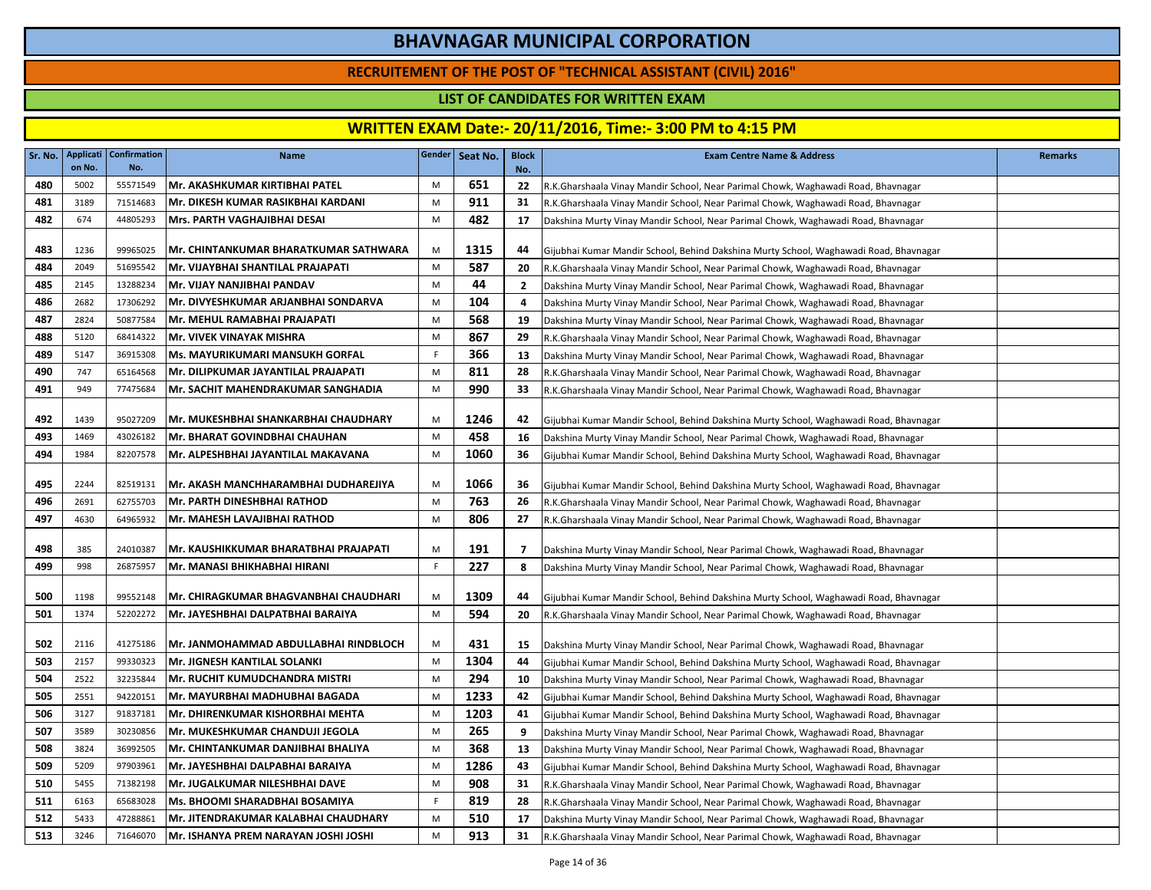### **RECRUITEMENT OF THE POST OF "TECHNICAL ASSISTANT (CIVIL) 2016"**

### **LIST OF CANDIDATES FOR WRITTEN EXAM**

| Sr. No. | on No. | Applicati   Confirmation<br>No. | <b>Name</b>                            |    | Gender Seat No. | <b>Block</b><br>No. | <b>Exam Centre Name &amp; Address</b>                                                 | <b>Remarks</b> |
|---------|--------|---------------------------------|----------------------------------------|----|-----------------|---------------------|---------------------------------------------------------------------------------------|----------------|
| 480     | 5002   | 55571549                        | Mr. AKASHKUMAR KIRTIBHAI PATEL         | M  | 651             | 22                  | R.K.Gharshaala Vinay Mandir School, Near Parimal Chowk, Waghawadi Road, Bhavnagar     |                |
| 481     | 3189   | 71514683                        | Mr. DIKESH KUMAR RASIKBHAI KARDANI     | M  | 911             | 31                  | R.K.Gharshaala Vinay Mandir School, Near Parimal Chowk, Waghawadi Road, Bhavnagar     |                |
| 482     | 674    | 44805293                        | Mrs. PARTH VAGHAJIBHAI DESAI           | M  | 482             | 17                  | Dakshina Murty Vinay Mandir School, Near Parimal Chowk, Waghawadi Road, Bhavnagar     |                |
|         |        |                                 |                                        |    |                 |                     |                                                                                       |                |
| 483     | 1236   | 99965025                        | Mr. CHINTANKUMAR BHARATKUMAR SATHWARA  | M  | 1315            | 44                  | Gijubhai Kumar Mandir School, Behind Dakshina Murty School, Waghawadi Road, Bhavnagar |                |
| 484     | 2049   | 51695542                        | Mr. VIJAYBHAI SHANTILAL PRAJAPATI      | M  | 587             | 20                  | R.K.Gharshaala Vinay Mandir School, Near Parimal Chowk, Waghawadi Road, Bhavnagar     |                |
| 485     | 2145   | 13288234                        | Mr. VIJAY NANJIBHAI PANDAV             | M  | 44              | $\overline{2}$      | Dakshina Murty Vinay Mandir School, Near Parimal Chowk, Waghawadi Road, Bhavnagar     |                |
| 486     | 2682   | 17306292                        | Mr. DIVYESHKUMAR ARJANBHAI SONDARVA    | M  | 104             | 4                   | Dakshina Murty Vinay Mandir School, Near Parimal Chowk, Waghawadi Road, Bhavnagar     |                |
| 487     | 2824   | 50877584                        | Mr. MEHUL RAMABHAI PRAJAPATI           | M  | 568             | 19                  | Dakshina Murty Vinay Mandir School, Near Parimal Chowk, Waghawadi Road, Bhavnagar     |                |
| 488     | 5120   | 68414322                        | Mr. VIVEK VINAYAK MISHRA               | M  | 867             | 29                  | R.K.Gharshaala Vinay Mandir School, Near Parimal Chowk, Waghawadi Road, Bhavnagar     |                |
| 489     | 5147   | 36915308                        | <b>Ms. MAYURIKUMARI MANSUKH GORFAL</b> | F  | 366             | 13                  | Dakshina Murty Vinay Mandir School, Near Parimal Chowk, Waghawadi Road, Bhavnagar     |                |
| 490     | 747    | 65164568                        | Mr. DILIPKUMAR JAYANTILAL PRAJAPATI    | M  | 811             | 28                  | R.K.Gharshaala Vinay Mandir School, Near Parimal Chowk, Waghawadi Road, Bhavnagar     |                |
| 491     | 949    | 77475684                        | IMr. SACHIT MAHENDRAKUMAR SANGHADIA    | M  | 990             | 33                  | R.K.Gharshaala Vinay Mandir School, Near Parimal Chowk, Waghawadi Road, Bhavnagar     |                |
| 492     | 1439   | 95027209                        | Mr. MUKESHBHAI SHANKARBHAI CHAUDHARY   | M  | 1246            | 42                  | Gijubhai Kumar Mandir School, Behind Dakshina Murty School, Waghawadi Road, Bhavnagar |                |
| 493     | 1469   | 43026182                        | Mr. BHARAT GOVINDBHAI CHAUHAN          | M  | 458             | 16                  | Dakshina Murty Vinay Mandir School, Near Parimal Chowk, Waghawadi Road, Bhavnagar     |                |
| 494     | 1984   | 82207578                        | Mr. ALPESHBHAI JAYANTILAL MAKAVANA     | M  | 1060            | 36                  | Gijubhai Kumar Mandir School, Behind Dakshina Murty School, Waghawadi Road, Bhavnagar |                |
| 495     | 2244   | 82519131                        | Mr. AKASH MANCHHARAMBHAI DUDHAREJIYA   | M  | 1066            | 36                  | Gijubhai Kumar Mandir School, Behind Dakshina Murty School, Waghawadi Road, Bhavnagar |                |
| 496     | 2691   | 62755703                        | Mr. PARTH DINESHBHAI RATHOD            | M  | 763             | 26                  | R.K.Gharshaala Vinay Mandir School, Near Parimal Chowk, Waghawadi Road, Bhavnagar     |                |
| 497     | 4630   | 64965932                        | Mr. MAHESH LAVAJIBHAI RATHOD           | M  | 806             | 27                  | R.K.Gharshaala Vinay Mandir School, Near Parimal Chowk, Waghawadi Road, Bhavnagar     |                |
| 498     | 385    | 24010387                        | Mr. KAUSHIKKUMAR BHARATBHAI PRAJAPATI  | M  | 191             | $\overline{7}$      | Dakshina Murty Vinay Mandir School, Near Parimal Chowk, Waghawadi Road, Bhavnagar     |                |
| 499     | 998    | 26875957                        | Mr. MANASI BHIKHABHAI HIRANI           | F  | 227             | 8                   | Dakshina Murty Vinay Mandir School, Near Parimal Chowk, Waghawadi Road, Bhavnagar     |                |
| 500     | 1198   | 99552148                        | Mr. CHIRAGKUMAR BHAGVANBHAI CHAUDHARI  | M  | 1309            | 44                  | Gijubhai Kumar Mandir School, Behind Dakshina Murty School, Waghawadi Road, Bhavnagar |                |
| 501     | 1374   | 52202272                        | Mr. JAYESHBHAI DALPATBHAI BARAIYA      | M  | 594             | 20                  | R.K.Gharshaala Vinay Mandir School, Near Parimal Chowk, Waghawadi Road, Bhavnagar     |                |
| 502     | 2116   | 41275186                        | Mr. JANMOHAMMAD ABDULLABHAI RINDBLOCH  | M  | 431             | 15                  | Dakshina Murty Vinay Mandir School, Near Parimal Chowk, Waghawadi Road, Bhavnagar     |                |
| 503     | 2157   | 99330323                        | Mr. JIGNESH KANTILAL SOLANKI           | M  | 1304            | 44                  | Gijubhai Kumar Mandir School, Behind Dakshina Murty School, Waghawadi Road, Bhavnagar |                |
| 504     | 2522   | 32235844                        | <b>Mr. RUCHIT KUMUDCHANDRA MISTRI</b>  | M  | 294             | 10                  | Dakshina Murty Vinay Mandir School, Near Parimal Chowk, Waghawadi Road, Bhavnagar     |                |
| 505     | 2551   | 94220151                        | Mr. MAYURBHAI MADHUBHAI BAGADA         | M  | 1233            | 42                  | Gijubhai Kumar Mandir School, Behind Dakshina Murty School, Waghawadi Road, Bhavnagar |                |
| 506     | 3127   | 91837181                        | Mr. DHIRENKUMAR KISHORBHAI MEHTA       | M  | 1203            | 41                  | Gijubhai Kumar Mandir School, Behind Dakshina Murty School, Waghawadi Road, Bhavnagar |                |
| 507     | 3589   | 30230856                        | Mr. MUKESHKUMAR CHANDUJI JEGOLA        | M  | 265             | 9                   | Dakshina Murty Vinay Mandir School, Near Parimal Chowk, Waghawadi Road, Bhavnagar     |                |
| 508     | 3824   | 36992505                        | Mr. CHINTANKUMAR DANJIBHAI BHALIYA     | M  | 368             | 13                  | Dakshina Murty Vinay Mandir School, Near Parimal Chowk, Waghawadi Road, Bhavnagar     |                |
| 509     | 5209   | 97903961                        | Mr. JAYESHBHAI DALPABHAI BARAIYA       | M  | 1286            | 43                  | Gijubhai Kumar Mandir School, Behind Dakshina Murty School, Waghawadi Road, Bhavnagar |                |
| 510     | 5455   | 71382198                        | Mr. JUGALKUMAR NILESHBHAI DAVE         | M  | 908             | 31                  | R.K.Gharshaala Vinay Mandir School, Near Parimal Chowk, Waghawadi Road, Bhavnagar     |                |
| 511     | 6163   | 65683028                        | IMs. BHOOMI SHARADBHAI BOSAMIYA        | F. | 819             | 28                  | R.K.Gharshaala Vinay Mandir School, Near Parimal Chowk, Waghawadi Road, Bhavnagar     |                |
| 512     | 5433   | 47288861                        | Mr. JITENDRAKUMAR KALABHAI CHAUDHARY   | M  | 510             | 17                  | Dakshina Murty Vinay Mandir School, Near Parimal Chowk, Waghawadi Road, Bhavnagar     |                |
| 513     | 3246   | 71646070                        | Mr. ISHANYA PREM NARAYAN JOSHI JOSHI   | M  | 913             | 31                  | R.K.Gharshaala Vinay Mandir School, Near Parimal Chowk, Waghawadi Road, Bhavnagar     |                |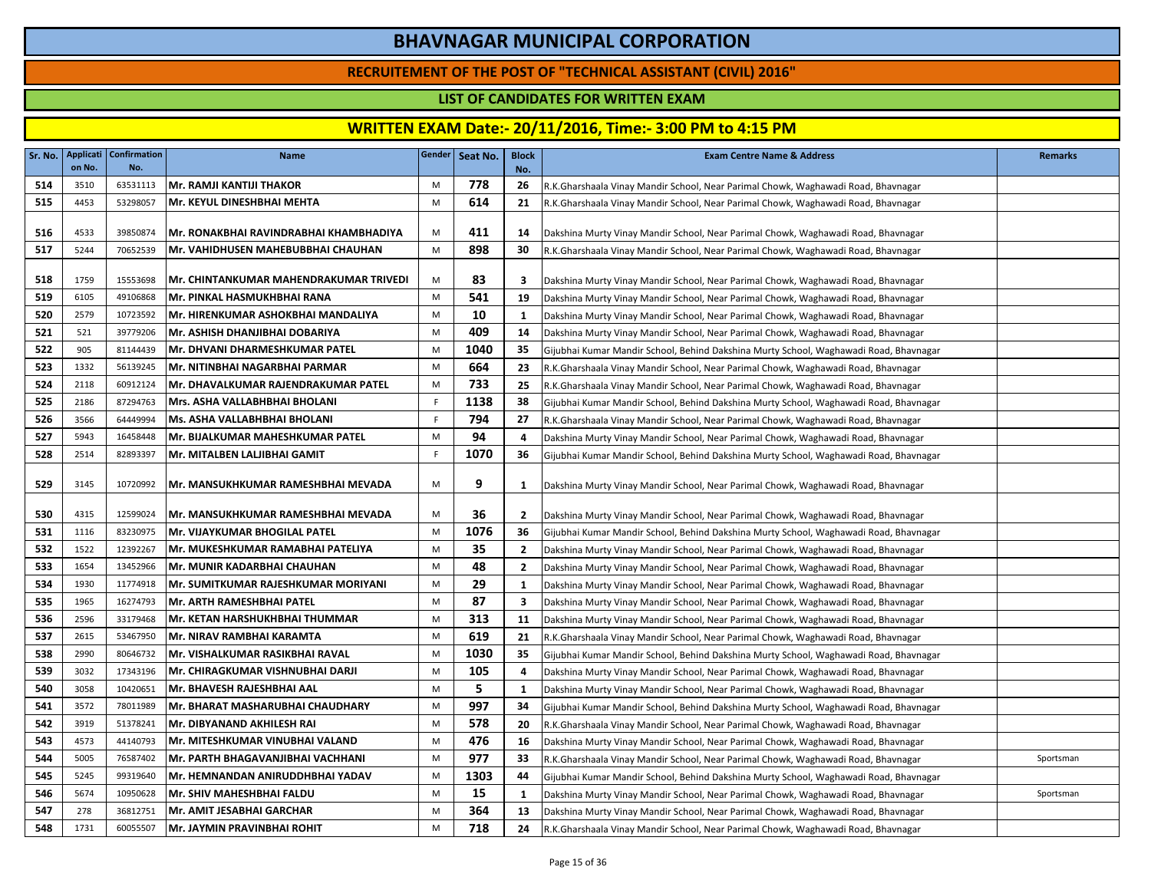### **RECRUITEMENT OF THE POST OF "TECHNICAL ASSISTANT (CIVIL) 2016"**

#### **LIST OF CANDIDATES FOR WRITTEN EXAM**

|     | on No. | Sr. No.   Applicati   Confirmation  <br>No. | <b>Name</b>                                   |             | Gender Seat No. | <b>Block</b><br>No.     | <b>Exam Centre Name &amp; Address</b>                                                 | <b>Remarks</b> |
|-----|--------|---------------------------------------------|-----------------------------------------------|-------------|-----------------|-------------------------|---------------------------------------------------------------------------------------|----------------|
| 514 | 3510   | 63531113                                    | Mr. RAMJI KANTIJI THAKOR                      | M           | 778             | 26                      | R.K.Gharshaala Vinay Mandir School, Near Parimal Chowk, Waghawadi Road, Bhavnagar     |                |
| 515 | 4453   | 53298057                                    | Mr. KEYUL DINESHBHAI MEHTA                    | M           | 614             | 21                      | R.K.Gharshaala Vinay Mandir School, Near Parimal Chowk, Waghawadi Road, Bhavnagar     |                |
| 516 | 4533   | 39850874                                    | Mr. RONAKBHAI RAVINDRABHAI KHAMBHADIYA        | M           | 411             | 14                      | Dakshina Murty Vinay Mandir School, Near Parimal Chowk, Waghawadi Road, Bhavnagar     |                |
| 517 | 5244   | 70652539                                    | Mr. VAHIDHUSEN MAHEBUBBHAI CHAUHAN            | M           | 898             | 30                      | R.K.Gharshaala Vinay Mandir School, Near Parimal Chowk, Waghawadi Road, Bhavnagar     |                |
| 518 | 1759   | 15553698                                    | <b>Mr. CHINTANKUMAR MAHENDRAKUMAR TRIVEDI</b> | M           | 83              | $\overline{\mathbf{3}}$ | Dakshina Murty Vinay Mandir School, Near Parimal Chowk, Waghawadi Road, Bhavnagar     |                |
| 519 | 6105   | 49106868                                    | Mr. PINKAL HASMUKHBHAI RANA                   | M           | 541             | 19                      | Dakshina Murty Vinay Mandir School, Near Parimal Chowk, Waghawadi Road, Bhavnagar     |                |
| 520 | 2579   | 10723592                                    | Mr. HIRENKUMAR ASHOKBHAI MANDALIYA            | M           | 10              | 1                       | Dakshina Murty Vinay Mandir School, Near Parimal Chowk, Waghawadi Road, Bhavnagar     |                |
| 521 | 521    | 39779206                                    | Mr. ASHISH DHANJIBHAI DOBARIYA                | M           | 409             | 14                      | Dakshina Murty Vinay Mandir School, Near Parimal Chowk, Waghawadi Road, Bhavnagar     |                |
| 522 | 905    | 81144439                                    | Mr. DHVANI DHARMESHKUMAR PATEL                | M           | 1040            | 35                      | Gijubhai Kumar Mandir School, Behind Dakshina Murty School, Waghawadi Road, Bhavnagar |                |
| 523 | 1332   | 56139245                                    | İMr. NITINBHAI NAGARBHAI PARMAR               | M           | 664             | 23                      | R.K.Gharshaala Vinay Mandir School, Near Parimal Chowk, Waghawadi Road, Bhavnagar     |                |
| 524 | 2118   | 60912124                                    | Mr. DHAVALKUMAR RAJENDRAKUMAR PATEL           | M           | 733             | 25                      | R.K.Gharshaala Vinay Mandir School, Near Parimal Chowk, Waghawadi Road, Bhavnagar     |                |
| 525 | 2186   | 87294763                                    | Mrs. ASHA VALLABHBHAI BHOLANI                 | F.          | 1138            | 38                      | Gijubhai Kumar Mandir School, Behind Dakshina Murty School, Waghawadi Road, Bhavnagar |                |
| 526 | 3566   | 64449994                                    | Ms. ASHA VALLABHBHAI BHOLANI                  | $\mathsf F$ | 794             | 27                      | R.K.Gharshaala Vinay Mandir School, Near Parimal Chowk, Waghawadi Road, Bhavnagar     |                |
| 527 | 5943   | 16458448                                    | Mr. BIJALKUMAR MAHESHKUMAR PATEL              | M           | 94              | 4                       | Dakshina Murty Vinay Mandir School, Near Parimal Chowk, Waghawadi Road, Bhavnagar     |                |
| 528 | 2514   | 82893397                                    | İMr. MITALBEN LALJIBHAI GAMIT                 | F.          | 1070            | 36                      | Gijubhai Kumar Mandir School, Behind Dakshina Murty School, Waghawadi Road, Bhavnagar |                |
| 529 | 3145   | 10720992                                    | Mr. MANSUKHKUMAR RAMESHBHAI MEVADA            | M           | 9               | <b>1</b>                | Dakshina Murty Vinay Mandir School, Near Parimal Chowk, Waghawadi Road, Bhavnagar     |                |
| 530 | 4315   | 12599024                                    | Mr. MANSUKHKUMAR RAMESHBHAI MEVADA            | M           | 36              | $\overline{2}$          | Dakshina Murty Vinay Mandir School, Near Parimal Chowk, Waghawadi Road, Bhavnagar     |                |
| 531 | 1116   | 83230975                                    | <b>Mr. VIJAYKUMAR BHOGILAL PATEL</b>          | M           | 1076            | 36                      | Gijubhai Kumar Mandir School, Behind Dakshina Murty School, Waghawadi Road, Bhavnagar |                |
| 532 | 1522   | 12392267                                    | Mr. MUKESHKUMAR RAMABHAI PATELIYA             | М           | 35              | $\overline{2}$          | Dakshina Murty Vinay Mandir School, Near Parimal Chowk, Waghawadi Road, Bhavnagar     |                |
| 533 | 1654   | 13452966                                    | Mr. MUNIR KADARBHAI CHAUHAN                   | M           | 48              | $\overline{2}$          | Dakshina Murty Vinay Mandir School, Near Parimal Chowk, Waghawadi Road, Bhavnagar     |                |
| 534 | 1930   | 11774918                                    | Mr. SUMITKUMAR RAJESHKUMAR MORIYANI           | М           | 29              | <b>1</b>                | Dakshina Murty Vinay Mandir School, Near Parimal Chowk, Waghawadi Road, Bhavnagar     |                |
| 535 | 1965   | 16274793                                    | Mr. ARTH RAMESHBHAI PATEL                     | M           | 87              | $\overline{\mathbf{3}}$ | Dakshina Murty Vinay Mandir School, Near Parimal Chowk, Waghawadi Road, Bhavnagar     |                |
| 536 | 2596   | 33179468                                    | <b>Mr. KETAN HARSHUKHBHAI THUMMAR</b>         | M           | 313             | 11                      | Dakshina Murty Vinay Mandir School, Near Parimal Chowk, Waghawadi Road, Bhavnagar     |                |
| 537 | 2615   | 53467950                                    | Mr. NIRAV RAMBHAI KARAMTA                     | M           | 619             | 21                      | R.K.Gharshaala Vinay Mandir School, Near Parimal Chowk, Waghawadi Road, Bhavnagar     |                |
| 538 | 2990   | 80646732                                    | İMr. VISHALKUMAR RASIKBHAI RAVAL              | M           | 1030            | 35                      | Gijubhai Kumar Mandir School, Behind Dakshina Murty School, Waghawadi Road, Bhavnagar |                |
| 539 | 3032   | 17343196                                    | Mr. CHIRAGKUMAR VISHNUBHAI DARJI              | M           | 105             | $\overline{a}$          | Dakshina Murty Vinay Mandir School, Near Parimal Chowk, Waghawadi Road, Bhavnagar     |                |
| 540 | 3058   | 10420651                                    | Mr. BHAVESH RAJESHBHAI AAL                    | M           | 5               | -1                      | Dakshina Murty Vinay Mandir School, Near Parimal Chowk, Waghawadi Road, Bhavnagar     |                |
| 541 | 3572   | 78011989                                    | Mr. BHARAT MASHARUBHAI CHAUDHARY              | M           | 997             | 34                      | Gijubhai Kumar Mandir School, Behind Dakshina Murty School, Waghawadi Road, Bhavnagar |                |
| 542 | 3919   | 51378241                                    | Mr. DIBYANAND AKHILESH RAI                    | M           | 578             | 20                      | R.K.Gharshaala Vinay Mandir School, Near Parimal Chowk, Waghawadi Road, Bhavnagar     |                |
| 543 | 4573   | 44140793                                    | Mr. MITESHKUMAR VINUBHAI VALAND               | M           | 476             | 16                      | Dakshina Murty Vinay Mandir School, Near Parimal Chowk, Waghawadi Road, Bhavnagar     |                |
| 544 | 5005   | 76587402                                    | Mr. PARTH BHAGAVANJIBHAI VACHHANI             | M           | 977             | 33                      | R.K.Gharshaala Vinay Mandir School, Near Parimal Chowk, Waghawadi Road, Bhavnagar     | Sportsman      |
| 545 | 5245   | 99319640                                    | Mr. HEMNANDAN ANIRUDDHBHAI YADAV              | M           | 1303            | 44                      | Gijubhai Kumar Mandir School, Behind Dakshina Murty School, Waghawadi Road, Bhavnagar |                |
| 546 | 5674   | 10950628                                    | Mr. SHIV MAHESHBHAI FALDU                     | M           | 15              | -1                      | Dakshina Murty Vinay Mandir School, Near Parimal Chowk, Waghawadi Road, Bhavnagar     | Sportsman      |
| 547 | 278    | 36812751                                    | Mr. AMIT JESABHAI GARCHAR                     | M           | 364             | 13                      | Dakshina Murty Vinay Mandir School, Near Parimal Chowk, Waghawadi Road, Bhavnagar     |                |
| 548 | 1731   | 60055507                                    | <b>Mr. JAYMIN PRAVINBHAI ROHIT</b>            | M           | 718             | 24                      | R.K.Gharshaala Vinay Mandir School, Near Parimal Chowk, Waghawadi Road, Bhavnagar     |                |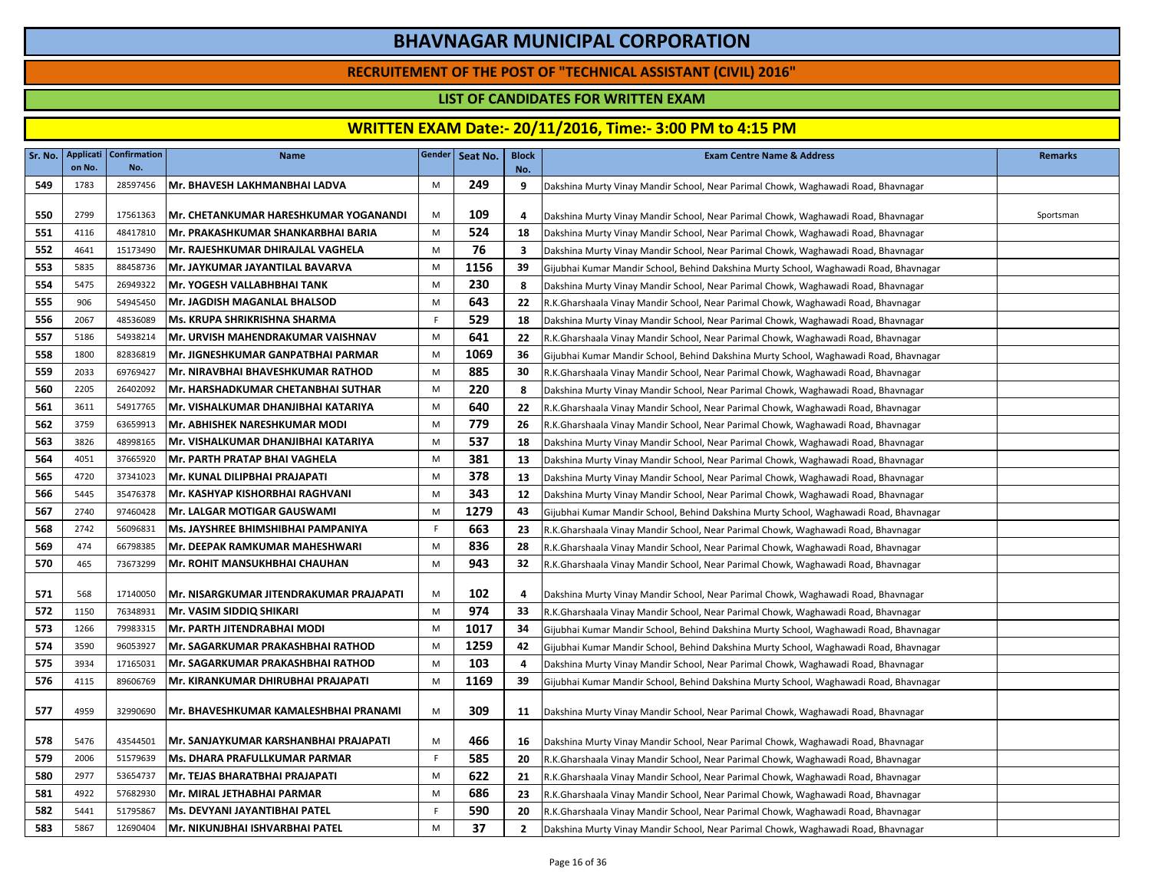### **RECRUITEMENT OF THE POST OF "TECHNICAL ASSISTANT (CIVIL) 2016"**

### **LIST OF CANDIDATES FOR WRITTEN EXAM**

| Sr. No. | on No. | <b>Applicati Confirmation</b><br>No. | <b>Name</b>                             |    | Gender Seat No. | <b>Block</b><br>No. | <b>Exam Centre Name &amp; Address</b>                                                 | <b>Remarks</b> |
|---------|--------|--------------------------------------|-----------------------------------------|----|-----------------|---------------------|---------------------------------------------------------------------------------------|----------------|
| 549     | 1783   | 28597456                             | Mr. BHAVESH LAKHMANBHAI LADVA           | M  | 249             | 9                   | Dakshina Murty Vinay Mandir School, Near Parimal Chowk, Waghawadi Road, Bhavnagar     |                |
| 550     | 2799   | 17561363                             | Mr. CHETANKUMAR HARESHKUMAR YOGANANDI   | M  | 109             | 4                   | Dakshina Murty Vinay Mandir School, Near Parimal Chowk, Waghawadi Road, Bhavnagar     | Sportsman      |
| 551     | 4116   | 48417810                             | Mr. PRAKASHKUMAR SHANKARBHAI BARIA      | M  | 524             | 18                  | Dakshina Murty Vinay Mandir School, Near Parimal Chowk, Waghawadi Road, Bhavnagar     |                |
| 552     | 4641   | 15173490                             | Mr. RAJESHKUMAR DHIRAJLAL VAGHELA       | M  | 76              | 3                   | Dakshina Murty Vinay Mandir School, Near Parimal Chowk, Waghawadi Road, Bhavnagar     |                |
| 553     | 5835   | 88458736                             | Mr. JAYKUMAR JAYANTILAL BAVARVA         | M  | 1156            | 39                  | Gijubhai Kumar Mandir School, Behind Dakshina Murty School, Waghawadi Road, Bhavnagar |                |
| 554     | 5475   | 26949322                             | Mr. YOGESH VALLABHBHAI TANK             | M  | 230             | 8                   | Dakshina Murty Vinay Mandir School, Near Parimal Chowk, Waghawadi Road, Bhavnagar     |                |
| 555     | 906    | 54945450                             | Mr. JAGDISH MAGANLAL BHALSOD            | M  | 643             | 22                  | R.K.Gharshaala Vinay Mandir School, Near Parimal Chowk, Waghawadi Road, Bhavnagar     |                |
| 556     | 2067   | 48536089                             | Ms. KRUPA SHRIKRISHNA SHARMA            | F. | 529             | 18                  | Dakshina Murty Vinay Mandir School, Near Parimal Chowk, Waghawadi Road, Bhavnagar     |                |
| 557     | 5186   | 54938214                             | Mr. URVISH MAHENDRAKUMAR VAISHNAV       | M  | 641             | 22                  | R.K.Gharshaala Vinay Mandir School, Near Parimal Chowk, Waghawadi Road, Bhavnagar     |                |
| 558     | 1800   | 82836819                             | Mr. JIGNESHKUMAR GANPATBHAI PARMAR      | M  | 1069            | 36                  | Gijubhai Kumar Mandir School, Behind Dakshina Murty School, Waghawadi Road, Bhavnagar |                |
| 559     | 2033   | 69769427                             | Mr. NIRAVBHAI BHAVESHKUMAR RATHOD       | M  | 885             | 30                  | R.K.Gharshaala Vinay Mandir School, Near Parimal Chowk, Waghawadi Road, Bhavnagar     |                |
| 560     | 2205   | 26402092                             | Mr. HARSHADKUMAR CHETANBHAI SUTHAR      | M  | 220             | 8                   | Dakshina Murty Vinay Mandir School, Near Parimal Chowk, Waghawadi Road, Bhavnagar     |                |
| 561     | 3611   | 54917765                             | Mr. VISHALKUMAR DHANJIBHAI KATARIYA     | M  | 640             | 22                  | R.K.Gharshaala Vinay Mandir School, Near Parimal Chowk, Waghawadi Road, Bhavnagar     |                |
| 562     | 3759   | 63659913                             | Mr. ABHISHEK NARESHKUMAR MODI           | M  | 779             | 26                  | R.K.Gharshaala Vinay Mandir School, Near Parimal Chowk, Waghawadi Road, Bhavnagar     |                |
| 563     | 3826   | 48998165                             | Mr. VISHALKUMAR DHANJIBHAI KATARIYA     | M  | 537             | 18                  | Dakshina Murty Vinay Mandir School, Near Parimal Chowk, Waghawadi Road, Bhavnagar     |                |
| 564     | 4051   | 37665920                             | IMr. PARTH PRATAP BHAI VAGHELA          | M  | 381             | 13                  | Dakshina Murty Vinay Mandir School, Near Parimal Chowk, Waghawadi Road, Bhavnagar     |                |
| 565     | 4720   | 37341023                             | Mr. KUNAL DILIPBHAI PRAJAPATI           | M  | 378             | 13                  | Dakshina Murty Vinay Mandir School, Near Parimal Chowk, Waghawadi Road, Bhavnagar     |                |
| 566     | 5445   | 35476378                             | Mr. KASHYAP KISHORBHAI RAGHVANI         | M  | 343             | 12                  | Dakshina Murty Vinay Mandir School, Near Parimal Chowk, Waghawadi Road, Bhavnagar     |                |
| 567     | 2740   | 97460428                             | Mr. LALGAR MOTIGAR GAUSWAMI             | M  | 1279            | 43                  | Gijubhai Kumar Mandir School, Behind Dakshina Murty School, Waghawadi Road, Bhavnagar |                |
| 568     | 2742   | 56096831                             | Ms. JAYSHREE BHIMSHIBHAI PAMPANIYA      | F. | 663             | 23                  | R.K.Gharshaala Vinay Mandir School, Near Parimal Chowk, Waghawadi Road, Bhavnagar     |                |
| 569     | 474    | 66798385                             | Mr. DEEPAK RAMKUMAR MAHESHWARI          | M  | 836             | 28                  | R.K.Gharshaala Vinay Mandir School, Near Parimal Chowk, Waghawadi Road, Bhavnagar     |                |
| 570     | 465    | 73673299                             | <b>Mr. ROHIT MANSUKHBHAI CHAUHAN</b>    | M  | 943             | 32                  | R.K.Gharshaala Vinay Mandir School, Near Parimal Chowk, Waghawadi Road, Bhavnagar     |                |
| 571     | 568    | 17140050                             | Mr. NISARGKUMAR JITENDRAKUMAR PRAJAPATI | M  | 102             | 4                   | Dakshina Murty Vinay Mandir School, Near Parimal Chowk, Waghawadi Road, Bhavnagar     |                |
| 572     | 1150   | 76348931                             | Mr. VASIM SIDDIQ SHIKARI                | M  | 974             | 33                  | R.K.Gharshaala Vinay Mandir School, Near Parimal Chowk, Waghawadi Road, Bhavnagar     |                |
| 573     | 1266   | 79983315                             | Mr. PARTH JITENDRABHAI MODI             | M  | 1017            | 34                  | Gijubhai Kumar Mandir School, Behind Dakshina Murty School, Waghawadi Road, Bhavnagar |                |
| 574     | 3590   | 96053927                             | Mr. SAGARKUMAR PRAKASHBHAI RATHOD       | M  | 1259            | 42                  | Gijubhai Kumar Mandir School, Behind Dakshina Murty School, Waghawadi Road, Bhavnagar |                |
| 575     | 3934   | 17165031                             | Mr. SAGARKUMAR PRAKASHBHAI RATHOD       | M  | 103             | $\overline{a}$      | Dakshina Murty Vinay Mandir School, Near Parimal Chowk, Waghawadi Road, Bhavnagar     |                |
| 576     | 4115   | 89606769                             | Mr. KIRANKUMAR DHIRUBHAI PRAJAPATI      | M  | 1169            | 39                  | Gijubhai Kumar Mandir School, Behind Dakshina Murty School, Waghawadi Road, Bhavnagar |                |
| 577     | 4959   | 32990690                             | Mr. BHAVESHKUMAR KAMALESHBHAI PRANAMI   | M  | 309             | 11                  | Dakshina Murty Vinay Mandir School, Near Parimal Chowk, Waghawadi Road, Bhavnagar     |                |
| 578     | 5476   | 43544501                             | Mr. SANJAYKUMAR KARSHANBHAI PRAJAPATI   | M  | 466             | 16                  | Dakshina Murty Vinay Mandir School, Near Parimal Chowk, Waghawadi Road, Bhavnagar     |                |
| 579     | 2006   | 51579639                             | <b>Ms. DHARA PRAFULLKUMAR PARMAR</b>    | F  | 585             | -20                 | R.K.Gharshaala Vinay Mandir School, Near Parimal Chowk, Waghawadi Road, Bhavnagar     |                |
| 580     | 2977   | 53654737                             | Mr. TEJAS BHARATBHAI PRAJAPATI          | M  | 622             | 21                  | R.K.Gharshaala Vinay Mandir School, Near Parimal Chowk, Waghawadi Road, Bhavnagar     |                |
| 581     | 4922   | 57682930                             | Mr. MIRAL JETHABHAI PARMAR              | M  | 686             | 23                  | R.K.Gharshaala Vinay Mandir School, Near Parimal Chowk, Waghawadi Road, Bhavnagar     |                |
| 582     | 5441   | 51795867                             | Ms. DEVYANI JAYANTIBHAI PATEL           | F. | 590             | 20                  | R.K.Gharshaala Vinay Mandir School, Near Parimal Chowk, Waghawadi Road, Bhavnagar     |                |
| 583     | 5867   | 12690404                             | Mr. NIKUNJBHAI ISHVARBHAI PATEL         | M  | 37              | $\overline{2}$      | Dakshina Murty Vinay Mandir School, Near Parimal Chowk, Waghawadi Road, Bhavnagar     |                |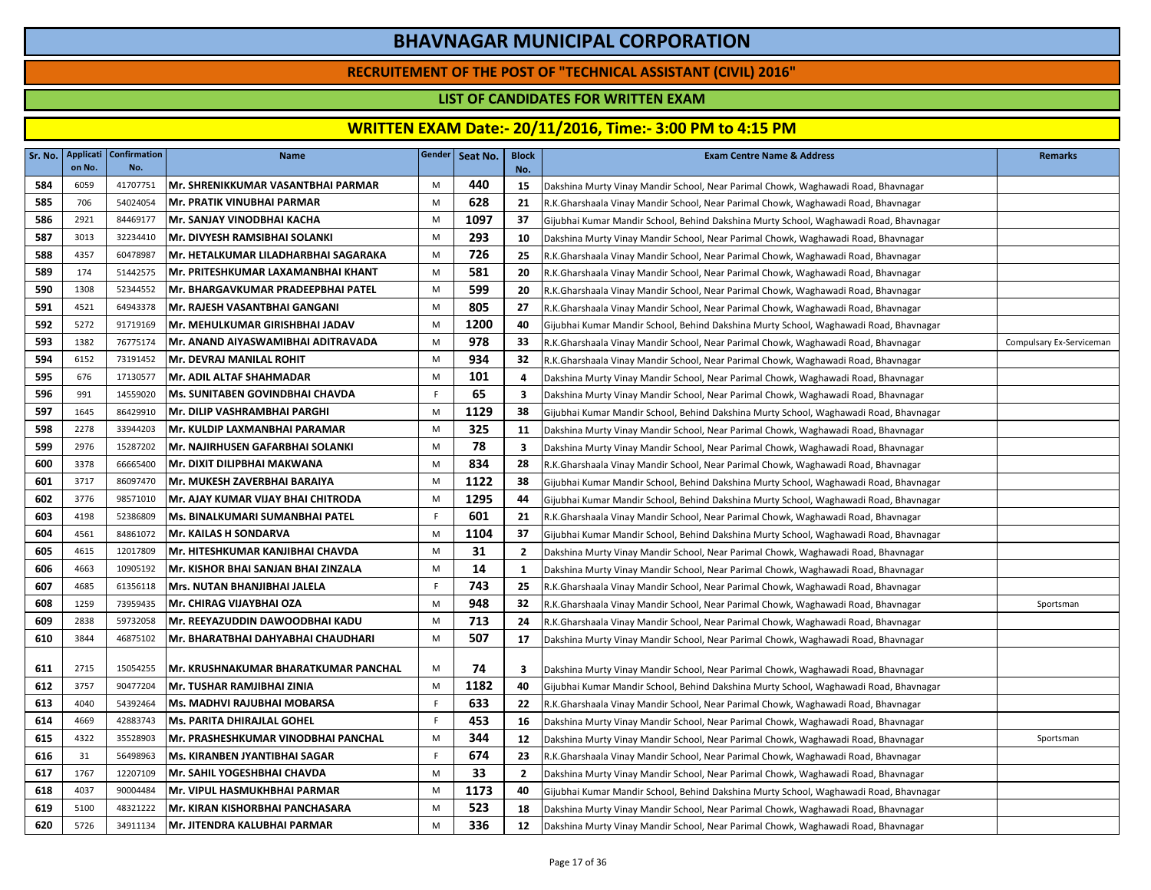### **RECRUITEMENT OF THE POST OF "TECHNICAL ASSISTANT (CIVIL) 2016"**

### **LIST OF CANDIDATES FOR WRITTEN EXAM**

|     | on No. | Sr. No.   Applicati   Confirmation  <br>No. | <b>Name</b>                          |    | Gender   Seat No. | <b>Block</b><br>No. | <b>Exam Centre Name &amp; Address</b>                                                 | <b>Remarks</b>           |
|-----|--------|---------------------------------------------|--------------------------------------|----|-------------------|---------------------|---------------------------------------------------------------------------------------|--------------------------|
| 584 | 6059   | 41707751                                    | Mr. SHRENIKKUMAR VASANTBHAI PARMAR   | M  | 440               | 15                  | Dakshina Murty Vinay Mandir School, Near Parimal Chowk, Waghawadi Road, Bhavnagar     |                          |
| 585 | 706    | 54024054                                    | Mr. PRATIK VINUBHAI PARMAR           | M  | 628               | 21                  | R.K.Gharshaala Vinay Mandir School, Near Parimal Chowk, Waghawadi Road, Bhavnagar     |                          |
| 586 | 2921   | 84469177                                    | Mr. SANJAY VINODBHAI KACHA           | M  | 1097              | 37                  | Gijubhai Kumar Mandir School, Behind Dakshina Murty School, Waghawadi Road, Bhavnagar |                          |
| 587 | 3013   | 32234410                                    | Mr. DIVYESH RAMSIBHAI SOLANKI        | M  | 293               | 10                  | Dakshina Murty Vinay Mandir School, Near Parimal Chowk, Waghawadi Road, Bhavnagar     |                          |
| 588 | 4357   | 60478987                                    | Mr. HETALKUMAR LILADHARBHAI SAGARAKA | M  | 726               | 25                  | R.K.Gharshaala Vinay Mandir School, Near Parimal Chowk, Waghawadi Road, Bhavnagar     |                          |
| 589 | 174    | 51442575                                    | Mr. PRITESHKUMAR LAXAMANBHAI KHANT   | M  | 581               | 20                  | R.K.Gharshaala Vinay Mandir School, Near Parimal Chowk, Waghawadi Road, Bhavnagar     |                          |
| 590 | 1308   | 52344552                                    | Mr. BHARGAVKUMAR PRADEEPBHAI PATEL   | M  | 599               | 20                  | R.K.Gharshaala Vinay Mandir School, Near Parimal Chowk, Waghawadi Road, Bhavnagar     |                          |
| 591 | 4521   | 64943378                                    | Mr. RAJESH VASANTBHAI GANGANI        | M  | 805               | 27                  | R.K.Gharshaala Vinay Mandir School, Near Parimal Chowk, Waghawadi Road, Bhavnagar     |                          |
| 592 | 5272   | 91719169                                    | Mr. MEHULKUMAR GIRISHBHAI JADAV      | M  | 1200              | 40                  | Gijubhai Kumar Mandir School, Behind Dakshina Murty School, Waghawadi Road, Bhavnagar |                          |
| 593 | 1382   | 76775174                                    | Mr. ANAND AIYASWAMIBHAI ADITRAVADA   | M  | 978               | 33                  | R.K.Gharshaala Vinay Mandir School, Near Parimal Chowk, Waghawadi Road, Bhavnagar     | Compulsary Ex-Serviceman |
| 594 | 6152   | 73191452                                    | Mr. DEVRAJ MANILAL ROHIT             | M  | 934               | 32                  | R.K.Gharshaala Vinay Mandir School, Near Parimal Chowk, Waghawadi Road, Bhavnagar     |                          |
| 595 | 676    | 17130577                                    | <b>Mr. ADIL ALTAF SHAHMADAR</b>      | M  | 101               | 4                   | Dakshina Murty Vinay Mandir School, Near Parimal Chowk, Waghawadi Road, Bhavnagar     |                          |
| 596 | 991    | 14559020                                    | Ms. SUNITABEN GOVINDBHAI CHAVDA      | F. | 65                | 3                   | Dakshina Murty Vinay Mandir School, Near Parimal Chowk, Waghawadi Road, Bhavnagar     |                          |
| 597 | 1645   | 86429910                                    | Mr. DILIP VASHRAMBHAI PARGHI         | M  | 1129              | 38                  | Gijubhai Kumar Mandir School, Behind Dakshina Murty School, Waghawadi Road, Bhavnagar |                          |
| 598 | 2278   | 33944203                                    | Mr. KULDIP LAXMANBHAI PARAMAR        | M  | 325               | 11                  | Dakshina Murty Vinay Mandir School, Near Parimal Chowk, Waghawadi Road, Bhavnagar     |                          |
| 599 | 2976   | 15287202                                    | Mr. NAJIRHUSEN GAFARBHAI SOLANKI     | M  | 78                | 3                   | Dakshina Murty Vinay Mandir School, Near Parimal Chowk, Waghawadi Road, Bhavnagar     |                          |
| 600 | 3378   | 66665400                                    | Mr. DIXIT DILIPBHAI MAKWANA          | M  | 834               | 28                  | R.K.Gharshaala Vinay Mandir School, Near Parimal Chowk, Waghawadi Road, Bhavnagar     |                          |
| 601 | 3717   | 86097470                                    | lMr. MUKESH ZAVERBHAI BARAIYA        | M  | 1122              | 38                  | Gijubhai Kumar Mandir School, Behind Dakshina Murty School, Waghawadi Road, Bhavnagar |                          |
| 602 | 3776   | 98571010                                    | Mr. AJAY KUMAR VIJAY BHAI CHITRODA   | M  | 1295              | 44                  | Gijubhai Kumar Mandir School, Behind Dakshina Murty School, Waghawadi Road, Bhavnagar |                          |
| 603 | 4198   | 52386809                                    | Ms. BINALKUMARI SUMANBHAI PATEL      | F  | 601               | 21                  | R.K.Gharshaala Vinay Mandir School, Near Parimal Chowk, Waghawadi Road, Bhavnagar     |                          |
| 604 | 4561   | 84861072                                    | <b>Mr. KAILAS H SONDARVA</b>         | M  | 1104              | 37                  | Gijubhai Kumar Mandir School, Behind Dakshina Murty School, Waghawadi Road, Bhavnagar |                          |
| 605 | 4615   | 12017809                                    | Mr. HITESHKUMAR KANJIBHAI CHAVDA     | M  | 31                | $\overline{2}$      | Dakshina Murty Vinay Mandir School, Near Parimal Chowk, Waghawadi Road, Bhavnagar     |                          |
| 606 | 4663   | 10905192                                    | Mr. KISHOR BHAI SANJAN BHAI ZINZALA  | M  | 14                | 1                   | Dakshina Murty Vinay Mandir School, Near Parimal Chowk, Waghawadi Road, Bhavnagar     |                          |
| 607 | 4685   | 61356118                                    | Mrs. NUTAN BHANJIBHAI JALELA         | F  | 743               | 25                  | R.K.Gharshaala Vinay Mandir School, Near Parimal Chowk, Waghawadi Road, Bhavnagar     |                          |
| 608 | 1259   | 73959435                                    | <b>Mr. CHIRAG VIJAYBHAI OZA</b>      | M  | 948               | 32                  | R.K.Gharshaala Vinay Mandir School, Near Parimal Chowk, Waghawadi Road, Bhavnagar     | Sportsman                |
| 609 | 2838   | 59732058                                    | Mr. REEYAZUDDIN DAWOODBHAI KADU      | M  | 713               | 24                  | R.K.Gharshaala Vinay Mandir School, Near Parimal Chowk, Waghawadi Road, Bhavnagar     |                          |
| 610 | 3844   | 46875102                                    | Mr. BHARATBHAI DAHYABHAI CHAUDHARI   | M  | 507               | 17                  | Dakshina Murty Vinay Mandir School, Near Parimal Chowk, Waghawadi Road, Bhavnagar     |                          |
| 611 | 2715   | 15054255                                    | Mr. KRUSHNAKUMAR BHARATKUMAR PANCHAL | M  | 74                | 3                   | Dakshina Murty Vinay Mandir School, Near Parimal Chowk, Waghawadi Road, Bhavnagar     |                          |
| 612 | 3757   | 90477204                                    | İMr. TUSHAR RAMJIBHAI ZINIA          | M  | 1182              | 40                  | Gijubhai Kumar Mandir School, Behind Dakshina Murty School, Waghawadi Road, Bhavnagar |                          |
| 613 | 4040   | 54392464                                    | Ms. MADHVI RAJUBHAI MOBARSA          | F  | 633               | 22                  | R.K.Gharshaala Vinay Mandir School, Near Parimal Chowk, Waghawadi Road, Bhavnagar     |                          |
| 614 | 4669   | 42883743                                    | Ms. PARITA DHIRAJLAL GOHEL           | F. | 453               | 16                  | Dakshina Murty Vinay Mandir School, Near Parimal Chowk, Waghawadi Road, Bhavnagar     |                          |
| 615 | 4322   | 35528903                                    | Mr. PRASHESHKUMAR VINODBHAI PANCHAL  | M  | 344               | 12                  | Dakshina Murty Vinay Mandir School, Near Parimal Chowk, Waghawadi Road, Bhavnagar     | Sportsman                |
| 616 | 31     | 56498963                                    | Ms. KIRANBEN JYANTIBHAI SAGAR        | F  | 674               | 23                  | R.K.Gharshaala Vinay Mandir School, Near Parimal Chowk, Waghawadi Road, Bhavnagar     |                          |
| 617 | 1767   | 12207109                                    | <b>Mr. SAHIL YOGESHBHAI CHAVDA</b>   | M  | 33                | $\overline{2}$      | Dakshina Murty Vinay Mandir School, Near Parimal Chowk, Waghawadi Road, Bhavnagar     |                          |
| 618 | 4037   | 90004484                                    | <b>Mr. VIPUL HASMUKHBHAI PARMAR</b>  | M  | 1173              | 40                  | Gijubhai Kumar Mandir School, Behind Dakshina Murty School, Waghawadi Road, Bhavnagar |                          |
| 619 | 5100   | 48321222                                    | lMr. KIRAN KISHORBHAI PANCHASARA     | M  | 523               | 18                  | Dakshina Murty Vinay Mandir School, Near Parimal Chowk, Waghawadi Road, Bhavnagar     |                          |
| 620 | 5726   | 34911134                                    | Mr. JITENDRA KALUBHAI PARMAR         | M  | 336               | 12                  | Dakshina Murty Vinay Mandir School, Near Parimal Chowk, Waghawadi Road, Bhavnagar     |                          |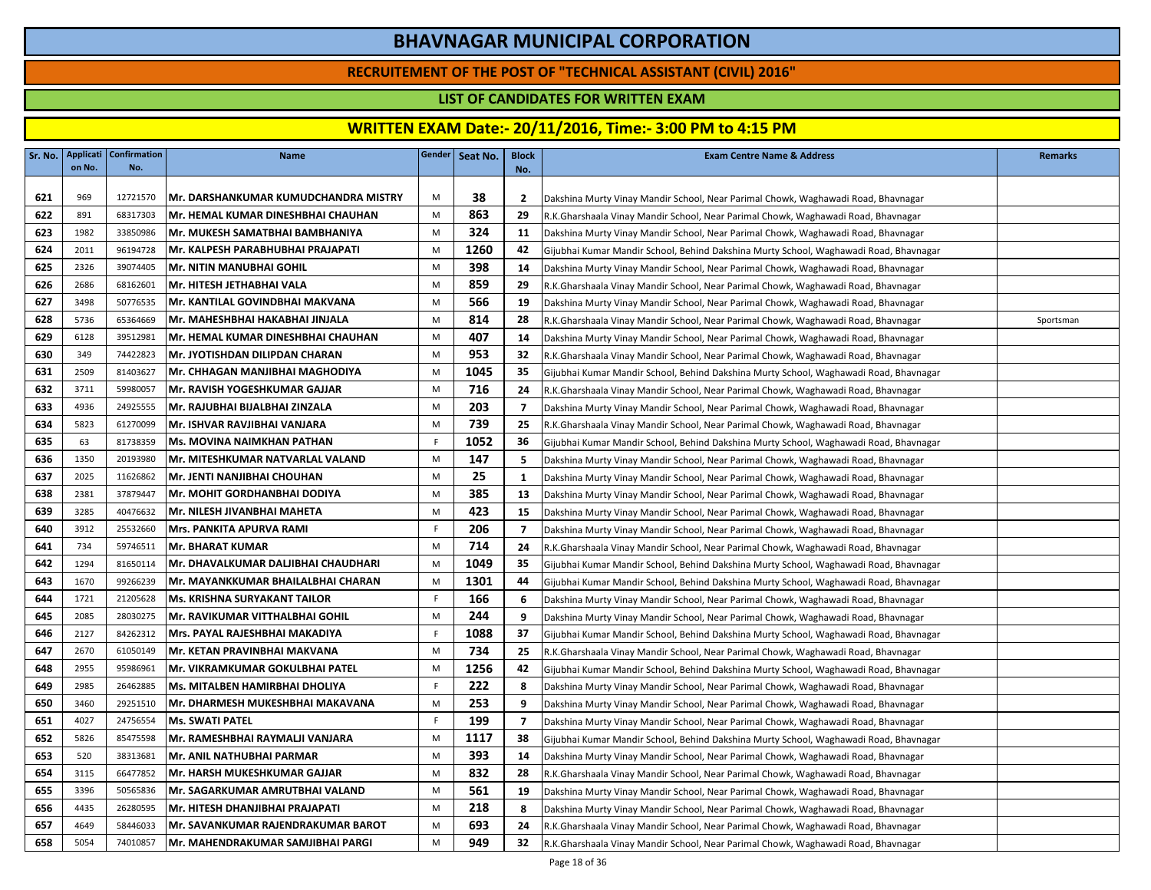### **RECRUITEMENT OF THE POST OF "TECHNICAL ASSISTANT (CIVIL) 2016"**

### **LIST OF CANDIDATES FOR WRITTEN EXAM**

| Sr. No. | <b>Applicati</b><br>on No. | <b>Confirmation</b><br>No. | <b>Name</b>                          |             | Gender   Seat No. | <b>Block</b><br>No. | <b>Exam Centre Name &amp; Address</b>                                                 | <b>Remarks</b> |
|---------|----------------------------|----------------------------|--------------------------------------|-------------|-------------------|---------------------|---------------------------------------------------------------------------------------|----------------|
|         |                            |                            |                                      |             |                   |                     |                                                                                       |                |
| 621     | 969                        | 12721570                   | Mr. DARSHANKUMAR KUMUDCHANDRA MISTRY | M           | 38                | $\overline{2}$      | Dakshina Murty Vinay Mandir School, Near Parimal Chowk, Waghawadi Road, Bhavnagar     |                |
| 622     | 891                        | 68317303                   | Mr. HEMAL KUMAR DINESHBHAI CHAUHAN   | M           | 863               | 29                  | R.K.Gharshaala Vinay Mandir School, Near Parimal Chowk, Waghawadi Road, Bhavnagar     |                |
| 623     | 1982                       | 33850986                   | Mr. MUKESH SAMATBHAI BAMBHANIYA      | M           | 324               | 11                  | Dakshina Murty Vinay Mandir School, Near Parimal Chowk, Waghawadi Road, Bhavnagar     |                |
| 624     | 2011                       | 96194728                   | Mr. KALPESH PARABHUBHAI PRAJAPATI    | M           | 1260              | 42                  | Gijubhai Kumar Mandir School, Behind Dakshina Murty School, Waghawadi Road, Bhavnagar |                |
| 625     | 2326                       | 39074405                   | Mr. NITIN MANUBHAI GOHIL             | M           | 398               | 14                  | Dakshina Murty Vinay Mandir School, Near Parimal Chowk, Waghawadi Road, Bhavnagar     |                |
| 626     | 2686                       | 68162601                   | Mr. HITESH JETHABHAI VALA            | M           | 859               | 29                  | R.K.Gharshaala Vinay Mandir School, Near Parimal Chowk, Waghawadi Road, Bhavnagar     |                |
| 627     | 3498                       | 50776535                   | Mr. KANTILAL GOVINDBHAI MAKVANA      | M           | 566               | 19                  | Dakshina Murty Vinay Mandir School, Near Parimal Chowk, Waghawadi Road, Bhavnagar     |                |
| 628     | 5736                       | 65364669                   | Mr. MAHESHBHAI HAKABHAI JINJALA      | M           | 814               | 28                  | R.K.Gharshaala Vinay Mandir School, Near Parimal Chowk, Waghawadi Road, Bhavnagar     | Sportsman      |
| 629     | 6128                       | 39512981                   | Mr. HEMAL KUMAR DINESHBHAI CHAUHAN   | M           | 407               | 14                  | Dakshina Murty Vinay Mandir School, Near Parimal Chowk, Waghawadi Road, Bhavnagar     |                |
| 630     | 349                        | 74422823                   | Mr. JYOTISHDAN DILIPDAN CHARAN       | M           | 953               | 32                  | R.K.Gharshaala Vinay Mandir School, Near Parimal Chowk, Waghawadi Road, Bhavnagar     |                |
| 631     | 2509                       | 81403627                   | Mr. CHHAGAN MANJIBHAI MAGHODIYA      | M           | 1045              | 35                  | Gijubhai Kumar Mandir School, Behind Dakshina Murty School, Waghawadi Road, Bhavnagar |                |
| 632     | 3711                       | 59980057                   | Mr. RAVISH YOGESHKUMAR GAJJAR        | M           | 716               | 24                  | R.K.Gharshaala Vinay Mandir School, Near Parimal Chowk, Waghawadi Road, Bhavnagar     |                |
| 633     | 4936                       | 24925555                   | Mr. RAJUBHAI BIJALBHAI ZINZALA       | M           | 203               | 7                   | Dakshina Murty Vinay Mandir School, Near Parimal Chowk, Waghawadi Road, Bhavnagar     |                |
| 634     | 5823                       | 61270099                   | Mr. ISHVAR RAVJIBHAI VANJARA         | M           | 739               | 25                  | R.K.Gharshaala Vinay Mandir School, Near Parimal Chowk, Waghawadi Road, Bhavnagar     |                |
| 635     | 63                         | 81738359                   | Ms. MOVINA NAIMKHAN PATHAN           | F           | 1052              | 36                  | Gijubhai Kumar Mandir School, Behind Dakshina Murty School, Waghawadi Road, Bhavnagar |                |
| 636     | 1350                       | 20193980                   | Mr. MITESHKUMAR NATVARLAL VALAND     | M           | 147               | -5                  | Dakshina Murty Vinay Mandir School, Near Parimal Chowk, Waghawadi Road, Bhavnagar     |                |
| 637     | 2025                       | 11626862                   | Mr. JENTI NANJIBHAI CHOUHAN          | M           | 25                | 1                   | Dakshina Murty Vinay Mandir School, Near Parimal Chowk, Waghawadi Road, Bhavnagar     |                |
| 638     | 2381                       | 37879447                   | <b>Mr. MOHIT GORDHANBHAI DODIYA</b>  | M           | 385               | 13                  | Dakshina Murty Vinay Mandir School, Near Parimal Chowk, Waghawadi Road, Bhavnagar     |                |
| 639     | 3285                       | 40476632                   | lMr. NILESH JIVANBHAI MAHETA         | M           | 423               | 15                  | Dakshina Murty Vinay Mandir School, Near Parimal Chowk, Waghawadi Road, Bhavnagar     |                |
| 640     | 3912                       | 25532660                   | <b>Mrs. PANKITA APURVA RAMI</b>      | $\mathsf F$ | 206               | 7                   | Dakshina Murty Vinay Mandir School, Near Parimal Chowk, Waghawadi Road, Bhavnagar     |                |
| 641     | 734                        | 59746511                   | <b>Mr. BHARAT KUMAR</b>              | M           | 714               | 24                  | R.K.Gharshaala Vinay Mandir School, Near Parimal Chowk, Waghawadi Road, Bhavnagar     |                |
| 642     | 1294                       | 81650114                   | Mr. DHAVALKUMAR DALJIBHAI CHAUDHARI  | M           | 1049              | 35                  | Gijubhai Kumar Mandir School, Behind Dakshina Murty School, Waghawadi Road, Bhavnagar |                |
| 643     | 1670                       | 99266239                   | Mr. MAYANKKUMAR BHAILALBHAI CHARAN   | M           | 1301              | 44                  | Gijubhai Kumar Mandir School, Behind Dakshina Murty School, Waghawadi Road, Bhavnagar |                |
| 644     | 1721                       | 21205628                   | <b>Ms. KRISHNA SURYAKANT TAILOR</b>  | F.          | 166               | 6                   | Dakshina Murty Vinay Mandir School, Near Parimal Chowk, Waghawadi Road, Bhavnagar     |                |
| 645     | 2085                       | 28030275                   | Mr. RAVIKUMAR VITTHALBHAI GOHIL      | M           | 244               | 9                   | Dakshina Murty Vinay Mandir School, Near Parimal Chowk, Waghawadi Road, Bhavnagar     |                |
| 646     | 2127                       | 84262312                   | Mrs. PAYAL RAJESHBHAI MAKADIYA       | F           | 1088              | 37                  | Gijubhai Kumar Mandir School, Behind Dakshina Murty School, Waghawadi Road, Bhavnagar |                |
| 647     | 2670                       | 61050149                   | Mr. KETAN PRAVINBHAI MAKVANA         | M           | 734               | 25                  | R.K.Gharshaala Vinay Mandir School, Near Parimal Chowk, Waghawadi Road, Bhavnagar     |                |
| 648     | 2955                       | 95986961                   | Mr. VIKRAMKUMAR GOKULBHAI PATEL      | M           | 1256              | 42                  | Gijubhai Kumar Mandir School, Behind Dakshina Murty School, Waghawadi Road, Bhavnagar |                |
| 649     | 2985                       | 26462885                   | Ms. MITALBEN HAMIRBHAI DHOLIYA       | F           | 222               | 8                   | Dakshina Murty Vinay Mandir School, Near Parimal Chowk, Waghawadi Road, Bhavnagar     |                |
| 650     | 3460                       | 29251510                   | Mr. DHARMESH MUKESHBHAI MAKAVANA     | M           | 253               | 9                   | Dakshina Murty Vinay Mandir School, Near Parimal Chowk, Waghawadi Road, Bhavnagar     |                |
| 651     | 4027                       | 24756554                   | <b>Ms. SWATI PATEL</b>               | F           | 199               | $\overline{7}$      | Dakshina Murty Vinay Mandir School, Near Parimal Chowk, Waghawadi Road, Bhavnagar     |                |
| 652     | 5826                       | 85475598                   | Mr. RAMESHBHAI RAYMALJI VANJARA      | M           | 1117              | 38                  | Gijubhai Kumar Mandir School, Behind Dakshina Murty School, Waghawadi Road, Bhavnagar |                |
| 653     | 520                        | 38313681                   | Mr. ANIL NATHUBHAI PARMAR            | M           | 393               | 14                  | Dakshina Murty Vinay Mandir School, Near Parimal Chowk, Waghawadi Road, Bhavnagar     |                |
| 654     | 3115                       | 66477852                   | Mr. HARSH MUKESHKUMAR GAJJAR         | M           | 832               | 28                  | R.K.Gharshaala Vinay Mandir School, Near Parimal Chowk, Waghawadi Road, Bhavnagar     |                |
| 655     | 3396                       | 50565836                   | Mr. SAGARKUMAR AMRUTBHAI VALAND      | M           | 561               | 19                  | Dakshina Murty Vinay Mandir School, Near Parimal Chowk, Waghawadi Road, Bhavnagar     |                |
| 656     | 4435                       | 26280595                   | Mr. HITESH DHANJIBHAI PRAJAPATI      | M           | 218               | 8                   | Dakshina Murty Vinay Mandir School, Near Parimal Chowk, Waghawadi Road, Bhavnagar     |                |
| 657     | 4649                       | 58446033                   | IMr. SAVANKUMAR RAJENDRAKUMAR BAROT  | M           | 693               | 24                  | R.K.Gharshaala Vinay Mandir School, Near Parimal Chowk, Waghawadi Road, Bhavnagar     |                |
| 658     | 5054                       | 74010857                   | Mr. MAHENDRAKUMAR SAMJIBHAI PARGI    | M           | 949               | 32                  | R.K.Gharshaala Vinay Mandir School, Near Parimal Chowk, Waghawadi Road, Bhavnagar     |                |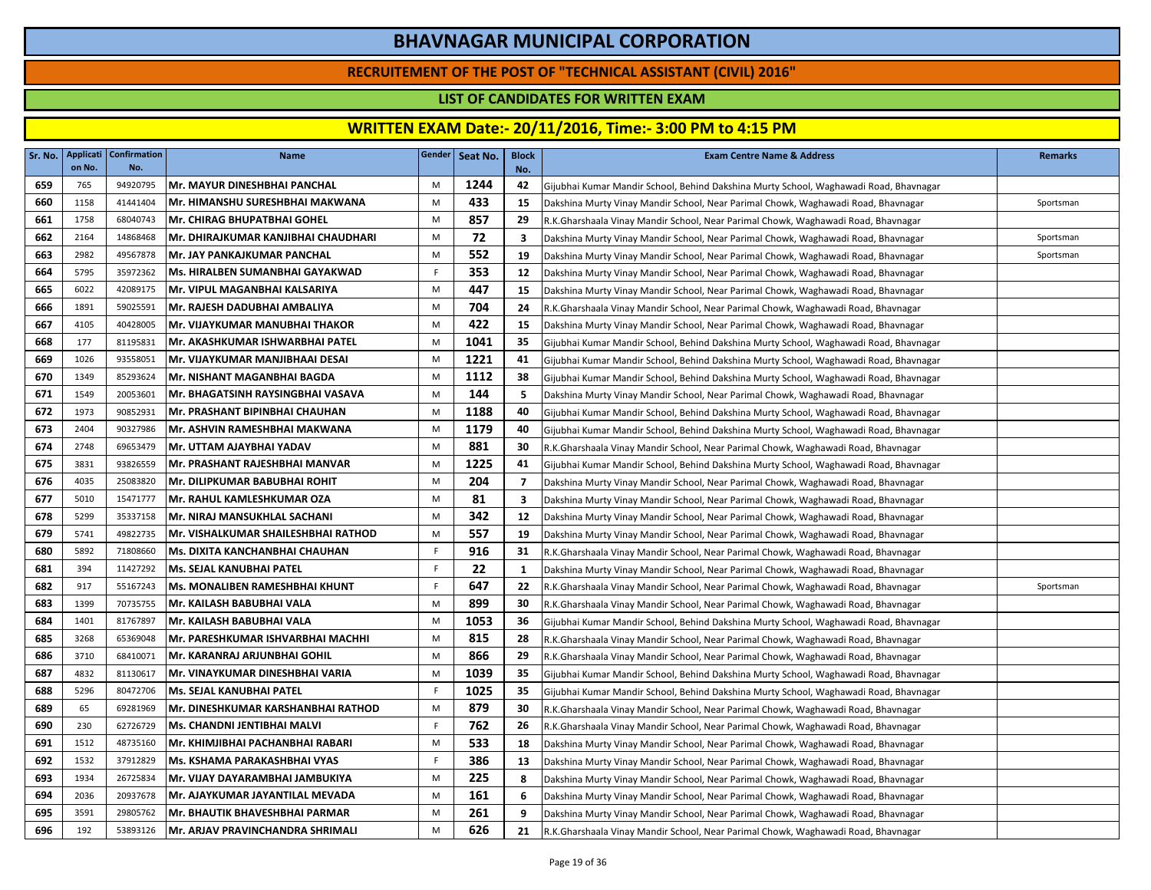### **RECRUITEMENT OF THE POST OF "TECHNICAL ASSISTANT (CIVIL) 2016"**

### **LIST OF CANDIDATES FOR WRITTEN EXAM**

| Sr. No. | Applicati<br>on No. | <b>Confirmation</b><br>No. | <b>Name</b>                           |   | Gender   Seat No. | <b>Block</b><br>No. | <b>Exam Centre Name &amp; Address</b>                                                 | <b>Remarks</b> |
|---------|---------------------|----------------------------|---------------------------------------|---|-------------------|---------------------|---------------------------------------------------------------------------------------|----------------|
| 659     | 765                 | 94920795                   | Mr. MAYUR DINESHBHAI PANCHAL          | M | 1244              | 42                  | Gijubhai Kumar Mandir School, Behind Dakshina Murty School, Waghawadi Road, Bhavnagar |                |
| 660     | 1158                | 41441404                   | Mr. HIMANSHU SURESHBHAI MAKWANA       | M | 433               | 15                  | Dakshina Murty Vinay Mandir School, Near Parimal Chowk, Waghawadi Road, Bhavnagar     | Sportsman      |
| 661     | 1758                | 68040743                   | Mr. CHIRAG BHUPATBHAI GOHEL           | M | 857               | 29                  | R.K.Gharshaala Vinay Mandir School, Near Parimal Chowk, Waghawadi Road, Bhavnagar     |                |
| 662     | 2164                | 14868468                   | Mr. DHIRAJKUMAR KANJIBHAI CHAUDHARI   | M | 72                | 3                   | Dakshina Murty Vinay Mandir School, Near Parimal Chowk, Waghawadi Road, Bhavnagar     | Sportsman      |
| 663     | 2982                | 49567878                   | Mr. JAY PANKAJKUMAR PANCHAL           | M | 552               | 19                  | Dakshina Murty Vinay Mandir School, Near Parimal Chowk, Waghawadi Road, Bhavnagar     | Sportsman      |
| 664     | 5795                | 35972362                   | Ms. HIRALBEN SUMANBHAI GAYAKWAD       | F | 353               | 12                  | Dakshina Murty Vinay Mandir School, Near Parimal Chowk, Waghawadi Road, Bhavnagar     |                |
| 665     | 6022                | 42089175                   | Mr. VIPUL MAGANBHAI KALSARIYA         | M | 447               | 15                  | Dakshina Murty Vinay Mandir School, Near Parimal Chowk, Waghawadi Road, Bhavnagar     |                |
| 666     | 1891                | 59025591                   | Mr. RAJESH DADUBHAI AMBALIYA          | M | 704               | 24                  | R.K.Gharshaala Vinay Mandir School, Near Parimal Chowk, Waghawadi Road, Bhavnagar     |                |
| 667     | 4105                | 40428005                   | Mr. VIJAYKUMAR MANUBHAI THAKOR        | M | 422               | 15                  | Dakshina Murty Vinay Mandir School, Near Parimal Chowk, Waghawadi Road, Bhavnagar     |                |
| 668     | 177                 | 81195831                   | Mr. AKASHKUMAR ISHWARBHAI PATEL       | M | 1041              | 35                  | Gijubhai Kumar Mandir School, Behind Dakshina Murty School, Waghawadi Road, Bhavnagar |                |
| 669     | 1026                | 93558051                   | Mr. VIJAYKUMAR MANJIBHAAI DESAI       | M | 1221              | 41                  | Gijubhai Kumar Mandir School, Behind Dakshina Murty School, Waghawadi Road, Bhavnagar |                |
| 670     | 1349                | 85293624                   | lMr. NISHANT MAGANBHAI BAGDA          | M | 1112              | 38                  | Gijubhai Kumar Mandir School, Behind Dakshina Murty School, Waghawadi Road, Bhavnagar |                |
| 671     | 1549                | 20053601                   | Mr. BHAGATSINH RAYSINGBHAI VASAVA     | M | 144               | -5                  | Dakshina Murty Vinay Mandir School, Near Parimal Chowk, Waghawadi Road, Bhavnagar     |                |
| 672     | 1973                | 90852931                   | Mr. PRASHANT BIPINBHAI CHAUHAN        | M | 1188              | 40                  | Gijubhai Kumar Mandir School, Behind Dakshina Murty School, Waghawadi Road, Bhavnagar |                |
| 673     | 2404                | 90327986                   | Mr. ASHVIN RAMESHBHAI MAKWANA         | M | 1179              | 40                  | Gijubhai Kumar Mandir School, Behind Dakshina Murty School, Waghawadi Road, Bhavnagar |                |
| 674     | 2748                | 69653479                   | Mr. UTTAM AJAYBHAI YADAV              | M | 881               | 30                  | R.K.Gharshaala Vinay Mandir School, Near Parimal Chowk, Waghawadi Road, Bhavnagar     |                |
| 675     | 3831                | 93826559                   | Mr. PRASHANT RAJESHBHAI MANVAR        | M | 1225              | 41                  | Gijubhai Kumar Mandir School, Behind Dakshina Murty School, Waghawadi Road, Bhavnagar |                |
| 676     | 4035                | 25083820                   | Mr. DILIPKUMAR BABUBHAI ROHIT         | M | 204               | 7                   | Dakshina Murty Vinay Mandir School, Near Parimal Chowk, Waghawadi Road, Bhavnagar     |                |
| 677     | 5010                | 15471777                   | Mr. RAHUL KAMLESHKUMAR OZA            | M | 81                | 3                   | Dakshina Murty Vinay Mandir School, Near Parimal Chowk, Waghawadi Road, Bhavnagar     |                |
| 678     | 5299                | 35337158                   | Mr. NIRAJ MANSUKHLAL SACHANI          | M | 342               | 12                  | Dakshina Murty Vinay Mandir School, Near Parimal Chowk, Waghawadi Road, Bhavnagar     |                |
| 679     | 5741                | 49822735                   | Mr. VISHALKUMAR SHAILESHBHAI RATHOD   | M | 557               | 19                  | Dakshina Murty Vinay Mandir School, Near Parimal Chowk, Waghawadi Road, Bhavnagar     |                |
| 680     | 5892                | 71808660                   | Ms. DIXITA KANCHANBHAI CHAUHAN        | F | 916               | 31                  | R.K.Gharshaala Vinay Mandir School, Near Parimal Chowk, Waghawadi Road, Bhavnagar     |                |
| 681     | 394                 | 11427292                   | Ms. SEJAL KANUBHAI PATEL              | F | 22                | 1                   | Dakshina Murty Vinay Mandir School, Near Parimal Chowk, Waghawadi Road, Bhavnagar     |                |
| 682     | 917                 | 55167243                   | <b>Ms. MONALIBEN RAMESHBHAI KHUNT</b> | F | 647               | 22                  | R.K.Gharshaala Vinay Mandir School, Near Parimal Chowk, Waghawadi Road, Bhavnagar     | Sportsman      |
| 683     | 1399                | 70735755                   | Mr. KAILASH BABUBHAI VALA             | M | 899               | 30                  | R.K.Gharshaala Vinay Mandir School, Near Parimal Chowk, Waghawadi Road, Bhavnagar     |                |
| 684     | 1401                | 81767897                   | Mr. KAILASH BABUBHAI VALA             | M | 1053              | 36                  | Gijubhai Kumar Mandir School, Behind Dakshina Murty School, Waghawadi Road, Bhavnagar |                |
| 685     | 3268                | 65369048                   | Mr. PARESHKUMAR ISHVARBHAI MACHHI     | M | 815               | 28                  | R.K.Gharshaala Vinay Mandir School, Near Parimal Chowk, Waghawadi Road, Bhavnagar     |                |
| 686     | 3710                | 68410071                   | Mr. KARANRAJ ARJUNBHAI GOHIL          | M | 866               | 29                  | R.K.Gharshaala Vinay Mandir School, Near Parimal Chowk, Waghawadi Road, Bhavnagar     |                |
| 687     | 4832                | 81130617                   | Mr. VINAYKUMAR DINESHBHAI VARIA       | M | 1039              | 35                  | Gijubhai Kumar Mandir School, Behind Dakshina Murty School, Waghawadi Road, Bhavnagar |                |
| 688     | 5296                | 80472706                   | Ms. SEJAL KANUBHAI PATEL              | F | 1025              | 35                  | Gijubhai Kumar Mandir School, Behind Dakshina Murty School, Waghawadi Road, Bhavnagar |                |
| 689     | 65                  | 69281969                   | Mr. DINESHKUMAR KARSHANBHAI RATHOD    | M | 879               | 30                  | R.K.Gharshaala Vinay Mandir School, Near Parimal Chowk, Waghawadi Road, Bhavnagar     |                |
| 690     | 230                 | 62726729                   | Ms. CHANDNI JENTIBHAI MALVI           | F | 762               | 26                  | R.K.Gharshaala Vinay Mandir School, Near Parimal Chowk, Waghawadi Road, Bhavnagar     |                |
| 691     | 1512                | 48735160                   | Mr. KHIMJIBHAI PACHANBHAI RABARI      | M | 533               | 18                  | Dakshina Murty Vinay Mandir School, Near Parimal Chowk, Waghawadi Road, Bhavnagar     |                |
| 692     | 1532                | 37912829                   | Ms. KSHAMA PARAKASHBHAI VYAS          | F | 386               | 13                  | Dakshina Murty Vinay Mandir School, Near Parimal Chowk, Waghawadi Road, Bhavnagar     |                |
| 693     | 1934                | 26725834                   | Mr. VIJAY DAYARAMBHAI JAMBUKIYA       | M | 225               | 8                   | Dakshina Murty Vinay Mandir School, Near Parimal Chowk, Waghawadi Road, Bhavnagar     |                |
| 694     | 2036                | 20937678                   | Mr. AJAYKUMAR JAYANTILAL MEVADA       | M | 161               | 6                   | Dakshina Murty Vinay Mandir School, Near Parimal Chowk, Waghawadi Road, Bhavnagar     |                |
| 695     | 3591                | 29805762                   | Mr. BHAUTIK BHAVESHBHAI PARMAR        | M | 261               | 9                   | Dakshina Murty Vinay Mandir School, Near Parimal Chowk, Waghawadi Road, Bhavnagar     |                |
| 696     | 192                 | 53893126                   | Mr. ARJAV PRAVINCHANDRA SHRIMALI      | M | 626               | 21                  | R.K.Gharshaala Vinay Mandir School, Near Parimal Chowk, Waghawadi Road, Bhavnagar     |                |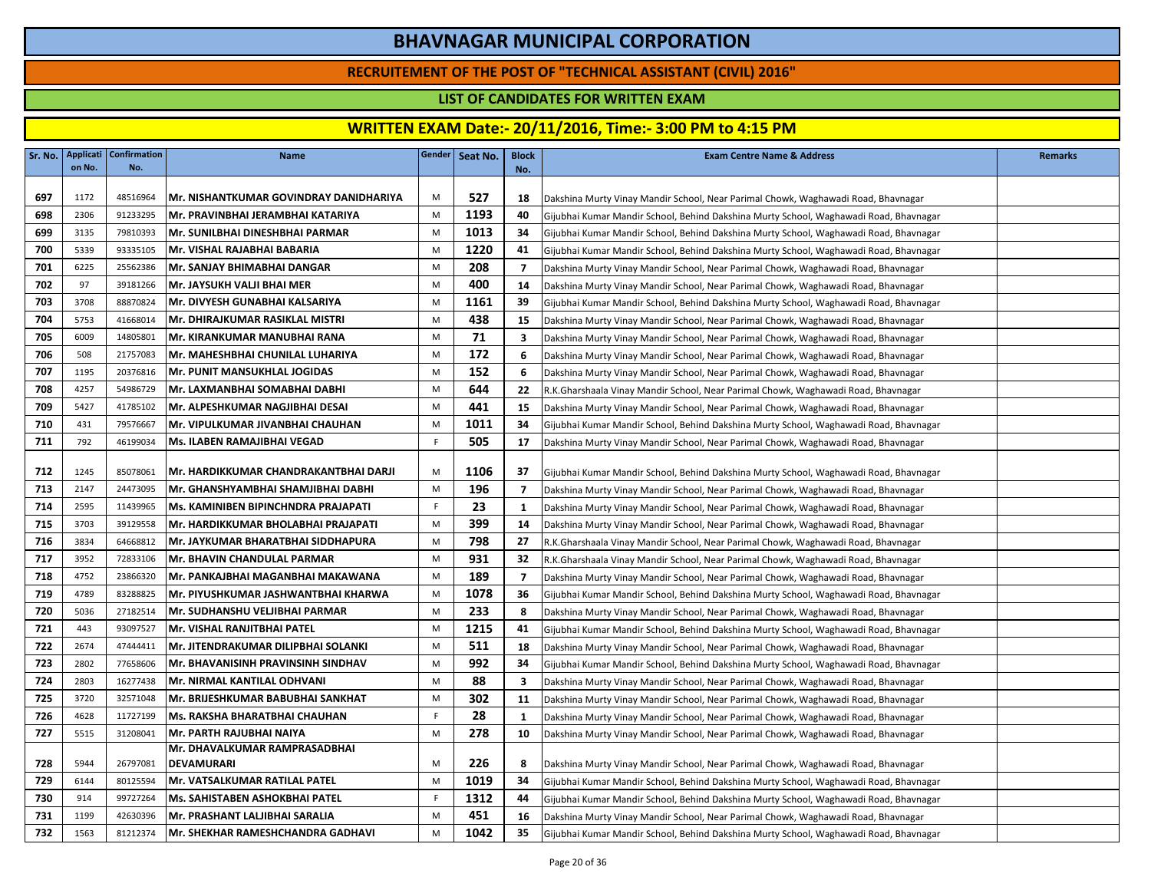### **RECRUITEMENT OF THE POST OF "TECHNICAL ASSISTANT (CIVIL) 2016"**

### **LIST OF CANDIDATES FOR WRITTEN EXAM**

|     | on No. | Sr. No.   Applicati   Confirmation  <br>No. | <b>Name</b>                            |    | Gender   Seat No. | <b>Block</b><br>No.     | <b>Exam Centre Name &amp; Address</b>                                                 | <b>Remarks</b> |
|-----|--------|---------------------------------------------|----------------------------------------|----|-------------------|-------------------------|---------------------------------------------------------------------------------------|----------------|
|     |        |                                             |                                        |    |                   |                         |                                                                                       |                |
| 697 | 1172   | 48516964                                    | Mr. NISHANTKUMAR GOVINDRAY DANIDHARIYA | M  | 527               | 18                      | Dakshina Murty Vinay Mandir School, Near Parimal Chowk, Waghawadi Road, Bhavnagar     |                |
| 698 | 2306   | 91233295                                    | Mr. PRAVINBHAI JERAMBHAI KATARIYA      | M  | 1193              | 40                      | Gijubhai Kumar Mandir School, Behind Dakshina Murty School, Waghawadi Road, Bhavnagar |                |
| 699 | 3135   | 79810393                                    | Mr. SUNILBHAI DINESHBHAI PARMAR        | M  | 1013              | 34                      | Gijubhai Kumar Mandir School, Behind Dakshina Murty School, Waghawadi Road, Bhavnagar |                |
| 700 | 5339   | 93335105                                    | Mr. VISHAL RAJABHAI BABARIA            | M  | 1220              | 41                      | Gijubhai Kumar Mandir School, Behind Dakshina Murty School, Waghawadi Road, Bhavnagar |                |
| 701 | 6225   | 25562386                                    | Mr. SANJAY BHIMABHAI DANGAR            | M  | 208               | $\overline{7}$          | Dakshina Murty Vinay Mandir School, Near Parimal Chowk, Waghawadi Road, Bhavnagar     |                |
| 702 | 97     | 39181266                                    | Mr. JAYSUKH VALJI BHAI MER             | M  | 400               | 14                      | Dakshina Murty Vinay Mandir School, Near Parimal Chowk, Waghawadi Road, Bhavnagar     |                |
| 703 | 3708   | 88870824                                    | Mr. DIVYESH GUNABHAI KALSARIYA         | M  | 1161              | 39                      | Gijubhai Kumar Mandir School, Behind Dakshina Murty School, Waghawadi Road, Bhavnagar |                |
| 704 | 5753   | 41668014                                    | Mr. DHIRAJKUMAR RASIKLAL MISTRI        | M  | 438               | 15                      | Dakshina Murty Vinay Mandir School, Near Parimal Chowk, Waghawadi Road, Bhavnagar     |                |
| 705 | 6009   | 14805801                                    | Mr. KIRANKUMAR MANUBHAI RANA           | M  | 71                | $\overline{\mathbf{3}}$ | Dakshina Murty Vinay Mandir School, Near Parimal Chowk, Waghawadi Road, Bhavnagar     |                |
| 706 | 508    | 21757083                                    | İMr. MAHESHBHAI CHUNILAL LUHARIYA      | M  | 172               | 6                       | Dakshina Murty Vinay Mandir School, Near Parimal Chowk, Waghawadi Road, Bhavnagar     |                |
| 707 | 1195   | 20376816                                    | Mr. PUNIT MANSUKHLAL JOGIDAS           | M  | 152               | -6                      | Dakshina Murty Vinay Mandir School, Near Parimal Chowk, Waghawadi Road, Bhavnagar     |                |
| 708 | 4257   | 54986729                                    | lMr. LAXMANBHAI SOMABHAI DABHI         | M  | 644               | 22                      | R.K.Gharshaala Vinay Mandir School, Near Parimal Chowk, Waghawadi Road, Bhavnagar     |                |
| 709 | 5427   | 41785102                                    | Mr. ALPESHKUMAR NAGJIBHAI DESAI        | M  | 441               | 15                      | Dakshina Murty Vinay Mandir School, Near Parimal Chowk, Waghawadi Road, Bhavnagar     |                |
| 710 | 431    | 79576667                                    | İMr. VIPULKUMAR JIVANBHAI CHAUHAN      | M  | 1011              | 34                      | Gijubhai Kumar Mandir School, Behind Dakshina Murty School, Waghawadi Road, Bhavnagar |                |
| 711 | 792    | 46199034                                    | Ms. ILABEN RAMAJIBHAI VEGAD            | F. | 505               | 17                      | Dakshina Murty Vinay Mandir School, Near Parimal Chowk, Waghawadi Road, Bhavnagar     |                |
| 712 | 1245   | 85078061                                    | Mr. HARDIKKUMAR CHANDRAKANTBHAI DARJI  | M  | 1106              | 37                      | Gijubhai Kumar Mandir School, Behind Dakshina Murty School, Waghawadi Road, Bhavnagar |                |
| 713 | 2147   | 24473095                                    | Mr. GHANSHYAMBHAI SHAMJIBHAI DABHI     | M  | 196               | $\overline{7}$          | Dakshina Murty Vinay Mandir School, Near Parimal Chowk, Waghawadi Road, Bhavnagar     |                |
| 714 | 2595   | 11439965                                    | Ms. KAMINIBEN BIPINCHNDRA PRAJAPATI    | F  | 23                | <sup>1</sup>            | Dakshina Murty Vinay Mandir School, Near Parimal Chowk, Waghawadi Road, Bhavnagar     |                |
| 715 | 3703   | 39129558                                    | Mr. HARDIKKUMAR BHOLABHAI PRAJAPATI    | M  | 399               | 14                      | Dakshina Murty Vinay Mandir School, Near Parimal Chowk, Waghawadi Road, Bhavnagar     |                |
| 716 | 3834   | 64668812                                    | Mr. JAYKUMAR BHARATBHAI SIDDHAPURA     | M  | 798               | 27                      | R.K.Gharshaala Vinay Mandir School, Near Parimal Chowk, Waghawadi Road, Bhavnagar     |                |
| 717 | 3952   | 72833106                                    | Mr. BHAVIN CHANDULAL PARMAR            | M  | 931               | 32                      | R.K.Gharshaala Vinay Mandir School, Near Parimal Chowk, Waghawadi Road, Bhavnagar     |                |
| 718 | 4752   | 23866320                                    | Mr. PANKAJBHAI MAGANBHAI MAKAWANA      | M  | 189               | $\overline{7}$          | Dakshina Murty Vinay Mandir School, Near Parimal Chowk, Waghawadi Road, Bhavnagar     |                |
| 719 | 4789   | 83288825                                    | Mr. PIYUSHKUMAR JASHWANTBHAI KHARWA    | M  | 1078              | 36                      | Gijubhai Kumar Mandir School, Behind Dakshina Murty School, Waghawadi Road, Bhavnagar |                |
| 720 | 5036   | 27182514                                    | Mr. SUDHANSHU VELJIBHAI PARMAR         | M  | 233               | 8                       | Dakshina Murty Vinay Mandir School, Near Parimal Chowk, Waghawadi Road, Bhavnagar     |                |
| 721 | 443    | 93097527                                    | Mr. VISHAL RANJITBHAI PATEL            | M  | 1215              | 41                      | Gijubhai Kumar Mandir School, Behind Dakshina Murty School, Waghawadi Road, Bhavnagar |                |
| 722 | 2674   | 47444411                                    | Mr. JITENDRAKUMAR DILIPBHAI SOLANKI    | M  | 511               | 18                      | Dakshina Murty Vinay Mandir School, Near Parimal Chowk, Waghawadi Road, Bhavnagar     |                |
| 723 | 2802   | 77658606                                    | Mr. BHAVANISINH PRAVINSINH SINDHAV     | M  | 992               | 34                      | Gijubhai Kumar Mandir School, Behind Dakshina Murty School, Waghawadi Road, Bhavnagar |                |
| 724 | 2803   | 16277438                                    | Mr. NIRMAL KANTILAL ODHVANI            | M  | 88                | $\overline{\mathbf{3}}$ | Dakshina Murty Vinay Mandir School, Near Parimal Chowk, Waghawadi Road, Bhavnagar     |                |
| 725 | 3720   | 32571048                                    | Mr. BRIJESHKUMAR BABUBHAI SANKHAT      | M  | 302               | 11                      | Dakshina Murty Vinay Mandir School, Near Parimal Chowk, Waghawadi Road, Bhavnagar     |                |
| 726 | 4628   | 11727199                                    | <b>Ms. RAKSHA BHARATBHAI CHAUHAN</b>   | F  | 28                | <sup>1</sup>            | Dakshina Murty Vinay Mandir School, Near Parimal Chowk, Waghawadi Road, Bhavnagar     |                |
| 727 | 5515   | 31208041                                    | Mr. PARTH RAJUBHAI NAIYA               | M  | 278               | 10                      | Dakshina Murty Vinay Mandir School, Near Parimal Chowk, Waghawadi Road, Bhavnagar     |                |
|     |        |                                             | Mr. DHAVALKUMAR RAMPRASADBHAI          |    |                   |                         |                                                                                       |                |
| 728 | 5944   | 26797081                                    | <b>DEVAMURARI</b>                      | M  | 226               | 8                       | Dakshina Murty Vinay Mandir School, Near Parimal Chowk, Waghawadi Road, Bhavnagar     |                |
| 729 | 6144   | 80125594                                    | Mr. VATSALKUMAR RATILAL PATEL          | M  | 1019              | 34                      | Gijubhai Kumar Mandir School, Behind Dakshina Murty School, Waghawadi Road, Bhavnagar |                |
| 730 | 914    | 99727264                                    | Ms. SAHISTABEN ASHOKBHAI PATEL         | F. | 1312              | 44                      | Gijubhai Kumar Mandir School, Behind Dakshina Murty School, Waghawadi Road, Bhavnagar |                |
| 731 | 1199   | 42630396                                    | Mr. PRASHANT LALJIBHAI SARALIA         | M  | 451               | 16                      | Dakshina Murty Vinay Mandir School, Near Parimal Chowk, Waghawadi Road, Bhavnagar     |                |
| 732 | 1563   | 81212374                                    | Mr. SHEKHAR RAMESHCHANDRA GADHAVI      | M  | 1042              | 35                      | Gijubhai Kumar Mandir School, Behind Dakshina Murty School, Waghawadi Road, Bhavnagar |                |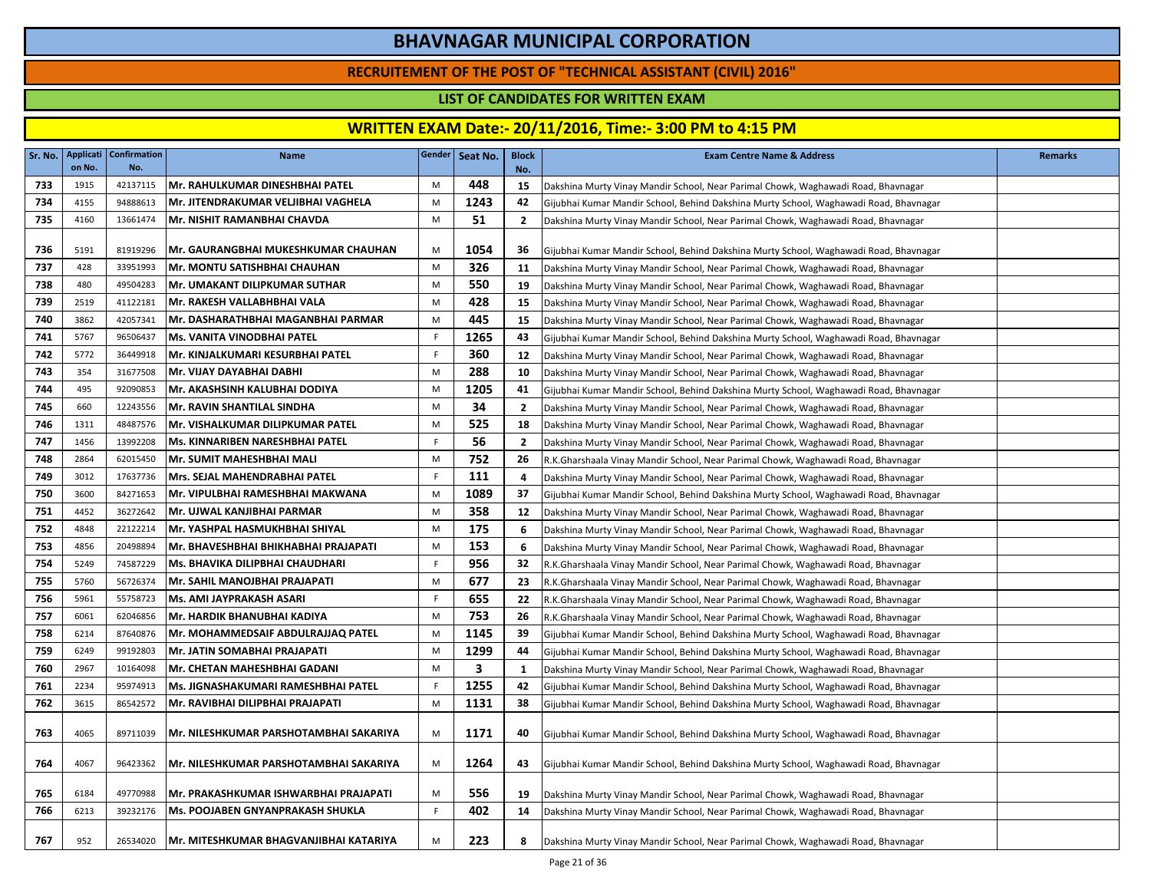### **RECRUITEMENT OF THE POST OF "TECHNICAL ASSISTANT (CIVIL) 2016"**

### **LIST OF CANDIDATES FOR WRITTEN EXAM**

| Sr. No. | <b>Applicati</b><br>on No. | Confirmation<br>No. | <b>Name</b>                                 |    | Gender   Seat No. | <b>Block</b><br>No. | <b>Exam Centre Name &amp; Address</b>                                                 | <b>Remarks</b> |
|---------|----------------------------|---------------------|---------------------------------------------|----|-------------------|---------------------|---------------------------------------------------------------------------------------|----------------|
| 733     | 1915                       | 42137115            | <b>Mr. RAHULKUMAR DINESHBHAI PATEL</b>      | M  | 448               | 15                  | Dakshina Murty Vinay Mandir School, Near Parimal Chowk, Waghawadi Road, Bhavnagar     |                |
| 734     | 4155                       | 94888613            | Mr. JITENDRAKUMAR VELJIBHAI VAGHELA         | M  | 1243              | 42                  | Gijubhai Kumar Mandir School, Behind Dakshina Murty School, Waghawadi Road, Bhavnagar |                |
| 735     | 4160                       | 13661474            | Mr. NISHIT RAMANBHAI CHAVDA                 | M  | 51                | $\overline{2}$      | Dakshina Murty Vinay Mandir School, Near Parimal Chowk, Waghawadi Road, Bhavnagar     |                |
|         |                            |                     |                                             |    |                   |                     |                                                                                       |                |
| 736     | 5191                       | 81919296            | <b> Mr. GAURANGBHAI MUKESHKUMAR CHAUHAN</b> | M  | 1054              | 36                  | Gijubhai Kumar Mandir School, Behind Dakshina Murty School, Waghawadi Road, Bhavnagar |                |
| 737     | 428                        | 33951993            | <b>Mr. MONTU SATISHBHAI CHAUHAN</b>         | M  | 326               | 11                  | Dakshina Murty Vinay Mandir School, Near Parimal Chowk, Waghawadi Road, Bhavnagar     |                |
| 738     | 480                        | 49504283            | <b>Mr. UMAKANT DILIPKUMAR SUTHAR</b>        | M  | 550               | 19                  | Dakshina Murty Vinay Mandir School, Near Parimal Chowk, Waghawadi Road, Bhavnagar     |                |
| 739     | 2519                       | 41122181            | Mr. RAKESH VALLABHBHAI VALA                 | M  | 428               | 15                  | Dakshina Murty Vinay Mandir School, Near Parimal Chowk, Waghawadi Road, Bhavnagar     |                |
| 740     | 3862                       | 42057341            | Mr. DASHARATHBHAI MAGANBHAI PARMAR          | M  | 445               | 15                  | Dakshina Murty Vinay Mandir School, Near Parimal Chowk, Waghawadi Road, Bhavnagar     |                |
| 741     | 5767                       | 96506437            | <b>Ms. VANITA VINODBHAI PATEL</b>           | F. | 1265              | 43                  | Gijubhai Kumar Mandir School, Behind Dakshina Murty School, Waghawadi Road, Bhavnagar |                |
| 742     | 5772                       | 36449918            | Mr. KINJALKUMARI KESURBHAI PATEL            | F. | 360               | 12                  | Dakshina Murty Vinay Mandir School, Near Parimal Chowk, Waghawadi Road, Bhavnagar     |                |
| 743     | 354                        | 31677508            | Mr. VIJAY DAYABHAI DABHI                    | M  | 288               | 10                  | Dakshina Murty Vinay Mandir School, Near Parimal Chowk, Waghawadi Road, Bhavnagar     |                |
| 744     | 495                        | 92090853            | Mr. AKASHSINH KALUBHAI DODIYA               | M  | 1205              | 41                  | Gijubhai Kumar Mandir School, Behind Dakshina Murty School, Waghawadi Road, Bhavnagar |                |
| 745     | 660                        | 12243556            | Mr. RAVIN SHANTILAL SINDHA                  | M  | 34                | $\overline{2}$      | Dakshina Murty Vinay Mandir School, Near Parimal Chowk, Waghawadi Road, Bhavnagar     |                |
| 746     | 1311                       | 48487576            | Mr. VISHALKUMAR DILIPKUMAR PATEL            | M  | 525               | 18                  | Dakshina Murty Vinay Mandir School, Near Parimal Chowk, Waghawadi Road, Bhavnagar     |                |
| 747     | 1456                       | 13992208            | Ms. KINNARIBEN NARESHBHAI PATEL             | F  | 56                | $\overline{2}$      | Dakshina Murty Vinay Mandir School, Near Parimal Chowk, Waghawadi Road, Bhavnagar     |                |
| 748     | 2864                       | 62015450            | Mr. SUMIT MAHESHBHAI MALI                   | M  | 752               | 26                  | R.K.Gharshaala Vinay Mandir School, Near Parimal Chowk, Waghawadi Road, Bhavnagar     |                |
| 749     | 3012                       | 17637736            | Mrs. SEJAL MAHENDRABHAI PATEL               | F. | 111               | 4                   | Dakshina Murty Vinay Mandir School, Near Parimal Chowk, Waghawadi Road, Bhavnagar     |                |
| 750     | 3600                       | 84271653            | Mr. VIPULBHAI RAMESHBHAI MAKWANA            | M  | 1089              | 37                  | Gijubhai Kumar Mandir School, Behind Dakshina Murty School, Waghawadi Road, Bhavnagar |                |
| 751     | 4452                       | 36272642            | Mr. UJWAL KANJIBHAI PARMAR                  | M  | 358               | 12                  | Dakshina Murty Vinay Mandir School, Near Parimal Chowk, Waghawadi Road, Bhavnagar     |                |
| 752     | 4848                       | 22122214            | Mr. YASHPAL HASMUKHBHAI SHIYAL              | M  | 175               | 6                   | Dakshina Murty Vinay Mandir School, Near Parimal Chowk, Waghawadi Road, Bhavnagar     |                |
| 753     | 4856                       | 20498894            | lMr. BHAVESHBHAI BHIKHABHAI PRAJAPATI       | M  | 153               | - 6                 | Dakshina Murty Vinay Mandir School, Near Parimal Chowk, Waghawadi Road, Bhavnagar     |                |
| 754     | 5249                       | 74587229            | <b>Ms. BHAVIKA DILIPBHAI CHAUDHARI</b>      | F  | 956               | 32                  | R.K.Gharshaala Vinay Mandir School, Near Parimal Chowk, Waghawadi Road, Bhavnagar     |                |
| 755     | 5760                       | 56726374            | Mr. SAHIL MANOJBHAI PRAJAPATI               | M  | 677               | 23                  | R.K.Gharshaala Vinay Mandir School, Near Parimal Chowk, Waghawadi Road, Bhavnagar     |                |
| 756     | 5961                       | 55758723            | Ms. AMI JAYPRAKASH ASARI                    | F  | 655               | 22                  | R.K.Gharshaala Vinay Mandir School, Near Parimal Chowk, Waghawadi Road, Bhavnagar     |                |
| 757     | 6061                       | 62046856            | Mr. HARDIK BHANUBHAI KADIYA                 | M  | 753               | 26                  | R.K.Gharshaala Vinay Mandir School, Near Parimal Chowk, Waghawadi Road, Bhavnagar     |                |
| 758     | 6214                       | 87640876            | Mr. MOHAMMEDSAIF ABDULRAJJAQ PATEL          | M  | 1145              | 39                  | Gijubhai Kumar Mandir School, Behind Dakshina Murty School, Waghawadi Road, Bhavnagar |                |
| 759     | 6249                       | 99192803            | Mr. JATIN SOMABHAI PRAJAPATI                | M  | 1299              | 44                  | Gijubhai Kumar Mandir School, Behind Dakshina Murty School, Waghawadi Road, Bhavnagar |                |
| 760     | 2967                       | 10164098            | Mr. CHETAN MAHESHBHAI GADANI                | M  | 3                 | -1                  | Dakshina Murty Vinay Mandir School, Near Parimal Chowk, Waghawadi Road, Bhavnagar     |                |
| 761     | 2234                       | 95974913            | Ms. JIGNASHAKUMARI RAMESHBHAI PATEL         | F  | 1255              | 42                  | Gijubhai Kumar Mandir School, Behind Dakshina Murty School, Waghawadi Road, Bhavnagar |                |
| 762     | 3615                       | 86542572            | Mr. RAVIBHAI DILIPBHAI PRAJAPATI            | M  | 1131              | 38                  | Gijubhai Kumar Mandir School, Behind Dakshina Murty School, Waghawadi Road, Bhavnagar |                |
| 763     | 4065                       | 89711039            | Mr. NILESHKUMAR PARSHOTAMBHAI SAKARIYA      | M  | 1171              | 40                  | Gijubhai Kumar Mandir School, Behind Dakshina Murty School, Waghawadi Road, Bhavnagar |                |
| 764     | 4067                       | 96423362            | Mr. NILESHKUMAR PARSHOTAMBHAI SAKARIYA      | M  | 1264              | 43                  | Gijubhai Kumar Mandir School, Behind Dakshina Murty School, Waghawadi Road, Bhavnagar |                |
| 765     | 6184                       | 49770988            | Mr. PRAKASHKUMAR ISHWARBHAI PRAJAPATI       | M  | 556               | 19                  | Dakshina Murty Vinay Mandir School, Near Parimal Chowk, Waghawadi Road, Bhavnagar     |                |
| 766     | 6213                       | 39232176            | <b>Ms. POOJABEN GNYANPRAKASH SHUKLA</b>     | F. | 402               | 14                  | Dakshina Murty Vinay Mandir School, Near Parimal Chowk, Waghawadi Road, Bhavnagar     |                |
| 767     | 952                        | 26534020            | Mr. MITESHKUMAR BHAGVANJIBHAI KATARIYA      | M  | 223               | 8                   | Dakshina Murty Vinay Mandir School, Near Parimal Chowk, Waghawadi Road, Bhavnagar     |                |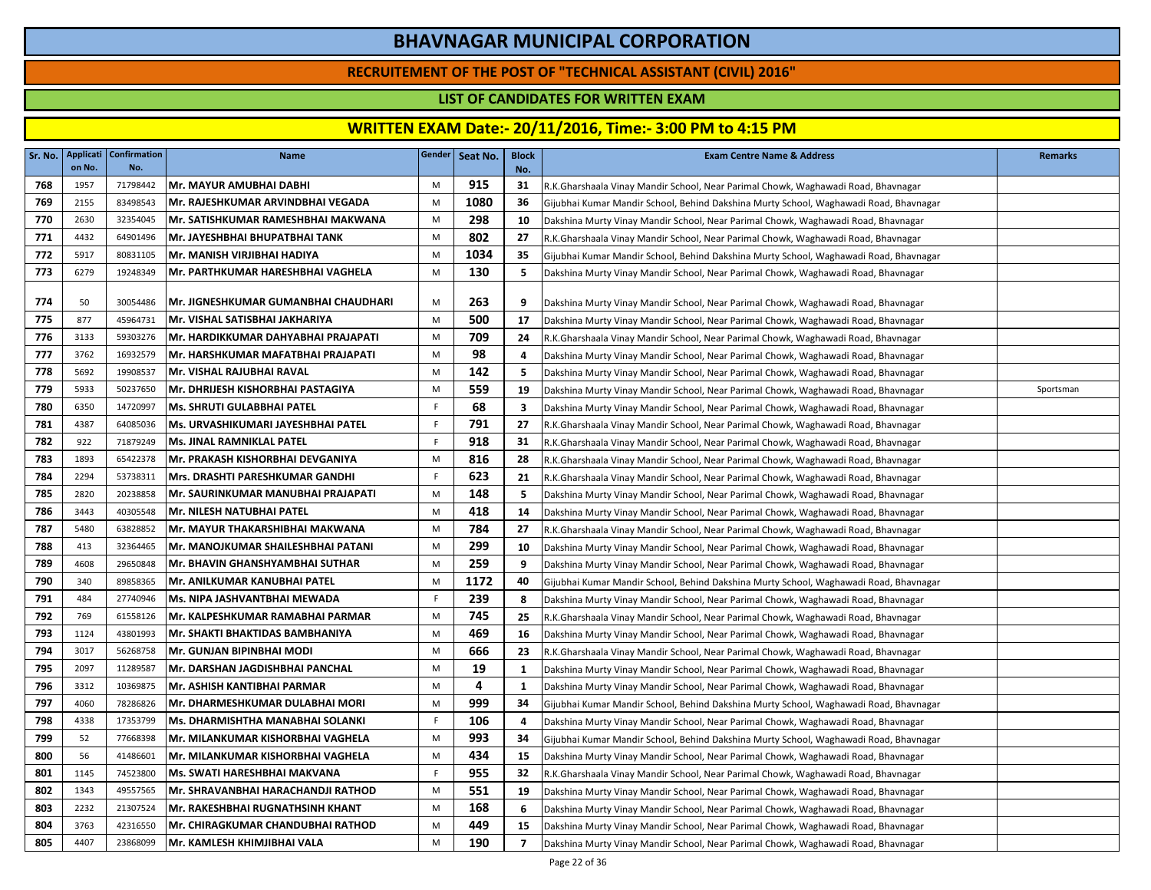### **RECRUITEMENT OF THE POST OF "TECHNICAL ASSISTANT (CIVIL) 2016"**

### **LIST OF CANDIDATES FOR WRITTEN EXAM**

| Sr. No. | Applicati<br>on No. | <b>Confirmation</b><br>No. | Name                                      |    | Gender Seat No. | <b>Block</b><br>No.      | <b>Exam Centre Name &amp; Address</b>                                                 | <b>Remarks</b> |
|---------|---------------------|----------------------------|-------------------------------------------|----|-----------------|--------------------------|---------------------------------------------------------------------------------------|----------------|
| 768     | 1957                | 71798442                   | Mr. MAYUR AMUBHAI DABHI                   | M  | 915             | 31                       | R.K.Gharshaala Vinay Mandir School, Near Parimal Chowk, Waghawadi Road, Bhavnagar     |                |
| 769     | 2155                | 83498543                   | Mr. RAJESHKUMAR ARVINDBHAI VEGADA         | M  | 1080            | 36                       | Gijubhai Kumar Mandir School, Behind Dakshina Murty School, Waghawadi Road, Bhavnagar |                |
| 770     | 2630                | 32354045                   | Mr. SATISHKUMAR RAMESHBHAI MAKWANA        | M  | 298             | 10                       | Dakshina Murty Vinay Mandir School, Near Parimal Chowk, Waghawadi Road, Bhavnagar     |                |
| 771     | 4432                | 64901496                   | Mr. JAYESHBHAI BHUPATBHAI TANK            | M  | 802             | 27                       | R.K.Gharshaala Vinay Mandir School, Near Parimal Chowk, Waghawadi Road, Bhavnagar     |                |
| 772     | 5917                | 80831105                   | Mr. MANISH VIRJIBHAI HADIYA               | M  | 1034            | 35                       | Gijubhai Kumar Mandir School, Behind Dakshina Murty School, Waghawadi Road, Bhavnagar |                |
| 773     | 6279                | 19248349                   | Mr. PARTHKUMAR HARESHBHAI VAGHELA         | M  | 130             | 5                        | Dakshina Murty Vinay Mandir School, Near Parimal Chowk, Waghawadi Road, Bhavnagar     |                |
| 774     | 50                  | 30054486                   | Mr. JIGNESHKUMAR GUMANBHAI CHAUDHARI      | M  | 263             | 9                        | Dakshina Murty Vinay Mandir School, Near Parimal Chowk, Waghawadi Road, Bhavnagar     |                |
| 775     | 877                 | 45964731                   | Mr. VISHAL SATISBHAI JAKHARIYA            | M  | 500             | 17                       | Dakshina Murty Vinay Mandir School, Near Parimal Chowk, Waghawadi Road, Bhavnagar     |                |
| 776     | 3133                | 59303276                   | Mr. HARDIKKUMAR DAHYABHAI PRAJAPATI       | M  | 709             | 24                       | R.K.Gharshaala Vinay Mandir School, Near Parimal Chowk, Waghawadi Road, Bhavnagar     |                |
| 777     | 3762                | 16932579                   | Mr. HARSHKUMAR MAFATBHAI PRAJAPATI        | M  | 98              | 4                        | Dakshina Murty Vinay Mandir School, Near Parimal Chowk, Waghawadi Road, Bhavnagar     |                |
| 778     | 5692                | 19908537                   | lMr. VISHAL RAJUBHAI RAVAL                | M  | 142             | 5                        | Dakshina Murty Vinay Mandir School, Near Parimal Chowk, Waghawadi Road, Bhavnagar     |                |
| 779     | 5933                | 50237650                   | Mr. DHRIJESH KISHORBHAI PASTAGIYA         | M  | 559             | 19                       | Dakshina Murty Vinay Mandir School, Near Parimal Chowk, Waghawadi Road, Bhavnagar     | Sportsman      |
| 780     | 6350                | 14720997                   | <b>Ms. SHRUTI GULABBHAI PATEL</b>         | F. | 68              | 3                        | Dakshina Murty Vinay Mandir School, Near Parimal Chowk, Waghawadi Road, Bhavnagar     |                |
| 781     | 4387                | 64085036                   | Ms. URVASHIKUMARI JAYESHBHAI PATEL        | F  | 791             | 27                       | R.K.Gharshaala Vinay Mandir School, Near Parimal Chowk, Waghawadi Road, Bhavnagar     |                |
| 782     | 922                 | 71879249                   | <b>Ms. JINAL RAMNIKLAL PATEL</b>          | F. | 918             | 31                       | R.K.Gharshaala Vinay Mandir School, Near Parimal Chowk, Waghawadi Road, Bhavnagar     |                |
| 783     | 1893                | 65422378                   | Mr. PRAKASH KISHORBHAI DEVGANIYA          | M  | 816             | 28                       | R.K.Gharshaala Vinay Mandir School, Near Parimal Chowk, Waghawadi Road, Bhavnagar     |                |
| 784     | 2294                | 53738311                   | Mrs. DRASHTI PARESHKUMAR GANDHI           | F. | 623             | 21                       | R.K.Gharshaala Vinay Mandir School, Near Parimal Chowk, Waghawadi Road, Bhavnagar     |                |
| 785     | 2820                | 20238858                   | Mr. SAURINKUMAR MANUBHAI PRAJAPATI        | M  | 148             | 5                        | Dakshina Murty Vinay Mandir School, Near Parimal Chowk, Waghawadi Road, Bhavnagar     |                |
| 786     | 3443                | 40305548                   | Mr. NILESH NATUBHAI PATEL                 | M  | 418             | 14                       | Dakshina Murty Vinay Mandir School, Near Parimal Chowk, Waghawadi Road, Bhavnagar     |                |
| 787     | 5480                | 63828852                   | Mr. MAYUR THAKARSHIBHAI MAKWANA           | M  | 784             | 27                       | R.K.Gharshaala Vinay Mandir School, Near Parimal Chowk, Waghawadi Road, Bhavnagar     |                |
| 788     | 413                 | 32364465                   | Mr. MANOJKUMAR SHAILESHBHAI PATANI        | M  | 299             | 10                       | Dakshina Murty Vinay Mandir School, Near Parimal Chowk, Waghawadi Road, Bhavnagar     |                |
| 789     | 4608                | 29650848                   | Mr. BHAVIN GHANSHYAMBHAI SUTHAR           | M  | 259             | 9                        | Dakshina Murty Vinay Mandir School, Near Parimal Chowk, Waghawadi Road, Bhavnagar     |                |
| 790     | 340                 | 89858365                   | Mr. ANILKUMAR KANUBHAI PATEL              | M  | 1172            | 40                       | Gijubhai Kumar Mandir School, Behind Dakshina Murty School, Waghawadi Road, Bhavnagar |                |
| 791     | 484                 | 27740946                   | Ms. NIPA JASHVANTBHAI MEWADA              | F. | 239             | 8                        | Dakshina Murty Vinay Mandir School, Near Parimal Chowk, Waghawadi Road, Bhavnagar     |                |
| 792     | 769                 | 61558126                   | Mr. KALPESHKUMAR RAMABHAI PARMAR          | M  | 745             | 25                       | R.K.Gharshaala Vinay Mandir School, Near Parimal Chowk, Waghawadi Road, Bhavnagar     |                |
| 793     | 1124                | 43801993                   | Mr. SHAKTI BHAKTIDAS BAMBHANIYA           | M  | 469             | 16                       | Dakshina Murty Vinay Mandir School, Near Parimal Chowk, Waghawadi Road, Bhavnagar     |                |
| 794     | 3017                | 56268758                   | Mr. GUNJAN BIPINBHAI MODI                 | M  | 666             | 23                       | R.K.Gharshaala Vinay Mandir School, Near Parimal Chowk, Waghawadi Road, Bhavnagar     |                |
| 795     | 2097                | 11289587                   | Mr. DARSHAN JAGDISHBHAI PANCHAL           | M  | 19              | 1                        | Dakshina Murty Vinay Mandir School, Near Parimal Chowk, Waghawadi Road, Bhavnagar     |                |
| 796     | 3312                | 10369875                   | Mr. ASHISH KANTIBHAI PARMAR               | M  | 4               | 1                        | Dakshina Murty Vinay Mandir School, Near Parimal Chowk, Waghawadi Road, Bhavnagar     |                |
| 797     | 4060                | 78286826                   | Mr. DHARMESHKUMAR DULABHAI MORI           | M  | 999             | 34                       | Gijubhai Kumar Mandir School, Behind Dakshina Murty School, Waghawadi Road, Bhavnagar |                |
| 798     | 4338                | 17353799                   | Ms. DHARMISHTHA MANABHAI SOLANKI          | F  | 106             | 4                        | Dakshina Murty Vinay Mandir School, Near Parimal Chowk, Waghawadi Road, Bhavnagar     |                |
| 799     | 52                  | 77668398                   | Mr. MILANKUMAR KISHORBHAI VAGHELA         | M  | 993             | 34                       | Gijubhai Kumar Mandir School, Behind Dakshina Murty School, Waghawadi Road, Bhavnagar |                |
| 800     | 56                  | 41486601                   | Mr. MILANKUMAR KISHORBHAI VAGHELA         | M  | 434             | 15                       | Dakshina Murty Vinay Mandir School, Near Parimal Chowk, Waghawadi Road, Bhavnagar     |                |
| 801     | 1145                | 74523800                   | Ms. SWATI HARESHBHAI MAKVANA              | F. | 955             | 32                       | R.K.Gharshaala Vinay Mandir School, Near Parimal Chowk, Waghawadi Road, Bhavnagar     |                |
| 802     | 1343                | 49557565                   | Mr. SHRAVANBHAI HARACHANDJI RATHOD        | M  | 551             | 19                       | Dakshina Murty Vinay Mandir School, Near Parimal Chowk, Waghawadi Road, Bhavnagar     |                |
| 803     | 2232                | 21307524                   | Mr. RAKESHBHAI RUGNATHSINH KHANT          | M  | 168             | 6                        | Dakshina Murty Vinay Mandir School, Near Parimal Chowk, Waghawadi Road, Bhavnagar     |                |
| 804     | 3763                | 42316550                   | <b>IMr. CHIRAGKUMAR CHANDUBHAI RATHOD</b> | M  | 449             | 15                       | Dakshina Murty Vinay Mandir School, Near Parimal Chowk, Waghawadi Road, Bhavnagar     |                |
| 805     | 4407                | 23868099                   | Mr. KAMLESH KHIMJIBHAI VALA               | M  | 190             | $\overline{\phantom{a}}$ | Dakshina Murty Vinay Mandir School, Near Parimal Chowk, Waghawadi Road, Bhavnagar     |                |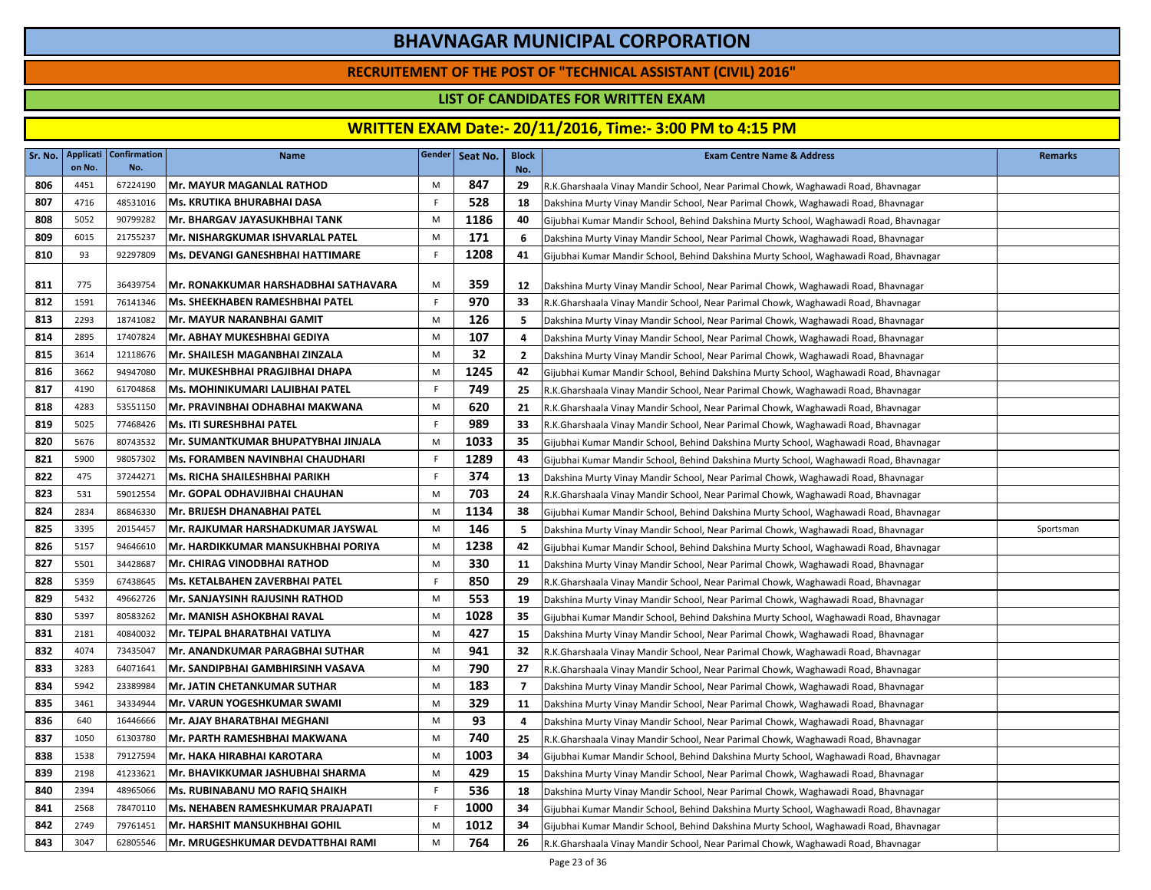### **RECRUITEMENT OF THE POST OF "TECHNICAL ASSISTANT (CIVIL) 2016"**

### **LIST OF CANDIDATES FOR WRITTEN EXAM**

| Sr. No. | on No. | Applicati   Confirmation<br>No. | <b>Name</b>                             |           | Gender   Seat No. | <b>Block</b><br>No. | <b>Exam Centre Name &amp; Address</b>                                                 | <b>Remarks</b> |
|---------|--------|---------------------------------|-----------------------------------------|-----------|-------------------|---------------------|---------------------------------------------------------------------------------------|----------------|
| 806     | 4451   | 67224190                        | <b>Mr. MAYUR MAGANLAL RATHOD</b>        | M         | 847               | 29                  | R.K.Gharshaala Vinay Mandir School, Near Parimal Chowk, Waghawadi Road, Bhavnagar     |                |
| 807     | 4716   | 48531016                        | lMs. KRUTIKA BHURABHAI DASA             | F.        | 528               | 18                  | Dakshina Murty Vinay Mandir School, Near Parimal Chowk, Waghawadi Road, Bhavnagar     |                |
| 808     | 5052   | 90799282                        | Mr. BHARGAV JAYASUKHBHAI TANK           | M         | 1186              | 40                  | Gijubhai Kumar Mandir School, Behind Dakshina Murty School, Waghawadi Road, Bhavnagar |                |
| 809     | 6015   | 21755237                        | Mr. NISHARGKUMAR ISHVARLAL PATEL        | M         | 171               | 6                   | Dakshina Murty Vinay Mandir School, Near Parimal Chowk, Waghawadi Road, Bhavnagar     |                |
| 810     | 93     | 92297809                        | Ms. DEVANGI GANESHBHAI HATTIMARE        | F         | 1208              | 41                  | Gijubhai Kumar Mandir School, Behind Dakshina Murty School, Waghawadi Road, Bhavnagar |                |
| 811     | 775    | 36439754                        | Mr. RONAKKUMAR HARSHADBHAI SATHAVARA    | M         | 359               | 12                  | Dakshina Murty Vinay Mandir School, Near Parimal Chowk, Waghawadi Road, Bhavnagar     |                |
| 812     | 1591   | 76141346                        | Ms. SHEEKHABEN RAMESHBHAI PATEL         | F         | 970               | 33                  | R.K.Gharshaala Vinay Mandir School, Near Parimal Chowk, Waghawadi Road, Bhavnagar     |                |
| 813     | 2293   | 18741082                        | Mr. MAYUR NARANBHAI GAMIT               | M         | 126               | 5                   | Dakshina Murty Vinay Mandir School, Near Parimal Chowk, Waghawadi Road, Bhavnagar     |                |
| 814     | 2895   | 17407824                        | Mr. ABHAY MUKESHBHAI GEDIYA             | M         | 107               | 4                   | Dakshina Murty Vinay Mandir School, Near Parimal Chowk, Waghawadi Road, Bhavnagar     |                |
| 815     | 3614   | 12118676                        | Mr. SHAILESH MAGANBHAI ZINZALA          | M         | 32                | $\mathbf{2}$        | Dakshina Murty Vinay Mandir School, Near Parimal Chowk, Waghawadi Road, Bhavnagar     |                |
| 816     | 3662   | 94947080                        | Mr. MUKESHBHAI PRAGJIBHAI DHAPA         | M         | 1245              | 42                  | Gijubhai Kumar Mandir School, Behind Dakshina Murty School, Waghawadi Road, Bhavnagar |                |
| 817     | 4190   | 61704868                        | Ms. MOHINIKUMARI LALJIBHAI PATEL        | F.        | 749               | 25                  | R.K.Gharshaala Vinay Mandir School, Near Parimal Chowk, Waghawadi Road, Bhavnagar     |                |
| 818     | 4283   | 53551150                        | Mr. PRAVINBHAI ODHABHAI MAKWANA         | ${\sf M}$ | 620               | 21                  | R.K.Gharshaala Vinay Mandir School, Near Parimal Chowk, Waghawadi Road, Bhavnagar     |                |
| 819     | 5025   | 77468426                        | Ms. ITI SURESHBHAI PATEL                | F.        | 989               | 33                  | R.K.Gharshaala Vinay Mandir School, Near Parimal Chowk, Waghawadi Road, Bhavnagar     |                |
| 820     | 5676   | 80743532                        | Mr. SUMANTKUMAR BHUPATYBHAI JINJALA     | ${\sf M}$ | 1033              | 35                  | Gijubhai Kumar Mandir School, Behind Dakshina Murty School, Waghawadi Road, Bhavnagar |                |
| 821     | 5900   | 98057302                        | <b>Ms. FORAMBEN NAVINBHAI CHAUDHARI</b> | F.        | 1289              | 43                  | Gijubhai Kumar Mandir School, Behind Dakshina Murty School, Waghawadi Road, Bhavnagar |                |
| 822     | 475    | 37244271                        | Ms. RICHA SHAILESHBHAI PARIKH           | F         | 374               | 13                  | Dakshina Murty Vinay Mandir School, Near Parimal Chowk, Waghawadi Road, Bhavnagar     |                |
| 823     | 531    | 59012554                        | Mr. GOPAL ODHAVJIBHAI CHAUHAN           | M         | 703               | 24                  | R.K.Gharshaala Vinay Mandir School, Near Parimal Chowk, Waghawadi Road, Bhavnagar     |                |
| 824     | 2834   | 86846330                        | Mr. BRIJESH DHANABHAI PATEL             | M         | 1134              | 38                  | Gijubhai Kumar Mandir School, Behind Dakshina Murty School, Waghawadi Road, Bhavnagar |                |
| 825     | 3395   | 20154457                        | Mr. RAJKUMAR HARSHADKUMAR JAYSWAL       | M         | 146               | 5                   | Dakshina Murty Vinay Mandir School, Near Parimal Chowk, Waghawadi Road, Bhavnagar     | Sportsman      |
| 826     | 5157   | 94646610                        | Mr. HARDIKKUMAR MANSUKHBHAI PORIYA      | M         | 1238              | 42                  | Gijubhai Kumar Mandir School, Behind Dakshina Murty School, Waghawadi Road, Bhavnagar |                |
| 827     | 5501   | 34428687                        | <b>Mr. CHIRAG VINODBHAI RATHOD</b>      | M         | 330               | 11                  | Dakshina Murty Vinay Mandir School, Near Parimal Chowk, Waghawadi Road, Bhavnagar     |                |
| 828     | 5359   | 67438645                        | Ms. KETALBAHEN ZAVERBHAI PATEL          | F         | 850               | 29                  | R.K.Gharshaala Vinay Mandir School, Near Parimal Chowk, Waghawadi Road, Bhavnagar     |                |
| 829     | 5432   | 49662726                        | <b>Mr. SANJAYSINH RAJUSINH RATHOD</b>   | M         | 553               | 19                  | Dakshina Murty Vinay Mandir School, Near Parimal Chowk, Waghawadi Road, Bhavnagar     |                |
| 830     | 5397   | 80583262                        | lMr. MANISH ASHOKBHAI RAVAL             | M         | 1028              | 35                  | Gijubhai Kumar Mandir School, Behind Dakshina Murty School, Waghawadi Road, Bhavnagar |                |
| 831     | 2181   | 40840032                        | Mr. TEJPAL BHARATBHAI VATLIYA           | M         | 427               | 15                  | Dakshina Murty Vinay Mandir School, Near Parimal Chowk, Waghawadi Road, Bhavnagar     |                |
| 832     | 4074   | 73435047                        | Mr. ANANDKUMAR PARAGBHAI SUTHAR         | M         | 941               | 32                  | R.K.Gharshaala Vinay Mandir School, Near Parimal Chowk, Waghawadi Road, Bhavnagar     |                |
| 833     | 3283   | 64071641                        | Mr. SANDIPBHAI GAMBHIRSINH VASAVA       | M         | 790               | 27                  | R.K.Gharshaala Vinay Mandir School, Near Parimal Chowk, Waghawadi Road, Bhavnagar     |                |
| 834     | 5942   | 23389984                        | <b>Mr. JATIN CHETANKUMAR SUTHAR</b>     | M         | 183               | $\overline{7}$      | Dakshina Murty Vinay Mandir School, Near Parimal Chowk, Waghawadi Road, Bhavnagar     |                |
| 835     | 3461   | 34334944                        | Mr. VARUN YOGESHKUMAR SWAMI             | M         | 329               | 11                  | Dakshina Murty Vinay Mandir School, Near Parimal Chowk, Waghawadi Road, Bhavnagar     |                |
| 836     | 640    | 16446666                        | Mr. AJAY BHARATBHAI MEGHANI             | M         | 93                | 4                   | Dakshina Murty Vinay Mandir School, Near Parimal Chowk, Waghawadi Road, Bhavnagar     |                |
| 837     | 1050   | 61303780                        | Mr. PARTH RAMESHBHAI MAKWANA            | M         | 740               | 25                  | R.K.Gharshaala Vinay Mandir School, Near Parimal Chowk, Waghawadi Road, Bhavnagar     |                |
| 838     | 1538   | 79127594                        | Mr. HAKA HIRABHAI KAROTARA              | M         | 1003              | 34                  | Gijubhai Kumar Mandir School, Behind Dakshina Murty School, Waghawadi Road, Bhavnagar |                |
| 839     | 2198   | 41233621                        | Mr. BHAVIKKUMAR JASHUBHAI SHARMA        | M         | 429               | 15                  | Dakshina Murty Vinay Mandir School, Near Parimal Chowk, Waghawadi Road, Bhavnagar     |                |
| 840     | 2394   | 48965066                        | <b>Ms. RUBINABANU MO RAFIQ SHAIKH</b>   | F.        | 536               | 18                  | Dakshina Murty Vinay Mandir School, Near Parimal Chowk, Waghawadi Road, Bhavnagar     |                |
| 841     | 2568   | 78470110                        | Ms. NEHABEN RAMESHKUMAR PRAJAPATI       | F.        | 1000              | 34                  | Gijubhai Kumar Mandir School, Behind Dakshina Murty School, Waghawadi Road, Bhavnagar |                |
| 842     | 2749   | 79761451                        | Mr. HARSHIT MANSUKHBHAI GOHIL           | M         | 1012              | 34                  | Gijubhai Kumar Mandir School, Behind Dakshina Murty School, Waghawadi Road, Bhavnagar |                |
| 843     | 3047   | 62805546                        | Mr. MRUGESHKUMAR DEVDATTBHAI RAMI       | M         | 764               | 26                  | R.K.Gharshaala Vinay Mandir School, Near Parimal Chowk, Waghawadi Road, Bhavnagar     |                |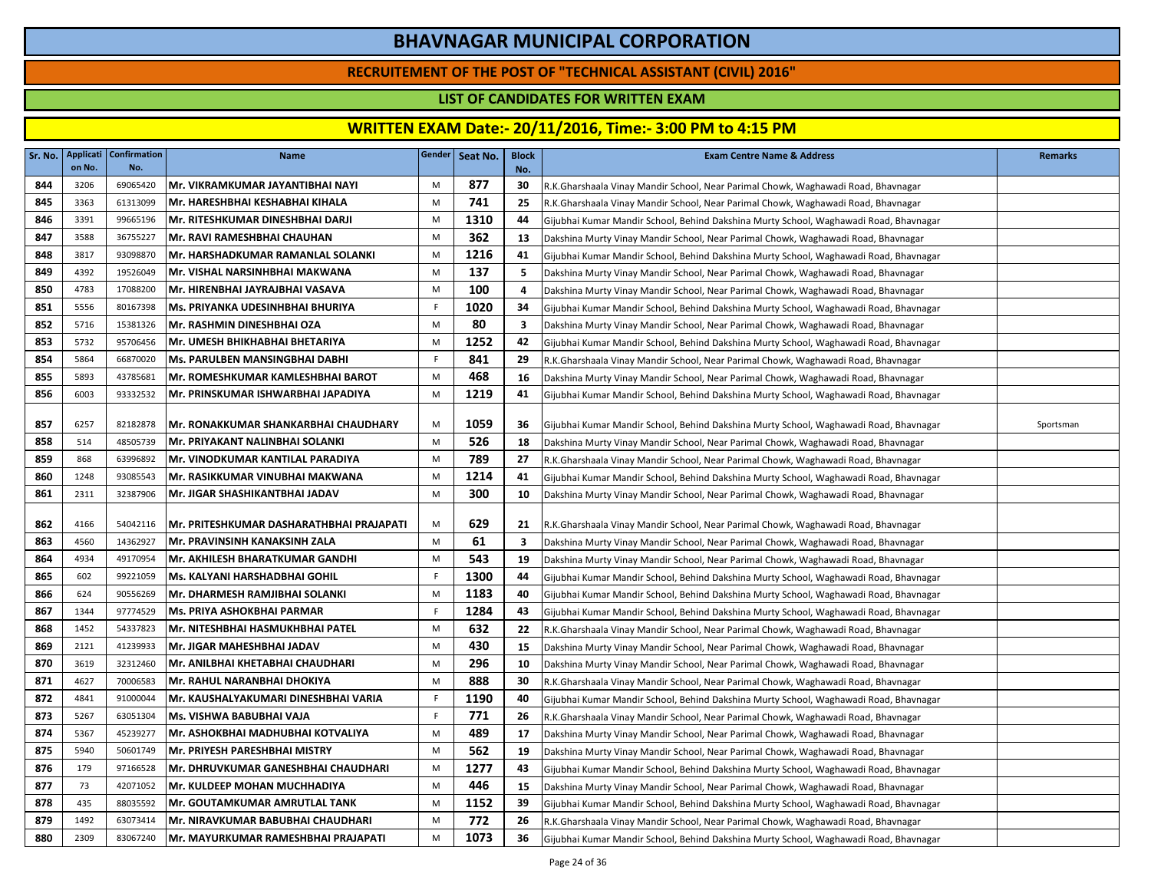### **RECRUITEMENT OF THE POST OF "TECHNICAL ASSISTANT (CIVIL) 2016"**

### **LIST OF CANDIDATES FOR WRITTEN EXAM**

| Sr. No.    | on No.      | Applicati   Confirmation<br>No. | <b>Name</b>                                                         |        | Gender   Seat No. | <b>Block</b><br>No.     | <b>Exam Centre Name &amp; Address</b>                                                                                                                                      | <b>Remarks</b> |
|------------|-------------|---------------------------------|---------------------------------------------------------------------|--------|-------------------|-------------------------|----------------------------------------------------------------------------------------------------------------------------------------------------------------------------|----------------|
| 844        | 3206        | 69065420                        | Mr. VIKRAMKUMAR JAYANTIBHAI NAYI                                    | M      | 877               | 30                      | R.K.Gharshaala Vinay Mandir School, Near Parimal Chowk, Waghawadi Road, Bhavnagar                                                                                          |                |
| 845        | 3363        | 61313099                        | Mr. HARESHBHAI KESHABHAI KIHALA                                     | M      | 741               | 25                      | R.K.Gharshaala Vinay Mandir School, Near Parimal Chowk, Waghawadi Road, Bhavnagar                                                                                          |                |
| 846        | 3391        | 99665196                        | Mr. RITESHKUMAR DINESHBHAI DARJI                                    | M      | 1310              | 44                      | Gijubhai Kumar Mandir School, Behind Dakshina Murty School, Waghawadi Road, Bhavnagar                                                                                      |                |
| 847        | 3588        | 36755227                        | Mr. RAVI RAMESHBHAI CHAUHAN                                         | M      | 362               | 13                      | Dakshina Murty Vinay Mandir School, Near Parimal Chowk, Waghawadi Road, Bhavnagar                                                                                          |                |
| 848        | 3817        | 93098870                        | Mr. HARSHADKUMAR RAMANLAL SOLANKI                                   | M      | 1216              | 41                      | Gijubhai Kumar Mandir School, Behind Dakshina Murty School, Waghawadi Road, Bhavnagar                                                                                      |                |
| 849        | 4392        | 19526049                        | Mr. VISHAL NARSINHBHAI MAKWANA                                      | M      | 137               | 5                       | Dakshina Murty Vinay Mandir School, Near Parimal Chowk, Waghawadi Road, Bhavnagar                                                                                          |                |
| 850        | 4783        | 17088200                        | Mr. HIRENBHAI JAYRAJBHAI VASAVA                                     | M      | 100               | 4                       | Dakshina Murty Vinay Mandir School, Near Parimal Chowk, Waghawadi Road, Bhavnagar                                                                                          |                |
| 851        | 5556        | 80167398                        | Ms. PRIYANKA UDESINHBHAI BHURIYA                                    | F      | 1020              | 34                      | Gijubhai Kumar Mandir School, Behind Dakshina Murty School, Waghawadi Road, Bhavnagar                                                                                      |                |
| 852        | 5716        | 15381326                        | Mr. RASHMIN DINESHBHAI OZA                                          | M      | 80                | $\overline{\mathbf{3}}$ | Dakshina Murty Vinay Mandir School, Near Parimal Chowk, Waghawadi Road, Bhavnagar                                                                                          |                |
| 853        | 5732        | 95706456                        | Mr. UMESH BHIKHABHAI BHETARIYA                                      | M      | 1252              | 42                      | Gijubhai Kumar Mandir School, Behind Dakshina Murty School, Waghawadi Road, Bhavnagar                                                                                      |                |
| 854        | 5864        | 66870020                        | <b>Ms. PARULBEN MANSINGBHAI DABHI</b>                               | F      | 841               | 29                      | R.K.Gharshaala Vinay Mandir School, Near Parimal Chowk, Waghawadi Road, Bhavnagar                                                                                          |                |
| 855        | 5893        | 43785681                        | Mr. ROMESHKUMAR KAMLESHBHAI BAROT                                   | M      | 468               | 16                      | Dakshina Murty Vinay Mandir School, Near Parimal Chowk, Waghawadi Road, Bhavnagar                                                                                          |                |
| 856        | 6003        | 93332532                        | Mr. PRINSKUMAR ISHWARBHAI JAPADIYA                                  | M      | 1219              | 41                      | Gijubhai Kumar Mandir School, Behind Dakshina Murty School, Waghawadi Road, Bhavnagar                                                                                      |                |
|            |             |                                 |                                                                     |        |                   |                         |                                                                                                                                                                            |                |
| 857        | 6257<br>514 | 82182878<br>48505739            | Mr. RONAKKUMAR SHANKARBHAI CHAUDHARY                                | M<br>M | 1059<br>526       | 36                      | Gijubhai Kumar Mandir School, Behind Dakshina Murty School, Waghawadi Road, Bhavnagar                                                                                      | Sportsman      |
| 858<br>859 | 868         | 63996892                        | Mr. PRIYAKANT NALINBHAI SOLANKI<br>Mr. VINODKUMAR KANTILAL PARADIYA | M      | 789               | 18<br>27                | Dakshina Murty Vinay Mandir School, Near Parimal Chowk, Waghawadi Road, Bhavnagar                                                                                          |                |
| 860        | 1248        | 93085543                        | Mr. RASIKKUMAR VINUBHAI MAKWANA                                     | M      | 1214              | 41                      | R.K.Gharshaala Vinay Mandir School, Near Parimal Chowk, Waghawadi Road, Bhavnagar                                                                                          |                |
| 861        | 2311        | 32387906                        | Mr. JIGAR SHASHIKANTBHAI JADAV                                      | M      | 300               | 10                      | Gijubhai Kumar Mandir School, Behind Dakshina Murty School, Waghawadi Road, Bhavnagar<br>Dakshina Murty Vinay Mandir School, Near Parimal Chowk, Waghawadi Road, Bhavnagar |                |
| 862        | 4166        | 54042116                        | Mr. PRITESHKUMAR DASHARATHBHAI PRAJAPATI                            | M      | 629               | 21                      | R.K.Gharshaala Vinay Mandir School, Near Parimal Chowk, Waghawadi Road, Bhavnagar                                                                                          |                |
| 863        | 4560        | 14362927                        | Mr. PRAVINSINH KANAKSINH ZALA                                       | M      | 61                | 3                       | Dakshina Murty Vinay Mandir School, Near Parimal Chowk, Waghawadi Road, Bhavnagar                                                                                          |                |
| 864        | 4934        | 49170954                        | Mr. AKHILESH BHARATKUMAR GANDHI                                     | M      | 543               | 19                      | Dakshina Murty Vinay Mandir School, Near Parimal Chowk, Waghawadi Road, Bhavnagar                                                                                          |                |
| 865        | 602         | 99221059                        | lMs. KALYANI HARSHADBHAI GOHIL                                      | F.     | 1300              | 44                      | Gijubhai Kumar Mandir School, Behind Dakshina Murty School, Waghawadi Road, Bhavnagar                                                                                      |                |
| 866        | 624         | 90556269                        | Mr. DHARMESH RAMJIBHAI SOLANKI                                      | M      | 1183              | 40                      | Gijubhai Kumar Mandir School, Behind Dakshina Murty School, Waghawadi Road, Bhavnagar                                                                                      |                |
| 867        | 1344        | 97774529                        | <b>Ms. PRIYA ASHOKBHAI PARMAR</b>                                   | F.     | 1284              | 43                      | Gijubhai Kumar Mandir School, Behind Dakshina Murty School, Waghawadi Road, Bhavnagar                                                                                      |                |
| 868        | 1452        | 54337823                        | Mr. NITESHBHAI HASMUKHBHAI PATEL                                    | M      | 632               | 22                      | R.K.Gharshaala Vinay Mandir School, Near Parimal Chowk, Waghawadi Road, Bhavnagar                                                                                          |                |
| 869        | 2121        | 41239933                        | Mr. JIGAR MAHESHBHAI JADAV                                          | M      | 430               | 15                      | Dakshina Murty Vinay Mandir School, Near Parimal Chowk, Waghawadi Road, Bhavnagar                                                                                          |                |
| 870        | 3619        | 32312460                        | Mr. ANILBHAI KHETABHAI CHAUDHARI                                    | M      | 296               | 10                      | Dakshina Murty Vinay Mandir School, Near Parimal Chowk, Waghawadi Road, Bhavnagar                                                                                          |                |
| 871        | 4627        | 70006583                        | Mr. RAHUL NARANBHAI DHOKIYA                                         | M      | 888               | 30                      | R.K.Gharshaala Vinay Mandir School, Near Parimal Chowk, Waghawadi Road, Bhavnagar                                                                                          |                |
| 872        | 4841        | 91000044                        | Mr. KAUSHALYAKUMARI DINESHBHAI VARIA                                | F.     | 1190              | 40                      | Gijubhai Kumar Mandir School, Behind Dakshina Murty School, Waghawadi Road, Bhavnagar                                                                                      |                |
| 873        | 5267        | 63051304                        | lMs. VISHWA BABUBHAI VAJA                                           | F.     | 771               | 26                      | R.K.Gharshaala Vinay Mandir School, Near Parimal Chowk, Waghawadi Road, Bhavnagar                                                                                          |                |
| 874        | 5367        | 45239277                        | Mr. ASHOKBHAI MADHUBHAI KOTVALIYA                                   | M      | 489               | 17                      | Dakshina Murty Vinay Mandir School, Near Parimal Chowk, Waghawadi Road, Bhavnagar                                                                                          |                |
| 875        | 5940        | 50601749                        | Mr. PRIYESH PARESHBHAI MISTRY                                       | M      | 562               | 19                      | Dakshina Murty Vinay Mandir School, Near Parimal Chowk, Waghawadi Road, Bhavnagar                                                                                          |                |
| 876        | 179         | 97166528                        | Mr. DHRUVKUMAR GANESHBHAI CHAUDHARI                                 | M      | 1277              | 43                      | Gijubhai Kumar Mandir School, Behind Dakshina Murty School, Waghawadi Road, Bhavnagar                                                                                      |                |
| 877        | 73          | 42071052                        | Mr. KULDEEP MOHAN MUCHHADIYA                                        | M      | 446               | 15                      | Dakshina Murty Vinay Mandir School, Near Parimal Chowk, Waghawadi Road, Bhavnagar                                                                                          |                |
| 878        | 435         | 88035592                        | <b>Mr. GOUTAMKUMAR AMRUTLAL TANK</b>                                | M      | 1152              | 39                      | Gijubhai Kumar Mandir School, Behind Dakshina Murty School, Waghawadi Road, Bhavnagar                                                                                      |                |
| 879        | 1492        | 63073414                        | Mr. NIRAVKUMAR BABUBHAI CHAUDHARI                                   | M      | 772               | 26                      | R.K.Gharshaala Vinay Mandir School, Near Parimal Chowk, Waghawadi Road, Bhavnagar                                                                                          |                |
| 880        | 2309        | 83067240                        | Mr. MAYURKUMAR RAMESHBHAI PRAJAPATI                                 | M      | 1073              | 36                      | Gijubhai Kumar Mandir School, Behind Dakshina Murty School, Waghawadi Road, Bhavnagar                                                                                      |                |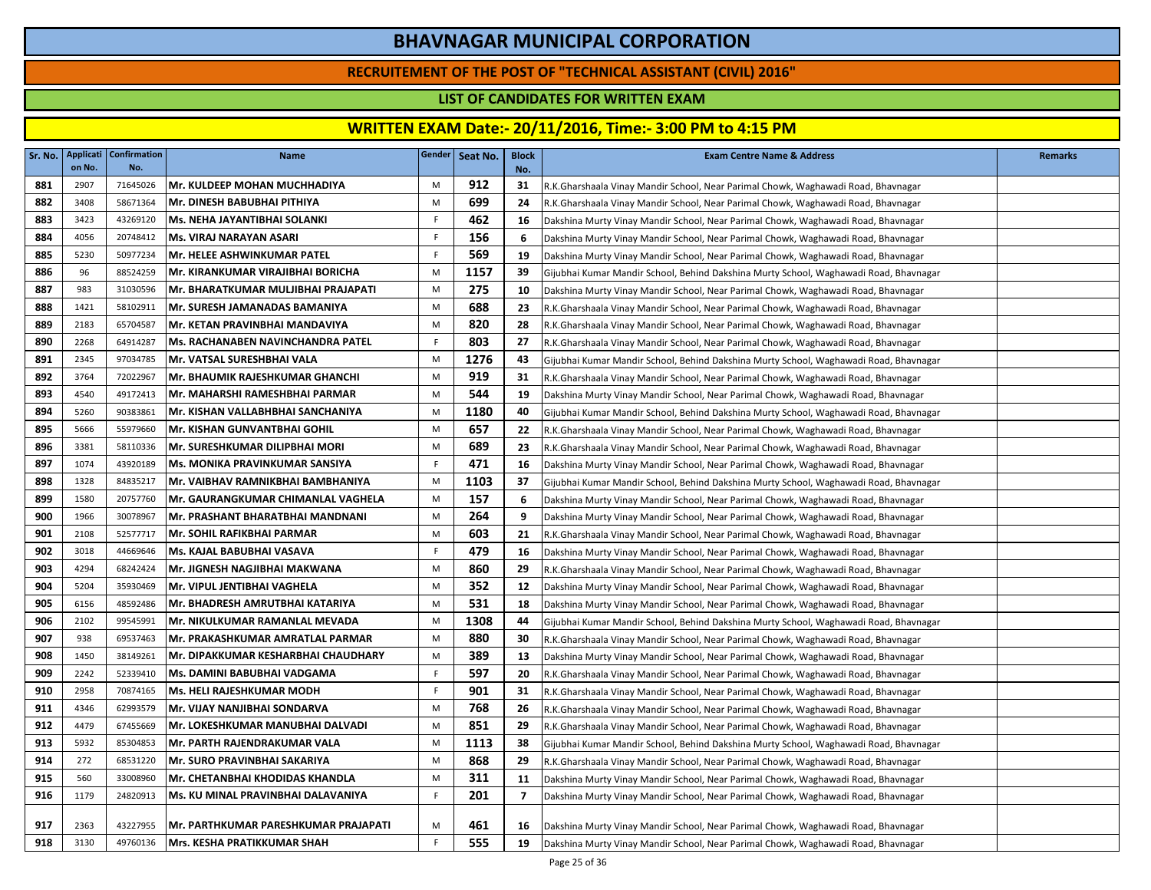### **RECRUITEMENT OF THE POST OF "TECHNICAL ASSISTANT (CIVIL) 2016"**

### **LIST OF CANDIDATES FOR WRITTEN EXAM**

| Sr. No. | on No. | Applicati   Confirmation<br>No. | <b>Name</b>                                 | Gender | Seat No. | <b>Block</b><br>No. | <b>Exam Centre Name &amp; Address</b>                                                 | <b>Remarks</b> |
|---------|--------|---------------------------------|---------------------------------------------|--------|----------|---------------------|---------------------------------------------------------------------------------------|----------------|
| 881     | 2907   | 71645026                        | <b>Mr. KULDEEP MOHAN MUCHHADIYA</b>         | M      | 912      | 31                  | R.K.Gharshaala Vinay Mandir School, Near Parimal Chowk, Waghawadi Road, Bhavnagar     |                |
| 882     | 3408   | 58671364                        | Mr. DINESH BABUBHAI PITHIYA                 | M      | 699      | 24                  | R.K.Gharshaala Vinay Mandir School, Near Parimal Chowk, Waghawadi Road, Bhavnagar     |                |
| 883     | 3423   | 43269120                        | Ms. NEHA JAYANTIBHAI SOLANKI                | F.     | 462      | 16                  | Dakshina Murty Vinay Mandir School, Near Parimal Chowk, Waghawadi Road, Bhavnagar     |                |
| 884     | 4056   | 20748412                        | <b>Ms. VIRAJ NARAYAN ASARI</b>              | F      | 156      | 6                   | Dakshina Murty Vinay Mandir School, Near Parimal Chowk, Waghawadi Road, Bhavnagar     |                |
| 885     | 5230   | 50977234                        | Mr. HELEE ASHWINKUMAR PATEL                 | F      | 569      | 19                  | Dakshina Murty Vinay Mandir School, Near Parimal Chowk, Waghawadi Road, Bhavnagar     |                |
| 886     | 96     | 88524259                        | Mr. KIRANKUMAR VIRAJIBHAI BORICHA           | M      | 1157     | 39                  | Gijubhai Kumar Mandir School, Behind Dakshina Murty School, Waghawadi Road, Bhavnagar |                |
| 887     | 983    | 31030596                        | Mr. BHARATKUMAR MULJIBHAI PRAJAPATI         | M      | 275      | 10                  | Dakshina Murty Vinay Mandir School, Near Parimal Chowk, Waghawadi Road, Bhavnagar     |                |
| 888     | 1421   | 58102911                        | Mr. SURESH JAMANADAS BAMANIYA               | M      | 688      | 23                  | R.K.Gharshaala Vinay Mandir School, Near Parimal Chowk, Waghawadi Road, Bhavnagar     |                |
| 889     | 2183   | 65704587                        | Mr. KETAN PRAVINBHAI MANDAVIYA              | M      | 820      | 28                  | R.K.Gharshaala Vinay Mandir School, Near Parimal Chowk, Waghawadi Road, Bhavnagar     |                |
| 890     | 2268   | 64914287                        | Ms. RACHANABEN NAVINCHANDRA PATEL           | F.     | 803      | 27                  | R.K.Gharshaala Vinay Mandir School, Near Parimal Chowk, Waghawadi Road, Bhavnagar     |                |
| 891     | 2345   | 97034785                        | Mr. VATSAL SURESHBHAI VALA                  | M      | 1276     | 43                  | Gijubhai Kumar Mandir School, Behind Dakshina Murty School, Waghawadi Road, Bhavnagar |                |
| 892     | 3764   | 72022967                        | Mr. BHAUMIK RAJESHKUMAR GHANCHI             | M      | 919      | 31                  | R.K.Gharshaala Vinay Mandir School, Near Parimal Chowk, Waghawadi Road, Bhavnagar     |                |
| 893     | 4540   | 49172413                        | Mr. MAHARSHI RAMESHBHAI PARMAR              | M      | 544      | 19                  | Dakshina Murty Vinay Mandir School, Near Parimal Chowk, Waghawadi Road, Bhavnagar     |                |
| 894     | 5260   | 90383861                        | Mr. KISHAN VALLABHBHAI SANCHANIYA           | M      | 1180     | 40                  | Gijubhai Kumar Mandir School, Behind Dakshina Murty School, Waghawadi Road, Bhavnagar |                |
| 895     | 5666   | 55979660                        | <b>Mr. KISHAN GUNVANTBHAI GOHIL</b>         | M      | 657      | 22                  | R.K.Gharshaala Vinay Mandir School, Near Parimal Chowk, Waghawadi Road, Bhavnagar     |                |
| 896     | 3381   | 58110336                        | Mr. SURESHKUMAR DILIPBHAI MORI              | M      | 689      | 23                  | R.K.Gharshaala Vinay Mandir School, Near Parimal Chowk, Waghawadi Road, Bhavnagar     |                |
| 897     | 1074   | 43920189                        | Ms. MONIKA PRAVINKUMAR SANSIYA              | F      | 471      | 16                  | Dakshina Murty Vinay Mandir School, Near Parimal Chowk, Waghawadi Road, Bhavnagar     |                |
| 898     | 1328   | 84835217                        | Mr. VAIBHAV RAMNIKBHAI BAMBHANIYA           | M      | 1103     | 37                  | Gijubhai Kumar Mandir School, Behind Dakshina Murty School, Waghawadi Road, Bhavnagar |                |
| 899     | 1580   | 20757760                        | Mr. GAURANGKUMAR CHIMANLAL VAGHELA          | M      | 157      | 6                   | Dakshina Murty Vinay Mandir School, Near Parimal Chowk, Waghawadi Road, Bhavnagar     |                |
| 900     | 1966   | 30078967                        | Mr. PRASHANT BHARATBHAI MANDNANI            | M      | 264      | 9                   | Dakshina Murty Vinay Mandir School, Near Parimal Chowk, Waghawadi Road, Bhavnagar     |                |
| 901     | 2108   | 52577717                        | Mr. SOHIL RAFIKBHAI PARMAR                  | M      | 603      | 21                  | R.K.Gharshaala Vinay Mandir School, Near Parimal Chowk, Waghawadi Road, Bhavnagar     |                |
| 902     | 3018   | 44669646                        | Ms. KAJAL BABUBHAI VASAVA                   | F      | 479      | 16                  | Dakshina Murty Vinay Mandir School, Near Parimal Chowk, Waghawadi Road, Bhavnagar     |                |
| 903     | 4294   | 68242424                        | Mr. JIGNESH NAGJIBHAI MAKWANA               | M      | 860      | 29                  | R.K.Gharshaala Vinay Mandir School, Near Parimal Chowk, Waghawadi Road, Bhavnagar     |                |
| 904     | 5204   | 35930469                        | Mr. VIPUL JENTIBHAI VAGHELA                 | M      | 352      | 12                  | Dakshina Murty Vinay Mandir School, Near Parimal Chowk, Waghawadi Road, Bhavnagar     |                |
| 905     | 6156   | 48592486                        | Mr. BHADRESH AMRUTBHAI KATARIYA             | M      | 531      | 18                  | Dakshina Murty Vinay Mandir School, Near Parimal Chowk, Waghawadi Road, Bhavnagar     |                |
| 906     | 2102   | 99545991                        | Mr. NIKULKUMAR RAMANLAL MEVADA              | M      | 1308     | 44                  | Gijubhai Kumar Mandir School, Behind Dakshina Murty School, Waghawadi Road, Bhavnagar |                |
| 907     | 938    | 69537463                        | Mr. PRAKASHKUMAR AMRATLAL PARMAR            | M      | 880      | 30                  | R.K.Gharshaala Vinay Mandir School, Near Parimal Chowk, Waghawadi Road, Bhavnagar     |                |
| 908     | 1450   | 38149261                        | Mr. DIPAKKUMAR KESHARBHAI CHAUDHARY         | M      | 389      | 13                  | Dakshina Murty Vinay Mandir School, Near Parimal Chowk, Waghawadi Road, Bhavnagar     |                |
| 909     | 2242   | 52339410                        | Ms. DAMINI BABUBHAI VADGAMA                 | F      | 597      | 20                  | R.K.Gharshaala Vinay Mandir School, Near Parimal Chowk, Waghawadi Road, Bhavnagar     |                |
| 910     | 2958   | 70874165                        | Ms. HELI RAJESHKUMAR MODH                   | F.     | 901      | 31                  | R.K.Gharshaala Vinay Mandir School, Near Parimal Chowk, Waghawadi Road, Bhavnagar     |                |
| 911     | 4346   | 62993579                        | Mr. VIJAY NANJIBHAI SONDARVA                | M      | 768      | 26                  | R.K.Gharshaala Vinay Mandir School, Near Parimal Chowk, Waghawadi Road, Bhavnagar     |                |
| 912     | 4479   | 67455669                        | Mr. LOKESHKUMAR MANUBHAI DALVADI            | M      | 851      | 29                  | R.K.Gharshaala Vinay Mandir School, Near Parimal Chowk, Waghawadi Road, Bhavnagar     |                |
| 913     | 5932   | 85304853                        | Mr. PARTH RAJENDRAKUMAR VALA                | M      | 1113     | 38                  | Gijubhai Kumar Mandir School, Behind Dakshina Murty School, Waghawadi Road, Bhavnagar |                |
| 914     | 272    | 68531220                        | <b>Mr. SURO PRAVINBHAI SAKARIYA</b>         | M      | 868      | 29                  | R.K.Gharshaala Vinay Mandir School, Near Parimal Chowk, Waghawadi Road, Bhavnagar     |                |
| 915     | 560    | 33008960                        | <b>Mr. CHETANBHAI KHODIDAS KHANDLA</b>      | M      | 311      | 11                  | Dakshina Murty Vinay Mandir School, Near Parimal Chowk, Waghawadi Road, Bhavnagar     |                |
| 916     | 1179   | 24820913                        | Ms. KU MINAL PRAVINBHAI DALAVANIYA          | F.     | 201      | $\overline{7}$      | Dakshina Murty Vinay Mandir School, Near Parimal Chowk, Waghawadi Road, Bhavnagar     |                |
| 917     | 2363   | 43227955                        | <b>Mr. PARTHKUMAR PARESHKUMAR PRAJAPATI</b> | M      | 461      | 16                  | Dakshina Murty Vinay Mandir School, Near Parimal Chowk, Waghawadi Road, Bhavnagar     |                |
| 918     | 3130   | 49760136                        | Mrs. KESHA PRATIKKUMAR SHAH                 | F.     | 555      | 19                  | Dakshina Murty Vinay Mandir School, Near Parimal Chowk, Waghawadi Road, Bhavnagar     |                |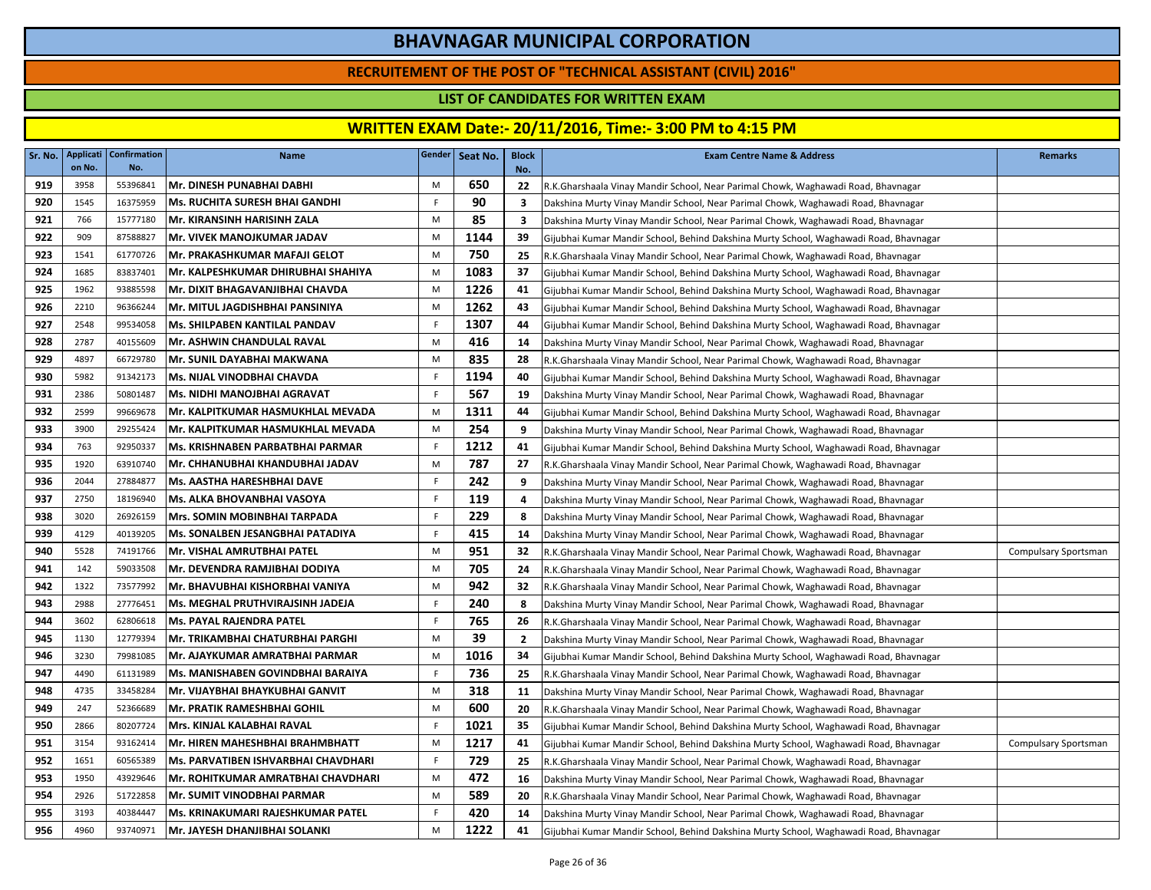### **RECRUITEMENT OF THE POST OF "TECHNICAL ASSISTANT (CIVIL) 2016"**

### **LIST OF CANDIDATES FOR WRITTEN EXAM**

| Sr. No. | Applicati<br>on No. | <b>Confirmation</b><br>No. | <b>Name</b>                           |             | Gender   Seat No. | <b>Block</b><br>No. | <b>Exam Centre Name &amp; Address</b>                                                 | <b>Remarks</b>       |
|---------|---------------------|----------------------------|---------------------------------------|-------------|-------------------|---------------------|---------------------------------------------------------------------------------------|----------------------|
| 919     | 3958                | 55396841                   | Mr. DINESH PUNABHAI DABHI             | M           | 650               | 22                  | R.K.Gharshaala Vinay Mandir School, Near Parimal Chowk, Waghawadi Road, Bhavnagar     |                      |
| 920     | 1545                | 16375959                   | <b>Ms. RUCHITA SURESH BHAI GANDHI</b> | F           | 90                | 3                   | Dakshina Murty Vinay Mandir School, Near Parimal Chowk, Waghawadi Road, Bhavnagar     |                      |
| 921     | 766                 | 15777180                   | Mr. KIRANSINH HARISINH ZALA           | M           | 85                | 3                   | Dakshina Murty Vinay Mandir School, Near Parimal Chowk, Waghawadi Road, Bhavnagar     |                      |
| 922     | 909                 | 87588827                   | Mr. VIVEK MANOJKUMAR JADAV            | M           | 1144              | 39                  | Gijubhai Kumar Mandir School, Behind Dakshina Murty School, Waghawadi Road, Bhavnagar |                      |
| 923     | 1541                | 61770726                   | Mr. PRAKASHKUMAR MAFAJI GELOT         | M           | 750               | 25                  | R.K.Gharshaala Vinay Mandir School, Near Parimal Chowk, Waghawadi Road, Bhavnagar     |                      |
| 924     | 1685                | 83837401                   | Mr. KALPESHKUMAR DHIRUBHAI SHAHIYA    | M           | 1083              | 37                  | Gijubhai Kumar Mandir School, Behind Dakshina Murty School, Waghawadi Road, Bhavnagar |                      |
| 925     | 1962                | 93885598                   | Mr. DIXIT BHAGAVANJIBHAI CHAVDA       | M           | 1226              | 41                  | Gijubhai Kumar Mandir School, Behind Dakshina Murty School, Waghawadi Road, Bhavnagar |                      |
| 926     | 2210                | 96366244                   | Mr. MITUL JAGDISHBHAI PANSINIYA       | M           | 1262              | 43                  | Gijubhai Kumar Mandir School, Behind Dakshina Murty School, Waghawadi Road, Bhavnagar |                      |
| 927     | 2548                | 99534058                   | <b>Ms. SHILPABEN KANTILAL PANDAV</b>  | F.          | 1307              | 44                  | Gijubhai Kumar Mandir School, Behind Dakshina Murty School, Waghawadi Road, Bhavnagar |                      |
| 928     | 2787                | 40155609                   | Mr. ASHWIN CHANDULAL RAVAL            | M           | 416               | 14                  | Dakshina Murty Vinay Mandir School, Near Parimal Chowk, Waghawadi Road, Bhavnagar     |                      |
| 929     | 4897                | 66729780                   | Mr. SUNIL DAYABHAI MAKWANA            | M           | 835               | 28                  | R.K.Gharshaala Vinay Mandir School, Near Parimal Chowk, Waghawadi Road, Bhavnagar     |                      |
| 930     | 5982                | 91342173                   | Ms. NIJAL VINODBHAI CHAVDA            | F.          | 1194              | 40                  | Gijubhai Kumar Mandir School, Behind Dakshina Murty School, Waghawadi Road, Bhavnagar |                      |
| 931     | 2386                | 50801487                   | Ms. NIDHI MANOJBHAI AGRAVAT           | $\mathsf F$ | 567               | 19                  | Dakshina Murty Vinay Mandir School, Near Parimal Chowk, Waghawadi Road, Bhavnagar     |                      |
| 932     | 2599                | 99669678                   | Mr. KALPITKUMAR HASMUKHLAL MEVADA     | M           | 1311              | 44                  | Gijubhai Kumar Mandir School, Behind Dakshina Murty School, Waghawadi Road, Bhavnagar |                      |
| 933     | 3900                | 29255424                   | Mr. KALPITKUMAR HASMUKHLAL MEVADA     | M           | 254               | 9                   | Dakshina Murty Vinay Mandir School, Near Parimal Chowk, Waghawadi Road, Bhavnagar     |                      |
| 934     | 763                 | 92950337                   | Ms. KRISHNABEN PARBATBHAI PARMAR      | F.          | 1212              | 41                  | Gijubhai Kumar Mandir School, Behind Dakshina Murty School, Waghawadi Road, Bhavnagar |                      |
| 935     | 1920                | 63910740                   | Mr. CHHANUBHAI KHANDUBHAI JADAV       | M           | 787               | 27                  | R.K.Gharshaala Vinay Mandir School, Near Parimal Chowk, Waghawadi Road, Bhavnagar     |                      |
| 936     | 2044                | 27884877                   | Ms. AASTHA HARESHBHAI DAVE            | F.          | 242               | 9                   | Dakshina Murty Vinay Mandir School, Near Parimal Chowk, Waghawadi Road, Bhavnagar     |                      |
| 937     | 2750                | 18196940                   | Ms. ALKA BHOVANBHAI VASOYA            | F.          | 119               | 4                   | Dakshina Murty Vinay Mandir School, Near Parimal Chowk, Waghawadi Road, Bhavnagar     |                      |
| 938     | 3020                | 26926159                   | <b>Mrs. SOMIN MOBINBHAI TARPADA</b>   | F.          | 229               | 8                   | Dakshina Murty Vinay Mandir School, Near Parimal Chowk, Waghawadi Road, Bhavnagar     |                      |
| 939     | 4129                | 40139205                   | Ms. SONALBEN JESANGBHAI PATADIYA      | F.          | 415               | 14                  | Dakshina Murty Vinay Mandir School, Near Parimal Chowk, Waghawadi Road, Bhavnagar     |                      |
| 940     | 5528                | 74191766                   | Mr. VISHAL AMRUTBHAI PATEL            | M           | 951               | 32                  | R.K.Gharshaala Vinay Mandir School, Near Parimal Chowk, Waghawadi Road, Bhavnagar     | Compulsary Sportsman |
| 941     | 142                 | 59033508                   | Mr. DEVENDRA RAMJIBHAI DODIYA         | M           | 705               | 24                  | R.K.Gharshaala Vinay Mandir School, Near Parimal Chowk, Waghawadi Road, Bhavnagar     |                      |
| 942     | 1322                | 73577992                   | Mr. BHAVUBHAI KISHORBHAI VANIYA       | M           | 942               | 32                  | R.K.Gharshaala Vinay Mandir School, Near Parimal Chowk, Waghawadi Road, Bhavnagar     |                      |
| 943     | 2988                | 27776451                   | Ms. MEGHAL PRUTHVIRAJSINH JADEJA      | F.          | 240               | 8                   | Dakshina Murty Vinay Mandir School, Near Parimal Chowk, Waghawadi Road, Bhavnagar     |                      |
| 944     | 3602                | 62806618                   | Ms. PAYAL RAJENDRA PATEL              | F.          | 765               | 26                  | R.K.Gharshaala Vinay Mandir School, Near Parimal Chowk, Waghawadi Road, Bhavnagar     |                      |
| 945     | 1130                | 12779394                   | Mr. TRIKAMBHAI CHATURBHAI PARGHI      | M           | 39                | $\overline{2}$      | Dakshina Murty Vinay Mandir School, Near Parimal Chowk, Waghawadi Road, Bhavnagar     |                      |
| 946     | 3230                | 79981085                   | Mr. AJAYKUMAR AMRATBHAI PARMAR        | M           | 1016              | 34                  | Gijubhai Kumar Mandir School, Behind Dakshina Murty School, Waghawadi Road, Bhavnagar |                      |
| 947     | 4490                | 61131989                   | Ms. MANISHABEN GOVINDBHAI BARAIYA     | F.          | 736               | 25                  | R.K.Gharshaala Vinay Mandir School, Near Parimal Chowk, Waghawadi Road, Bhavnagar     |                      |
| 948     | 4735                | 33458284                   | Mr. VIJAYBHAI BHAYKUBHAI GANVIT       | M           | 318               | 11                  | Dakshina Murty Vinay Mandir School, Near Parimal Chowk, Waghawadi Road, Bhavnagar     |                      |
| 949     | 247                 | 52366689                   | <b>Mr. PRATIK RAMESHBHAI GOHIL</b>    | M           | 600               | 20                  | R.K.Gharshaala Vinay Mandir School, Near Parimal Chowk, Waghawadi Road, Bhavnagar     |                      |
| 950     | 2866                | 80207724                   | Mrs. KINJAL KALABHAI RAVAL            | F.          | 1021              | 35                  | Gijubhai Kumar Mandir School, Behind Dakshina Murty School, Waghawadi Road, Bhavnagar |                      |
| 951     | 3154                | 93162414                   | Mr. HIREN MAHESHBHAI BRAHMBHATT       | M           | 1217              | 41                  | Gijubhai Kumar Mandir School, Behind Dakshina Murty School, Waghawadi Road, Bhavnagar | Compulsary Sportsman |
| 952     | 1651                | 60565389                   | Ms. PARVATIBEN ISHVARBHAI CHAVDHARI   | F.          | 729               | 25                  | R.K.Gharshaala Vinay Mandir School, Near Parimal Chowk, Waghawadi Road, Bhavnagar     |                      |
| 953     | 1950                | 43929646                   | Mr. ROHITKUMAR AMRATBHAI CHAVDHARI    | M           | 472               | 16                  | Dakshina Murty Vinay Mandir School, Near Parimal Chowk, Waghawadi Road, Bhavnagar     |                      |
| 954     | 2926                | 51722858                   | <b>Mr. SUMIT VINODBHAI PARMAR</b>     | M           | 589               | 20                  | R.K.Gharshaala Vinay Mandir School, Near Parimal Chowk, Waghawadi Road, Bhavnagar     |                      |
| 955     | 3193                | 40384447                   | Ms. KRINAKUMARI RAJESHKUMAR PATEL     | F.          | 420               | 14                  | Dakshina Murty Vinay Mandir School, Near Parimal Chowk, Waghawadi Road, Bhavnagar     |                      |
| 956     | 4960                | 93740971                   | Mr. JAYESH DHANJIBHAI SOLANKI         | M           | 1222              | 41                  | Gijubhai Kumar Mandir School, Behind Dakshina Murty School, Waghawadi Road, Bhavnagar |                      |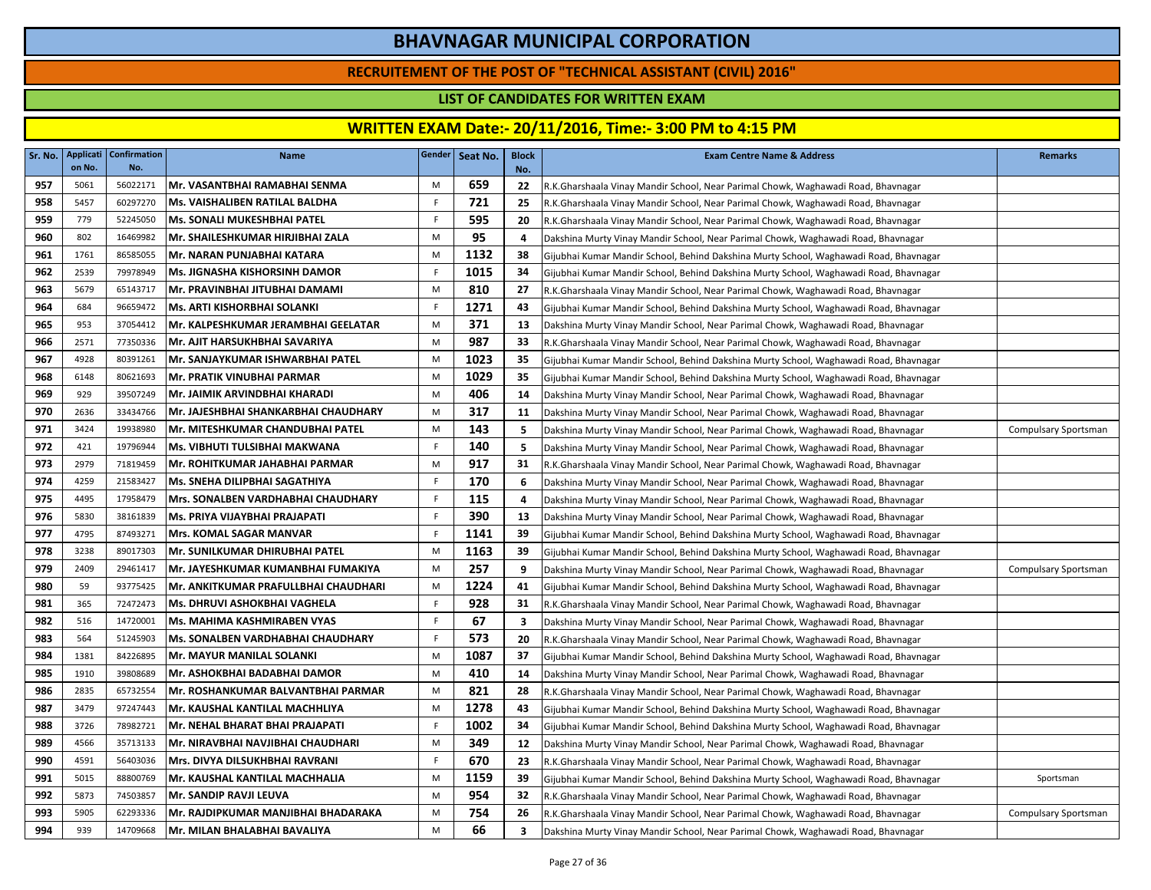### **RECRUITEMENT OF THE POST OF "TECHNICAL ASSISTANT (CIVIL) 2016"**

### **LIST OF CANDIDATES FOR WRITTEN EXAM**

| Sr. No. | Applicati<br>on No. | <b>Confirmation</b><br>No. | <b>Name</b>                              |             | Gender Seat No. | <b>Block</b><br>No.     | <b>Exam Centre Name &amp; Address</b>                                                 | <b>Remarks</b>       |
|---------|---------------------|----------------------------|------------------------------------------|-------------|-----------------|-------------------------|---------------------------------------------------------------------------------------|----------------------|
| 957     | 5061                | 56022171                   | Mr. VASANTBHAI RAMABHAI SENMA            | M           | 659             | 22                      | R.K.Gharshaala Vinay Mandir School, Near Parimal Chowk, Waghawadi Road, Bhavnagar     |                      |
| 958     | 5457                | 60297270                   | Ms. VAISHALIBEN RATILAL BALDHA           | F.          | 721             | 25                      | R.K.Gharshaala Vinay Mandir School, Near Parimal Chowk, Waghawadi Road, Bhavnagar     |                      |
| 959     | 779                 | 52245050                   | Ms. SONALI MUKESHBHAI PATEL              | F           | 595             | 20                      | R.K.Gharshaala Vinay Mandir School, Near Parimal Chowk, Waghawadi Road, Bhavnagar     |                      |
| 960     | 802                 | 16469982                   | IMr. SHAILESHKUMAR HIRJIBHAI ZALA        | M           | 95              | 4                       | Dakshina Murty Vinay Mandir School, Near Parimal Chowk, Waghawadi Road, Bhavnagar     |                      |
| 961     | 1761                | 86585055                   | Mr. NARAN PUNJABHAI KATARA               | M           | 1132            | 38                      | Gijubhai Kumar Mandir School, Behind Dakshina Murty School, Waghawadi Road, Bhavnagar |                      |
| 962     | 2539                | 79978949                   | <b>Ms. JIGNASHA KISHORSINH DAMOR</b>     | F           | 1015            | 34                      | Gijubhai Kumar Mandir School, Behind Dakshina Murty School, Waghawadi Road, Bhavnagar |                      |
| 963     | 5679                | 65143717                   | Mr. PRAVINBHAI JITUBHAI DAMAMI           | M           | 810             | 27                      | R.K.Gharshaala Vinay Mandir School, Near Parimal Chowk, Waghawadi Road, Bhavnagar     |                      |
| 964     | 684                 | 96659472                   | <b>Ms. ARTI KISHORBHAI SOLANKI</b>       | F.          | 1271            | 43                      | Gijubhai Kumar Mandir School, Behind Dakshina Murty School, Waghawadi Road, Bhavnagar |                      |
| 965     | 953                 | 37054412                   | Mr. KALPESHKUMAR JERAMBHAI GEELATAR      | M           | 371             | 13                      | Dakshina Murty Vinay Mandir School, Near Parimal Chowk, Waghawadi Road, Bhavnagar     |                      |
| 966     | 2571                | 77350336                   | Mr. AJIT HARSUKHBHAI SAVARIYA            | M           | 987             | 33                      | R.K.Gharshaala Vinay Mandir School, Near Parimal Chowk, Waghawadi Road, Bhavnagar     |                      |
| 967     | 4928                | 80391261                   | Mr. SANJAYKUMAR ISHWARBHAI PATEL         | M           | 1023            | 35                      | Gijubhai Kumar Mandir School, Behind Dakshina Murty School, Waghawadi Road, Bhavnagar |                      |
| 968     | 6148                | 80621693                   | Mr. PRATIK VINUBHAI PARMAR               | M           | 1029            | 35                      | Gijubhai Kumar Mandir School, Behind Dakshina Murty School, Waghawadi Road, Bhavnagar |                      |
| 969     | 929                 | 39507249                   | Mr. JAIMIK ARVINDBHAI KHARADI            | M           | 406             | 14                      | Dakshina Murty Vinay Mandir School, Near Parimal Chowk, Waghawadi Road, Bhavnagar     |                      |
| 970     | 2636                | 33434766                   | Mr. JAJESHBHAI SHANKARBHAI CHAUDHARY     | M           | 317             | 11                      | Dakshina Murty Vinay Mandir School, Near Parimal Chowk, Waghawadi Road, Bhavnagar     |                      |
| 971     | 3424                | 19938980                   | Mr. MITESHKUMAR CHANDUBHAI PATEL         | M           | 143             | 5                       | Dakshina Murty Vinay Mandir School, Near Parimal Chowk, Waghawadi Road, Bhavnagar     | Compulsary Sportsman |
| 972     | 421                 | 19796944                   | Ms. VIBHUTI TULSIBHAI MAKWANA            | F           | 140             | 5                       | Dakshina Murty Vinay Mandir School, Near Parimal Chowk, Waghawadi Road, Bhavnagar     |                      |
| 973     | 2979                | 71819459                   | Mr. ROHITKUMAR JAHABHAI PARMAR           | M           | 917             | 31                      | R.K.Gharshaala Vinay Mandir School, Near Parimal Chowk, Waghawadi Road, Bhavnagar     |                      |
| 974     | 4259                | 21583427                   | <b>Ms. SNEHA DILIPBHAI SAGATHIYA</b>     | F           | 170             | 6                       | Dakshina Murty Vinay Mandir School, Near Parimal Chowk, Waghawadi Road, Bhavnagar     |                      |
| 975     | 4495                | 17958479                   | Mrs. SONALBEN VARDHABHAI CHAUDHARY       | F           | 115             | 4                       | Dakshina Murty Vinay Mandir School, Near Parimal Chowk, Waghawadi Road, Bhavnagar     |                      |
| 976     | 5830                | 38161839                   | Ms. PRIYA VIJAYBHAI PRAJAPATI            | F.          | 390             | 13                      | Dakshina Murty Vinay Mandir School, Near Parimal Chowk, Waghawadi Road, Bhavnagar     |                      |
| 977     | 4795                | 87493271                   | <b>Mrs. KOMAL SAGAR MANVAR</b>           | F.          | 1141            | 39                      | Gijubhai Kumar Mandir School, Behind Dakshina Murty School, Waghawadi Road, Bhavnagar |                      |
| 978     | 3238                | 89017303                   | Mr. SUNILKUMAR DHIRUBHAI PATEL           | M           | 1163            | 39                      | Gijubhai Kumar Mandir School, Behind Dakshina Murty School, Waghawadi Road, Bhavnagar |                      |
| 979     | 2409                | 29461417                   | Mr. JAYESHKUMAR KUMANBHAI FUMAKIYA       | M           | 257             | 9                       | Dakshina Murty Vinay Mandir School, Near Parimal Chowk, Waghawadi Road, Bhavnagar     | Compulsary Sportsman |
| 980     | 59                  | 93775425                   | Mr. ANKITKUMAR PRAFULLBHAI CHAUDHARI     | M           | 1224            | 41                      | Gijubhai Kumar Mandir School, Behind Dakshina Murty School, Waghawadi Road, Bhavnagar |                      |
| 981     | 365                 | 72472473                   | <b>Ms. DHRUVI ASHOKBHAI VAGHELA</b>      | F.          | 928             | 31                      | R.K.Gharshaala Vinay Mandir School, Near Parimal Chowk, Waghawadi Road, Bhavnagar     |                      |
| 982     | 516                 | 14720001                   | Ms. MAHIMA KASHMIRABEN VYAS              | F           | 67              | $\overline{\mathbf{3}}$ | Dakshina Murty Vinay Mandir School, Near Parimal Chowk, Waghawadi Road, Bhavnagar     |                      |
| 983     | 564                 | 51245903                   | <b>Ms. SONALBEN VARDHABHAI CHAUDHARY</b> | F           | 573             | 20                      | R.K.Gharshaala Vinay Mandir School, Near Parimal Chowk, Waghawadi Road, Bhavnagar     |                      |
| 984     | 1381                | 84226895                   | Mr. MAYUR MANILAL SOLANKI                | M           | 1087            | 37                      | Gijubhai Kumar Mandir School, Behind Dakshina Murty School, Waghawadi Road, Bhavnagar |                      |
| 985     | 1910                | 39808689                   | Mr. ASHOKBHAI BADABHAI DAMOR             | M           | 410             | 14                      | Dakshina Murty Vinay Mandir School, Near Parimal Chowk, Waghawadi Road, Bhavnagar     |                      |
| 986     | 2835                | 65732554                   | Mr. ROSHANKUMAR BALVANTBHAI PARMAR       | M           | 821             | 28                      | R.K.Gharshaala Vinay Mandir School, Near Parimal Chowk, Waghawadi Road, Bhavnagar     |                      |
| 987     | 3479                | 97247443                   | Mr. KAUSHAL KANTILAL MACHHLIYA           | M           | 1278            | 43                      | Gijubhai Kumar Mandir School, Behind Dakshina Murty School, Waghawadi Road, Bhavnagar |                      |
| 988     | 3726                | 78982721                   | Mr. NEHAL BHARAT BHAI PRAJAPATI          | $\mathsf F$ | 1002            | 34                      | Gijubhai Kumar Mandir School, Behind Dakshina Murty School, Waghawadi Road, Bhavnagar |                      |
| 989     | 4566                | 35713133                   | Mr. NIRAVBHAI NAVJIBHAI CHAUDHARI        | M           | 349             | 12                      | Dakshina Murty Vinay Mandir School, Near Parimal Chowk, Waghawadi Road, Bhavnagar     |                      |
| 990     | 4591                | 56403036                   | Mrs. DIVYA DILSUKHBHAI RAVRANI           | F           | 670             | 23                      | R.K.Gharshaala Vinay Mandir School, Near Parimal Chowk, Waghawadi Road, Bhavnagar     |                      |
| 991     | 5015                | 88800769                   | Mr. KAUSHAL KANTILAL MACHHALIA           | M           | 1159            | 39                      | Gijubhai Kumar Mandir School, Behind Dakshina Murty School, Waghawadi Road, Bhavnagar | Sportsman            |
| 992     | 5873                | 74503857                   | Mr. SANDIP RAVJI LEUVA                   | M           | 954             | 32                      | R.K.Gharshaala Vinay Mandir School, Near Parimal Chowk, Waghawadi Road, Bhavnagar     |                      |
| 993     | 5905                | 62293336                   | Mr. RAJDIPKUMAR MANJIBHAI BHADARAKA      | M           | 754             | 26                      | R.K.Gharshaala Vinay Mandir School, Near Parimal Chowk, Waghawadi Road, Bhavnagar     | Compulsary Sportsman |
| 994     | 939                 | 14709668                   | Mr. MILAN BHALABHAI BAVALIYA             | M           | 66              | 3                       | Dakshina Murty Vinay Mandir School, Near Parimal Chowk, Waghawadi Road, Bhavnagar     |                      |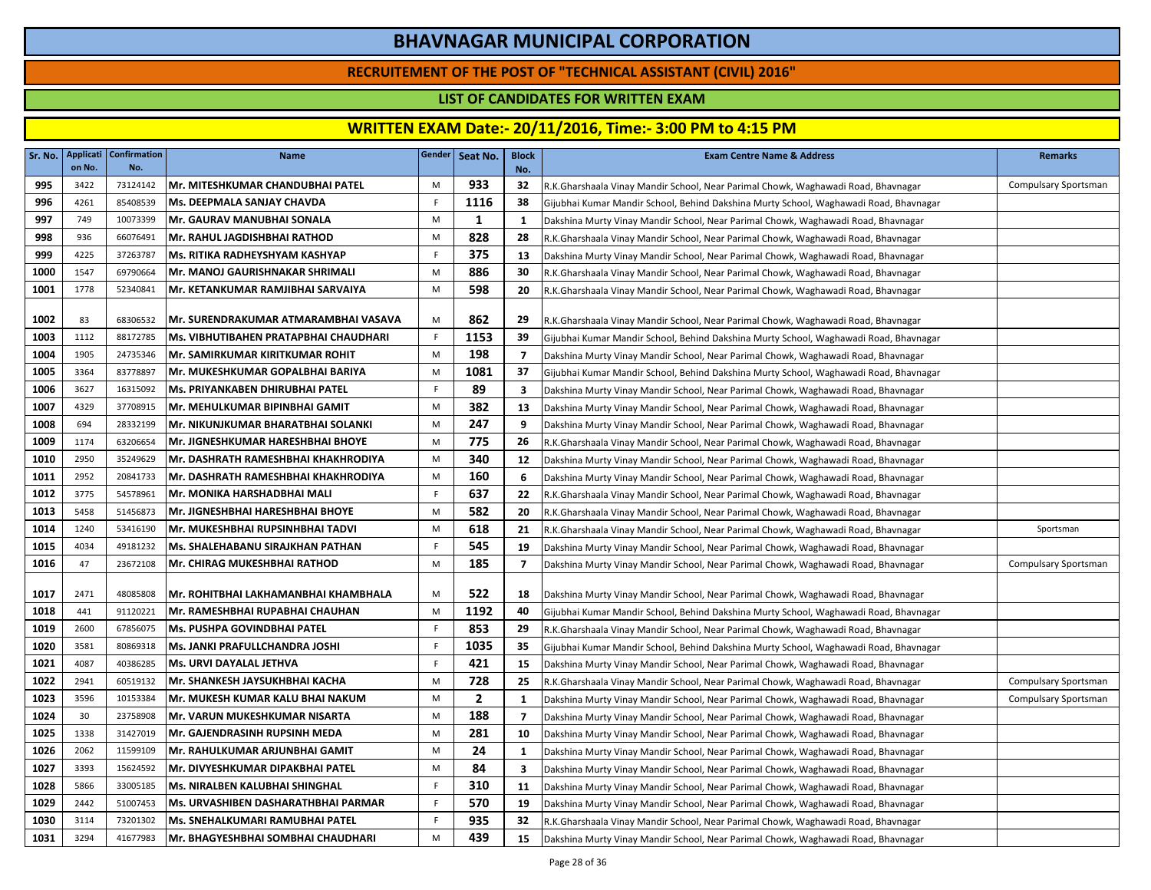### **RECRUITEMENT OF THE POST OF "TECHNICAL ASSISTANT (CIVIL) 2016"**

### **LIST OF CANDIDATES FOR WRITTEN EXAM**

| Sr. No. | <b>Applicati</b><br>on No. | <b>Confirmation</b><br>No. | <b>Name</b>                                |             | Gender   Seat No. | <b>Block</b><br>No.     | <b>Exam Centre Name &amp; Address</b>                                                 | <b>Remarks</b>       |
|---------|----------------------------|----------------------------|--------------------------------------------|-------------|-------------------|-------------------------|---------------------------------------------------------------------------------------|----------------------|
| 995     | 3422                       | 73124142                   | Mr. MITESHKUMAR CHANDUBHAI PATEL           | M           | 933               | 32                      | R.K.Gharshaala Vinay Mandir School, Near Parimal Chowk, Waghawadi Road, Bhavnagar     | Compulsary Sportsman |
| 996     | 4261                       | 85408539                   | Ms. DEEPMALA SANJAY CHAVDA                 | F.          | 1116              | 38                      | Gijubhai Kumar Mandir School, Behind Dakshina Murty School, Waghawadi Road, Bhavnagar |                      |
| 997     | 749                        | 10073399                   | <b>Mr. GAURAV MANUBHAI SONALA</b>          | M           | 1                 | $\mathbf{1}$            | Dakshina Murty Vinay Mandir School, Near Parimal Chowk, Waghawadi Road, Bhavnagar     |                      |
| 998     | 936                        | 66076491                   | Mr. RAHUL JAGDISHBHAI RATHOD               | M           | 828               | 28                      | R.K.Gharshaala Vinay Mandir School, Near Parimal Chowk, Waghawadi Road, Bhavnagar     |                      |
| 999     | 4225                       | 37263787                   | <b>Ms. RITIKA RADHEYSHYAM KASHYAP</b>      | F.          | 375               | 13                      | Dakshina Murty Vinay Mandir School, Near Parimal Chowk, Waghawadi Road, Bhavnagar     |                      |
| 1000    | 1547                       | 69790664                   | Mr. MANOJ GAURISHNAKAR SHRIMALI            | M           | 886               | 30                      | R.K.Gharshaala Vinay Mandir School, Near Parimal Chowk, Waghawadi Road, Bhavnagar     |                      |
| 1001    | 1778                       | 52340841                   | Mr. KETANKUMAR RAMJIBHAI SARVAIYA          | M           | 598               | 20                      | R.K.Gharshaala Vinay Mandir School, Near Parimal Chowk, Waghawadi Road, Bhavnagar     |                      |
| 1002    | 83                         | 68306532                   | Mr. SURENDRAKUMAR ATMARAMBHAI VASAVA       | M           | 862               | 29                      | R.K.Gharshaala Vinay Mandir School, Near Parimal Chowk, Waghawadi Road, Bhavnagar     |                      |
| 1003    | 1112                       | 88172785                   | Ms. VIBHUTIBAHEN PRATAPBHAI CHAUDHARI      | F           | 1153              | 39                      | Gijubhai Kumar Mandir School, Behind Dakshina Murty School, Waghawadi Road, Bhavnagar |                      |
| 1004    | 1905                       | 24735346                   | Mr. SAMIRKUMAR KIRITKUMAR ROHIT            | M           | 198               | $\overline{7}$          | Dakshina Murty Vinay Mandir School, Near Parimal Chowk, Waghawadi Road, Bhavnagar     |                      |
| 1005    | 3364                       | 83778897                   | Mr. MUKESHKUMAR GOPALBHAI BARIYA           | M           | 1081              | 37                      | Gijubhai Kumar Mandir School, Behind Dakshina Murty School, Waghawadi Road, Bhavnagar |                      |
| 1006    | 3627                       | 16315092                   | <b>Ms. PRIYANKABEN DHIRUBHAI PATEL</b>     | F.          | 89                | 3                       | Dakshina Murty Vinay Mandir School, Near Parimal Chowk, Waghawadi Road, Bhavnagar     |                      |
| 1007    | 4329                       | 37708915                   | Mr. MEHULKUMAR BIPINBHAI GAMIT             | M           | 382               | 13                      | Dakshina Murty Vinay Mandir School, Near Parimal Chowk, Waghawadi Road, Bhavnagar     |                      |
| 1008    | 694                        | 28332199                   | Mr. NIKUNJKUMAR BHARATBHAI SOLANKI         | M           | 247               | 9                       | Dakshina Murty Vinay Mandir School, Near Parimal Chowk, Waghawadi Road, Bhavnagar     |                      |
| 1009    | 1174                       | 63206654                   | Mr. JIGNESHKUMAR HARESHBHAI BHOYE          | M           | 775               | 26                      | R.K.Gharshaala Vinay Mandir School, Near Parimal Chowk, Waghawadi Road, Bhavnagar     |                      |
| 1010    | 2950                       | 35249629                   | Mr. DASHRATH RAMESHBHAI KHAKHRODIYA        | M           | 340               | 12                      | Dakshina Murty Vinay Mandir School, Near Parimal Chowk, Waghawadi Road, Bhavnagar     |                      |
| 1011    | 2952                       | 20841733                   | Mr. DASHRATH RAMESHBHAI KHAKHRODIYA        | M           | 160               | 6                       | Dakshina Murty Vinay Mandir School, Near Parimal Chowk, Waghawadi Road, Bhavnagar     |                      |
| 1012    | 3775                       | 54578961                   | Mr. MONIKA HARSHADBHAI MALI                | F.          | 637               | 22                      | R.K.Gharshaala Vinay Mandir School, Near Parimal Chowk, Waghawadi Road, Bhavnagar     |                      |
| 1013    | 5458                       | 51456873                   | Mr. JIGNESHBHAI HARESHBHAI BHOYE           | M           | 582               | 20                      | R.K.Gharshaala Vinay Mandir School, Near Parimal Chowk, Waghawadi Road, Bhavnagar     |                      |
| 1014    | 1240                       | 53416190                   | Mr. MUKESHBHAI RUPSINHBHAI TADVI           | M           | 618               | 21                      | R.K.Gharshaala Vinay Mandir School, Near Parimal Chowk, Waghawadi Road, Bhavnagar     | Sportsman            |
| 1015    | 4034                       | 49181232                   | Ms. SHALEHABANU SIRAJKHAN PATHAN           | F           | 545               | 19                      | Dakshina Murty Vinay Mandir School, Near Parimal Chowk, Waghawadi Road, Bhavnagar     |                      |
| 1016    | 47                         | 23672108                   | Mr. CHIRAG MUKESHBHAI RATHOD               | M           | 185               | $\overline{7}$          | Dakshina Murty Vinay Mandir School, Near Parimal Chowk, Waghawadi Road, Bhavnagar     | Compulsary Sportsman |
| 1017    | 2471                       | 48085808                   | Mr. ROHITBHAI LAKHAMANBHAI KHAMBHALA       | M           | 522               | 18                      | Dakshina Murty Vinay Mandir School, Near Parimal Chowk, Waghawadi Road, Bhavnagar     |                      |
| 1018    | 441                        | 91120221                   | Mr. RAMESHBHAI RUPABHAI CHAUHAN            | M           | 1192              | 40                      | Gijubhai Kumar Mandir School, Behind Dakshina Murty School, Waghawadi Road, Bhavnagar |                      |
| 1019    | 2600                       | 67856075                   | <b>Ms. PUSHPA GOVINDBHAI PATEL</b>         | $\mathsf F$ | 853               | 29                      | R.K.Gharshaala Vinay Mandir School, Near Parimal Chowk, Waghawadi Road, Bhavnagar     |                      |
| 1020    | 3581                       | 80869318                   | <b>Ms. JANKI PRAFULLCHANDRA JOSHI</b>      | F.          | 1035              | 35                      | Gijubhai Kumar Mandir School, Behind Dakshina Murty School, Waghawadi Road, Bhavnagar |                      |
| 1021    | 4087                       | 40386285                   | Ms. URVI DAYALAL JETHVA                    | F           | 421               | 15                      | Dakshina Murty Vinay Mandir School, Near Parimal Chowk, Waghawadi Road, Bhavnagar     |                      |
| 1022    | 2941                       | 60519132                   | Mr. SHANKESH JAYSUKHBHAI KACHA             | M           | 728               | 25                      | R.K.Gharshaala Vinay Mandir School, Near Parimal Chowk, Waghawadi Road, Bhavnagar     | Compulsary Sportsman |
| 1023    | 3596                       | 10153384                   | Mr. MUKESH KUMAR KALU BHAI NAKUM           | M           | $\mathbf{2}$      | 1                       | Dakshina Murty Vinay Mandir School, Near Parimal Chowk, Waghawadi Road, Bhavnagar     | Compulsary Sportsman |
| 1024    | 30                         | 23758908                   | Mr. VARUN MUKESHKUMAR NISARTA              | M           | 188               | $\overline{7}$          | Dakshina Murty Vinay Mandir School, Near Parimal Chowk, Waghawadi Road, Bhavnagar     |                      |
| 1025    | 1338                       | 31427019                   | Mr. GAJENDRASINH RUPSINH MEDA              | M           | 281               | 10                      | Dakshina Murty Vinay Mandir School, Near Parimal Chowk, Waghawadi Road, Bhavnagar     |                      |
| 1026    | 2062                       | 11599109                   | Mr. RAHULKUMAR ARJUNBHAI GAMIT             | M           | 24                | $\mathbf{1}$            | Dakshina Murty Vinay Mandir School, Near Parimal Chowk, Waghawadi Road, Bhavnagar     |                      |
| 1027    | 3393                       | 15624592                   | Mr. DIVYESHKUMAR DIPAKBHAI PATEL           | M           | 84                | $\overline{\mathbf{3}}$ | Dakshina Murty Vinay Mandir School, Near Parimal Chowk, Waghawadi Road, Bhavnagar     |                      |
| 1028    | 5866                       | 33005185                   | Ms. NIRALBEN KALUBHAI SHINGHAL             | F           | 310               | 11                      | Dakshina Murty Vinay Mandir School, Near Parimal Chowk, Waghawadi Road, Bhavnagar     |                      |
| 1029    | 2442                       | 51007453                   | <b>Ms. URVASHIBEN DASHARATHBHAI PARMAR</b> | F           | 570               | 19                      | Dakshina Murty Vinay Mandir School, Near Parimal Chowk, Waghawadi Road, Bhavnagar     |                      |
| 1030    | 3114                       | 73201302                   | Ms. SNEHALKUMARI RAMUBHAI PATEL            | F           | 935               | 32                      | R.K.Gharshaala Vinay Mandir School, Near Parimal Chowk, Waghawadi Road, Bhavnagar     |                      |
| 1031    | 3294                       | 41677983                   | Mr. BHAGYESHBHAI SOMBHAI CHAUDHARI         | M           | 439               | 15                      | Dakshina Murty Vinay Mandir School, Near Parimal Chowk, Waghawadi Road, Bhavnagar     |                      |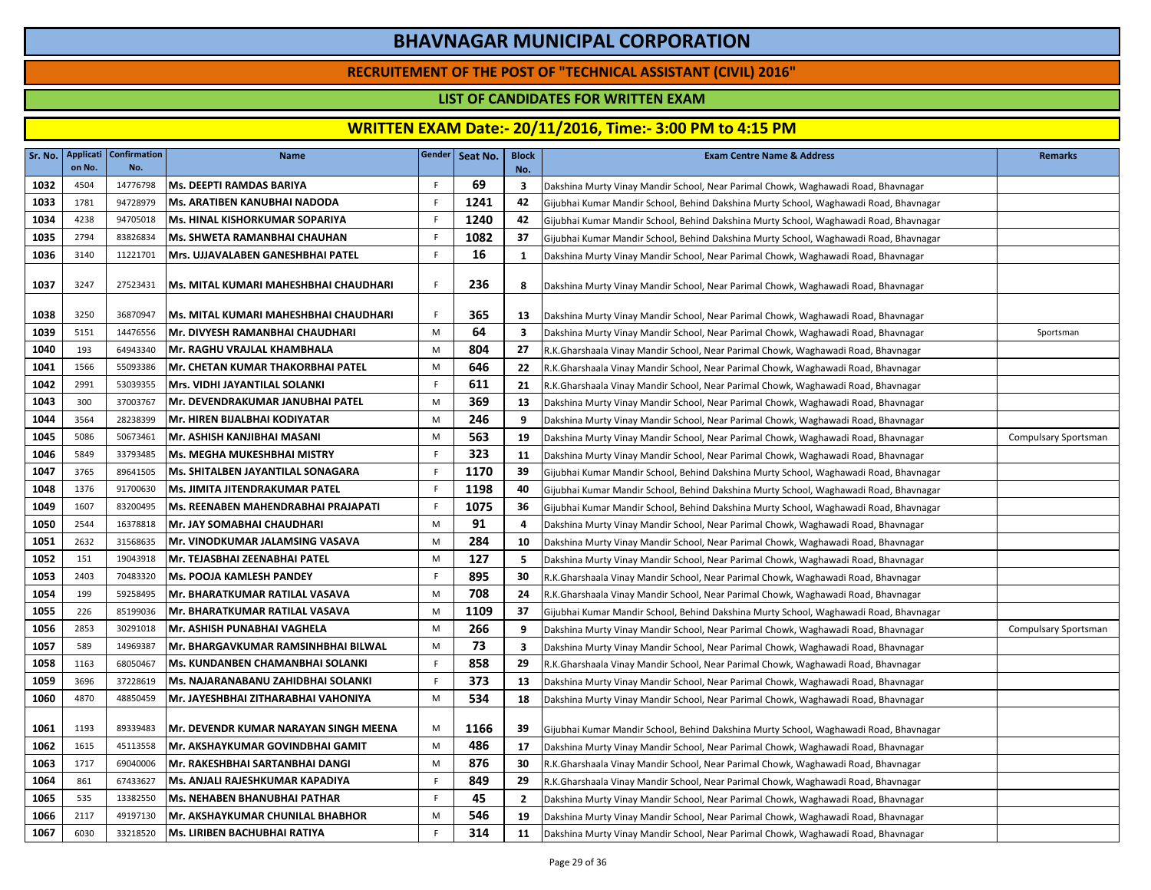### **RECRUITEMENT OF THE POST OF "TECHNICAL ASSISTANT (CIVIL) 2016"**

### **LIST OF CANDIDATES FOR WRITTEN EXAM**

| Sr. No. | Applicati<br>on No. | <b>Confirmation</b><br>No. | <b>Name</b>                                  |             | Gender Seat No. | <b>Block</b><br>No. | <b>Exam Centre Name &amp; Address</b>                                                 | <b>Remarks</b>              |
|---------|---------------------|----------------------------|----------------------------------------------|-------------|-----------------|---------------------|---------------------------------------------------------------------------------------|-----------------------------|
| 1032    | 4504                | 14776798                   | <b>Ms. DEEPTI RAMDAS BARIYA</b>              | F.          | 69              | 3                   | Dakshina Murty Vinay Mandir School, Near Parimal Chowk, Waghawadi Road, Bhavnagar     |                             |
| 1033    | 1781                | 94728979                   | Ms. ARATIBEN KANUBHAI NADODA                 | F.          | 1241            | 42                  | Gijubhai Kumar Mandir School, Behind Dakshina Murty School, Waghawadi Road, Bhavnagar |                             |
| 1034    | 4238                | 94705018                   | <b>Ms. HINAL KISHORKUMAR SOPARIYA</b>        | F           | 1240            | 42                  | Gijubhai Kumar Mandir School, Behind Dakshina Murty School, Waghawadi Road, Bhavnagar |                             |
| 1035    | 2794                | 83826834                   | Ms. SHWETA RAMANBHAI CHAUHAN                 | F.          | 1082            | 37                  | Gijubhai Kumar Mandir School, Behind Dakshina Murty School, Waghawadi Road, Bhavnagar |                             |
| 1036    | 3140                | 11221701                   | Mrs. UJJAVALABEN GANESHBHAI PATEL            | F           | 16              | 1                   | Dakshina Murty Vinay Mandir School, Near Parimal Chowk, Waghawadi Road, Bhavnagar     |                             |
| 1037    | 3247                | 27523431                   | <b>Ms. MITAL KUMARI MAHESHBHAI CHAUDHARI</b> | F.          | 236             | 8                   | Dakshina Murty Vinay Mandir School, Near Parimal Chowk, Waghawadi Road, Bhavnagar     |                             |
| 1038    | 3250                | 36870947                   | Ms. MITAL KUMARI MAHESHBHAI CHAUDHARI        | F           | 365             | 13                  | Dakshina Murty Vinay Mandir School, Near Parimal Chowk, Waghawadi Road, Bhavnagar     |                             |
| 1039    | 5151                | 14476556                   | Mr. DIVYESH RAMANBHAI CHAUDHARI              | M           | 64              | $\mathbf{3}$        | Dakshina Murty Vinay Mandir School, Near Parimal Chowk, Waghawadi Road, Bhavnagar     | Sportsman                   |
| 1040    | 193                 | 64943340                   | Mr. RAGHU VRAJLAL KHAMBHALA                  | M           | 804             | 27                  | R.K.Gharshaala Vinay Mandir School, Near Parimal Chowk, Waghawadi Road, Bhavnagar     |                             |
| 1041    | 1566                | 55093386                   | Mr. CHETAN KUMAR THAKORBHAI PATEL            | M           | 646             | 22                  | R.K.Gharshaala Vinay Mandir School, Near Parimal Chowk, Waghawadi Road, Bhavnagar     |                             |
| 1042    | 2991                | 53039355                   | Mrs. VIDHI JAYANTILAL SOLANKI                | F           | 611             | 21                  | R.K.Gharshaala Vinay Mandir School, Near Parimal Chowk, Waghawadi Road, Bhavnagar     |                             |
| 1043    | 300                 | 37003767                   | Mr. DEVENDRAKUMAR JANUBHAI PATEL             | M           | 369             | 13                  | Dakshina Murty Vinay Mandir School, Near Parimal Chowk, Waghawadi Road, Bhavnagar     |                             |
| 1044    | 3564                | 28238399                   | İMr. HIREN BIJALBHAI KODIYATAR               | M           | 246             | 9                   | Dakshina Murty Vinay Mandir School, Near Parimal Chowk, Waghawadi Road, Bhavnagar     |                             |
| 1045    | 5086                | 50673461                   | Mr. ASHISH KANJIBHAI MASANI                  | M           | 563             | 19                  | Dakshina Murty Vinay Mandir School, Near Parimal Chowk, Waghawadi Road, Bhavnagar     | <b>Compulsary Sportsman</b> |
| 1046    | 5849                | 33793485                   | lMs. MEGHA MUKESHBHAI MISTRY                 | F           | 323             | 11                  | Dakshina Murty Vinay Mandir School, Near Parimal Chowk, Waghawadi Road, Bhavnagar     |                             |
| 1047    | 3765                | 89641505                   | <b>Ms. SHITALBEN JAYANTILAL SONAGARA</b>     | F           | 1170            | 39                  | Gijubhai Kumar Mandir School, Behind Dakshina Murty School, Waghawadi Road, Bhavnagar |                             |
| 1048    | 1376                | 91700630                   | Ms. JIMITA JITENDRAKUMAR PATEL               | F.          | 1198            | 40                  | Gijubhai Kumar Mandir School, Behind Dakshina Murty School, Waghawadi Road, Bhavnagar |                             |
| 1049    | 1607                | 83200495                   | lMs. REENABEN MAHENDRABHAI PRAJAPATI         | F           | 1075            | -36                 | Gijubhai Kumar Mandir School, Behind Dakshina Murty School, Waghawadi Road, Bhavnagar |                             |
| 1050    | 2544                | 16378818                   | Mr. JAY SOMABHAI CHAUDHARI                   | M           | 91              | 4                   | Dakshina Murty Vinay Mandir School, Near Parimal Chowk, Waghawadi Road, Bhavnagar     |                             |
| 1051    | 2632                | 31568635                   | Mr. VINODKUMAR JALAMSING VASAVA              | M           | 284             | 10                  | Dakshina Murty Vinay Mandir School, Near Parimal Chowk, Waghawadi Road, Bhavnagar     |                             |
| 1052    | 151                 | 19043918                   | Mr. TEJASBHAI ZEENABHAI PATEL                | M           | 127             | 5                   | Dakshina Murty Vinay Mandir School, Near Parimal Chowk, Waghawadi Road, Bhavnagar     |                             |
| 1053    | 2403                | 70483320                   | Ms. POOJA KAMLESH PANDEY                     | F           | 895             | 30                  | R.K.Gharshaala Vinay Mandir School, Near Parimal Chowk, Waghawadi Road, Bhavnagar     |                             |
| 1054    | 199                 | 59258495                   | Mr. BHARATKUMAR RATILAL VASAVA               | M           | 708             | 24                  | R.K.Gharshaala Vinay Mandir School, Near Parimal Chowk, Waghawadi Road, Bhavnagar     |                             |
| 1055    | 226                 | 85199036                   | Mr. BHARATKUMAR RATILAL VASAVA               | M           | 1109            | 37                  | Gijubhai Kumar Mandir School, Behind Dakshina Murty School, Waghawadi Road, Bhavnagar |                             |
| 1056    | 2853                | 30291018                   | Mr. ASHISH PUNABHAI VAGHELA                  | M           | 266             | 9                   | Dakshina Murty Vinay Mandir School, Near Parimal Chowk, Waghawadi Road, Bhavnagar     | Compulsary Sportsman        |
| 1057    | 589                 | 14969387                   | Mr. BHARGAVKUMAR RAMSINHBHAI BILWAL          | M           | 73              | 3                   | Dakshina Murty Vinay Mandir School, Near Parimal Chowk, Waghawadi Road, Bhavnagar     |                             |
| 1058    | 1163                | 68050467                   | Ms. KUNDANBEN CHAMANBHAI SOLANKI             | F           | 858             | 29                  | R.K.Gharshaala Vinay Mandir School, Near Parimal Chowk, Waghawadi Road, Bhavnagar     |                             |
| 1059    | 3696                | 37228619                   | Ms. NAJARANABANU ZAHIDBHAI SOLANKI           | F           | 373             | 13                  | Dakshina Murty Vinay Mandir School, Near Parimal Chowk, Waghawadi Road, Bhavnagar     |                             |
| 1060    | 4870                | 48850459                   | Mr. JAYESHBHAI ZITHARABHAI VAHONIYA          | M           | 534             | 18                  | Dakshina Murty Vinay Mandir School, Near Parimal Chowk, Waghawadi Road, Bhavnagar     |                             |
| 1061    | 1193                | 89339483                   | Mr. DEVENDR KUMAR NARAYAN SINGH MEENA        | M           | 1166            | 39                  | Gijubhai Kumar Mandir School, Behind Dakshina Murty School, Waghawadi Road, Bhavnagar |                             |
| 1062    | 1615                | 45113558                   | Mr. AKSHAYKUMAR GOVINDBHAI GAMIT             | M           | 486             | 17                  | Dakshina Murty Vinay Mandir School, Near Parimal Chowk, Waghawadi Road, Bhavnagar     |                             |
| 1063    | 1717                | 69040006                   | Mr. RAKESHBHAI SARTANBHAI DANGI              | M           | 876             | 30                  | R.K.Gharshaala Vinay Mandir School, Near Parimal Chowk, Waghawadi Road, Bhavnagar     |                             |
| 1064    | 861                 | 67433627                   | <b>Ms. ANJALI RAJESHKUMAR KAPADIYA</b>       | F           | 849             | 29                  | R.K.Gharshaala Vinay Mandir School, Near Parimal Chowk, Waghawadi Road, Bhavnagar     |                             |
| 1065    | 535                 | 13382550                   | Ms. NEHABEN BHANUBHAI PATHAR                 | F.          | 45              | $\overline{2}$      | Dakshina Murty Vinay Mandir School, Near Parimal Chowk, Waghawadi Road, Bhavnagar     |                             |
| 1066    | 2117                | 49197130                   | <b>Mr. AKSHAYKUMAR CHUNILAL BHABHOR</b>      | M           | 546             | 19                  | Dakshina Murty Vinay Mandir School, Near Parimal Chowk, Waghawadi Road, Bhavnagar     |                             |
| 1067    | 6030                | 33218520                   | Ms. LIRIBEN BACHUBHAI RATIYA                 | $\mathsf F$ | 314             | 11                  | Dakshina Murty Vinay Mandir School, Near Parimal Chowk, Waghawadi Road, Bhavnagar     |                             |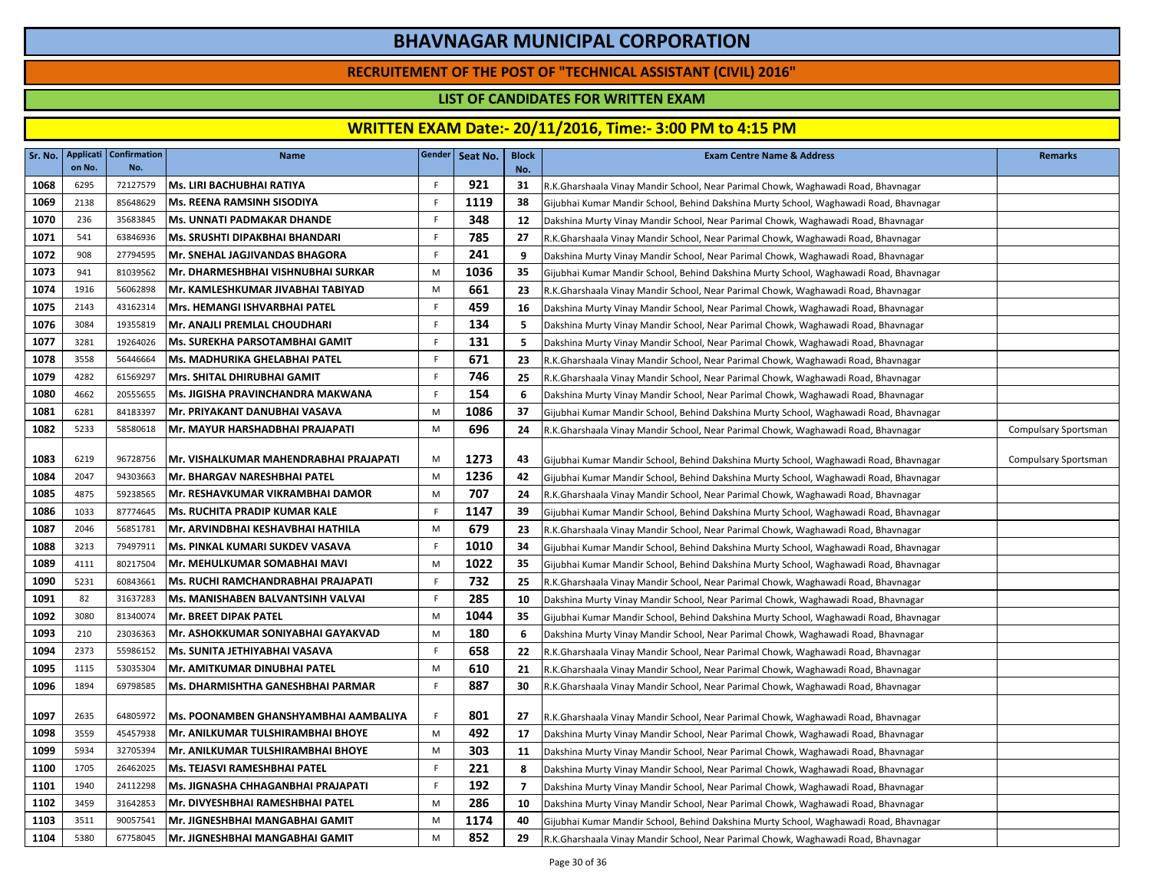### **RECRUITEMENT OF THE POST OF "TECHNICAL ASSISTANT (CIVIL) 2016"**

### **LIST OF CANDIDATES FOR WRITTEN EXAM**

| Sr. No.      | Applicati<br>on No. | <b>Confirmation</b><br>No. | <b>Name</b>                                                       |                  | Gender   Seat No. | <b>Block</b><br>No. | <b>Exam Centre Name &amp; Address</b>                                                 | <b>Remarks</b>       |
|--------------|---------------------|----------------------------|-------------------------------------------------------------------|------------------|-------------------|---------------------|---------------------------------------------------------------------------------------|----------------------|
| 1068         | 6295                | 72127579                   | Ms. LIRI BACHUBHAI RATIYA                                         | F.               | 921               | 31                  | R.K.Gharshaala Vinay Mandir School, Near Parimal Chowk, Waghawadi Road, Bhavnagar     |                      |
| 1069         | 2138                | 85648629                   | Ms. REENA RAMSINH SISODIYA                                        | $\mathsf F$      | 1119              | 38                  | Gijubhai Kumar Mandir School, Behind Dakshina Murty School, Waghawadi Road, Bhavnagar |                      |
| 1070         | 236                 | 35683845                   | <b>Ms. UNNATI PADMAKAR DHANDE</b>                                 | -F               | 348               | 12                  | Dakshina Murty Vinay Mandir School, Near Parimal Chowk, Waghawadi Road, Bhavnagar     |                      |
| 1071         | 541                 | 63846936                   | Ms. SRUSHTI DIPAKBHAI BHANDARI                                    | F                | 785               | 27                  | R.K.Gharshaala Vinay Mandir School, Near Parimal Chowk, Waghawadi Road, Bhavnagar     |                      |
| 1072         | 908                 | 27794595                   | Mr. SNEHAL JAGJIVANDAS BHAGORA                                    | F                | 241               | 9                   | Dakshina Murty Vinay Mandir School, Near Parimal Chowk, Waghawadi Road, Bhavnagar     |                      |
| 1073         | 941                 | 81039562                   | Mr. DHARMESHBHAI VISHNUBHAI SURKAR                                | M                | 1036              | 35                  | Gijubhai Kumar Mandir School, Behind Dakshina Murty School, Waghawadi Road, Bhavnagar |                      |
| 1074         | 1916                | 56062898                   | Mr. KAMLESHKUMAR JIVABHAI TABIYAD                                 | M                | 661               | 23                  | R.K.Gharshaala Vinay Mandir School, Near Parimal Chowk, Waghawadi Road, Bhavnagar     |                      |
| 1075         | 2143                | 43162314                   | Mrs. HEMANGI ISHVARBHAI PATEL                                     | F.               | 459               | 16                  | Dakshina Murty Vinay Mandir School, Near Parimal Chowk, Waghawadi Road, Bhavnagar     |                      |
| 1076         | 3084                | 19355819                   | Mr. ANAJLI PREMLAL CHOUDHARI                                      | F.               | 134               | 5                   | Dakshina Murty Vinay Mandir School, Near Parimal Chowk, Waghawadi Road, Bhavnagar     |                      |
| 1077         | 3281                | 19264026                   | <b>Ms. SUREKHA PARSOTAMBHAI GAMIT</b>                             | F.               | 131               | 5                   | Dakshina Murty Vinay Mandir School, Near Parimal Chowk, Waghawadi Road, Bhavnagar     |                      |
| 1078         | 3558                | 56446664                   | Ms. MADHURIKA GHELABHAI PATEL                                     | F                | 671               | 23                  | R.K.Gharshaala Vinay Mandir School, Near Parimal Chowk, Waghawadi Road, Bhavnagar     |                      |
| 1079         | 4282                | 61569297                   | <b>Mrs. SHITAL DHIRUBHAI GAMIT</b>                                | $\mathsf F$      | 746               | 25                  | R.K.Gharshaala Vinay Mandir School, Near Parimal Chowk, Waghawadi Road, Bhavnagar     |                      |
| 1080         | 4662                | 20555655                   | Ms. JIGISHA PRAVINCHANDRA MAKWANA                                 | F.               | 154               | 6                   | Dakshina Murty Vinay Mandir School, Near Parimal Chowk, Waghawadi Road, Bhavnagar     |                      |
| 1081         | 6281                | 84183397                   | Mr. PRIYAKANT DANUBHAI VASAVA                                     | M                | 1086              | 37                  | Gijubhai Kumar Mandir School, Behind Dakshina Murty School, Waghawadi Road, Bhavnagar |                      |
| 1082         | 5233                | 58580618                   | Mr. MAYUR HARSHADBHAI PRAJAPATI                                   | M                | 696               | 24                  | R.K.Gharshaala Vinay Mandir School, Near Parimal Chowk, Waghawadi Road, Bhavnagar     | Compulsary Sportsman |
|              |                     |                            |                                                                   |                  |                   |                     |                                                                                       |                      |
| 1083         | 6219                | 96728756                   | Mr. VISHALKUMAR MAHENDRABHAI PRAJAPATI                            | M                | 1273              | 43                  | Gijubhai Kumar Mandir School, Behind Dakshina Murty School, Waghawadi Road, Bhavnagar | Compulsary Sportsman |
| 1084         | 2047                | 94303663                   | Mr. BHARGAV NARESHBHAI PATEL                                      | M                | 1236              | 42                  | Gijubhai Kumar Mandir School, Behind Dakshina Murty School, Waghawadi Road, Bhavnagar |                      |
| 1085         | 4875                | 59238565                   | Mr. RESHAVKUMAR VIKRAMBHAI DAMOR                                  | M                | 707               | 24                  | R.K.Gharshaala Vinay Mandir School, Near Parimal Chowk, Waghawadi Road, Bhavnagar     |                      |
| 1086         | 1033                | 87774645                   | <b>Ms. RUCHITA PRADIP KUMAR KALE</b>                              | F.               | 1147              | 39                  | Gijubhai Kumar Mandir School, Behind Dakshina Murty School, Waghawadi Road, Bhavnagar |                      |
| 1087         | 2046                | 56851781                   | Mr. ARVINDBHAI KESHAVBHAI HATHILA                                 | M                | 679               | 23                  | R.K.Gharshaala Vinay Mandir School, Near Parimal Chowk, Waghawadi Road, Bhavnagar     |                      |
| 1088         | 3213                | 79497911                   | Ms. PINKAL KUMARI SUKDEV VASAVA                                   | F                | 1010              | 34                  | Gijubhai Kumar Mandir School, Behind Dakshina Murty School, Waghawadi Road, Bhavnagar |                      |
| 1089         | 4111                | 80217504                   | Mr. MEHULKUMAR SOMABHAI MAVI                                      | M                | 1022              | 35                  | Gijubhai Kumar Mandir School, Behind Dakshina Murty School, Waghawadi Road, Bhavnagar |                      |
| 1090         | 5231                | 60843661                   | Ms. RUCHI RAMCHANDRABHAI PRAJAPATI                                | F.               | 732               | 25                  | R.K.Gharshaala Vinay Mandir School, Near Parimal Chowk, Waghawadi Road, Bhavnagar     |                      |
| 1091         | 82                  | 31637283                   | Ms. MANISHABEN BALVANTSINH VALVAI                                 | F                | 285               | 10                  | Dakshina Murty Vinay Mandir School, Near Parimal Chowk, Waghawadi Road, Bhavnagar     |                      |
| 1092         | 3080                | 81340074                   | Mr. BREET DIPAK PATEL                                             | M                | 1044              | 35                  | Gijubhai Kumar Mandir School, Behind Dakshina Murty School, Waghawadi Road, Bhavnagar |                      |
| 1093         | 210                 | 23036363                   | Mr. ASHOKKUMAR SONIYABHAI GAYAKVAD                                | M                | 180               | 6                   | Dakshina Murty Vinay Mandir School, Near Parimal Chowk, Waghawadi Road, Bhavnagar     |                      |
| 1094         | 2373<br>1115        | 55986152<br>53035304       | Ms. SUNITA JETHIYABHAI VASAVA                                     | $\mathsf F$<br>M | 658<br>610        | 22                  | R.K.Gharshaala Vinay Mandir School, Near Parimal Chowk, Waghawadi Road, Bhavnagar     |                      |
| 1095<br>1096 | 1894                | 69798585                   | Mr. AMITKUMAR DINUBHAI PATEL<br>Ms. DHARMISHTHA GANESHBHAI PARMAR | F                | 887               | 21<br>30            | R.K.Gharshaala Vinay Mandir School, Near Parimal Chowk, Waghawadi Road, Bhavnagar     |                      |
|              |                     |                            |                                                                   |                  |                   |                     | R.K.Gharshaala Vinay Mandir School, Near Parimal Chowk, Waghawadi Road, Bhavnagar     |                      |
| 1097         | 2635                | 64805972                   | Ms. POONAMBEN GHANSHYAMBHAI AAMBALIYA                             | F                | 801               | 27                  | R.K.Gharshaala Vinay Mandir School, Near Parimal Chowk, Waghawadi Road, Bhavnagar     |                      |
| 1098         | 3559                | 45457938                   | Mr. ANILKUMAR TULSHIRAMBHAI BHOYE                                 | M                | 492               | 17                  | Dakshina Murty Vinay Mandir School, Near Parimal Chowk, Waghawadi Road, Bhavnagar     |                      |
| 1099         | 5934                | 32705394                   | Mr. ANILKUMAR TULSHIRAMBHAI BHOYE                                 | M                | 303               | 11                  | Dakshina Murty Vinay Mandir School, Near Parimal Chowk, Waghawadi Road, Bhavnagar     |                      |
| 1100         | 1705                | 26462025                   | Ms. TEJASVI RAMESHBHAI PATEL                                      | F                | 221               | 8                   | Dakshina Murty Vinay Mandir School, Near Parimal Chowk, Waghawadi Road, Bhavnagar     |                      |
| 1101         | 1940                | 24112298                   | Ms. JIGNASHA CHHAGANBHAI PRAJAPATI                                | F.               | 192               | 7                   | Dakshina Murty Vinay Mandir School, Near Parimal Chowk, Waghawadi Road, Bhavnagar     |                      |
| 1102         | 3459                | 31642853                   | Mr. DIVYESHBHAI RAMESHBHAI PATEL                                  | M                | 286               | 10                  | Dakshina Murty Vinay Mandir School, Near Parimal Chowk, Waghawadi Road, Bhavnagar     |                      |
| 1103         | 3511                | 90057541                   | Mr. JIGNESHBHAI MANGABHAI GAMIT                                   | M                | 1174              | 40                  | Gijubhai Kumar Mandir School, Behind Dakshina Murty School, Waghawadi Road, Bhavnagar |                      |
| 1104         | 5380                | 67758045                   | Mr. JIGNESHBHAI MANGABHAI GAMIT                                   | M                | 852               | 29                  | R.K.Gharshaala Vinay Mandir School, Near Parimal Chowk, Waghawadi Road, Bhavnagar     |                      |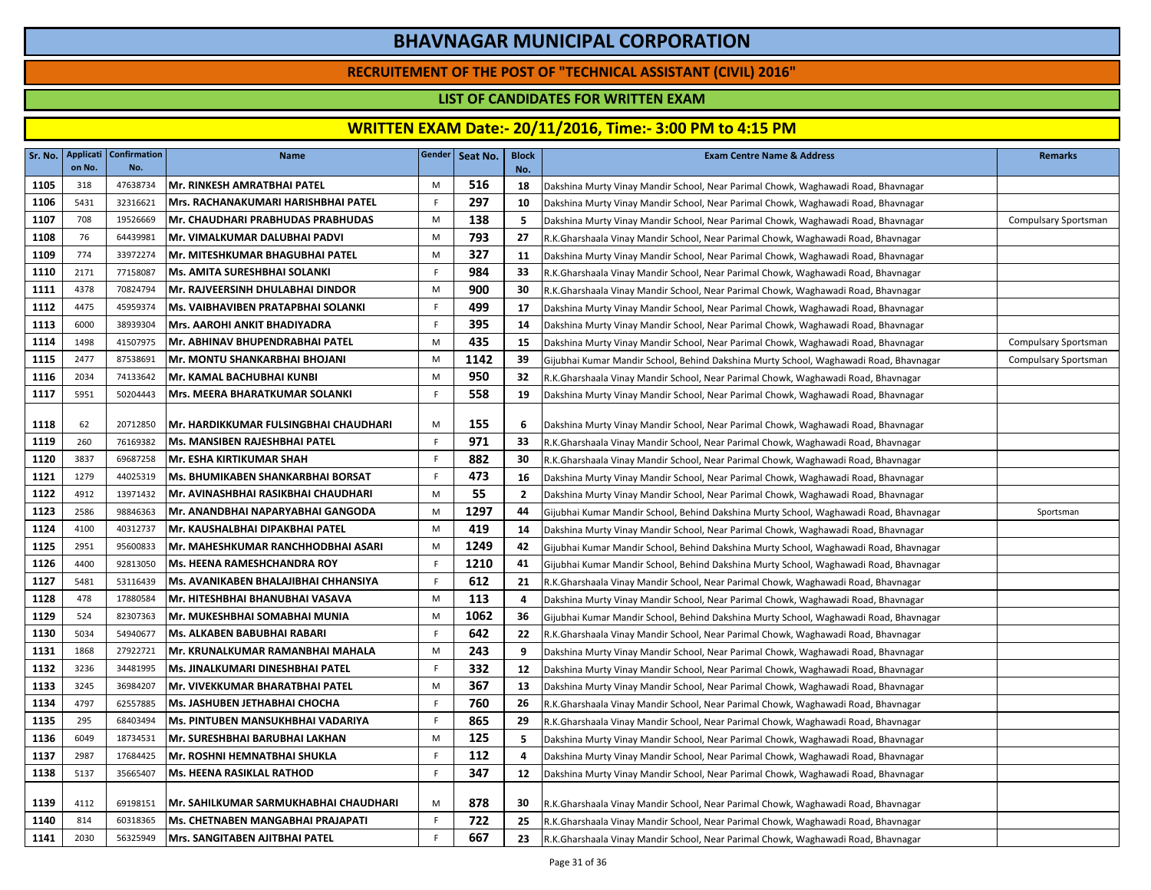### **RECRUITEMENT OF THE POST OF "TECHNICAL ASSISTANT (CIVIL) 2016"**

### **LIST OF CANDIDATES FOR WRITTEN EXAM**

| Mr. RINKESH AMRATBHAI PATEL<br>516<br>1105<br>318<br>47638734<br>M<br>18<br>Dakshina Murty Vinay Mandir School, Near Parimal Chowk, Waghawadi Road, Bhavnagar<br>297<br>1106<br>5431<br>32316621<br>Mrs. RACHANAKUMARI HARISHBHAI PATEL<br>F.<br>10<br>Dakshina Murty Vinay Mandir School, Near Parimal Chowk, Waghawadi Road, Bhavnagar<br>138<br>1107<br>708<br>19526669<br>Mr. CHAUDHARI PRABHUDAS PRABHUDAS<br>M<br>5<br>Dakshina Murty Vinay Mandir School, Near Parimal Chowk, Waghawadi Road, Bhavnagar | <b>Compulsary Sportsman</b> |
|----------------------------------------------------------------------------------------------------------------------------------------------------------------------------------------------------------------------------------------------------------------------------------------------------------------------------------------------------------------------------------------------------------------------------------------------------------------------------------------------------------------|-----------------------------|
|                                                                                                                                                                                                                                                                                                                                                                                                                                                                                                                |                             |
|                                                                                                                                                                                                                                                                                                                                                                                                                                                                                                                |                             |
|                                                                                                                                                                                                                                                                                                                                                                                                                                                                                                                |                             |
| 793<br>1108<br>76<br>64439981<br>Mr. VIMALKUMAR DALUBHAI PADVI<br>27<br>M<br>R.K.Gharshaala Vinay Mandir School, Near Parimal Chowk, Waghawadi Road, Bhavnagar                                                                                                                                                                                                                                                                                                                                                 |                             |
| 327<br>774<br>M<br>1109<br>33972274<br>Mr. MITESHKUMAR BHAGUBHAI PATEL<br>11<br>Dakshina Murty Vinay Mandir School, Near Parimal Chowk, Waghawadi Road, Bhavnagar                                                                                                                                                                                                                                                                                                                                              |                             |
| $\mathsf F$<br>984<br>1110<br>2171<br>77158087<br>33<br>Ms. AMITA SURESHBHAI SOLANKI<br>R.K.Gharshaala Vinay Mandir School, Near Parimal Chowk, Waghawadi Road, Bhavnagar                                                                                                                                                                                                                                                                                                                                      |                             |
| 900<br>4378<br>70824794<br>Mr. RAJVEERSINH DHULABHAI DINDOR<br>30<br>1111<br>M<br>R.K.Gharshaala Vinay Mandir School, Near Parimal Chowk, Waghawadi Road, Bhavnagar                                                                                                                                                                                                                                                                                                                                            |                             |
| 499<br>1112<br>4475<br>45959374<br>F.<br>Ms. VAIBHAVIBEN PRATAPBHAI SOLANKI<br>17<br>Dakshina Murty Vinay Mandir School, Near Parimal Chowk, Waghawadi Road, Bhavnagar                                                                                                                                                                                                                                                                                                                                         |                             |
| 395<br>1113<br>6000<br>38939304<br>F<br><b>Mrs. AAROHI ANKIT BHADIYADRA</b><br>14<br>Dakshina Murty Vinay Mandir School, Near Parimal Chowk, Waghawadi Road, Bhavnagar                                                                                                                                                                                                                                                                                                                                         |                             |
| 435<br>1114<br>1498<br>41507975<br>Mr. ABHINAV BHUPENDRABHAI PATEL<br>M<br>15<br>Dakshina Murty Vinay Mandir School, Near Parimal Chowk, Waghawadi Road, Bhavnagar                                                                                                                                                                                                                                                                                                                                             | Compulsary Sportsman        |
| 1142<br>1115<br>2477<br>87538691<br>Mr. MONTU SHANKARBHAI BHOJANI<br>M<br>39<br>Gijubhai Kumar Mandir School, Behind Dakshina Murty School, Waghawadi Road, Bhavnagar                                                                                                                                                                                                                                                                                                                                          | Compulsary Sportsman        |
| 950<br>1116<br>2034<br>74133642<br>Mr. KAMAL BACHUBHAI KUNBI<br>M<br>32<br>R.K.Gharshaala Vinay Mandir School, Near Parimal Chowk, Waghawadi Road, Bhavnagar                                                                                                                                                                                                                                                                                                                                                   |                             |
| 558<br>F<br>1117<br>5951<br>50204443<br><b>Mrs. MEERA BHARATKUMAR SOLANKI</b><br>19<br>Dakshina Murty Vinay Mandir School, Near Parimal Chowk, Waghawadi Road, Bhavnagar                                                                                                                                                                                                                                                                                                                                       |                             |
|                                                                                                                                                                                                                                                                                                                                                                                                                                                                                                                |                             |
| 155<br>1118<br>62<br>20712850<br>Mr. HARDIKKUMAR FULSINGBHAI CHAUDHARI<br>M<br>6<br>Dakshina Murty Vinay Mandir School, Near Parimal Chowk, Waghawadi Road, Bhavnagar                                                                                                                                                                                                                                                                                                                                          |                             |
| $\mathsf F$<br>971<br>1119<br>260<br>76169382<br>Ms. MANSIBEN RAJESHBHAI PATEL<br>33<br>R.K.Gharshaala Vinay Mandir School, Near Parimal Chowk, Waghawadi Road, Bhavnagar                                                                                                                                                                                                                                                                                                                                      |                             |
| 882<br>1120<br>3837<br>69687258<br>Mr. ESHA KIRTIKUMAR SHAH<br>30<br>-F.<br>R.K.Gharshaala Vinay Mandir School, Near Parimal Chowk, Waghawadi Road, Bhavnagar                                                                                                                                                                                                                                                                                                                                                  |                             |
| 1121<br>Ms. BHUMIKABEN SHANKARBHAI BORSAT<br>F<br>473<br>1279<br>44025319<br>16<br>Dakshina Murty Vinay Mandir School, Near Parimal Chowk, Waghawadi Road, Bhavnagar                                                                                                                                                                                                                                                                                                                                           |                             |
| 55<br>1122<br>13971432<br>4912<br>Mr. AVINASHBHAI RASIKBHAI CHAUDHARI<br>M<br>$\mathbf{2}$<br>Dakshina Murty Vinay Mandir School, Near Parimal Chowk, Waghawadi Road, Bhavnagar                                                                                                                                                                                                                                                                                                                                |                             |
| 1297<br>1123<br>2586<br>98846363<br>Mr. ANANDBHAI NAPARYABHAI GANGODA<br>M<br>44<br>Gijubhai Kumar Mandir School, Behind Dakshina Murty School, Waghawadi Road, Bhavnagar                                                                                                                                                                                                                                                                                                                                      | Sportsman                   |
| 419<br>1124<br>4100<br>40312737<br>Mr. KAUSHALBHAI DIPAKBHAI PATEL<br>M<br>14<br>Dakshina Murty Vinay Mandir School, Near Parimal Chowk, Waghawadi Road, Bhavnagar                                                                                                                                                                                                                                                                                                                                             |                             |
| 1249<br>1125<br>M<br>42<br>2951<br>95600833<br>Mr. MAHESHKUMAR RANCHHODBHAI ASARI<br>Gijubhai Kumar Mandir School, Behind Dakshina Murty School, Waghawadi Road, Bhavnagar                                                                                                                                                                                                                                                                                                                                     |                             |
| 1126<br>Ms. HEENA RAMESHCHANDRA ROY<br>F<br>1210<br>41<br>4400<br>92813050<br>Gijubhai Kumar Mandir School, Behind Dakshina Murty School, Waghawadi Road, Bhavnagar                                                                                                                                                                                                                                                                                                                                            |                             |
| 612<br>1127<br>53116439<br>Ms. AVANIKABEN BHALAJIBHAI CHHANSIYA<br>5481<br>F.<br>21<br>R.K.Gharshaala Vinay Mandir School, Near Parimal Chowk, Waghawadi Road, Bhavnagar                                                                                                                                                                                                                                                                                                                                       |                             |
| 113<br>1128<br>478<br>17880584<br>Mr. HITESHBHAI BHANUBHAI VASAVA<br>M<br>4<br>Dakshina Murty Vinay Mandir School, Near Parimal Chowk, Waghawadi Road, Bhavnagar<br>1062                                                                                                                                                                                                                                                                                                                                       |                             |
| 1129<br>524<br>82307363<br>Mr. MUKESHBHAI SOMABHAI MUNIA<br>M<br>36<br>Gijubhai Kumar Mandir School, Behind Dakshina Murty School, Waghawadi Road, Bhavnagar<br>642<br>5034<br>54940677<br>F                                                                                                                                                                                                                                                                                                                   |                             |
| 1130<br>22<br>Ms. ALKABEN BABUBHAI RABARI<br>R.K.Gharshaala Vinay Mandir School, Near Parimal Chowk, Waghawadi Road, Bhavnagar<br>243<br>1868<br>27922721<br>M                                                                                                                                                                                                                                                                                                                                                 |                             |
| 1131<br>Mr. KRUNALKUMAR RAMANBHAI MAHALA<br>9<br>Dakshina Murty Vinay Mandir School, Near Parimal Chowk, Waghawadi Road, Bhavnagar<br>F<br>332<br>1132<br>3236<br>34481995<br>Ms. JINALKUMARI DINESHBHAI PATEL                                                                                                                                                                                                                                                                                                 |                             |
| 12<br>Dakshina Murty Vinay Mandir School, Near Parimal Chowk, Waghawadi Road, Bhavnagar<br>1133<br>3245<br>36984207<br>Mr. VIVEKKUMAR BHARATBHAI PATEL<br>M<br>367<br>13                                                                                                                                                                                                                                                                                                                                       |                             |
| Dakshina Murty Vinay Mandir School, Near Parimal Chowk, Waghawadi Road, Bhavnagar<br>760<br>1134<br>4797<br>62557885<br>Ms. JASHUBEN JETHABHAI CHOCHA<br>F<br>26                                                                                                                                                                                                                                                                                                                                               |                             |
| R.K.Gharshaala Vinay Mandir School, Near Parimal Chowk, Waghawadi Road, Bhavnagar<br>1135<br>295<br>68403494<br>Ms. PINTUBEN MANSUKHBHAI VADARIYA<br>F.<br>865<br>29                                                                                                                                                                                                                                                                                                                                           |                             |
| R.K.Gharshaala Vinay Mandir School, Near Parimal Chowk, Waghawadi Road, Bhavnagar<br>125<br>Mr. SURESHBHAI BARUBHAI LAKHAN<br>1136<br>6049<br>18734531<br>M<br>5                                                                                                                                                                                                                                                                                                                                               |                             |
| Dakshina Murty Vinay Mandir School, Near Parimal Chowk, Waghawadi Road, Bhavnagar<br>112<br>2987<br>Mr. ROSHNI HEMNATBHAI SHUKLA<br>1137<br>17684425<br>F.<br>4                                                                                                                                                                                                                                                                                                                                                |                             |
| Dakshina Murty Vinay Mandir School, Near Parimal Chowk, Waghawadi Road, Bhavnagar<br><b>Ms. HEENA RASIKLAL RATHOD</b><br>F<br>347<br>1138<br>5137<br>35665407<br>12                                                                                                                                                                                                                                                                                                                                            |                             |
| Dakshina Murty Vinay Mandir School, Near Parimal Chowk, Waghawadi Road, Bhavnagar                                                                                                                                                                                                                                                                                                                                                                                                                              |                             |
| 878<br>1139<br>4112<br>Mr. SAHILKUMAR SARMUKHABHAI CHAUDHARI<br>M<br>69198151<br>30<br>R.K.Gharshaala Vinay Mandir School, Near Parimal Chowk, Waghawadi Road, Bhavnagar                                                                                                                                                                                                                                                                                                                                       |                             |
| $\mathsf F$<br>722<br>1140<br>814<br>60318365<br>Ms. CHETNABEN MANGABHAI PRAJAPATI<br>25<br>R.K.Gharshaala Vinay Mandir School, Near Parimal Chowk, Waghawadi Road, Bhavnagar                                                                                                                                                                                                                                                                                                                                  |                             |
| 667<br>$\mathsf{F}$<br>1141<br>2030<br>56325949<br>Mrs. SANGITABEN AJITBHAI PATEL<br>23<br>R.K.Gharshaala Vinay Mandir School, Near Parimal Chowk, Waghawadi Road, Bhavnagar                                                                                                                                                                                                                                                                                                                                   |                             |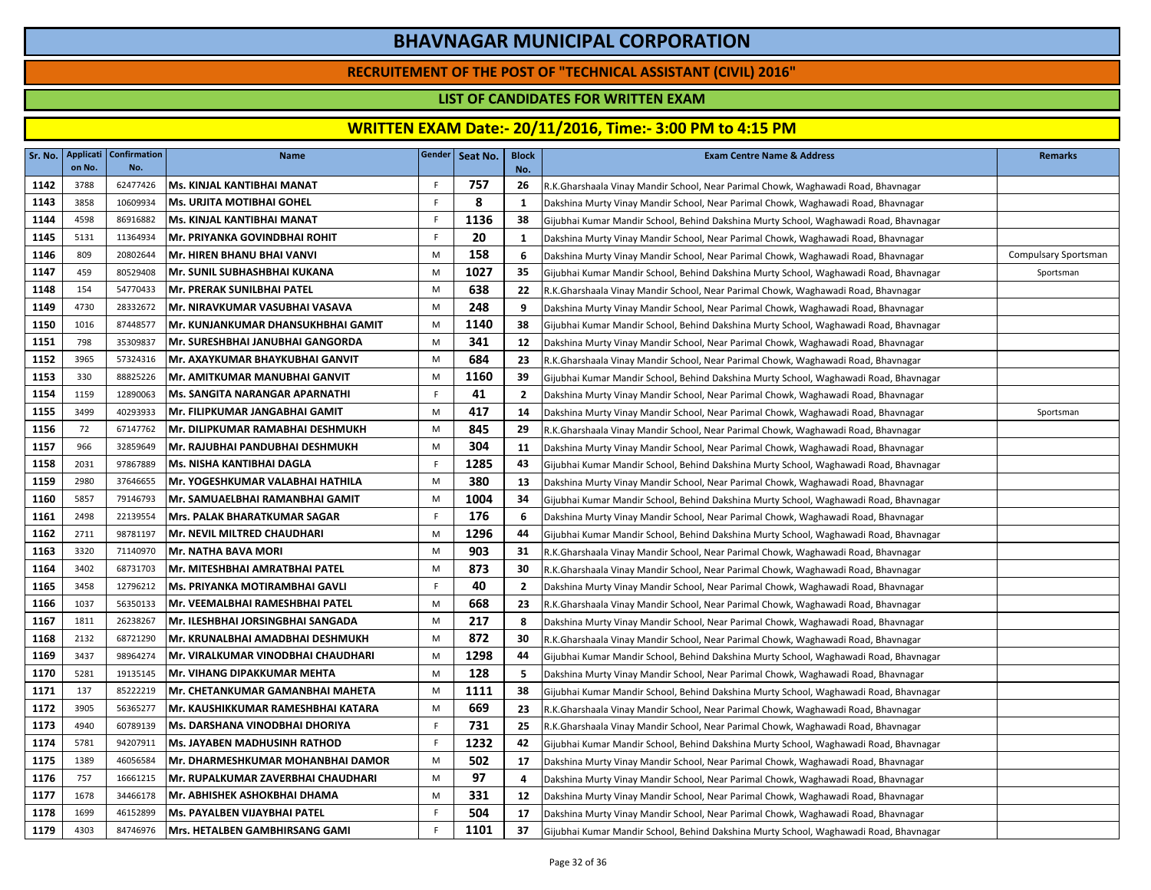### **RECRUITEMENT OF THE POST OF "TECHNICAL ASSISTANT (CIVIL) 2016"**

### **LIST OF CANDIDATES FOR WRITTEN EXAM**

|      | Sr. No.   Applicati<br>on No. | <b>Confirmation</b><br>No. | <b>Name</b>                             |    | Gender Seat No. | <b>Block</b><br>No. | <b>Exam Centre Name &amp; Address</b>                                                 | <b>Remarks</b>       |
|------|-------------------------------|----------------------------|-----------------------------------------|----|-----------------|---------------------|---------------------------------------------------------------------------------------|----------------------|
| 1142 | 3788                          | 62477426                   | Ms. KINJAL KANTIBHAI MANAT              | F. | 757             | 26                  | R.K.Gharshaala Vinay Mandir School, Near Parimal Chowk, Waghawadi Road, Bhavnagar     |                      |
| 1143 | 3858                          | 10609934                   | Ms. URJITA MOTIBHAI GOHEL               | F. | 8               | 1                   | Dakshina Murty Vinay Mandir School, Near Parimal Chowk, Waghawadi Road, Bhavnagar     |                      |
| 1144 | 4598                          | 86916882                   | Ms. KINJAL KANTIBHAI MANAT              | F  | 1136            | 38                  | Gijubhai Kumar Mandir School, Behind Dakshina Murty School, Waghawadi Road, Bhavnagar |                      |
| 1145 | 5131                          | 11364934                   | Mr. PRIYANKA GOVINDBHAI ROHIT           | F. | 20              | 1                   | Dakshina Murty Vinay Mandir School, Near Parimal Chowk, Waghawadi Road, Bhavnagar     |                      |
| 1146 | 809                           | 20802644                   | Mr. HIREN BHANU BHAI VANVI              | M  | 158             | 6                   | Dakshina Murty Vinay Mandir School, Near Parimal Chowk, Waghawadi Road, Bhavnagar     | Compulsary Sportsman |
| 1147 | 459                           | 80529408                   | Mr. SUNIL SUBHASHBHAI KUKANA            | M  | 1027            | 35                  | Gijubhai Kumar Mandir School, Behind Dakshina Murty School, Waghawadi Road, Bhavnagar | Sportsman            |
| 1148 | 154                           | 54770433                   | Mr. PRERAK SUNILBHAI PATEL              | M  | 638             | 22                  | R.K.Gharshaala Vinay Mandir School, Near Parimal Chowk, Waghawadi Road, Bhavnagar     |                      |
| 1149 | 4730                          | 28332672                   | Mr. NIRAVKUMAR VASUBHAI VASAVA          | M  | 248             | 9                   | Dakshina Murty Vinay Mandir School, Near Parimal Chowk, Waghawadi Road, Bhavnagar     |                      |
| 1150 | 1016                          | 87448577                   | Mr. KUNJANKUMAR DHANSUKHBHAI GAMIT      | M  | 1140            | 38                  | Gijubhai Kumar Mandir School, Behind Dakshina Murty School, Waghawadi Road, Bhavnagar |                      |
| 1151 | 798                           | 35309837                   | Mr. SURESHBHAI JANUBHAI GANGORDA        | M  | 341             | 12                  | Dakshina Murty Vinay Mandir School, Near Parimal Chowk, Waghawadi Road, Bhavnagar     |                      |
| 1152 | 3965                          | 57324316                   | Mr. AXAYKUMAR BHAYKUBHAI GANVIT         | M  | 684             | 23                  | R.K.Gharshaala Vinay Mandir School, Near Parimal Chowk, Waghawadi Road, Bhavnagar     |                      |
| 1153 | 330                           | 88825226                   | Mr. AMITKUMAR MANUBHAI GANVIT           | M  | 1160            | 39                  | Gijubhai Kumar Mandir School, Behind Dakshina Murty School, Waghawadi Road, Bhavnagar |                      |
| 1154 | 1159                          | 12890063                   | Ms. SANGITA NARANGAR APARNATHI          | F. | 41              | $\overline{2}$      | Dakshina Murty Vinay Mandir School, Near Parimal Chowk, Waghawadi Road, Bhavnagar     |                      |
| 1155 | 3499                          | 40293933                   | Mr. FILIPKUMAR JANGABHAI GAMIT          | M  | 417             | 14                  | Dakshina Murty Vinay Mandir School, Near Parimal Chowk, Waghawadi Road, Bhavnagar     | Sportsman            |
| 1156 | 72                            | 67147762                   | lMr. DILIPKUMAR RAMABHAI DESHMUKH       | M  | 845             | 29                  | R.K.Gharshaala Vinay Mandir School, Near Parimal Chowk, Waghawadi Road, Bhavnagar     |                      |
| 1157 | 966                           | 32859649                   | Mr. RAJUBHAI PANDUBHAI DESHMUKH         | M  | 304             | 11                  | Dakshina Murty Vinay Mandir School, Near Parimal Chowk, Waghawadi Road, Bhavnagar     |                      |
| 1158 | 2031                          | 97867889                   | Ms. NISHA KANTIBHAI DAGLA               | F  | 1285            | 43                  | Gijubhai Kumar Mandir School, Behind Dakshina Murty School, Waghawadi Road, Bhavnagar |                      |
| 1159 | 2980                          | 37646655                   | <b>Mr. YOGESHKUMAR VALABHAI HATHILA</b> | M  | 380             | 13                  | Dakshina Murty Vinay Mandir School, Near Parimal Chowk, Waghawadi Road, Bhavnagar     |                      |
| 1160 | 5857                          | 79146793                   | Mr. SAMUAELBHAI RAMANBHAI GAMIT         | M  | 1004            | 34                  | Gijubhai Kumar Mandir School, Behind Dakshina Murty School, Waghawadi Road, Bhavnagar |                      |
| 1161 | 2498                          | 22139554                   | Mrs. PALAK BHARATKUMAR SAGAR            | F. | 176             | 6                   | Dakshina Murty Vinay Mandir School, Near Parimal Chowk, Waghawadi Road, Bhavnagar     |                      |
| 1162 | 2711                          | 98781197                   | Mr. NEVIL MILTRED CHAUDHARI             | M  | 1296            | 44                  | Gijubhai Kumar Mandir School, Behind Dakshina Murty School, Waghawadi Road, Bhavnagar |                      |
| 1163 | 3320                          | 71140970                   | Mr. NATHA BAVA MORI                     | M  | 903             | 31                  | R.K.Gharshaala Vinay Mandir School, Near Parimal Chowk, Waghawadi Road, Bhavnagar     |                      |
| 1164 | 3402                          | 68731703                   | lMr. MITESHBHAI AMRATBHAI PATEL         | M  | 873             | 30                  | R.K.Gharshaala Vinay Mandir School, Near Parimal Chowk, Waghawadi Road, Bhavnagar     |                      |
| 1165 | 3458                          | 12796212                   | <b>Ms. PRIYANKA MOTIRAMBHAI GAVLI</b>   | F  | 40              | $\overline{2}$      | Dakshina Murty Vinay Mandir School, Near Parimal Chowk, Waghawadi Road, Bhavnagar     |                      |
| 1166 | 1037                          | 56350133                   | Mr. VEEMALBHAI RAMESHBHAI PATEL         | M  | 668             | 23                  | R.K.Gharshaala Vinay Mandir School, Near Parimal Chowk, Waghawadi Road, Bhavnagar     |                      |
| 1167 | 1811                          | 26238267                   | Mr. ILESHBHAI JORSINGBHAI SANGADA       | M  | 217             | 8                   | Dakshina Murty Vinay Mandir School, Near Parimal Chowk, Waghawadi Road, Bhavnagar     |                      |
| 1168 | 2132                          | 68721290                   | lMr. KRUNALBHAI AMADBHAI DESHMUKH       | M  | 872             | 30                  | R.K.Gharshaala Vinay Mandir School, Near Parimal Chowk, Waghawadi Road, Bhavnagar     |                      |
| 1169 | 3437                          | 98964274                   | Mr. VIRALKUMAR VINODBHAI CHAUDHARI      | M  | 1298            | 44                  | Gijubhai Kumar Mandir School, Behind Dakshina Murty School, Waghawadi Road, Bhavnagar |                      |
| 1170 | 5281                          | 19135145                   | lMr. VIHANG DIPAKKUMAR MEHTA            | M  | 128             | 5                   | Dakshina Murty Vinay Mandir School, Near Parimal Chowk, Waghawadi Road, Bhavnagar     |                      |
| 1171 | 137                           | 85222219                   | Mr. CHETANKUMAR GAMANBHAI MAHETA        | M  | 1111            | 38                  | Gijubhai Kumar Mandir School, Behind Dakshina Murty School, Waghawadi Road, Bhavnagar |                      |
| 1172 | 3905                          | 56365277                   | İMr. KAUSHIKKUMAR RAMESHBHAI KATARA     | M  | 669             | 23                  | R.K.Gharshaala Vinay Mandir School, Near Parimal Chowk, Waghawadi Road, Bhavnagar     |                      |
| 1173 | 4940                          | 60789139                   | Ms. DARSHANA VINODBHAI DHORIYA          | F  | 731             | 25                  | R.K.Gharshaala Vinay Mandir School, Near Parimal Chowk, Waghawadi Road, Bhavnagar     |                      |
| 1174 | 5781                          | 94207911                   | <b>IMs. JAYABEN MADHUSINH RATHOD</b>    | F  | 1232            | 42                  | Gijubhai Kumar Mandir School, Behind Dakshina Murty School, Waghawadi Road, Bhavnagar |                      |
| 1175 | 1389                          | 46056584                   | Mr. DHARMESHKUMAR MOHANBHAI DAMOR       | M  | 502             | 17                  | Dakshina Murty Vinay Mandir School, Near Parimal Chowk, Waghawadi Road, Bhavnagar     |                      |
| 1176 | 757                           | 16661215                   | Mr. RUPALKUMAR ZAVERBHAI CHAUDHARI      | M  | 97              | 4                   | Dakshina Murty Vinay Mandir School, Near Parimal Chowk, Waghawadi Road, Bhavnagar     |                      |
| 1177 | 1678                          | 34466178                   | Mr. ABHISHEK ASHOKBHAI DHAMA            | M  | 331             | 12                  | Dakshina Murty Vinay Mandir School, Near Parimal Chowk, Waghawadi Road, Bhavnagar     |                      |
| 1178 | 1699                          | 46152899                   | lMs. PAYALBEN VIJAYBHAI PATEL           | F. | 504             | 17                  | Dakshina Murty Vinay Mandir School, Near Parimal Chowk, Waghawadi Road, Bhavnagar     |                      |
| 1179 | 4303                          | 84746976                   | <b>IMrs. HETALBEN GAMBHIRSANG GAMI</b>  | F  | 1101            | 37                  | Gijubhai Kumar Mandir School, Behind Dakshina Murty School, Waghawadi Road, Bhavnagar |                      |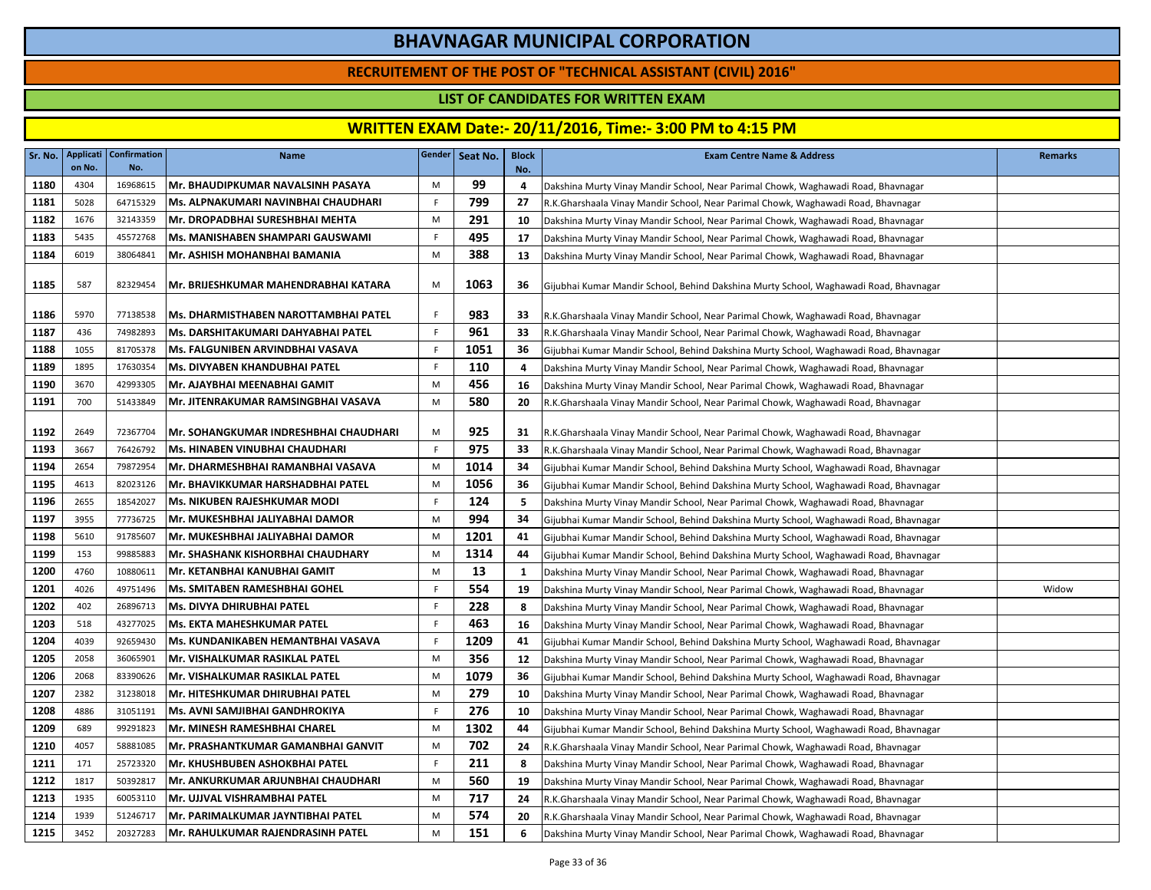### **RECRUITEMENT OF THE POST OF "TECHNICAL ASSISTANT (CIVIL) 2016"**

### **LIST OF CANDIDATES FOR WRITTEN EXAM**

|      | on No. | Sr. No.   Applicati   Confirmation  <br>No. | <b>Name</b>                                 |             | Gender   Seat No. | <b>Block</b><br>No. | <b>Exam Centre Name &amp; Address</b>                                                 | <b>Remarks</b> |
|------|--------|---------------------------------------------|---------------------------------------------|-------------|-------------------|---------------------|---------------------------------------------------------------------------------------|----------------|
| 1180 | 4304   | 16968615                                    | Mr. BHAUDIPKUMAR NAVALSINH PASAYA           | M           | 99                | 4                   | Dakshina Murty Vinay Mandir School, Near Parimal Chowk, Waghawadi Road, Bhavnagar     |                |
| 1181 | 5028   | 64715329                                    | Ms. ALPNAKUMARI NAVINBHAI CHAUDHARI         | F.          | 799               | 27                  | R.K.Gharshaala Vinay Mandir School, Near Parimal Chowk, Waghawadi Road, Bhavnagar     |                |
| 1182 | 1676   | 32143359                                    | Mr. DROPADBHAI SURESHBHAI MEHTA             | M           | 291               | 10                  | Dakshina Murty Vinay Mandir School, Near Parimal Chowk, Waghawadi Road, Bhavnagar     |                |
| 1183 | 5435   | 45572768                                    | Ms. MANISHABEN SHAMPARI GAUSWAMI            | F.          | 495               | 17                  | Dakshina Murty Vinay Mandir School, Near Parimal Chowk, Waghawadi Road, Bhavnagar     |                |
| 1184 | 6019   | 38064841                                    | Mr. ASHISH MOHANBHAI BAMANIA                | M           | 388               | 13                  | Dakshina Murty Vinay Mandir School, Near Parimal Chowk, Waghawadi Road, Bhavnagar     |                |
| 1185 | 587    | 82329454                                    | IMr. BRIJESHKUMAR MAHENDRABHAI KATARA       | M           | 1063              | 36                  | Gijubhai Kumar Mandir School, Behind Dakshina Murty School, Waghawadi Road, Bhavnagar |                |
| 1186 | 5970   | 77138538                                    | <b>Ms. DHARMISTHABEN NAROTTAMBHAI PATEL</b> | F.          | 983               | 33                  | R.K.Gharshaala Vinay Mandir School, Near Parimal Chowk, Waghawadi Road, Bhavnagar     |                |
| 1187 | 436    | 74982893                                    | Ms. DARSHITAKUMARI DAHYABHAI PATEL          | F.          | 961               | 33                  | R.K.Gharshaala Vinay Mandir School, Near Parimal Chowk, Waghawadi Road, Bhavnagar     |                |
| 1188 | 1055   | 81705378                                    | Ms. FALGUNIBEN ARVINDBHAI VASAVA            | F.          | 1051              | 36                  | Gijubhai Kumar Mandir School, Behind Dakshina Murty School, Waghawadi Road, Bhavnagar |                |
| 1189 | 1895   | 17630354                                    | Ms. DIVYABEN KHANDUBHAI PATEL               | F.          | 110               | $\overline{a}$      | Dakshina Murty Vinay Mandir School, Near Parimal Chowk, Waghawadi Road, Bhavnagar     |                |
| 1190 | 3670   | 42993305                                    | Mr. AJAYBHAI MEENABHAI GAMIT                | M           | 456               | 16                  | Dakshina Murty Vinay Mandir School, Near Parimal Chowk, Waghawadi Road, Bhavnagar     |                |
| 1191 | 700    | 51433849                                    | Mr. JITENRAKUMAR RAMSINGBHAI VASAVA         | M           | 580               | 20                  | R.K.Gharshaala Vinay Mandir School, Near Parimal Chowk, Waghawadi Road, Bhavnagar     |                |
| 1192 | 2649   | 72367704                                    | Mr. SOHANGKUMAR INDRESHBHAI CHAUDHARI       | M           | 925               | 31                  | R.K.Gharshaala Vinay Mandir School, Near Parimal Chowk, Waghawadi Road, Bhavnagar     |                |
| 1193 | 3667   | 76426792                                    | Ms. HINABEN VINUBHAI CHAUDHARI              | F.          | 975               | 33                  | R.K.Gharshaala Vinay Mandir School, Near Parimal Chowk, Waghawadi Road, Bhavnagar     |                |
| 1194 | 2654   | 79872954                                    | Mr. DHARMESHBHAI RAMANBHAI VASAVA           | M           | 1014              | 34                  | Gijubhai Kumar Mandir School, Behind Dakshina Murty School, Waghawadi Road, Bhavnagar |                |
| 1195 | 4613   | 82023126                                    | Mr. BHAVIKKUMAR HARSHADBHAI PATEL           | M           | 1056              | 36                  | Gijubhai Kumar Mandir School, Behind Dakshina Murty School, Waghawadi Road, Bhavnagar |                |
| 1196 | 2655   | 18542027                                    | <b>Ms. NIKUBEN RAJESHKUMAR MODI</b>         | F.          | 124               | -5                  | Dakshina Murty Vinay Mandir School, Near Parimal Chowk, Waghawadi Road, Bhavnagar     |                |
| 1197 | 3955   | 77736725                                    | Mr. MUKESHBHAI JALIYABHAI DAMOR             | M           | 994               | 34                  | Gijubhai Kumar Mandir School, Behind Dakshina Murty School, Waghawadi Road, Bhavnagar |                |
| 1198 | 5610   | 91785607                                    | Mr. MUKESHBHAI JALIYABHAI DAMOR             | M           | 1201              | 41                  | Gijubhai Kumar Mandir School, Behind Dakshina Murty School, Waghawadi Road, Bhavnagar |                |
| 1199 | 153    | 99885883                                    | Mr. SHASHANK KISHORBHAI CHAUDHARY           | M           | 1314              | 44                  | Gijubhai Kumar Mandir School, Behind Dakshina Murty School, Waghawadi Road, Bhavnagar |                |
| 1200 | 4760   | 10880611                                    | Mr. KETANBHAI KANUBHAI GAMIT                | M           | 13                | <b>1</b>            | Dakshina Murty Vinay Mandir School, Near Parimal Chowk, Waghawadi Road, Bhavnagar     |                |
| 1201 | 4026   | 49751496                                    | Ms. SMITABEN RAMESHBHAI GOHEL               | $\mathsf F$ | 554               | 19                  | Dakshina Murty Vinay Mandir School, Near Parimal Chowk, Waghawadi Road, Bhavnagar     | Widow          |
| 1202 | 402    | 26896713                                    | Ms. DIVYA DHIRUBHAI PATEL                   | F.          | 228               | 8                   | Dakshina Murty Vinay Mandir School, Near Parimal Chowk, Waghawadi Road, Bhavnagar     |                |
| 1203 | 518    | 43277025                                    | Ms. EKTA MAHESHKUMAR PATEL                  | F           | 463               | 16                  | Dakshina Murty Vinay Mandir School, Near Parimal Chowk, Waghawadi Road, Bhavnagar     |                |
| 1204 | 4039   | 92659430                                    | Ms. KUNDANIKABEN HEMANTBHAI VASAVA          | F           | 1209              | 41                  | Gijubhai Kumar Mandir School, Behind Dakshina Murty School, Waghawadi Road, Bhavnagar |                |
| 1205 | 2058   | 36065901                                    | Mr. VISHALKUMAR RASIKLAL PATEL              | M           | 356               | 12                  | Dakshina Murty Vinay Mandir School, Near Parimal Chowk, Waghawadi Road, Bhavnagar     |                |
| 1206 | 2068   | 83390626                                    | <b>IMr. VISHALKUMAR RASIKLAL PATEL</b>      | M           | 1079              | 36                  | Gijubhai Kumar Mandir School, Behind Dakshina Murty School, Waghawadi Road, Bhavnagar |                |
| 1207 | 2382   | 31238018                                    | Mr. HITESHKUMAR DHIRUBHAI PATEL             | M           | 279               | 10                  | Dakshina Murty Vinay Mandir School, Near Parimal Chowk, Waghawadi Road, Bhavnagar     |                |
| 1208 | 4886   | 31051191                                    | IMs. AVNI SAMJIBHAI GANDHROKIYA             | F           | 276               | 10                  | Dakshina Murty Vinay Mandir School, Near Parimal Chowk, Waghawadi Road, Bhavnagar     |                |
| 1209 | 689    | 99291823                                    | Mr. MINESH RAMESHBHAI CHAREL                | M           | 1302              | 44                  | Gijubhai Kumar Mandir School, Behind Dakshina Murty School, Waghawadi Road, Bhavnagar |                |
| 1210 | 4057   | 58881085                                    | lMr. PRASHANTKUMAR GAMANBHAI GANVIT         | М           | 702               | 24                  | R.K.Gharshaala Vinay Mandir School, Near Parimal Chowk, Waghawadi Road, Bhavnagar     |                |
| 1211 | 171    | 25723320                                    | Mr. KHUSHBUBEN ASHOKBHAI PATEL              | F.          | 211               | 8                   | Dakshina Murty Vinay Mandir School, Near Parimal Chowk, Waghawadi Road, Bhavnagar     |                |
| 1212 | 1817   | 50392817                                    | Mr. ANKURKUMAR ARJUNBHAI CHAUDHARI          | M           | 560               | 19                  | Dakshina Murty Vinay Mandir School, Near Parimal Chowk, Waghawadi Road, Bhavnagar     |                |
| 1213 | 1935   | 60053110                                    | Mr. UJJVAL VISHRAMBHAI PATEL                | M           | 717               | 24                  | R.K.Gharshaala Vinay Mandir School, Near Parimal Chowk, Waghawadi Road, Bhavnagar     |                |
| 1214 | 1939   | 51246717                                    | Mr. PARIMALKUMAR JAYNTIBHAI PATEL           | M           | 574               | 20                  | R.K.Gharshaala Vinay Mandir School, Near Parimal Chowk, Waghawadi Road, Bhavnagar     |                |
| 1215 | 3452   | 20327283                                    | <b>Mr. RAHULKUMAR RAJENDRASINH PATEL</b>    | M           | 151               | 6                   | Dakshina Murty Vinay Mandir School, Near Parimal Chowk, Waghawadi Road, Bhavnagar     |                |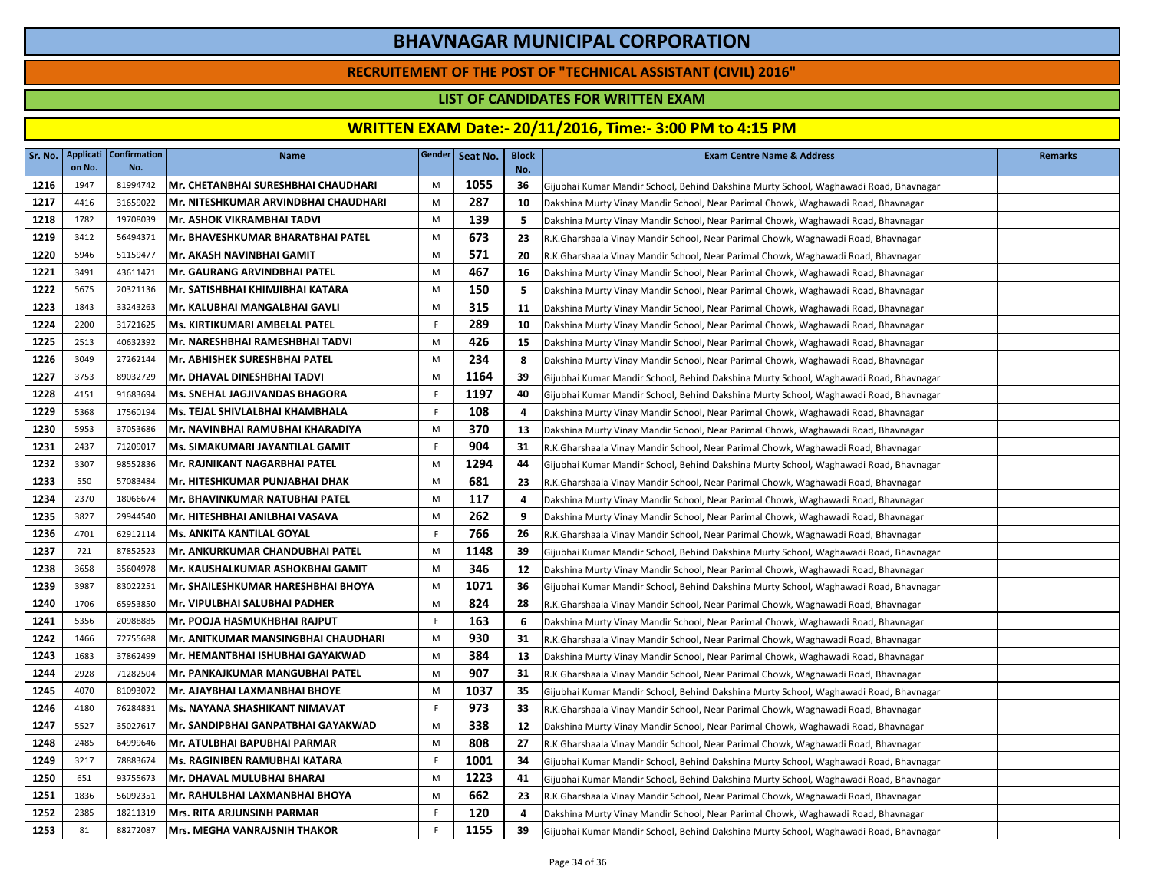### **RECRUITEMENT OF THE POST OF "TECHNICAL ASSISTANT (CIVIL) 2016"**

### **LIST OF CANDIDATES FOR WRITTEN EXAM**

| Sr. No. | Applicati<br>on No. | <b>Confirmation</b><br>No. | <b>Name</b>                           |             | Gender   Seat No. | <b>Block</b><br>No. | <b>Exam Centre Name &amp; Address</b>                                                 | <b>Remarks</b> |
|---------|---------------------|----------------------------|---------------------------------------|-------------|-------------------|---------------------|---------------------------------------------------------------------------------------|----------------|
| 1216    | 1947                | 81994742                   | Mr. CHETANBHAI SURESHBHAI CHAUDHARI   | M           | 1055              | 36                  | Gijubhai Kumar Mandir School, Behind Dakshina Murty School, Waghawadi Road, Bhavnagar |                |
| 1217    | 4416                | 31659022                   | Mr. NITESHKUMAR ARVINDBHAI CHAUDHARI  | M           | 287               | 10                  | Dakshina Murty Vinay Mandir School, Near Parimal Chowk, Waghawadi Road, Bhavnagar     |                |
| 1218    | 1782                | 19708039                   | <b>Mr. ASHOK VIKRAMBHAI TADVI</b>     | M           | 139               | 5                   | Dakshina Murty Vinay Mandir School, Near Parimal Chowk, Waghawadi Road, Bhavnagar     |                |
| 1219    | 3412                | 56494371                   | Mr. BHAVESHKUMAR BHARATBHAI PATEL     | M           | 673               | 23                  | R.K.Gharshaala Vinay Mandir School, Near Parimal Chowk, Waghawadi Road, Bhavnagar     |                |
| 1220    | 5946                | 51159477                   | Mr. AKASH NAVINBHAI GAMIT             | M           | 571               | 20                  | R.K.Gharshaala Vinay Mandir School, Near Parimal Chowk, Waghawadi Road, Bhavnagar     |                |
| 1221    | 3491                | 43611471                   | Mr. GAURANG ARVINDBHAI PATEL          | M           | 467               | 16                  | Dakshina Murty Vinay Mandir School, Near Parimal Chowk, Waghawadi Road, Bhavnagar     |                |
| 1222    | 5675                | 20321136                   | Mr. SATISHBHAI KHIMJIBHAI KATARA      | M           | 150               | 5                   | Dakshina Murty Vinay Mandir School, Near Parimal Chowk, Waghawadi Road, Bhavnagar     |                |
| 1223    | 1843                | 33243263                   | Mr. KALUBHAI MANGALBHAI GAVLI         | M           | 315               | 11                  | Dakshina Murty Vinay Mandir School, Near Parimal Chowk, Waghawadi Road, Bhavnagar     |                |
| 1224    | 2200                | 31721625                   | <b>Ms. KIRTIKUMARI AMBELAL PATEL</b>  | F           | 289               | 10                  | Dakshina Murty Vinay Mandir School, Near Parimal Chowk, Waghawadi Road, Bhavnagar     |                |
| 1225    | 2513                | 40632392                   | Mr. NARESHBHAI RAMESHBHAI TADVI       | M           | 426               | 15                  | Dakshina Murty Vinay Mandir School, Near Parimal Chowk, Waghawadi Road, Bhavnagar     |                |
| 1226    | 3049                | 27262144                   | Mr. ABHISHEK SURESHBHAI PATEL         | M           | 234               | 8                   | Dakshina Murty Vinay Mandir School, Near Parimal Chowk, Waghawadi Road, Bhavnagar     |                |
| 1227    | 3753                | 89032729                   | Mr. DHAVAL DINESHBHAI TADVI           | M           | 1164              | 39                  | Gijubhai Kumar Mandir School, Behind Dakshina Murty School, Waghawadi Road, Bhavnagar |                |
| 1228    | 4151                | 91683694                   | <b>Ms. SNEHAL JAGJIVANDAS BHAGORA</b> | $\mathsf F$ | 1197              | 40                  | Gijubhai Kumar Mandir School, Behind Dakshina Murty School, Waghawadi Road, Bhavnagar |                |
| 1229    | 5368                | 17560194                   | Ms. TEJAL SHIVLALBHAI KHAMBHALA       | F           | 108               | 4                   | Dakshina Murty Vinay Mandir School, Near Parimal Chowk, Waghawadi Road, Bhavnagar     |                |
| 1230    | 5953                | 37053686                   | Mr. NAVINBHAI RAMUBHAI KHARADIYA      | M           | 370               | 13                  | Dakshina Murty Vinay Mandir School, Near Parimal Chowk, Waghawadi Road, Bhavnagar     |                |
| 1231    | 2437                | 71209017                   | Ms. SIMAKUMARI JAYANTILAL GAMIT       | F.          | 904               | 31                  | R.K.Gharshaala Vinay Mandir School, Near Parimal Chowk, Waghawadi Road, Bhavnagar     |                |
| 1232    | 3307                | 98552836                   | Mr. RAJNIKANT NAGARBHAI PATEL         | M           | 1294              | 44                  | Gijubhai Kumar Mandir School, Behind Dakshina Murty School, Waghawadi Road, Bhavnagar |                |
| 1233    | 550                 | 57083484                   | lMr. HITESHKUMAR PUNJABHAI DHAK       | M           | 681               | 23                  | R.K.Gharshaala Vinay Mandir School, Near Parimal Chowk, Waghawadi Road, Bhavnagar     |                |
| 1234    | 2370                | 18066674                   | Mr. BHAVINKUMAR NATUBHAI PATEL        | M           | 117               | 4                   | Dakshina Murty Vinay Mandir School, Near Parimal Chowk, Waghawadi Road, Bhavnagar     |                |
| 1235    | 3827                | 29944540                   | Mr. HITESHBHAI ANILBHAI VASAVA        | M           | 262               | 9                   | Dakshina Murty Vinay Mandir School, Near Parimal Chowk, Waghawadi Road, Bhavnagar     |                |
| 1236    | 4701                | 62912114                   | <b>Ms. ANKITA KANTILAL GOYAL</b>      | F           | 766               | 26                  | R.K.Gharshaala Vinay Mandir School, Near Parimal Chowk, Waghawadi Road, Bhavnagar     |                |
| 1237    | 721                 | 87852523                   | Mr. ANKURKUMAR CHANDUBHAI PATEL       | M           | 1148              | 39                  | Gijubhai Kumar Mandir School, Behind Dakshina Murty School, Waghawadi Road, Bhavnagar |                |
| 1238    | 3658                | 35604978                   | Mr. KAUSHALKUMAR ASHOKBHAI GAMIT      | M           | 346               | 12                  | Dakshina Murty Vinay Mandir School, Near Parimal Chowk, Waghawadi Road, Bhavnagar     |                |
| 1239    | 3987                | 83022251                   | Mr. SHAILESHKUMAR HARESHBHAI BHOYA    | M           | 1071              | 36                  | Gijubhai Kumar Mandir School, Behind Dakshina Murty School, Waghawadi Road, Bhavnagar |                |
| 1240    | 1706                | 65953850                   | Mr. VIPULBHAI SALUBHAI PADHER         | M           | 824               | 28                  | R.K.Gharshaala Vinay Mandir School, Near Parimal Chowk, Waghawadi Road, Bhavnagar     |                |
| 1241    | 5356                | 20988885                   | IMr. POOJA HASMUKHBHAI RAJPUT         | F.          | 163               | -6                  | Dakshina Murty Vinay Mandir School, Near Parimal Chowk, Waghawadi Road, Bhavnagar     |                |
| 1242    | 1466                | 72755688                   | Mr. ANITKUMAR MANSINGBHAI CHAUDHARI   | M           | 930               | 31                  | R.K.Gharshaala Vinay Mandir School, Near Parimal Chowk, Waghawadi Road, Bhavnagar     |                |
| 1243    | 1683                | 37862499                   | Mr. HEMANTBHAI ISHUBHAI GAYAKWAD      | M           | 384               | 13                  | Dakshina Murty Vinay Mandir School, Near Parimal Chowk, Waghawadi Road, Bhavnagar     |                |
| 1244    | 2928                | 71282504                   | Mr. PANKAJKUMAR MANGUBHAI PATEL       | M           | 907               | 31                  | R.K.Gharshaala Vinay Mandir School, Near Parimal Chowk, Waghawadi Road, Bhavnagar     |                |
| 1245    | 4070                | 81093072                   | IMr. AJAYBHAI LAXMANBHAI BHOYE        | M           | 1037              | 35                  | Gijubhai Kumar Mandir School, Behind Dakshina Murty School, Waghawadi Road, Bhavnagar |                |
| 1246    | 4180                | 76284831                   | Ms. NAYANA SHASHIKANT NIMAVAT         | F           | 973               | 33                  | R.K.Gharshaala Vinay Mandir School, Near Parimal Chowk, Waghawadi Road, Bhavnagar     |                |
| 1247    | 5527                | 35027617                   | Mr. SANDIPBHAI GANPATBHAI GAYAKWAD    | M           | 338               | 12                  | Dakshina Murty Vinay Mandir School, Near Parimal Chowk, Waghawadi Road, Bhavnagar     |                |
| 1248    | 2485                | 64999646                   | Mr. ATULBHAI BAPUBHAI PARMAR          | M           | 808               | 27                  | R.K.Gharshaala Vinay Mandir School, Near Parimal Chowk, Waghawadi Road, Bhavnagar     |                |
| 1249    | 3217                | 78883674                   | Ms. RAGINIBEN RAMUBHAI KATARA         | F.          | 1001              | 34                  | Gijubhai Kumar Mandir School, Behind Dakshina Murty School, Waghawadi Road, Bhavnagar |                |
| 1250    | 651                 | 93755673                   | Mr. DHAVAL MULUBHAI BHARAI            | M           | 1223              | 41                  | Gijubhai Kumar Mandir School, Behind Dakshina Murty School, Waghawadi Road, Bhavnagar |                |
| 1251    | 1836                | 56092351                   | Mr. RAHULBHAI LAXMANBHAI BHOYA        | M           | 662               | 23                  | R.K.Gharshaala Vinay Mandir School, Near Parimal Chowk, Waghawadi Road, Bhavnagar     |                |
| 1252    | 2385                | 18211319                   | <b>Mrs. RITA ARJUNSINH PARMAR</b>     | F.          | 120               | 4                   | Dakshina Murty Vinay Mandir School, Near Parimal Chowk, Waghawadi Road, Bhavnagar     |                |
| 1253    | 81                  | 88272087                   | Mrs. MEGHA VANRAJSNIH THAKOR          | $\mathsf F$ | 1155              | 39                  | Gijubhai Kumar Mandir School, Behind Dakshina Murty School, Waghawadi Road, Bhavnagar |                |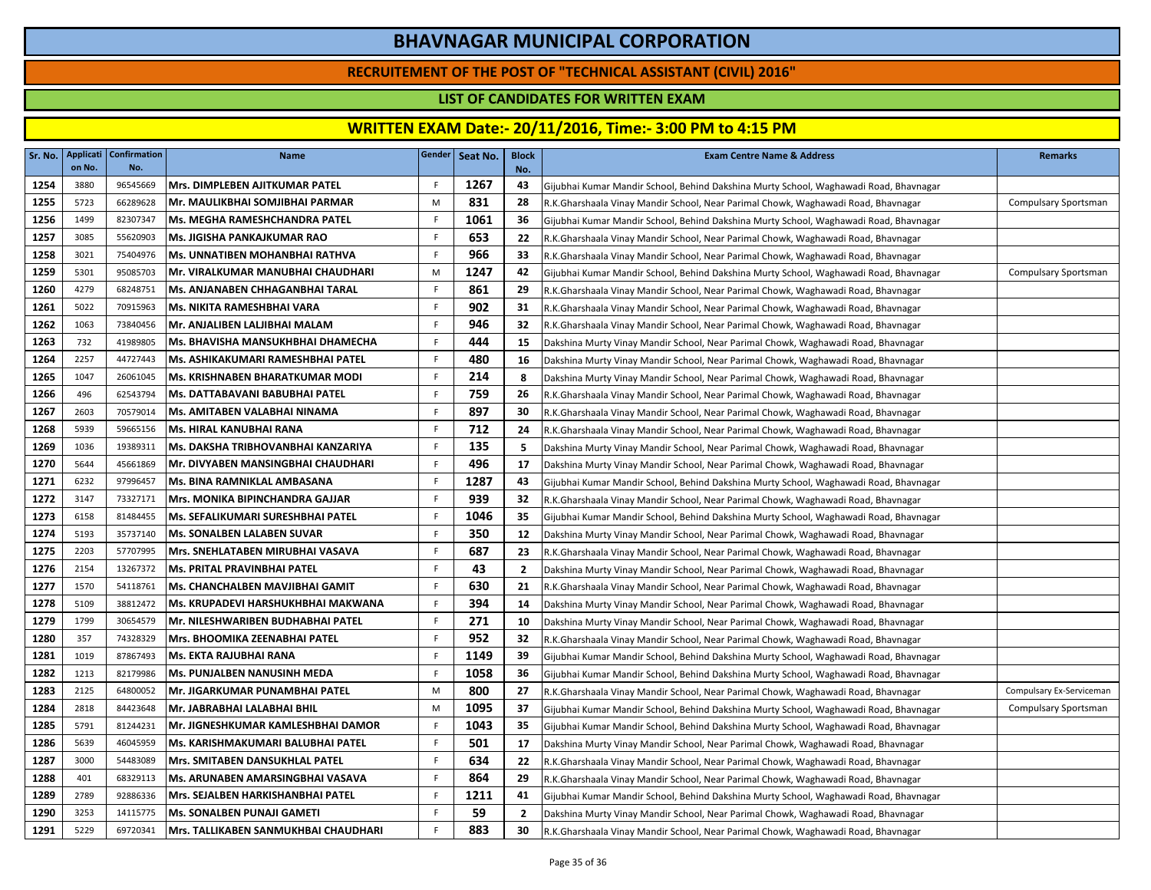### **RECRUITEMENT OF THE POST OF "TECHNICAL ASSISTANT (CIVIL) 2016"**

### **LIST OF CANDIDATES FOR WRITTEN EXAM**

| Sr. No. | <b>Applicati</b><br>on No. | <b>Confirmation</b><br>No. | <b>Name</b>                            |             | Gender Seat No. | <b>Block</b><br>No. | <b>Exam Centre Name &amp; Address</b>                                                 | <b>Remarks</b>           |
|---------|----------------------------|----------------------------|----------------------------------------|-------------|-----------------|---------------------|---------------------------------------------------------------------------------------|--------------------------|
| 1254    | 3880                       | 96545669                   | Mrs. DIMPLEBEN AJITKUMAR PATEL         | F           | 1267            | 43                  | Gijubhai Kumar Mandir School, Behind Dakshina Murty School, Waghawadi Road, Bhavnagar |                          |
| 1255    | 5723                       | 66289628                   | Mr. MAULIKBHAI SOMJIBHAI PARMAR        | M           | 831             | 28                  | R.K.Gharshaala Vinay Mandir School, Near Parimal Chowk, Waghawadi Road, Bhavnagar     | Compulsary Sportsman     |
| 1256    | 1499                       | 82307347                   | <b>Ms. MEGHA RAMESHCHANDRA PATEL</b>   | F.          | 1061            | 36                  | Gijubhai Kumar Mandir School, Behind Dakshina Murty School, Waghawadi Road, Bhavnagar |                          |
| 1257    | 3085                       | 55620903                   | Ms. JIGISHA PANKAJKUMAR RAO            | F           | 653             | 22                  | R.K.Gharshaala Vinay Mandir School, Near Parimal Chowk, Waghawadi Road, Bhavnagar     |                          |
| 1258    | 3021                       | 75404976                   | <b>Ms. UNNATIBEN MOHANBHAI RATHVA</b>  | F           | 966             | 33                  | R.K.Gharshaala Vinay Mandir School, Near Parimal Chowk, Waghawadi Road, Bhavnagar     |                          |
| 1259    | 5301                       | 95085703                   | Mr. VIRALKUMAR MANUBHAI CHAUDHARI      | M           | 1247            | 42                  | Gijubhai Kumar Mandir School, Behind Dakshina Murty School, Waghawadi Road, Bhavnagar | Compulsary Sportsman     |
| 1260    | 4279                       | 68248751                   | Ms. ANJANABEN CHHAGANBHAI TARAL        | $\mathsf F$ | 861             | 29                  | R.K.Gharshaala Vinay Mandir School, Near Parimal Chowk, Waghawadi Road, Bhavnagar     |                          |
| 1261    | 5022                       | 70915963                   | Ms. NIKITA RAMESHBHAI VARA             | F.          | 902             | 31                  | R.K.Gharshaala Vinay Mandir School, Near Parimal Chowk, Waghawadi Road, Bhavnagar     |                          |
| 1262    | 1063                       | 73840456                   | Mr. ANJALIBEN LALJIBHAI MALAM          | F           | 946             | 32                  | R.K.Gharshaala Vinay Mandir School, Near Parimal Chowk, Waghawadi Road, Bhavnagar     |                          |
| 1263    | 732                        | 41989805                   | Ms. BHAVISHA MANSUKHBHAI DHAMECHA      | F           | 444             | 15                  | Dakshina Murty Vinay Mandir School, Near Parimal Chowk, Waghawadi Road, Bhavnagar     |                          |
| 1264    | 2257                       | 44727443                   | Ms. ASHIKAKUMARI RAMESHBHAI PATEL      | F           | 480             | 16                  | Dakshina Murty Vinay Mandir School, Near Parimal Chowk, Waghawadi Road, Bhavnagar     |                          |
| 1265    | 1047                       | 26061045                   | <b>Ms. KRISHNABEN BHARATKUMAR MODI</b> | F.          | 214             | 8                   | Dakshina Murty Vinay Mandir School, Near Parimal Chowk, Waghawadi Road, Bhavnagar     |                          |
| 1266    | 496                        | 62543794                   | Ms. DATTABAVANI BABUBHAI PATEL         | $\mathsf F$ | 759             | 26                  | R.K.Gharshaala Vinay Mandir School, Near Parimal Chowk, Waghawadi Road, Bhavnagar     |                          |
| 1267    | 2603                       | 70579014                   | Ms. AMITABEN VALABHAI NINAMA           | F           | 897             | 30                  | R.K.Gharshaala Vinay Mandir School, Near Parimal Chowk, Waghawadi Road, Bhavnagar     |                          |
| 1268    | 5939                       | 59665156                   | Ms. HIRAL KANUBHAI RANA                | F           | 712             | 24                  | R.K.Gharshaala Vinay Mandir School, Near Parimal Chowk, Waghawadi Road, Bhavnagar     |                          |
| 1269    | 1036                       | 19389311                   | Ms. DAKSHA TRIBHOVANBHAI KANZARIYA     | F.          | 135             | -5                  | Dakshina Murty Vinay Mandir School, Near Parimal Chowk, Waghawadi Road, Bhavnagar     |                          |
| 1270    | 5644                       | 45661869                   | Mr. DIVYABEN MANSINGBHAI CHAUDHARI     | F.          | 496             | 17                  | Dakshina Murty Vinay Mandir School, Near Parimal Chowk, Waghawadi Road, Bhavnagar     |                          |
| 1271    | 6232                       | 97996457                   | Ms. BINA RAMNIKLAL AMBASANA            | F.          | 1287            | 43                  | Gijubhai Kumar Mandir School, Behind Dakshina Murty School, Waghawadi Road, Bhavnagar |                          |
| 1272    | 3147                       | 73327171                   | <b>Mrs. MONIKA BIPINCHANDRA GAJJAR</b> | F.          | 939             | 32                  | R.K.Gharshaala Vinay Mandir School, Near Parimal Chowk, Waghawadi Road, Bhavnagar     |                          |
| 1273    | 6158                       | 81484455                   | Ms. SEFALIKUMARI SURESHBHAI PATEL      | F.          | 1046            | 35                  | Gijubhai Kumar Mandir School, Behind Dakshina Murty School, Waghawadi Road, Bhavnagar |                          |
| 1274    | 5193                       | 35737140                   | <b>Ms. SONALBEN LALABEN SUVAR</b>      | F.          | 350             | 12                  | Dakshina Murty Vinay Mandir School, Near Parimal Chowk, Waghawadi Road, Bhavnagar     |                          |
| 1275    | 2203                       | 57707995                   | IMrs. SNEHLATABEN MIRUBHAI VASAVA      | F.          | 687             | 23                  | R.K.Gharshaala Vinay Mandir School, Near Parimal Chowk, Waghawadi Road, Bhavnagar     |                          |
| 1276    | 2154                       | 13267372                   | <b>Ms. PRITAL PRAVINBHAI PATEL</b>     | F           | 43              | $\overline{2}$      | Dakshina Murty Vinay Mandir School, Near Parimal Chowk, Waghawadi Road, Bhavnagar     |                          |
| 1277    | 1570                       | 54118761                   | <b>Ms. CHANCHALBEN MAVJIBHAI GAMIT</b> | F.          | 630             | 21                  | R.K.Gharshaala Vinay Mandir School, Near Parimal Chowk, Waghawadi Road, Bhavnagar     |                          |
| 1278    | 5109                       | 38812472                   | Ms. KRUPADEVI HARSHUKHBHAI MAKWANA     | F           | 394             | 14                  | Dakshina Murty Vinay Mandir School, Near Parimal Chowk, Waghawadi Road, Bhavnagar     |                          |
| 1279    | 1799                       | 30654579                   | Mr. NILESHWARIBEN BUDHABHAI PATEL      | F           | 271             | 10                  | Dakshina Murty Vinay Mandir School, Near Parimal Chowk, Waghawadi Road, Bhavnagar     |                          |
| 1280    | 357                        | 74328329                   | Mrs. BHOOMIKA ZEENABHAI PATEL          | F           | 952             | 32                  | R.K.Gharshaala Vinay Mandir School, Near Parimal Chowk, Waghawadi Road, Bhavnagar     |                          |
| 1281    | 1019                       | 87867493                   | Ms. EKTA RAJUBHAI RANA                 | F           | 1149            | 39                  | Gijubhai Kumar Mandir School, Behind Dakshina Murty School, Waghawadi Road, Bhavnagar |                          |
| 1282    | 1213                       | 82179986                   | Ms. PUNJALBEN NANUSINH MEDA            | F           | 1058            | 36                  | Gijubhai Kumar Mandir School, Behind Dakshina Murty School, Waghawadi Road, Bhavnagar |                          |
| 1283    | 2125                       | 64800052                   | Mr. JIGARKUMAR PUNAMBHAI PATEL         | M           | 800             | 27                  | R.K.Gharshaala Vinay Mandir School, Near Parimal Chowk, Waghawadi Road, Bhavnagar     | Compulsary Ex-Serviceman |
| 1284    | 2818                       | 84423648                   | Mr. JABRABHAI LALABHAI BHIL            | M           | 1095            | 37                  | Gijubhai Kumar Mandir School, Behind Dakshina Murty School, Waghawadi Road, Bhavnagar | Compulsary Sportsman     |
| 1285    | 5791                       | 81244231                   | Mr. JIGNESHKUMAR KAMLESHBHAI DAMOR     | F           | 1043            | 35                  | Gijubhai Kumar Mandir School, Behind Dakshina Murty School, Waghawadi Road, Bhavnagar |                          |
| 1286    | 5639                       | 46045959                   | Ms. KARISHMAKUMARI BALUBHAI PATEL      | $\mathsf F$ | 501             | 17                  | Dakshina Murty Vinay Mandir School, Near Parimal Chowk, Waghawadi Road, Bhavnagar     |                          |
| 1287    | 3000                       | 54483089                   | <b>Mrs. SMITABEN DANSUKHLAL PATEL</b>  | F.          | 634             | 22                  | R.K.Gharshaala Vinay Mandir School, Near Parimal Chowk, Waghawadi Road, Bhavnagar     |                          |
| 1288    | 401                        | 68329113                   | Ms. ARUNABEN AMARSINGBHAI VASAVA       | F           | 864             | 29                  | R.K.Gharshaala Vinay Mandir School, Near Parimal Chowk, Waghawadi Road, Bhavnagar     |                          |
| 1289    | 2789                       | 92886336                   | Mrs. SEJALBEN HARKISHANBHAI PATEL      | F.          | 1211            | 41                  | Gijubhai Kumar Mandir School, Behind Dakshina Murty School, Waghawadi Road, Bhavnagar |                          |
| 1290    | 3253                       | 14115775                   | <b>Ms. SONALBEN PUNAJI GAMETI</b>      | F.          | 59              | $\overline{2}$      | Dakshina Murty Vinay Mandir School, Near Parimal Chowk, Waghawadi Road, Bhavnagar     |                          |
| 1291    | 5229                       | 69720341                   | Mrs. TALLIKABEN SANMUKHBAI CHAUDHARI   | F           | 883             | 30                  | R.K.Gharshaala Vinay Mandir School, Near Parimal Chowk, Waghawadi Road, Bhavnagar     |                          |